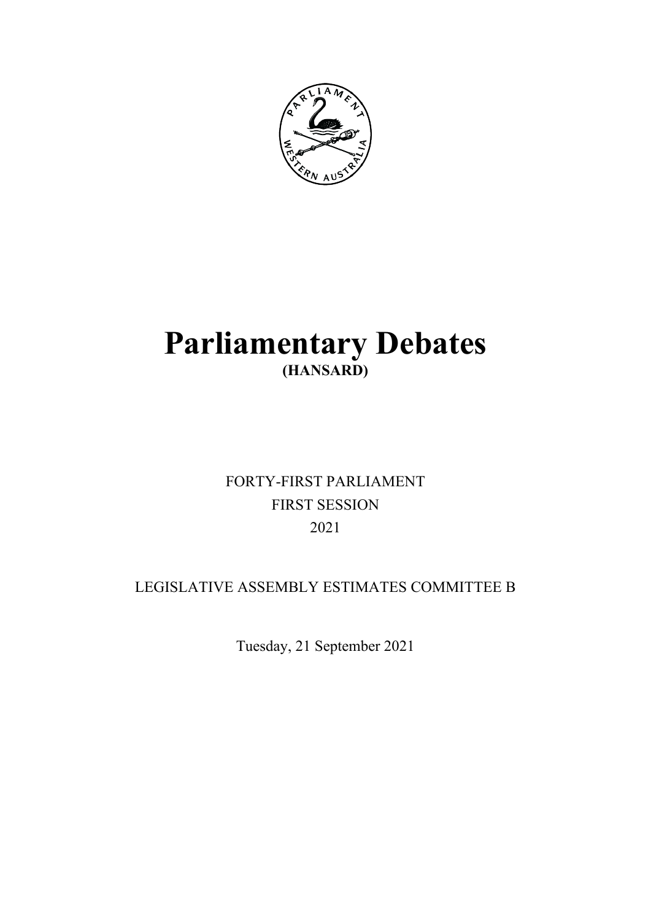

# **Parliamentary Debates (HANSARD)**

## FORTY-FIRST PARLIAMENT FIRST SESSION 2021

### LEGISLATIVE ASSEMBLY ESTIMATES COMMITTEE B

Tuesday, 21 September 2021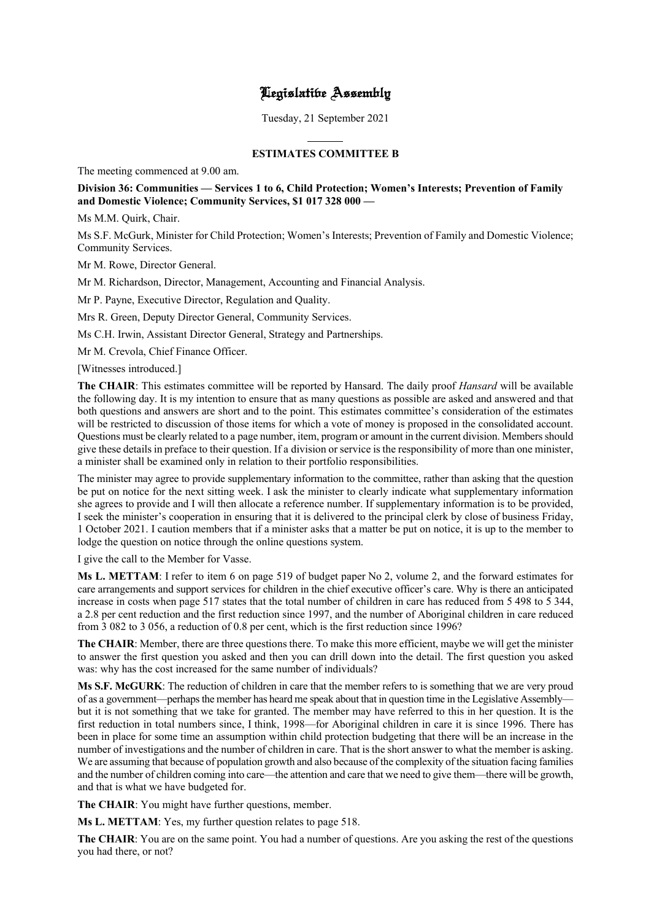### Legislative Assembly

Tuesday, 21 September 2021

 $\overline{a}$ 

#### **ESTIMATES COMMITTEE B**

The meeting commenced at 9.00 am.

#### **Division 36: Communities — Services 1 to 6, Child Protection; Women's Interests; Prevention of Family and Domestic Violence; Community Services, \$1 017 328 000 —**

Ms M.M. Quirk, Chair.

Ms S.F. McGurk, Minister for Child Protection; Women's Interests; Prevention of Family and Domestic Violence; Community Services.

Mr M. Rowe, Director General.

Mr M. Richardson, Director, Management, Accounting and Financial Analysis.

Mr P. Payne, Executive Director, Regulation and Quality.

Mrs R. Green, Deputy Director General, Community Services.

Ms C.H. Irwin, Assistant Director General, Strategy and Partnerships.

Mr M. Crevola, Chief Finance Officer.

[Witnesses introduced.]

**The CHAIR**: This estimates committee will be reported by Hansard. The daily proof *Hansard* will be available the following day. It is my intention to ensure that as many questions as possible are asked and answered and that both questions and answers are short and to the point. This estimates committee's consideration of the estimates will be restricted to discussion of those items for which a vote of money is proposed in the consolidated account. Questions must be clearly related to a page number, item, program or amount in the current division. Members should give these details in preface to their question. If a division or service is the responsibility of more than one minister, a minister shall be examined only in relation to their portfolio responsibilities.

The minister may agree to provide supplementary information to the committee, rather than asking that the question be put on notice for the next sitting week. I ask the minister to clearly indicate what supplementary information she agrees to provide and I will then allocate a reference number. If supplementary information is to be provided, I seek the minister's cooperation in ensuring that it is delivered to the principal clerk by close of business Friday, 1 October 2021. I caution members that if a minister asks that a matter be put on notice, it is up to the member to lodge the question on notice through the online questions system.

I give the call to the Member for Vasse.

**Ms L. METTAM**: I refer to item 6 on page 519 of budget paper No 2, volume 2, and the forward estimates for care arrangements and support services for children in the chief executive officer's care. Why is there an anticipated increase in costs when page 517 states that the total number of children in care has reduced from 5 498 to 5 344, a 2.8 per cent reduction and the first reduction since 1997, and the number of Aboriginal children in care reduced from 3 082 to 3 056, a reduction of 0.8 per cent, which is the first reduction since 1996?

**The CHAIR**: Member, there are three questions there. To make this more efficient, maybe we will get the minister to answer the first question you asked and then you can drill down into the detail. The first question you asked was: why has the cost increased for the same number of individuals?

**Ms S.F. McGURK**: The reduction of children in care that the member refers to is something that we are very proud of as a government—perhaps the member has heard me speak about that in question time in the Legislative Assembly but it is not something that we take for granted. The member may have referred to this in her question. It is the first reduction in total numbers since, I think, 1998—for Aboriginal children in care it is since 1996. There has been in place for some time an assumption within child protection budgeting that there will be an increase in the number of investigations and the number of children in care. That is the short answer to what the member is asking. We are assuming that because of population growth and also because of the complexity of the situation facing families and the number of children coming into care—the attention and care that we need to give them—there will be growth, and that is what we have budgeted for.

**The CHAIR**: You might have further questions, member.

**Ms L. METTAM**: Yes, my further question relates to page 518.

**The CHAIR**: You are on the same point. You had a number of questions. Are you asking the rest of the questions you had there, or not?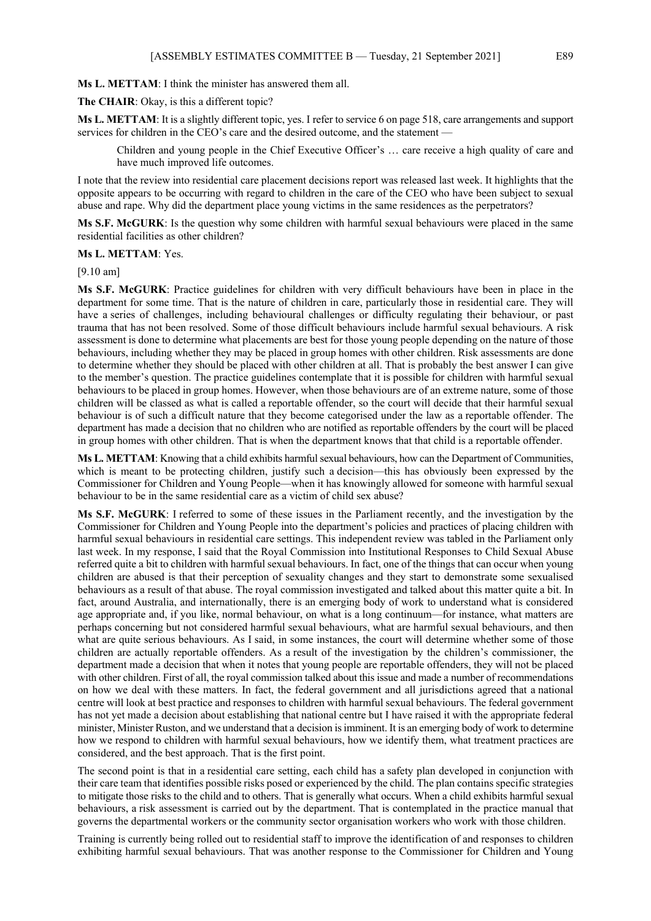#### **Ms L. METTAM**: I think the minister has answered them all.

**The CHAIR**: Okay, is this a different topic?

**Ms L. METTAM**: It is a slightly different topic, yes. I refer to service 6 on page 518, care arrangements and support services for children in the CEO's care and the desired outcome, and the statement -

Children and young people in the Chief Executive Officer's … care receive a high quality of care and have much improved life outcomes.

I note that the review into residential care placement decisions report was released last week. It highlights that the opposite appears to be occurring with regard to children in the care of the CEO who have been subject to sexual abuse and rape. Why did the department place young victims in the same residences as the perpetrators?

**Ms S.F. McGURK**: Is the question why some children with harmful sexual behaviours were placed in the same residential facilities as other children?

#### **Ms L. METTAM**: Yes.

[9.10 am]

**Ms S.F. McGURK**: Practice guidelines for children with very difficult behaviours have been in place in the department for some time. That is the nature of children in care, particularly those in residential care. They will have a series of challenges, including behavioural challenges or difficulty regulating their behaviour, or past trauma that has not been resolved. Some of those difficult behaviours include harmful sexual behaviours. A risk assessment is done to determine what placements are best for those young people depending on the nature of those behaviours, including whether they may be placed in group homes with other children. Risk assessments are done to determine whether they should be placed with other children at all. That is probably the best answer I can give to the member's question. The practice guidelines contemplate that it is possible for children with harmful sexual behaviours to be placed in group homes. However, when those behaviours are of an extreme nature, some of those children will be classed as what is called a reportable offender, so the court will decide that their harmful sexual behaviour is of such a difficult nature that they become categorised under the law as a reportable offender. The department has made a decision that no children who are notified as reportable offenders by the court will be placed in group homes with other children. That is when the department knows that that child is a reportable offender.

**Ms L. METTAM**: Knowing that a child exhibits harmful sexual behaviours, how can the Department of Communities, which is meant to be protecting children, justify such a decision—this has obviously been expressed by the Commissioner for Children and Young People—when it has knowingly allowed for someone with harmful sexual behaviour to be in the same residential care as a victim of child sex abuse?

**Ms S.F. McGURK**: I referred to some of these issues in the Parliament recently, and the investigation by the Commissioner for Children and Young People into the department's policies and practices of placing children with harmful sexual behaviours in residential care settings. This independent review was tabled in the Parliament only last week. In my response, I said that the Royal Commission into Institutional Responses to Child Sexual Abuse referred quite a bit to children with harmful sexual behaviours. In fact, one of the things that can occur when young children are abused is that their perception of sexuality changes and they start to demonstrate some sexualised behaviours as a result of that abuse. The royal commission investigated and talked about this matter quite a bit. In fact, around Australia, and internationally, there is an emerging body of work to understand what is considered age appropriate and, if you like, normal behaviour, on what is a long continuum—for instance, what matters are perhaps concerning but not considered harmful sexual behaviours, what are harmful sexual behaviours, and then what are quite serious behaviours. As I said, in some instances, the court will determine whether some of those children are actually reportable offenders. As a result of the investigation by the children's commissioner, the department made a decision that when it notes that young people are reportable offenders, they will not be placed with other children. First of all, the royal commission talked about this issue and made a number of recommendations on how we deal with these matters. In fact, the federal government and all jurisdictions agreed that a national centre will look at best practice and responses to children with harmful sexual behaviours. The federal government has not yet made a decision about establishing that national centre but I have raised it with the appropriate federal minister, Minister Ruston, and we understand that a decision is imminent. It is an emerging body of work to determine how we respond to children with harmful sexual behaviours, how we identify them, what treatment practices are considered, and the best approach. That is the first point.

The second point is that in a residential care setting, each child has a safety plan developed in conjunction with their care team that identifies possible risks posed or experienced by the child. The plan contains specific strategies to mitigate those risks to the child and to others. That is generally what occurs. When a child exhibits harmful sexual behaviours, a risk assessment is carried out by the department. That is contemplated in the practice manual that governs the departmental workers or the community sector organisation workers who work with those children.

Training is currently being rolled out to residential staff to improve the identification of and responses to children exhibiting harmful sexual behaviours. That was another response to the Commissioner for Children and Young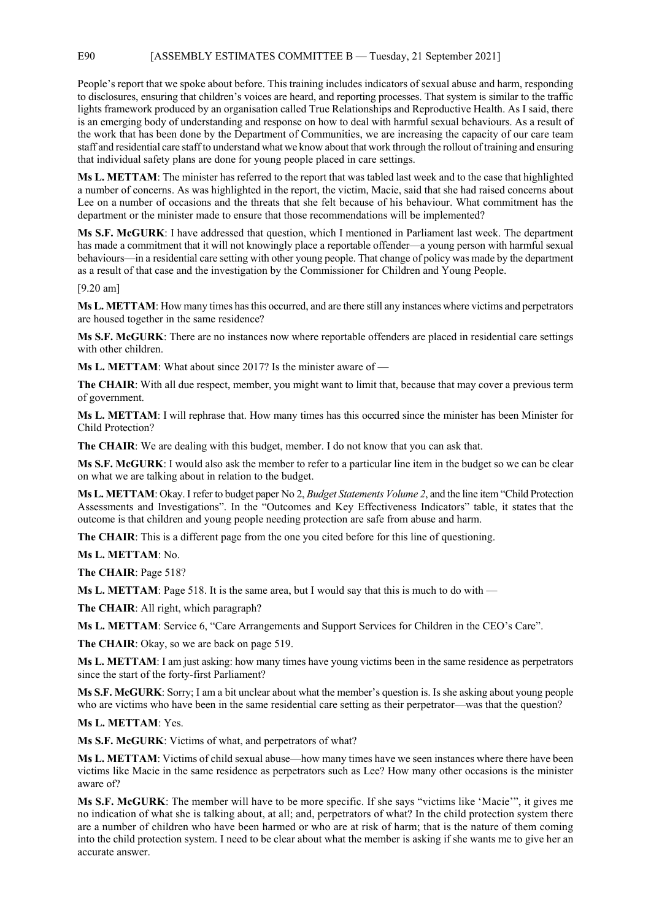E90 [ASSEMBLY ESTIMATES COMMITTEE B — Tuesday, 21 September 2021]

People's report that we spoke about before. This training includes indicators of sexual abuse and harm, responding to disclosures, ensuring that children's voices are heard, and reporting processes. That system is similar to the traffic lights framework produced by an organisation called True Relationships and Reproductive Health. As I said, there is an emerging body of understanding and response on how to deal with harmful sexual behaviours. As a result of the work that has been done by the Department of Communities, we are increasing the capacity of our care team staff and residential care staff to understand what we know about that work through the rollout of training and ensuring that individual safety plans are done for young people placed in care settings.

**Ms L. METTAM**: The minister has referred to the report that was tabled last week and to the case that highlighted a number of concerns. As was highlighted in the report, the victim, Macie, said that she had raised concerns about Lee on a number of occasions and the threats that she felt because of his behaviour. What commitment has the department or the minister made to ensure that those recommendations will be implemented?

**Ms S.F. McGURK**: I have addressed that question, which I mentioned in Parliament last week. The department has made a commitment that it will not knowingly place a reportable offender—a young person with harmful sexual behaviours—in a residential care setting with other young people. That change of policy was made by the department as a result of that case and the investigation by the Commissioner for Children and Young People.

[9.20 am]

**Ms L. METTAM**: How many times has this occurred, and are there still any instances where victims and perpetrators are housed together in the same residence?

**Ms S.F. McGURK**: There are no instances now where reportable offenders are placed in residential care settings with other children.

**Ms L. METTAM**: What about since 2017? Is the minister aware of —

**The CHAIR**: With all due respect, member, you might want to limit that, because that may cover a previous term of government.

**Ms L. METTAM**: I will rephrase that. How many times has this occurred since the minister has been Minister for Child Protection?

**The CHAIR**: We are dealing with this budget, member. I do not know that you can ask that.

**Ms S.F. McGURK**: I would also ask the member to refer to a particular line item in the budget so we can be clear on what we are talking about in relation to the budget.

**Ms L. METTAM**: Okay. I refer to budget paper No 2, *Budget Statements Volume 2*, and the line item "Child Protection Assessments and Investigations". In the "Outcomes and Key Effectiveness Indicators" table, it states that the outcome is that children and young people needing protection are safe from abuse and harm.

**The CHAIR**: This is a different page from the one you cited before for this line of questioning.

**Ms L. METTAM**: No.

**The CHAIR**: Page 518?

**Ms L. METTAM**: Page 518. It is the same area, but I would say that this is much to do with —

**The CHAIR**: All right, which paragraph?

**Ms L. METTAM**: Service 6, "Care Arrangements and Support Services for Children in the CEO's Care".

**The CHAIR**: Okay, so we are back on page 519.

**Ms L. METTAM**: I am just asking: how many times have young victims been in the same residence as perpetrators since the start of the forty-first Parliament?

**Ms S.F. McGURK**: Sorry; I am a bit unclear about what the member's question is. Is she asking about young people who are victims who have been in the same residential care setting as their perpetrator—was that the question?

**Ms L. METTAM**: Yes.

**Ms S.F. McGURK**: Victims of what, and perpetrators of what?

**Ms L. METTAM**: Victims of child sexual abuse—how many times have we seen instances where there have been victims like Macie in the same residence as perpetrators such as Lee? How many other occasions is the minister aware of?

**Ms S.F. McGURK**: The member will have to be more specific. If she says "victims like 'Macie'", it gives me no indication of what she is talking about, at all; and, perpetrators of what? In the child protection system there are a number of children who have been harmed or who are at risk of harm; that is the nature of them coming into the child protection system. I need to be clear about what the member is asking if she wants me to give her an accurate answer.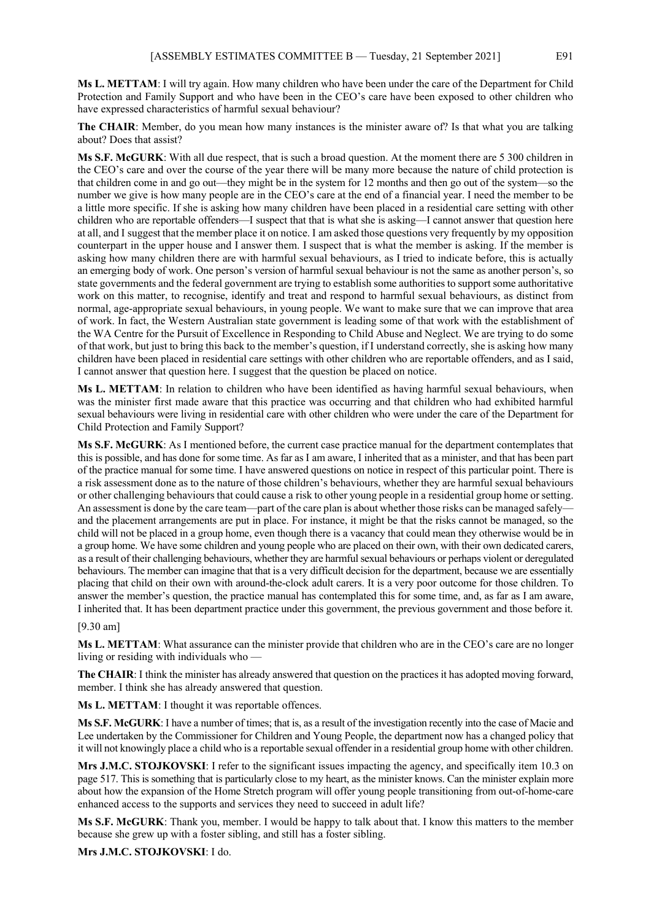**Ms L. METTAM**: I will try again. How many children who have been under the care of the Department for Child Protection and Family Support and who have been in the CEO's care have been exposed to other children who have expressed characteristics of harmful sexual behaviour?

**The CHAIR**: Member, do you mean how many instances is the minister aware of? Is that what you are talking about? Does that assist?

**Ms S.F. McGURK**: With all due respect, that is such a broad question. At the moment there are 5 300 children in the CEO's care and over the course of the year there will be many more because the nature of child protection is that children come in and go out—they might be in the system for 12 months and then go out of the system—so the number we give is how many people are in the CEO's care at the end of a financial year. I need the member to be a little more specific. If she is asking how many children have been placed in a residential care setting with other children who are reportable offenders—I suspect that that is what she is asking—I cannot answer that question here at all, and I suggest that the member place it on notice. I am asked those questions very frequently by my opposition counterpart in the upper house and I answer them. I suspect that is what the member is asking. If the member is asking how many children there are with harmful sexual behaviours, as I tried to indicate before, this is actually an emerging body of work. One person's version of harmful sexual behaviour is not the same as another person's, so state governments and the federal government are trying to establish some authorities to support some authoritative work on this matter, to recognise, identify and treat and respond to harmful sexual behaviours, as distinct from normal, age-appropriate sexual behaviours, in young people. We want to make sure that we can improve that area of work. In fact, the Western Australian state government is leading some of that work with the establishment of the WA Centre for the Pursuit of Excellence in Responding to Child Abuse and Neglect. We are trying to do some of that work, but just to bring this back to the member's question, if I understand correctly, she is asking how many children have been placed in residential care settings with other children who are reportable offenders, and as I said, I cannot answer that question here. I suggest that the question be placed on notice.

**Ms L. METTAM**: In relation to children who have been identified as having harmful sexual behaviours, when was the minister first made aware that this practice was occurring and that children who had exhibited harmful sexual behaviours were living in residential care with other children who were under the care of the Department for Child Protection and Family Support?

**Ms S.F. McGURK**: As I mentioned before, the current case practice manual for the department contemplates that this is possible, and has done for some time. As far as I am aware, I inherited that as a minister, and that has been part of the practice manual for some time. I have answered questions on notice in respect of this particular point. There is a risk assessment done as to the nature of those children's behaviours, whether they are harmful sexual behaviours or other challenging behaviours that could cause a risk to other young people in a residential group home or setting. An assessment is done by the care team—part of the care plan is about whether those risks can be managed safely and the placement arrangements are put in place. For instance, it might be that the risks cannot be managed, so the child will not be placed in a group home, even though there is a vacancy that could mean they otherwise would be in a group home. We have some children and young people who are placed on their own, with their own dedicated carers, as a result of their challenging behaviours, whether they are harmful sexual behaviours or perhaps violent or deregulated behaviours. The member can imagine that that is a very difficult decision for the department, because we are essentially placing that child on their own with around-the-clock adult carers. It is a very poor outcome for those children. To answer the member's question, the practice manual has contemplated this for some time, and, as far as I am aware, I inherited that. It has been department practice under this government, the previous government and those before it.

#### [9.30 am]

**Ms L. METTAM**: What assurance can the minister provide that children who are in the CEO's care are no longer living or residing with individuals who —

**The CHAIR**: I think the minister has already answered that question on the practices it has adopted moving forward, member. I think she has already answered that question.

**Ms L. METTAM**: I thought it was reportable offences.

**Ms S.F. McGURK**: I have a number of times; that is, as a result of the investigation recently into the case of Macie and Lee undertaken by the Commissioner for Children and Young People, the department now has a changed policy that it will not knowingly place a child who is a reportable sexual offender in a residential group home with other children.

**Mrs J.M.C. STOJKOVSKI**: I refer to the significant issues impacting the agency, and specifically item 10.3 on page 517. This is something that is particularly close to my heart, as the minister knows. Can the minister explain more about how the expansion of the Home Stretch program will offer young people transitioning from out-of-home-care enhanced access to the supports and services they need to succeed in adult life?

**Ms S.F. McGURK**: Thank you, member. I would be happy to talk about that. I know this matters to the member because she grew up with a foster sibling, and still has a foster sibling.

**Mrs J.M.C. STOJKOVSKI**: I do.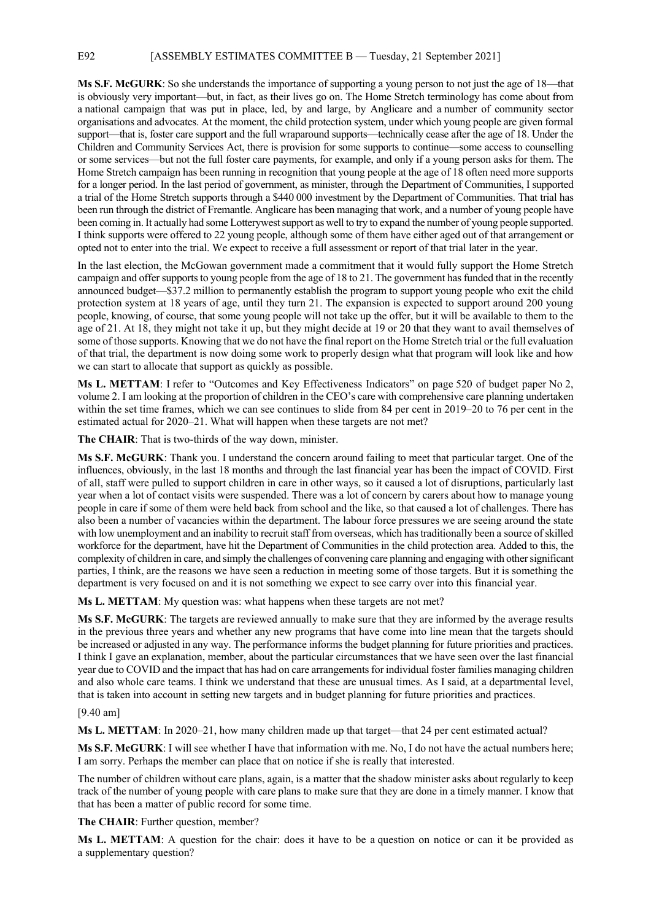E92 [ASSEMBLY ESTIMATES COMMITTEE B — Tuesday, 21 September 2021]

**Ms S.F. McGURK**: So she understands the importance of supporting a young person to not just the age of 18—that is obviously very important—but, in fact, as their lives go on. The Home Stretch terminology has come about from a national campaign that was put in place, led, by and large, by Anglicare and a number of community sector organisations and advocates. At the moment, the child protection system, under which young people are given formal support—that is, foster care support and the full wraparound supports—technically cease after the age of 18. Under the Children and Community Services Act, there is provision for some supports to continue—some access to counselling or some services—but not the full foster care payments, for example, and only if a young person asks for them. The Home Stretch campaign has been running in recognition that young people at the age of 18 often need more supports for a longer period. In the last period of government, as minister, through the Department of Communities, I supported a trial of the Home Stretch supports through a \$440 000 investment by the Department of Communities. That trial has been run through the district of Fremantle. Anglicare has been managing that work, and a number of young people have been coming in. It actually had some Lotterywest support as well to try to expand the number of young people supported. I think supports were offered to 22 young people, although some of them have either aged out of that arrangement or opted not to enter into the trial. We expect to receive a full assessment or report of that trial later in the year.

In the last election, the McGowan government made a commitment that it would fully support the Home Stretch campaign and offer supports to young people from the age of 18 to 21. The government has funded that in the recently announced budget—\$37.2 million to permanently establish the program to support young people who exit the child protection system at 18 years of age, until they turn 21. The expansion is expected to support around 200 young people, knowing, of course, that some young people will not take up the offer, but it will be available to them to the age of 21. At 18, they might not take it up, but they might decide at 19 or 20 that they want to avail themselves of some of those supports. Knowing that we do not have the final report on the Home Stretch trial or the full evaluation of that trial, the department is now doing some work to properly design what that program will look like and how we can start to allocate that support as quickly as possible.

**Ms L. METTAM**: I refer to "Outcomes and Key Effectiveness Indicators" on page 520 of budget paper No 2, volume 2. I am looking at the proportion of children in the CEO's care with comprehensive care planning undertaken within the set time frames, which we can see continues to slide from 84 per cent in 2019–20 to 76 per cent in the estimated actual for 2020–21. What will happen when these targets are not met?

**The CHAIR**: That is two-thirds of the way down, minister.

**Ms S.F. McGURK**: Thank you. I understand the concern around failing to meet that particular target. One of the influences, obviously, in the last 18 months and through the last financial year has been the impact of COVID. First of all, staff were pulled to support children in care in other ways, so it caused a lot of disruptions, particularly last year when a lot of contact visits were suspended. There was a lot of concern by carers about how to manage young people in care if some of them were held back from school and the like, so that caused a lot of challenges. There has also been a number of vacancies within the department. The labour force pressures we are seeing around the state with low unemployment and an inability to recruit staff from overseas, which has traditionally been a source of skilled workforce for the department, have hit the Department of Communities in the child protection area. Added to this, the complexity of children in care, and simply the challenges of convening care planning and engaging with other significant parties, I think, are the reasons we have seen a reduction in meeting some of those targets. But it is something the department is very focused on and it is not something we expect to see carry over into this financial year.

**Ms L. METTAM**: My question was: what happens when these targets are not met?

**Ms S.F. McGURK**: The targets are reviewed annually to make sure that they are informed by the average results in the previous three years and whether any new programs that have come into line mean that the targets should be increased or adjusted in any way. The performance informs the budget planning for future priorities and practices. I think I gave an explanation, member, about the particular circumstances that we have seen over the last financial year due to COVID and the impact that has had on care arrangements for individual foster families managing children and also whole care teams. I think we understand that these are unusual times. As I said, at a departmental level, that is taken into account in setting new targets and in budget planning for future priorities and practices.

#### [9.40 am]

**Ms L. METTAM**: In 2020–21, how many children made up that target—that 24 per cent estimated actual?

**Ms S.F. McGURK**: I will see whether I have that information with me. No, I do not have the actual numbers here; I am sorry. Perhaps the member can place that on notice if she is really that interested.

The number of children without care plans, again, is a matter that the shadow minister asks about regularly to keep track of the number of young people with care plans to make sure that they are done in a timely manner. I know that that has been a matter of public record for some time.

**The CHAIR:** Further question, member?

**Ms L. METTAM**: A question for the chair: does it have to be a question on notice or can it be provided as a supplementary question?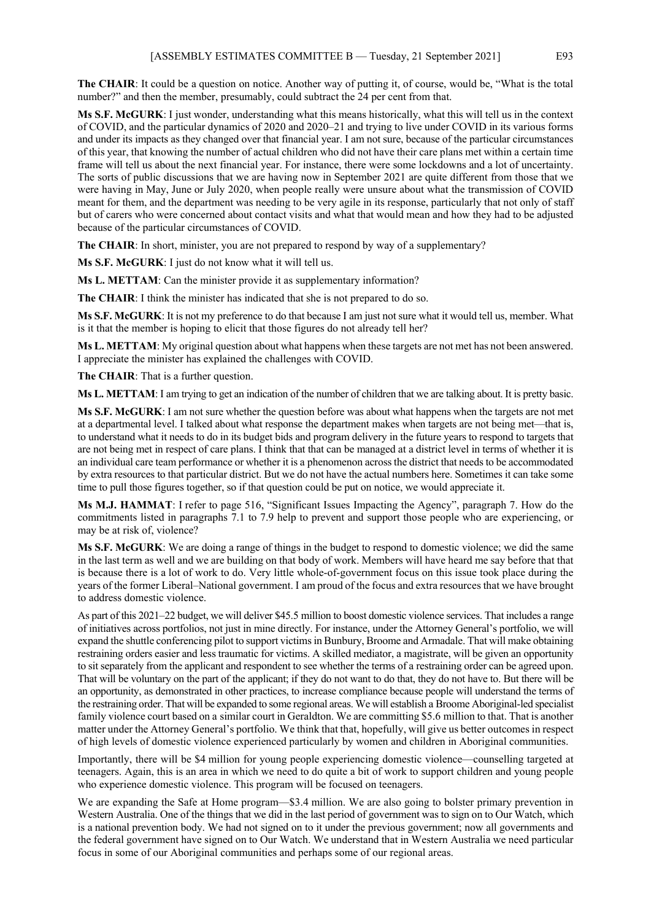**The CHAIR**: It could be a question on notice. Another way of putting it, of course, would be, "What is the total number?" and then the member, presumably, could subtract the 24 per cent from that.

**Ms S.F. McGURK**: I just wonder, understanding what this means historically, what this will tell us in the context of COVID, and the particular dynamics of 2020 and 2020–21 and trying to live under COVID in its various forms and under its impacts as they changed over that financial year. I am not sure, because of the particular circumstances of this year, that knowing the number of actual children who did not have their care plans met within a certain time frame will tell us about the next financial year. For instance, there were some lockdowns and a lot of uncertainty. The sorts of public discussions that we are having now in September 2021 are quite different from those that we were having in May, June or July 2020, when people really were unsure about what the transmission of COVID meant for them, and the department was needing to be very agile in its response, particularly that not only of staff but of carers who were concerned about contact visits and what that would mean and how they had to be adjusted because of the particular circumstances of COVID.

The CHAIR: In short, minister, you are not prepared to respond by way of a supplementary?

**Ms S.F. McGURK**: I just do not know what it will tell us.

**Ms L. METTAM**: Can the minister provide it as supplementary information?

**The CHAIR**: I think the minister has indicated that she is not prepared to do so.

**Ms S.F. McGURK**: It is not my preference to do that because I am just not sure what it would tell us, member. What is it that the member is hoping to elicit that those figures do not already tell her?

**Ms L. METTAM**: My original question about what happens when these targets are not met has not been answered. I appreciate the minister has explained the challenges with COVID.

**The CHAIR**: That is a further question.

**Ms L. METTAM**: I am trying to get an indication of the number of children that we are talking about. It is pretty basic.

**Ms S.F. McGURK**: I am not sure whether the question before was about what happens when the targets are not met at a departmental level. I talked about what response the department makes when targets are not being met—that is, to understand what it needs to do in its budget bids and program delivery in the future years to respond to targets that are not being met in respect of care plans. I think that that can be managed at a district level in terms of whether it is an individual care team performance or whether it is a phenomenon across the district that needs to be accommodated by extra resources to that particular district. But we do not have the actual numbers here. Sometimes it can take some time to pull those figures together, so if that question could be put on notice, we would appreciate it.

**Ms M.J. HAMMAT**: I refer to page 516, "Significant Issues Impacting the Agency", paragraph 7. How do the commitments listed in paragraphs 7.1 to 7.9 help to prevent and support those people who are experiencing, or may be at risk of, violence?

**Ms S.F. McGURK**: We are doing a range of things in the budget to respond to domestic violence; we did the same in the last term as well and we are building on that body of work. Members will have heard me say before that that is because there is a lot of work to do. Very little whole-of-government focus on this issue took place during the years of the former Liberal–National government. I am proud of the focus and extra resources that we have brought to address domestic violence.

As part of this 2021–22 budget, we will deliver \$45.5 million to boost domestic violence services. That includes a range of initiatives across portfolios, not just in mine directly. For instance, under the Attorney General's portfolio, we will expand the shuttle conferencing pilot to support victims in Bunbury, Broome and Armadale. That will make obtaining restraining orders easier and less traumatic for victims. A skilled mediator, a magistrate, will be given an opportunity to sit separately from the applicant and respondent to see whether the terms of a restraining order can be agreed upon. That will be voluntary on the part of the applicant; if they do not want to do that, they do not have to. But there will be an opportunity, as demonstrated in other practices, to increase compliance because people will understand the terms of the restraining order. That will be expanded to some regional areas. We will establish a Broome Aboriginal-led specialist family violence court based on a similar court in Geraldton. We are committing \$5.6 million to that. That is another matter under the Attorney General's portfolio. We think that that, hopefully, will give us better outcomes in respect of high levels of domestic violence experienced particularly by women and children in Aboriginal communities.

Importantly, there will be \$4 million for young people experiencing domestic violence—counselling targeted at teenagers. Again, this is an area in which we need to do quite a bit of work to support children and young people who experience domestic violence. This program will be focused on teenagers.

We are expanding the Safe at Home program—\$3.4 million. We are also going to bolster primary prevention in Western Australia. One of the things that we did in the last period of government was to sign on to Our Watch, which is a national prevention body. We had not signed on to it under the previous government; now all governments and the federal government have signed on to Our Watch. We understand that in Western Australia we need particular focus in some of our Aboriginal communities and perhaps some of our regional areas.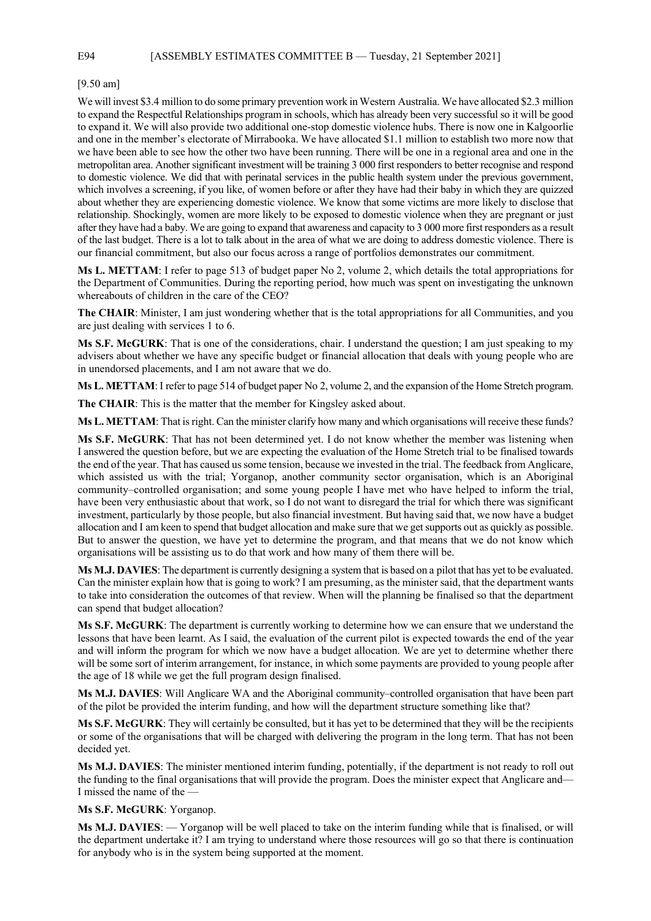E94 [ASSEMBLY ESTIMATES COMMITTEE B — Tuesday, 21 September 2021]

#### [9.50 am]

We will invest \$3.4 million to do some primary prevention work in Western Australia. We have allocated \$2.3 million to expand the Respectful Relationships program in schools, which has already been very successful so it will be good to expand it. We will also provide two additional one-stop domestic violence hubs. There is now one in Kalgoorlie and one in the member's electorate of Mirrabooka. We have allocated \$1.1 million to establish two more now that we have been able to see how the other two have been running. There will be one in a regional area and one in the metropolitan area. Another significant investment will be training 3 000 first responders to better recognise and respond to domestic violence. We did that with perinatal services in the public health system under the previous government, which involves a screening, if you like, of women before or after they have had their baby in which they are quizzed about whether they are experiencing domestic violence. We know that some victims are more likely to disclose that relationship. Shockingly, women are more likely to be exposed to domestic violence when they are pregnant or just after they have had a baby. We are going to expand that awareness and capacity to 3 000 more first responders as a result of the last budget. There is a lot to talk about in the area of what we are doing to address domestic violence. There is our financial commitment, but also our focus across a range of portfolios demonstrates our commitment.

**Ms L. METTAM**: I refer to page 513 of budget paper No 2, volume 2, which details the total appropriations for the Department of Communities. During the reporting period, how much was spent on investigating the unknown whereabouts of children in the care of the CEO?

**The CHAIR**: Minister, I am just wondering whether that is the total appropriations for all Communities, and you are just dealing with services 1 to 6.

**Ms S.F. McGURK**: That is one of the considerations, chair. I understand the question; I am just speaking to my advisers about whether we have any specific budget or financial allocation that deals with young people who are in unendorsed placements, and I am not aware that we do.

**Ms L. METTAM**: I refer to page 514 of budget paper No 2, volume 2, and the expansion of the Home Stretch program.

**The CHAIR**: This is the matter that the member for Kingsley asked about.

**Ms L. METTAM**: That is right. Can the minister clarify how many and which organisations will receive these funds?

**Ms S.F. McGURK**: That has not been determined yet. I do not know whether the member was listening when I answered the question before, but we are expecting the evaluation of the Home Stretch trial to be finalised towards the end of the year. That has caused us some tension, because we invested in the trial. The feedback from Anglicare, which assisted us with the trial; Yorganop, another community sector organisation, which is an Aboriginal community–controlled organisation; and some young people I have met who have helped to inform the trial, have been very enthusiastic about that work, so I do not want to disregard the trial for which there was significant investment, particularly by those people, but also financial investment. But having said that, we now have a budget allocation and I am keen to spend that budget allocation and make sure that we get supports out as quickly as possible. But to answer the question, we have yet to determine the program, and that means that we do not know which organisations will be assisting us to do that work and how many of them there will be.

**Ms M.J. DAVIES**: The department is currently designing a system that is based on a pilot that has yet to be evaluated. Can the minister explain how that is going to work? I am presuming, as the minister said, that the department wants to take into consideration the outcomes of that review. When will the planning be finalised so that the department can spend that budget allocation?

**Ms S.F. McGURK**: The department is currently working to determine how we can ensure that we understand the lessons that have been learnt. As I said, the evaluation of the current pilot is expected towards the end of the year and will inform the program for which we now have a budget allocation. We are yet to determine whether there will be some sort of interim arrangement, for instance, in which some payments are provided to young people after the age of 18 while we get the full program design finalised.

**Ms M.J. DAVIES**: Will Anglicare WA and the Aboriginal community–controlled organisation that have been part of the pilot be provided the interim funding, and how will the department structure something like that?

**Ms S.F. McGURK**: They will certainly be consulted, but it has yet to be determined that they will be the recipients or some of the organisations that will be charged with delivering the program in the long term. That has not been decided yet.

**Ms M.J. DAVIES**: The minister mentioned interim funding, potentially, if the department is not ready to roll out the funding to the final organisations that will provide the program. Does the minister expect that Anglicare and— I missed the name of the —

**Ms S.F. McGURK**: Yorganop.

**Ms M.J. DAVIES**: — Yorganop will be well placed to take on the interim funding while that is finalised, or will the department undertake it? I am trying to understand where those resources will go so that there is continuation for anybody who is in the system being supported at the moment.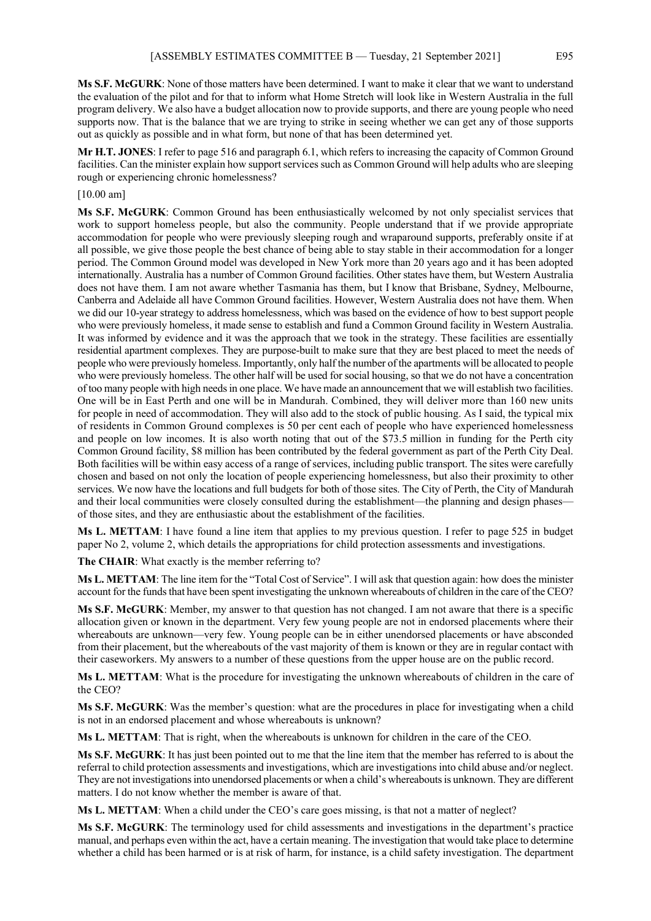**Ms S.F. McGURK**: None of those matters have been determined. I want to make it clear that we want to understand the evaluation of the pilot and for that to inform what Home Stretch will look like in Western Australia in the full program delivery. We also have a budget allocation now to provide supports, and there are young people who need supports now. That is the balance that we are trying to strike in seeing whether we can get any of those supports out as quickly as possible and in what form, but none of that has been determined yet.

**Mr H.T. JONES**: I refer to page 516 and paragraph 6.1, which refers to increasing the capacity of Common Ground facilities. Can the minister explain how support services such as Common Ground will help adults who are sleeping rough or experiencing chronic homelessness?

#### [10.00 am]

**Ms S.F. McGURK**: Common Ground has been enthusiastically welcomed by not only specialist services that work to support homeless people, but also the community. People understand that if we provide appropriate accommodation for people who were previously sleeping rough and wraparound supports, preferably onsite if at all possible, we give those people the best chance of being able to stay stable in their accommodation for a longer period. The Common Ground model was developed in New York more than 20 years ago and it has been adopted internationally. Australia has a number of Common Ground facilities. Other states have them, but Western Australia does not have them. I am not aware whether Tasmania has them, but I know that Brisbane, Sydney, Melbourne, Canberra and Adelaide all have Common Ground facilities. However, Western Australia does not have them. When we did our 10-year strategy to address homelessness, which was based on the evidence of how to best support people who were previously homeless, it made sense to establish and fund a Common Ground facility in Western Australia. It was informed by evidence and it was the approach that we took in the strategy. These facilities are essentially residential apartment complexes. They are purpose-built to make sure that they are best placed to meet the needs of people who were previously homeless. Importantly, only half the number of the apartments will be allocated to people who were previously homeless. The other half will be used for social housing, so that we do not have a concentration of too many people with high needs in one place. We have made an announcement that we will establish two facilities. One will be in East Perth and one will be in Mandurah. Combined, they will deliver more than 160 new units for people in need of accommodation. They will also add to the stock of public housing. As I said, the typical mix of residents in Common Ground complexes is 50 per cent each of people who have experienced homelessness and people on low incomes. It is also worth noting that out of the \$73.5 million in funding for the Perth city Common Ground facility, \$8 million has been contributed by the federal government as part of the Perth City Deal. Both facilities will be within easy access of a range of services, including public transport. The sites were carefully chosen and based on not only the location of people experiencing homelessness, but also their proximity to other services. We now have the locations and full budgets for both of those sites. The City of Perth, the City of Mandurah and their local communities were closely consulted during the establishment—the planning and design phasesof those sites, and they are enthusiastic about the establishment of the facilities.

**Ms L. METTAM**: I have found a line item that applies to my previous question. I refer to page 525 in budget paper No 2, volume 2, which details the appropriations for child protection assessments and investigations.

**The CHAIR**: What exactly is the member referring to?

**Ms L. METTAM**: The line item for the "Total Cost of Service". I will ask that question again: how does the minister account for the funds that have been spent investigating the unknown whereabouts of children in the care of the CEO?

**Ms S.F. McGURK**: Member, my answer to that question has not changed. I am not aware that there is a specific allocation given or known in the department. Very few young people are not in endorsed placements where their whereabouts are unknown—very few. Young people can be in either unendorsed placements or have absconded from their placement, but the whereabouts of the vast majority of them is known or they are in regular contact with their caseworkers. My answers to a number of these questions from the upper house are on the public record.

**Ms L. METTAM**: What is the procedure for investigating the unknown whereabouts of children in the care of the CEO?

**Ms S.F. McGURK**: Was the member's question: what are the procedures in place for investigating when a child is not in an endorsed placement and whose whereabouts is unknown?

**Ms L. METTAM**: That is right, when the whereabouts is unknown for children in the care of the CEO.

**Ms S.F. McGURK**: It has just been pointed out to me that the line item that the member has referred to is about the referral to child protection assessments and investigations, which are investigations into child abuse and/or neglect. They are not investigations into unendorsed placements or when a child's whereabouts is unknown. They are different matters. I do not know whether the member is aware of that.

**Ms L. METTAM**: When a child under the CEO's care goes missing, is that not a matter of neglect?

**Ms S.F. McGURK**: The terminology used for child assessments and investigations in the department's practice manual, and perhaps even within the act, have a certain meaning. The investigation that would take place to determine whether a child has been harmed or is at risk of harm, for instance, is a child safety investigation. The department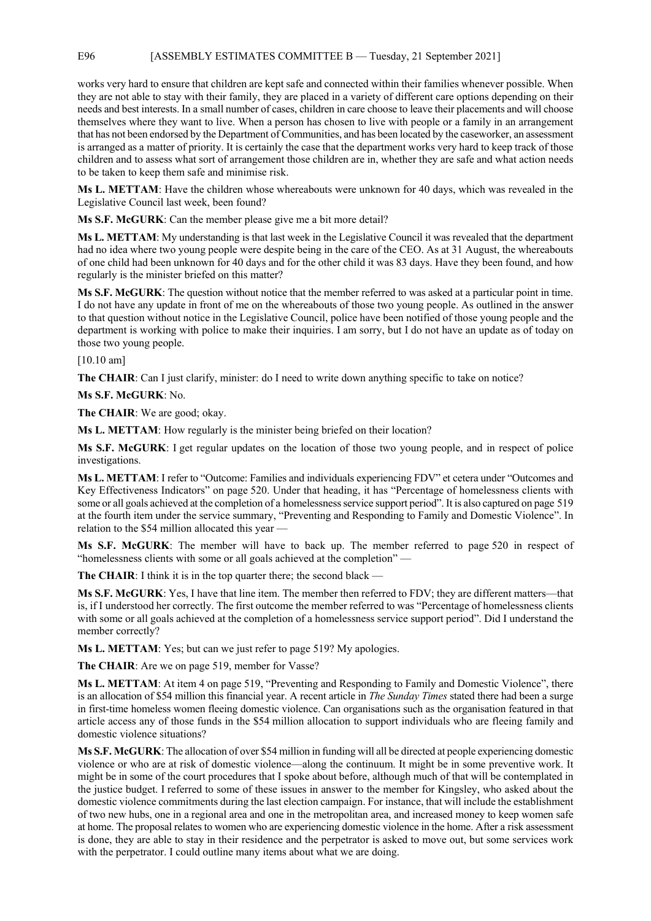works very hard to ensure that children are kept safe and connected within their families whenever possible. When they are not able to stay with their family, they are placed in a variety of different care options depending on their needs and best interests. In a small number of cases, children in care choose to leave their placements and will choose themselves where they want to live. When a person has chosen to live with people or a family in an arrangement that has not been endorsed by the Department of Communities, and has been located by the caseworker, an assessment is arranged as a matter of priority. It is certainly the case that the department works very hard to keep track of those children and to assess what sort of arrangement those children are in, whether they are safe and what action needs to be taken to keep them safe and minimise risk.

**Ms L. METTAM**: Have the children whose whereabouts were unknown for 40 days, which was revealed in the Legislative Council last week, been found?

**Ms S.F. McGURK**: Can the member please give me a bit more detail?

**Ms L. METTAM**: My understanding is that last week in the Legislative Council it was revealed that the department had no idea where two young people were despite being in the care of the CEO. As at 31 August, the whereabouts of one child had been unknown for 40 days and for the other child it was 83 days. Have they been found, and how regularly is the minister briefed on this matter?

**Ms S.F. McGURK**: The question without notice that the member referred to was asked at a particular point in time. I do not have any update in front of me on the whereabouts of those two young people. As outlined in the answer to that question without notice in the Legislative Council, police have been notified of those young people and the department is working with police to make their inquiries. I am sorry, but I do not have an update as of today on those two young people.

[10.10 am]

**The CHAIR:** Can I just clarify, minister: do I need to write down anything specific to take on notice?

**Ms S.F. McGURK**: No.

**The CHAIR**: We are good; okay.

**Ms L. METTAM**: How regularly is the minister being briefed on their location?

**Ms S.F. McGURK**: I get regular updates on the location of those two young people, and in respect of police investigations.

**Ms L. METTAM**: I refer to "Outcome: Families and individuals experiencing FDV" et cetera under "Outcomes and Key Effectiveness Indicators" on page 520. Under that heading, it has "Percentage of homelessness clients with some or all goals achieved at the completion of a homelessness service support period". It is also captured on page 519 at the fourth item under the service summary, "Preventing and Responding to Family and Domestic Violence". In relation to the \$54 million allocated this year —

**Ms S.F. McGURK**: The member will have to back up. The member referred to page 520 in respect of "homelessness clients with some or all goals achieved at the completion" —

The CHAIR: I think it is in the top quarter there; the second black -

**Ms S.F. McGURK**: Yes, I have that line item. The member then referred to FDV; they are different matters—that is, if I understood her correctly. The first outcome the member referred to was "Percentage of homelessness clients with some or all goals achieved at the completion of a homelessness service support period". Did I understand the member correctly?

**Ms L. METTAM**: Yes; but can we just refer to page 519? My apologies.

**The CHAIR**: Are we on page 519, member for Vasse?

**Ms L. METTAM**: At item 4 on page 519, "Preventing and Responding to Family and Domestic Violence", there is an allocation of \$54 million this financial year. A recent article in *The Sunday Times* stated there had been a surge in first-time homeless women fleeing domestic violence. Can organisations such as the organisation featured in that article access any of those funds in the \$54 million allocation to support individuals who are fleeing family and domestic violence situations?

**Ms S.F. McGURK**: The allocation of over \$54 million in funding will all be directed at people experiencing domestic violence or who are at risk of domestic violence—along the continuum. It might be in some preventive work. It might be in some of the court procedures that I spoke about before, although much of that will be contemplated in the justice budget. I referred to some of these issues in answer to the member for Kingsley, who asked about the domestic violence commitments during the last election campaign. For instance, that will include the establishment of two new hubs, one in a regional area and one in the metropolitan area, and increased money to keep women safe at home. The proposal relates to women who are experiencing domestic violence in the home. After a risk assessment is done, they are able to stay in their residence and the perpetrator is asked to move out, but some services work with the perpetrator. I could outline many items about what we are doing.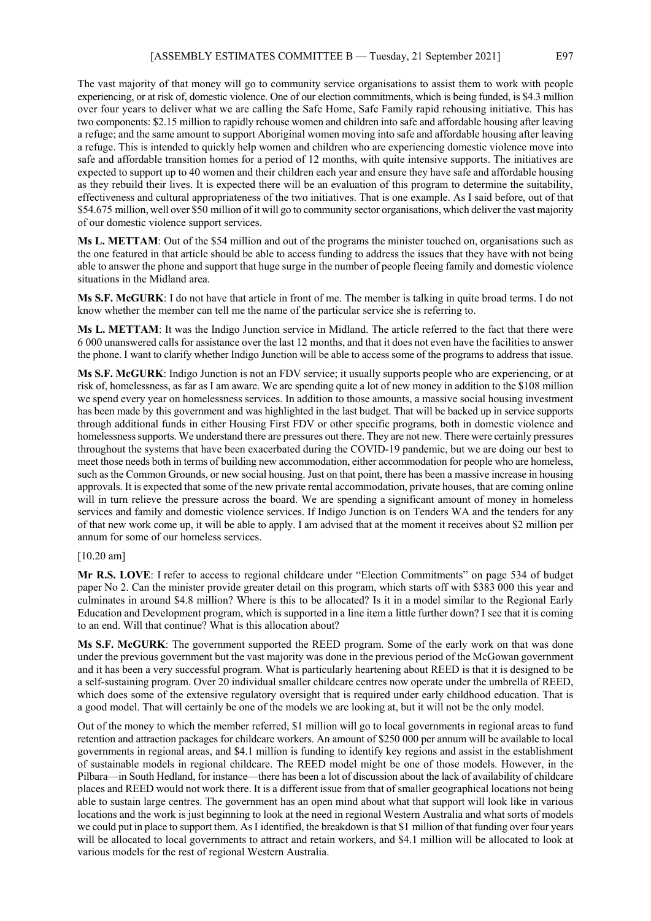The vast majority of that money will go to community service organisations to assist them to work with people experiencing, or at risk of, domestic violence. One of our election commitments, which is being funded, is \$4.3 million over four years to deliver what we are calling the Safe Home, Safe Family rapid rehousing initiative. This has two components: \$2.15 million to rapidly rehouse women and children into safe and affordable housing after leaving a refuge; and the same amount to support Aboriginal women moving into safe and affordable housing after leaving a refuge. This is intended to quickly help women and children who are experiencing domestic violence move into safe and affordable transition homes for a period of 12 months, with quite intensive supports. The initiatives are expected to support up to 40 women and their children each year and ensure they have safe and affordable housing as they rebuild their lives. It is expected there will be an evaluation of this program to determine the suitability, effectiveness and cultural appropriateness of the two initiatives. That is one example. As I said before, out of that \$54.675 million, well over \$50 million of it will go to community sector organisations, which deliver the vast majority of our domestic violence support services.

**Ms L. METTAM**: Out of the \$54 million and out of the programs the minister touched on, organisations such as the one featured in that article should be able to access funding to address the issues that they have with not being able to answer the phone and support that huge surge in the number of people fleeing family and domestic violence situations in the Midland area.

**Ms S.F. McGURK**: I do not have that article in front of me. The member is talking in quite broad terms. I do not know whether the member can tell me the name of the particular service she is referring to.

**Ms L. METTAM**: It was the Indigo Junction service in Midland. The article referred to the fact that there were 6 000 unanswered calls for assistance over the last 12 months, and that it does not even have the facilities to answer the phone. I want to clarify whether Indigo Junction will be able to access some of the programs to address that issue.

**Ms S.F. McGURK**: Indigo Junction is not an FDV service; it usually supports people who are experiencing, or at risk of, homelessness, as far as I am aware. We are spending quite a lot of new money in addition to the \$108 million we spend every year on homelessness services. In addition to those amounts, a massive social housing investment has been made by this government and was highlighted in the last budget. That will be backed up in service supports through additional funds in either Housing First FDV or other specific programs, both in domestic violence and homelessness supports. We understand there are pressures out there. They are not new. There were certainly pressures throughout the systems that have been exacerbated during the COVID-19 pandemic, but we are doing our best to meet those needs both in terms of building new accommodation, either accommodation for people who are homeless, such as the Common Grounds, or new social housing. Just on that point, there has been a massive increase in housing approvals. It is expected that some of the new private rental accommodation, private houses, that are coming online will in turn relieve the pressure across the board. We are spending a significant amount of money in homeless services and family and domestic violence services. If Indigo Junction is on Tenders WA and the tenders for any of that new work come up, it will be able to apply. I am advised that at the moment it receives about \$2 million per annum for some of our homeless services.

#### [10.20 am]

**Mr R.S. LOVE**: I refer to access to regional childcare under "Election Commitments" on page 534 of budget paper No 2. Can the minister provide greater detail on this program, which starts off with \$383 000 this year and culminates in around \$4.8 million? Where is this to be allocated? Is it in a model similar to the Regional Early Education and Development program, which is supported in a line item a little further down? I see that it is coming to an end. Will that continue? What is this allocation about?

**Ms S.F. McGURK**: The government supported the REED program. Some of the early work on that was done under the previous government but the vast majority was done in the previous period of the McGowan government and it has been a very successful program. What is particularly heartening about REED is that it is designed to be a self-sustaining program. Over 20 individual smaller childcare centres now operate under the umbrella of REED, which does some of the extensive regulatory oversight that is required under early childhood education. That is a good model. That will certainly be one of the models we are looking at, but it will not be the only model.

Out of the money to which the member referred, \$1 million will go to local governments in regional areas to fund retention and attraction packages for childcare workers. An amount of \$250 000 per annum will be available to local governments in regional areas, and \$4.1 million is funding to identify key regions and assist in the establishment of sustainable models in regional childcare. The REED model might be one of those models. However, in the Pilbara—in South Hedland, for instance—there has been a lot of discussion about the lack of availability of childcare places and REED would not work there. It is a different issue from that of smaller geographical locations not being able to sustain large centres. The government has an open mind about what that support will look like in various locations and the work is just beginning to look at the need in regional Western Australia and what sorts of models we could put in place to support them. As I identified, the breakdown is that \$1 million of that funding over four years will be allocated to local governments to attract and retain workers, and \$4.1 million will be allocated to look at various models for the rest of regional Western Australia.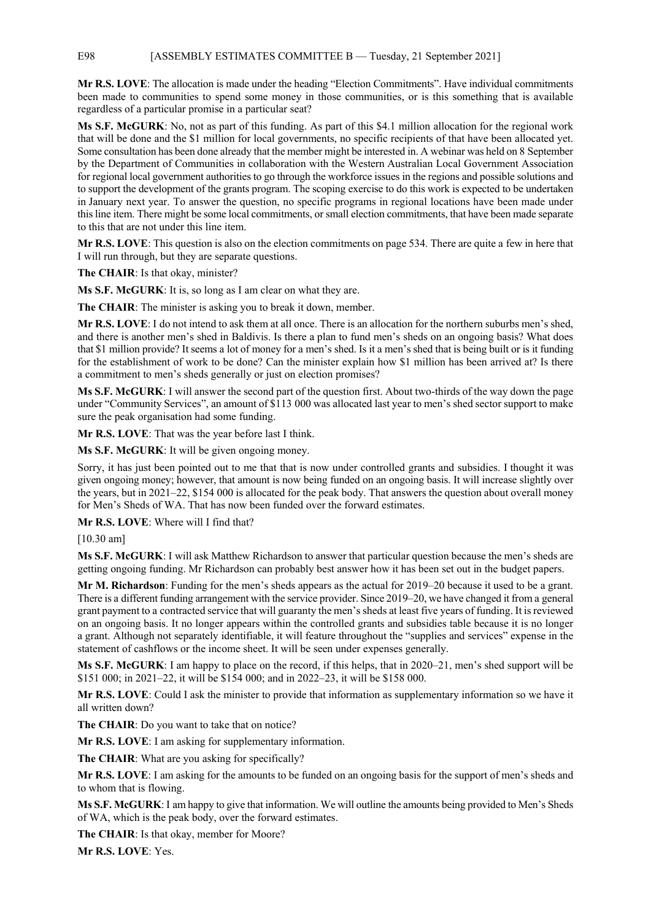E98 [ASSEMBLY ESTIMATES COMMITTEE B — Tuesday, 21 September 2021]

**Mr R.S. LOVE**: The allocation is made under the heading "Election Commitments". Have individual commitments been made to communities to spend some money in those communities, or is this something that is available regardless of a particular promise in a particular seat?

**Ms S.F. McGURK**: No, not as part of this funding. As part of this \$4.1 million allocation for the regional work that will be done and the \$1 million for local governments, no specific recipients of that have been allocated yet. Some consultation has been done already that the member might be interested in. A webinar was held on 8 September by the Department of Communities in collaboration with the Western Australian Local Government Association for regional local government authorities to go through the workforce issues in the regions and possible solutions and to support the development of the grants program. The scoping exercise to do this work is expected to be undertaken in January next year. To answer the question, no specific programs in regional locations have been made under this line item. There might be some local commitments, or small election commitments, that have been made separate to this that are not under this line item.

**Mr R.S. LOVE**: This question is also on the election commitments on page 534. There are quite a few in here that I will run through, but they are separate questions.

**The CHAIR**: Is that okay, minister?

**Ms S.F. McGURK**: It is, so long as I am clear on what they are.

**The CHAIR**: The minister is asking you to break it down, member.

**Mr R.S. LOVE**: I do not intend to ask them at all once. There is an allocation for the northern suburbs men's shed, and there is another men's shed in Baldivis. Is there a plan to fund men's sheds on an ongoing basis? What does that \$1 million provide? It seems a lot of money for a men's shed. Is it a men's shed that is being built or is it funding for the establishment of work to be done? Can the minister explain how \$1 million has been arrived at? Is there a commitment to men's sheds generally or just on election promises?

**Ms S.F. McGURK**: I will answer the second part of the question first. About two-thirds of the way down the page under "Community Services", an amount of \$113 000 was allocated last year to men's shed sector support to make sure the peak organisation had some funding.

**Mr R.S. LOVE**: That was the year before last I think.

**Ms S.F. McGURK**: It will be given ongoing money.

Sorry, it has just been pointed out to me that that is now under controlled grants and subsidies. I thought it was given ongoing money; however, that amount is now being funded on an ongoing basis. It will increase slightly over the years, but in 2021–22, \$154 000 is allocated for the peak body. That answers the question about overall money for Men's Sheds of WA. That has now been funded over the forward estimates.

**Mr R.S. LOVE**: Where will I find that?

[10.30 am]

**Ms S.F. McGURK**: I will ask Matthew Richardson to answer that particular question because the men's sheds are getting ongoing funding. Mr Richardson can probably best answer how it has been set out in the budget papers.

**Mr M. Richardson**: Funding for the men's sheds appears as the actual for 2019–20 because it used to be a grant. There is a different funding arrangement with the service provider. Since 2019–20, we have changed it from a general grant payment to a contracted service that will guaranty the men's sheds at least five years of funding. It is reviewed on an ongoing basis. It no longer appears within the controlled grants and subsidies table because it is no longer a grant. Although not separately identifiable, it will feature throughout the "supplies and services" expense in the statement of cashflows or the income sheet. It will be seen under expenses generally.

**Ms S.F. McGURK**: I am happy to place on the record, if this helps, that in 2020–21, men's shed support will be \$151 000; in 2021–22, it will be \$154 000; and in 2022–23, it will be \$158 000.

**Mr R.S. LOVE**: Could I ask the minister to provide that information as supplementary information so we have it all written down?

**The CHAIR**: Do you want to take that on notice?

**Mr R.S. LOVE**: I am asking for supplementary information.

**The CHAIR**: What are you asking for specifically?

**Mr R.S. LOVE**: I am asking for the amounts to be funded on an ongoing basis for the support of men's sheds and to whom that is flowing.

**Ms S.F. McGURK**: I am happy to give that information. We will outline the amounts being provided to Men's Sheds of WA, which is the peak body, over the forward estimates.

**The CHAIR**: Is that okay, member for Moore?

**Mr R.S. LOVE**: Yes.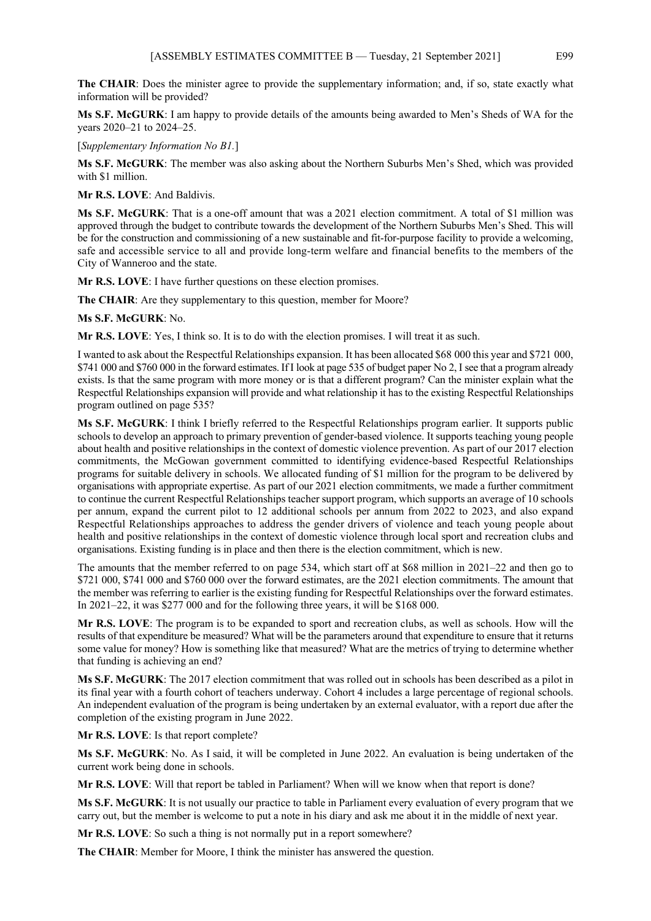**The CHAIR**: Does the minister agree to provide the supplementary information; and, if so, state exactly what information will be provided?

**Ms S.F. McGURK**: I am happy to provide details of the amounts being awarded to Men's Sheds of WA for the years 2020–21 to 2024–25.

[*Supplementary Information No B1.*]

**Ms S.F. McGURK**: The member was also asking about the Northern Suburbs Men's Shed, which was provided with \$1 million.

**Mr R.S. LOVE**: And Baldivis.

**Ms S.F. McGURK**: That is a one-off amount that was a 2021 election commitment. A total of \$1 million was approved through the budget to contribute towards the development of the Northern Suburbs Men's Shed. This will be for the construction and commissioning of a new sustainable and fit-for-purpose facility to provide a welcoming, safe and accessible service to all and provide long-term welfare and financial benefits to the members of the City of Wanneroo and the state.

**Mr R.S. LOVE**: I have further questions on these election promises.

**The CHAIR**: Are they supplementary to this question, member for Moore?

**Ms S.F. McGURK**: No.

**Mr R.S. LOVE**: Yes, I think so. It is to do with the election promises. I will treat it as such.

I wanted to ask about the Respectful Relationships expansion. It has been allocated \$68 000 this year and \$721 000, \$741 000 and \$760 000 in the forward estimates. If I look at page 535 of budget paper No 2, I see that a program already exists. Is that the same program with more money or is that a different program? Can the minister explain what the Respectful Relationships expansion will provide and what relationship it has to the existing Respectful Relationships program outlined on page 535?

**Ms S.F. McGURK**: I think I briefly referred to the Respectful Relationships program earlier. It supports public schools to develop an approach to primary prevention of gender-based violence. It supports teaching young people about health and positive relationships in the context of domestic violence prevention. As part of our 2017 election commitments, the McGowan government committed to identifying evidence-based Respectful Relationships programs for suitable delivery in schools. We allocated funding of \$1 million for the program to be delivered by organisations with appropriate expertise. As part of our 2021 election commitments, we made a further commitment to continue the current Respectful Relationships teacher support program, which supports an average of 10 schools per annum, expand the current pilot to 12 additional schools per annum from 2022 to 2023, and also expand Respectful Relationships approaches to address the gender drivers of violence and teach young people about health and positive relationships in the context of domestic violence through local sport and recreation clubs and organisations. Existing funding is in place and then there is the election commitment, which is new.

The amounts that the member referred to on page 534, which start off at \$68 million in 2021–22 and then go to \$721 000, \$741 000 and \$760 000 over the forward estimates, are the 2021 election commitments. The amount that the member was referring to earlier is the existing funding for Respectful Relationships over the forward estimates. In 2021–22, it was \$277 000 and for the following three years, it will be \$168 000.

**Mr R.S. LOVE**: The program is to be expanded to sport and recreation clubs, as well as schools. How will the results of that expenditure be measured? What will be the parameters around that expenditure to ensure that it returns some value for money? How is something like that measured? What are the metrics of trying to determine whether that funding is achieving an end?

**Ms S.F. McGURK**: The 2017 election commitment that was rolled out in schools has been described as a pilot in its final year with a fourth cohort of teachers underway. Cohort 4 includes a large percentage of regional schools. An independent evaluation of the program is being undertaken by an external evaluator, with a report due after the completion of the existing program in June 2022.

**Mr R.S. LOVE**: Is that report complete?

**Ms S.F. McGURK**: No. As I said, it will be completed in June 2022. An evaluation is being undertaken of the current work being done in schools.

**Mr R.S. LOVE**: Will that report be tabled in Parliament? When will we know when that report is done?

**Ms S.F. McGURK**: It is not usually our practice to table in Parliament every evaluation of every program that we carry out, but the member is welcome to put a note in his diary and ask me about it in the middle of next year.

**Mr R.S. LOVE**: So such a thing is not normally put in a report somewhere?

**The CHAIR**: Member for Moore, I think the minister has answered the question.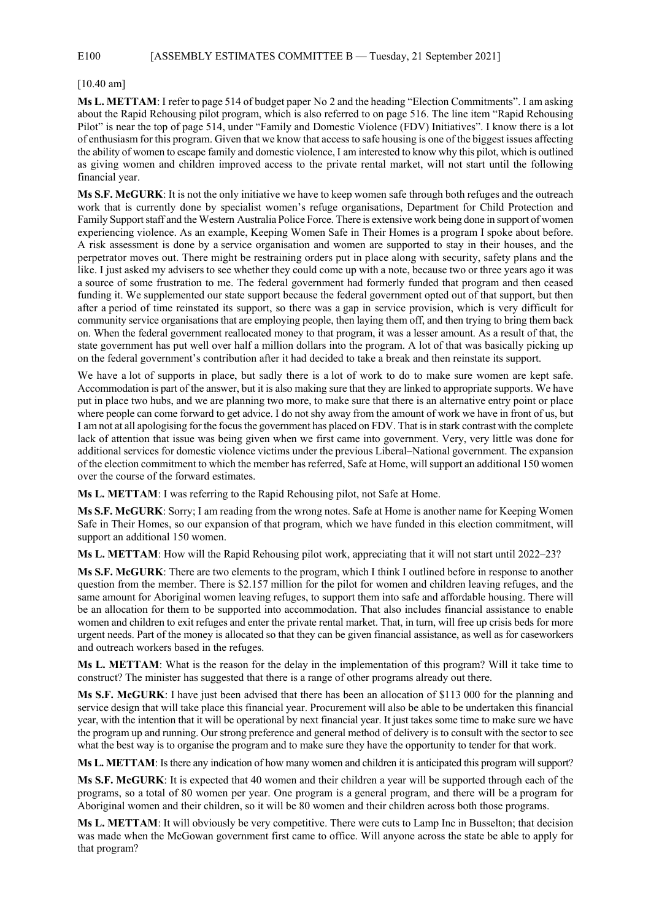#### E100 [ASSEMBLY ESTIMATES COMMITTEE B — Tuesday, 21 September 2021]

#### [10.40 am]

**Ms L. METTAM**: I refer to page 514 of budget paper No 2 and the heading "Election Commitments". I am asking about the Rapid Rehousing pilot program, which is also referred to on page 516. The line item "Rapid Rehousing Pilot" is near the top of page 514, under "Family and Domestic Violence (FDV) Initiatives". I know there is a lot of enthusiasm for this program. Given that we know that access to safe housing is one of the biggest issues affecting the ability of women to escape family and domestic violence, I am interested to know why this pilot, which is outlined as giving women and children improved access to the private rental market, will not start until the following financial year.

**Ms S.F. McGURK**: It is not the only initiative we have to keep women safe through both refuges and the outreach work that is currently done by specialist women's refuge organisations, Department for Child Protection and Family Support staff and the Western Australia Police Force. There is extensive work being done in support of women experiencing violence. As an example, Keeping Women Safe in Their Homes is a program I spoke about before. A risk assessment is done by a service organisation and women are supported to stay in their houses, and the perpetrator moves out. There might be restraining orders put in place along with security, safety plans and the like. I just asked my advisers to see whether they could come up with a note, because two or three years ago it was a source of some frustration to me. The federal government had formerly funded that program and then ceased funding it. We supplemented our state support because the federal government opted out of that support, but then after a period of time reinstated its support, so there was a gap in service provision, which is very difficult for community service organisations that are employing people, then laying them off, and then trying to bring them back on. When the federal government reallocated money to that program, it was a lesser amount. As a result of that, the state government has put well over half a million dollars into the program. A lot of that was basically picking up on the federal government's contribution after it had decided to take a break and then reinstate its support.

We have a lot of supports in place, but sadly there is a lot of work to do to make sure women are kept safe. Accommodation is part of the answer, but it is also making sure that they are linked to appropriate supports. We have put in place two hubs, and we are planning two more, to make sure that there is an alternative entry point or place where people can come forward to get advice. I do not shy away from the amount of work we have in front of us, but I am not at all apologising for the focus the government has placed on FDV. That is in stark contrast with the complete lack of attention that issue was being given when we first came into government. Very, very little was done for additional services for domestic violence victims under the previous Liberal–National government. The expansion of the election commitment to which the member has referred, Safe at Home, will support an additional 150 women over the course of the forward estimates.

**Ms L. METTAM**: I was referring to the Rapid Rehousing pilot, not Safe at Home.

**Ms S.F. McGURK**: Sorry; I am reading from the wrong notes. Safe at Home is another name for Keeping Women Safe in Their Homes, so our expansion of that program, which we have funded in this election commitment, will support an additional 150 women.

**Ms L. METTAM**: How will the Rapid Rehousing pilot work, appreciating that it will not start until 2022–23?

**Ms S.F. McGURK**: There are two elements to the program, which I think I outlined before in response to another question from the member. There is \$2.157 million for the pilot for women and children leaving refuges, and the same amount for Aboriginal women leaving refuges, to support them into safe and affordable housing. There will be an allocation for them to be supported into accommodation. That also includes financial assistance to enable women and children to exit refuges and enter the private rental market. That, in turn, will free up crisis beds for more urgent needs. Part of the money is allocated so that they can be given financial assistance, as well as for caseworkers and outreach workers based in the refuges.

**Ms L. METTAM**: What is the reason for the delay in the implementation of this program? Will it take time to construct? The minister has suggested that there is a range of other programs already out there.

**Ms S.F. McGURK**: I have just been advised that there has been an allocation of \$113 000 for the planning and service design that will take place this financial year. Procurement will also be able to be undertaken this financial year, with the intention that it will be operational by next financial year. It just takes some time to make sure we have the program up and running. Our strong preference and general method of delivery is to consult with the sector to see what the best way is to organise the program and to make sure they have the opportunity to tender for that work.

**Ms L. METTAM**: Is there any indication of how many women and children it is anticipated this program will support?

**Ms S.F. McGURK**: It is expected that 40 women and their children a year will be supported through each of the programs, so a total of 80 women per year. One program is a general program, and there will be a program for Aboriginal women and their children, so it will be 80 women and their children across both those programs.

**Ms L. METTAM**: It will obviously be very competitive. There were cuts to Lamp Inc in Busselton; that decision was made when the McGowan government first came to office. Will anyone across the state be able to apply for that program?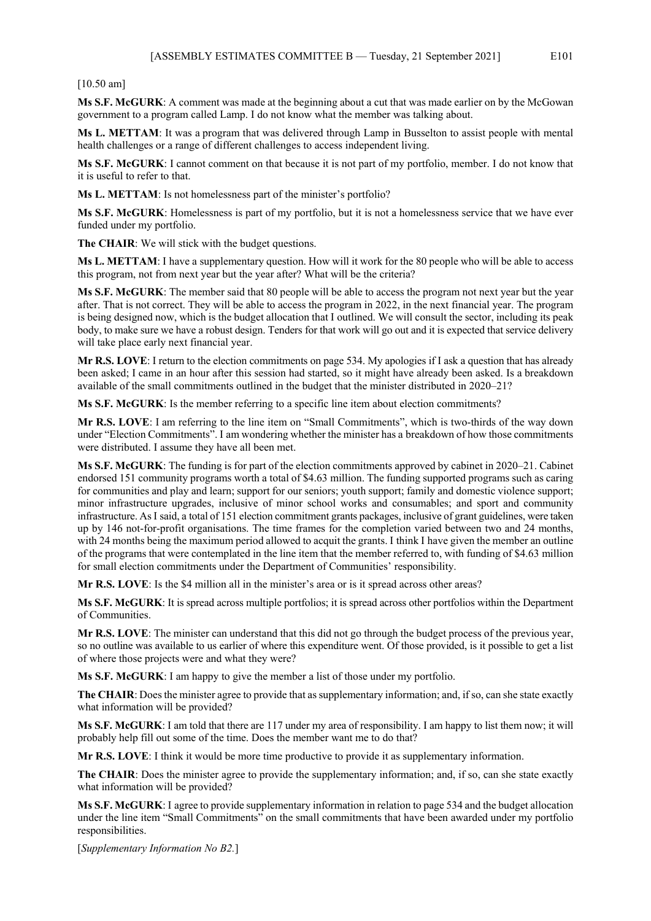#### [10.50 am]

**Ms S.F. McGURK**: A comment was made at the beginning about a cut that was made earlier on by the McGowan government to a program called Lamp. I do not know what the member was talking about.

**Ms L. METTAM**: It was a program that was delivered through Lamp in Busselton to assist people with mental health challenges or a range of different challenges to access independent living.

**Ms S.F. McGURK**: I cannot comment on that because it is not part of my portfolio, member. I do not know that it is useful to refer to that.

**Ms L. METTAM**: Is not homelessness part of the minister's portfolio?

**Ms S.F. McGURK**: Homelessness is part of my portfolio, but it is not a homelessness service that we have ever funded under my portfolio.

**The CHAIR**: We will stick with the budget questions.

**Ms L. METTAM**: I have a supplementary question. How will it work for the 80 people who will be able to access this program, not from next year but the year after? What will be the criteria?

**Ms S.F. McGURK**: The member said that 80 people will be able to access the program not next year but the year after. That is not correct. They will be able to access the program in 2022, in the next financial year. The program is being designed now, which is the budget allocation that I outlined. We will consult the sector, including its peak body, to make sure we have a robust design. Tenders for that work will go out and it is expected that service delivery will take place early next financial year.

**Mr R.S. LOVE**: I return to the election commitments on page 534. My apologies if I ask a question that has already been asked; I came in an hour after this session had started, so it might have already been asked. Is a breakdown available of the small commitments outlined in the budget that the minister distributed in 2020–21?

**Ms S.F. McGURK**: Is the member referring to a specific line item about election commitments?

**Mr R.S. LOVE**: I am referring to the line item on "Small Commitments", which is two-thirds of the way down under "Election Commitments". I am wondering whether the minister has a breakdown of how those commitments were distributed. I assume they have all been met.

**Ms S.F. McGURK**: The funding is for part of the election commitments approved by cabinet in 2020–21. Cabinet endorsed 151 community programs worth a total of \$4.63 million. The funding supported programs such as caring for communities and play and learn; support for our seniors; youth support; family and domestic violence support; minor infrastructure upgrades, inclusive of minor school works and consumables; and sport and community infrastructure. AsI said, a total of 151 election commitment grants packages, inclusive of grant guidelines, were taken up by 146 not-for-profit organisations. The time frames for the completion varied between two and 24 months, with 24 months being the maximum period allowed to acquit the grants. I think I have given the member an outline of the programs that were contemplated in the line item that the member referred to, with funding of \$4.63 million for small election commitments under the Department of Communities' responsibility.

**Mr R.S. LOVE**: Is the \$4 million all in the minister's area or is it spread across other areas?

**Ms S.F. McGURK**: It is spread across multiple portfolios; it is spread across other portfolios within the Department of Communities.

**Mr R.S. LOVE**: The minister can understand that this did not go through the budget process of the previous year, so no outline was available to us earlier of where this expenditure went. Of those provided, is it possible to get a list of where those projects were and what they were?

**Ms S.F. McGURK**: I am happy to give the member a list of those under my portfolio.

**The CHAIR**: Does the minister agree to provide that as supplementary information; and, if so, can she state exactly what information will be provided?

**Ms S.F. McGURK**: I am told that there are 117 under my area of responsibility. I am happy to list them now; it will probably help fill out some of the time. Does the member want me to do that?

**Mr R.S. LOVE**: I think it would be more time productive to provide it as supplementary information.

**The CHAIR**: Does the minister agree to provide the supplementary information; and, if so, can she state exactly what information will be provided?

**Ms S.F. McGURK**: I agree to provide supplementary information in relation to page 534 and the budget allocation under the line item "Small Commitments" on the small commitments that have been awarded under my portfolio responsibilities.

[*Supplementary Information No B2.*]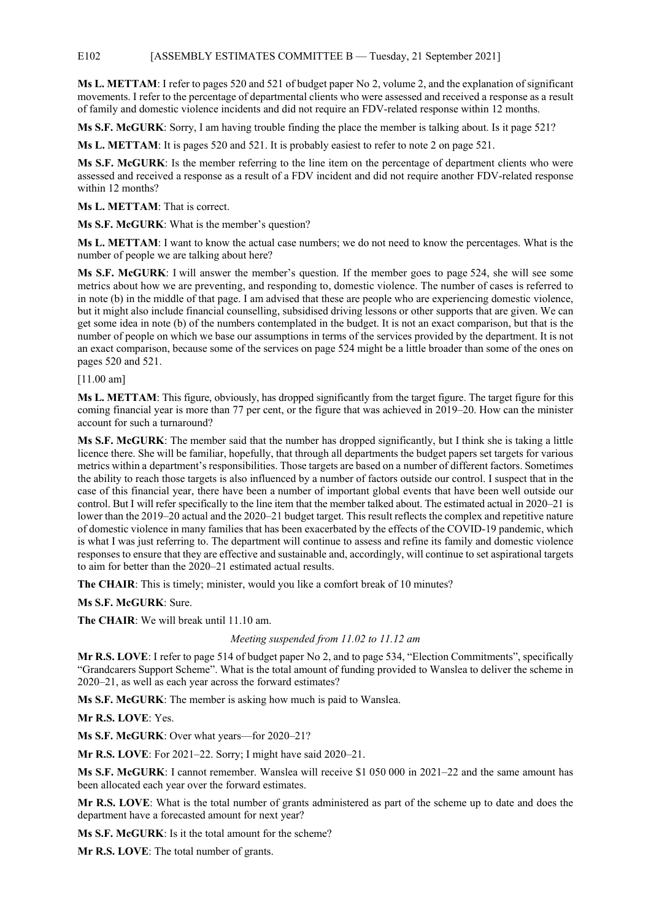#### E102 [ASSEMBLY ESTIMATES COMMITTEE B — Tuesday, 21 September 2021]

**Ms L. METTAM**: I refer to pages 520 and 521 of budget paper No 2, volume 2, and the explanation of significant movements. I refer to the percentage of departmental clients who were assessed and received a response as a result of family and domestic violence incidents and did not require an FDV-related response within 12 months.

**Ms S.F. McGURK**: Sorry, I am having trouble finding the place the member is talking about. Is it page 521?

**Ms L. METTAM**: It is pages 520 and 521. It is probably easiest to refer to note 2 on page 521.

**Ms S.F. McGURK**: Is the member referring to the line item on the percentage of department clients who were assessed and received a response as a result of a FDV incident and did not require another FDV-related response within 12 months?

**Ms L. METTAM**: That is correct.

**Ms S.F. McGURK**: What is the member's question?

**Ms L. METTAM**: I want to know the actual case numbers; we do not need to know the percentages. What is the number of people we are talking about here?

**Ms S.F. McGURK**: I will answer the member's question. If the member goes to page 524, she will see some metrics about how we are preventing, and responding to, domestic violence. The number of cases is referred to in note (b) in the middle of that page. I am advised that these are people who are experiencing domestic violence, but it might also include financial counselling, subsidised driving lessons or other supports that are given. We can get some idea in note (b) of the numbers contemplated in the budget. It is not an exact comparison, but that is the number of people on which we base our assumptions in terms of the services provided by the department. It is not an exact comparison, because some of the services on page 524 might be a little broader than some of the ones on pages 520 and 521.

[11.00 am]

**Ms L. METTAM**: This figure, obviously, has dropped significantly from the target figure. The target figure for this coming financial year is more than 77 per cent, or the figure that was achieved in 2019–20. How can the minister account for such a turnaround?

**Ms S.F. McGURK**: The member said that the number has dropped significantly, but I think she is taking a little licence there. She will be familiar, hopefully, that through all departments the budget papers set targets for various metrics within a department's responsibilities. Those targets are based on a number of different factors. Sometimes the ability to reach those targets is also influenced by a number of factors outside our control. I suspect that in the case of this financial year, there have been a number of important global events that have been well outside our control. But I will refer specifically to the line item that the member talked about. The estimated actual in 2020–21 is lower than the 2019–20 actual and the 2020–21 budget target. This result reflects the complex and repetitive nature of domestic violence in many families that has been exacerbated by the effects of the COVID-19 pandemic, which is what I was just referring to. The department will continue to assess and refine its family and domestic violence responses to ensure that they are effective and sustainable and, accordingly, will continue to set aspirational targets to aim for better than the 2020–21 estimated actual results.

**The CHAIR**: This is timely; minister, would you like a comfort break of 10 minutes?

**Ms S.F. McGURK**: Sure.

**The CHAIR**: We will break until 11.10 am.

#### *Meeting suspended from 11.02 to 11.12 am*

**Mr R.S. LOVE**: I refer to page 514 of budget paper No 2, and to page 534, "Election Commitments", specifically "Grandcarers Support Scheme". What is the total amount of funding provided to Wanslea to deliver the scheme in 2020–21, as well as each year across the forward estimates?

**Ms S.F. McGURK**: The member is asking how much is paid to Wanslea.

**Mr R.S. LOVE**: Yes.

**Ms S.F. McGURK**: Over what years—for 2020–21?

**Mr R.S. LOVE**: For 2021–22. Sorry; I might have said 2020–21.

**Ms S.F. McGURK**: I cannot remember. Wanslea will receive \$1 050 000 in 2021–22 and the same amount has been allocated each year over the forward estimates.

**Mr R.S. LOVE**: What is the total number of grants administered as part of the scheme up to date and does the department have a forecasted amount for next year?

**Ms S.F. McGURK**: Is it the total amount for the scheme?

**Mr R.S. LOVE**: The total number of grants.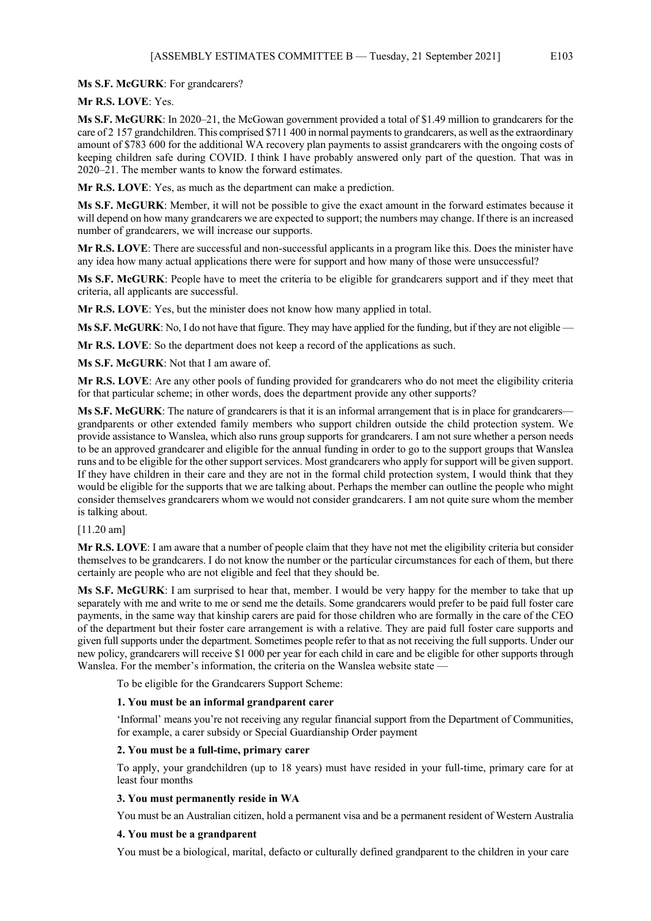**Ms S.F. McGURK**: For grandcarers?

**Mr R.S. LOVE**: Yes.

**Ms S.F. McGURK**: In 2020–21, the McGowan government provided a total of \$1.49 million to grandcarers for the care of 2 157 grandchildren. This comprised \$711 400 in normal payments to grandcarers, as well as the extraordinary amount of \$783 600 for the additional WA recovery plan payments to assist grandcarers with the ongoing costs of keeping children safe during COVID. I think I have probably answered only part of the question. That was in 2020–21. The member wants to know the forward estimates.

**Mr R.S. LOVE**: Yes, as much as the department can make a prediction.

**Ms S.F. McGURK**: Member, it will not be possible to give the exact amount in the forward estimates because it will depend on how many grandcarers we are expected to support; the numbers may change. If there is an increased number of grandcarers, we will increase our supports.

**Mr R.S. LOVE**: There are successful and non-successful applicants in a program like this. Does the minister have any idea how many actual applications there were for support and how many of those were unsuccessful?

**Ms S.F. McGURK**: People have to meet the criteria to be eligible for grandcarers support and if they meet that criteria, all applicants are successful.

**Mr R.S. LOVE**: Yes, but the minister does not know how many applied in total.

**Ms S.F. McGURK**: No, I do not have that figure. They may have applied for the funding, but if they are not eligible —

**Mr R.S. LOVE**: So the department does not keep a record of the applications as such.

**Ms S.F. McGURK**: Not that I am aware of.

**Mr R.S. LOVE**: Are any other pools of funding provided for grandcarers who do not meet the eligibility criteria for that particular scheme; in other words, does the department provide any other supports?

**Ms S.F. McGURK**: The nature of grandcarers is that it is an informal arrangement that is in place for grandcarers grandparents or other extended family members who support children outside the child protection system. We provide assistance to Wanslea, which also runs group supports for grandcarers. I am not sure whether a person needs to be an approved grandcarer and eligible for the annual funding in order to go to the support groups that Wanslea runs and to be eligible for the other support services. Most grandcarers who apply for support will be given support. If they have children in their care and they are not in the formal child protection system, I would think that they would be eligible for the supports that we are talking about. Perhaps the member can outline the people who might consider themselves grandcarers whom we would not consider grandcarers. I am not quite sure whom the member is talking about.

#### [11.20 am]

**Mr R.S. LOVE**: I am aware that a number of people claim that they have not met the eligibility criteria but consider themselves to be grandcarers. I do not know the number or the particular circumstances for each of them, but there certainly are people who are not eligible and feel that they should be.

**Ms S.F. McGURK**: I am surprised to hear that, member. I would be very happy for the member to take that up separately with me and write to me or send me the details. Some grandcarers would prefer to be paid full foster care payments, in the same way that kinship carers are paid for those children who are formally in the care of the CEO of the department but their foster care arrangement is with a relative. They are paid full foster care supports and given full supports under the department. Sometimes people refer to that as not receiving the full supports. Under our new policy, grandcarers will receive \$1 000 per year for each child in care and be eligible for other supports through Wanslea. For the member's information, the criteria on the Wanslea website state –

To be eligible for the Grandcarers Support Scheme:

#### **1. You must be an informal grandparent carer**

'Informal' means you're not receiving any regular financial support from the Department of Communities, for example, a carer subsidy or Special Guardianship Order payment

#### **2. You must be a full-time, primary carer**

To apply, your grandchildren (up to 18 years) must have resided in your full-time, primary care for at least four months

#### **3. You must permanently reside in WA**

You must be an Australian citizen, hold a permanent visa and be a permanent resident of Western Australia

#### **4. You must be a grandparent**

You must be a biological, marital, defacto or culturally defined grandparent to the children in your care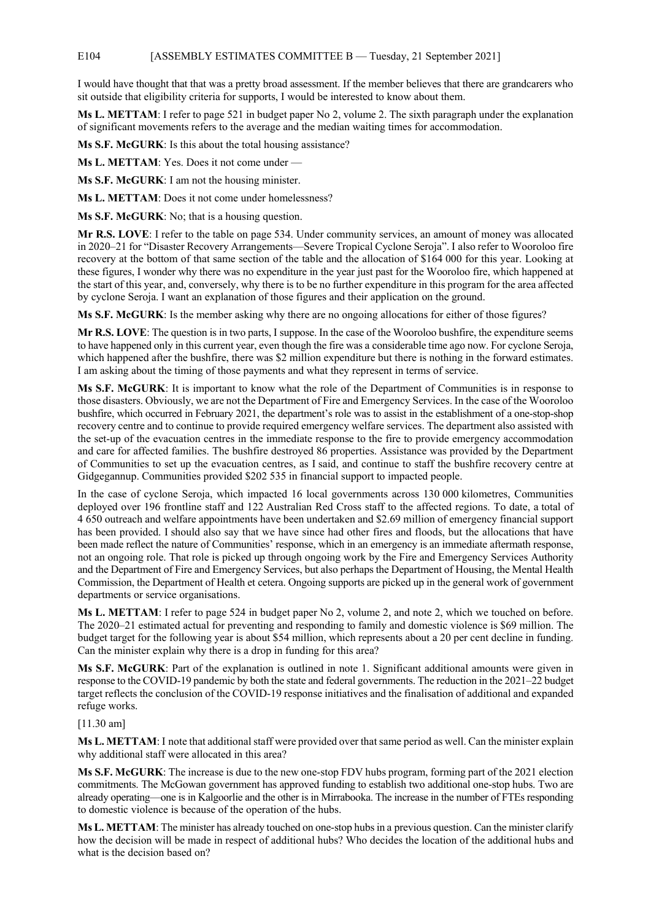#### E104 [ASSEMBLY ESTIMATES COMMITTEE B — Tuesday, 21 September 2021]

I would have thought that that was a pretty broad assessment. If the member believes that there are grandcarers who sit outside that eligibility criteria for supports, I would be interested to know about them.

**Ms L. METTAM**: I refer to page 521 in budget paper No 2, volume 2. The sixth paragraph under the explanation of significant movements refers to the average and the median waiting times for accommodation.

**Ms S.F. McGURK**: Is this about the total housing assistance?

**Ms L. METTAM**: Yes. Does it not come under —

**Ms S.F. McGURK**: I am not the housing minister.

**Ms L. METTAM**: Does it not come under homelessness?

**Ms S.F. McGURK**: No; that is a housing question.

**Mr R.S. LOVE**: I refer to the table on page 534. Under community services, an amount of money was allocated in 2020–21 for "Disaster Recovery Arrangements—Severe Tropical Cyclone Seroja". I also refer to Wooroloo fire recovery at the bottom of that same section of the table and the allocation of \$164 000 for this year. Looking at these figures, I wonder why there was no expenditure in the year just past for the Wooroloo fire, which happened at the start of this year, and, conversely, why there is to be no further expenditure in this program for the area affected by cyclone Seroja. I want an explanation of those figures and their application on the ground.

**Ms S.F. McGURK**: Is the member asking why there are no ongoing allocations for either of those figures?

**Mr R.S. LOVE**: The question is in two parts, I suppose. In the case of the Wooroloo bushfire, the expenditure seems to have happened only in this current year, even though the fire was a considerable time ago now. For cyclone Seroja, which happened after the bushfire, there was \$2 million expenditure but there is nothing in the forward estimates. I am asking about the timing of those payments and what they represent in terms of service.

**Ms S.F. McGURK**: It is important to know what the role of the Department of Communities is in response to those disasters. Obviously, we are not the Department of Fire and Emergency Services. In the case of the Wooroloo bushfire, which occurred in February 2021, the department's role was to assist in the establishment of a one-stop-shop recovery centre and to continue to provide required emergency welfare services. The department also assisted with the set-up of the evacuation centres in the immediate response to the fire to provide emergency accommodation and care for affected families. The bushfire destroyed 86 properties. Assistance was provided by the Department of Communities to set up the evacuation centres, as I said, and continue to staff the bushfire recovery centre at Gidgegannup. Communities provided \$202 535 in financial support to impacted people.

In the case of cyclone Seroja, which impacted 16 local governments across 130 000 kilometres, Communities deployed over 196 frontline staff and 122 Australian Red Cross staff to the affected regions. To date, a total of 4 650 outreach and welfare appointments have been undertaken and \$2.69 million of emergency financial support has been provided. I should also say that we have since had other fires and floods, but the allocations that have been made reflect the nature of Communities' response, which in an emergency is an immediate aftermath response, not an ongoing role. That role is picked up through ongoing work by the Fire and Emergency Services Authority and the Department of Fire and Emergency Services, but also perhaps the Department of Housing, the Mental Health Commission, the Department of Health et cetera. Ongoing supports are picked up in the general work of government departments or service organisations.

**Ms L. METTAM**: I refer to page 524 in budget paper No 2, volume 2, and note 2, which we touched on before. The 2020–21 estimated actual for preventing and responding to family and domestic violence is \$69 million. The budget target for the following year is about \$54 million, which represents about a 20 per cent decline in funding. Can the minister explain why there is a drop in funding for this area?

**Ms S.F. McGURK**: Part of the explanation is outlined in note 1. Significant additional amounts were given in response to the COVID-19 pandemic by both the state and federal governments. The reduction in the 2021–22 budget target reflects the conclusion of the COVID-19 response initiatives and the finalisation of additional and expanded refuge works.

#### [11.30 am]

**Ms L. METTAM**: I note that additional staff were provided over that same period as well. Can the minister explain why additional staff were allocated in this area?

**Ms S.F. McGURK**: The increase is due to the new one-stop FDV hubs program, forming part of the 2021 election commitments. The McGowan government has approved funding to establish two additional one-stop hubs. Two are already operating—one is in Kalgoorlie and the other is in Mirrabooka. The increase in the number of FTEs responding to domestic violence is because of the operation of the hubs.

**Ms L. METTAM**: The minister has already touched on one-stop hubs in a previous question. Can the minister clarify how the decision will be made in respect of additional hubs? Who decides the location of the additional hubs and what is the decision based on?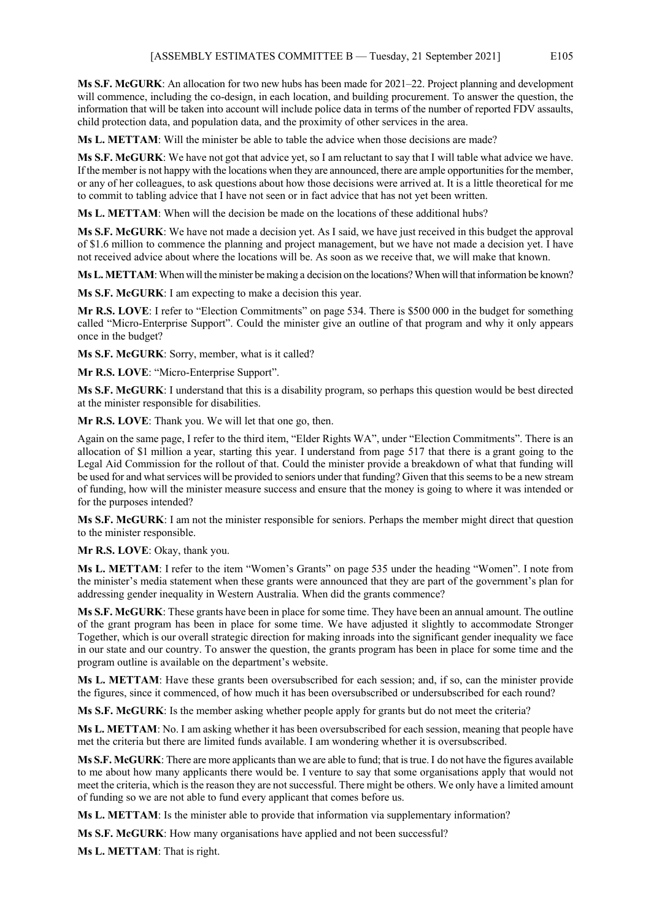**Ms S.F. McGURK**: An allocation for two new hubs has been made for 2021–22. Project planning and development will commence, including the co-design, in each location, and building procurement. To answer the question, the information that will be taken into account will include police data in terms of the number of reported FDV assaults, child protection data, and population data, and the proximity of other services in the area.

**Ms L. METTAM**: Will the minister be able to table the advice when those decisions are made?

**Ms S.F. McGURK**: We have not got that advice yet, so I am reluctant to say that I will table what advice we have. If the member is not happy with the locations when they are announced, there are ample opportunities for the member, or any of her colleagues, to ask questions about how those decisions were arrived at. It is a little theoretical for me to commit to tabling advice that I have not seen or in fact advice that has not yet been written.

**Ms L. METTAM**: When will the decision be made on the locations of these additional hubs?

**Ms S.F. McGURK**: We have not made a decision yet. As I said, we have just received in this budget the approval of \$1.6 million to commence the planning and project management, but we have not made a decision yet. I have not received advice about where the locations will be. As soon as we receive that, we will make that known.

**Ms L. METTAM**: When will the minister be making a decision on the locations? When will that information be known?

**Ms S.F. McGURK**: I am expecting to make a decision this year.

**Mr R.S. LOVE**: I refer to "Election Commitments" on page 534. There is \$500 000 in the budget for something called "Micro-Enterprise Support". Could the minister give an outline of that program and why it only appears once in the budget?

**Ms S.F. McGURK**: Sorry, member, what is it called?

**Mr R.S. LOVE**: "Micro-Enterprise Support".

**Ms S.F. McGURK**: I understand that this is a disability program, so perhaps this question would be best directed at the minister responsible for disabilities.

**Mr R.S. LOVE**: Thank you. We will let that one go, then.

Again on the same page, I refer to the third item, "Elder Rights WA", under "Election Commitments". There is an allocation of \$1 million a year, starting this year. I understand from page 517 that there is a grant going to the Legal Aid Commission for the rollout of that. Could the minister provide a breakdown of what that funding will be used for and what services will be provided to seniors under that funding? Given that this seems to be a new stream of funding, how will the minister measure success and ensure that the money is going to where it was intended or for the purposes intended?

**Ms S.F. McGURK**: I am not the minister responsible for seniors. Perhaps the member might direct that question to the minister responsible.

**Mr R.S. LOVE**: Okay, thank you.

**Ms L. METTAM**: I refer to the item "Women's Grants" on page 535 under the heading "Women". I note from the minister's media statement when these grants were announced that they are part of the government's plan for addressing gender inequality in Western Australia. When did the grants commence?

**Ms S.F. McGURK**: These grants have been in place for some time. They have been an annual amount. The outline of the grant program has been in place for some time. We have adjusted it slightly to accommodate Stronger Together, which is our overall strategic direction for making inroads into the significant gender inequality we face in our state and our country. To answer the question, the grants program has been in place for some time and the program outline is available on the department's website.

**Ms L. METTAM**: Have these grants been oversubscribed for each session; and, if so, can the minister provide the figures, since it commenced, of how much it has been oversubscribed or undersubscribed for each round?

**Ms S.F. McGURK**: Is the member asking whether people apply for grants but do not meet the criteria?

**Ms L. METTAM**: No. I am asking whether it has been oversubscribed for each session, meaning that people have met the criteria but there are limited funds available. I am wondering whether it is oversubscribed.

**Ms S.F. McGURK**: There are more applicants than we are able to fund; that is true. I do not have the figures available to me about how many applicants there would be. I venture to say that some organisations apply that would not meet the criteria, which is the reason they are not successful. There might be others. We only have a limited amount of funding so we are not able to fund every applicant that comes before us.

**Ms L. METTAM**: Is the minister able to provide that information via supplementary information?

**Ms S.F. McGURK**: How many organisations have applied and not been successful?

**Ms L. METTAM**: That is right.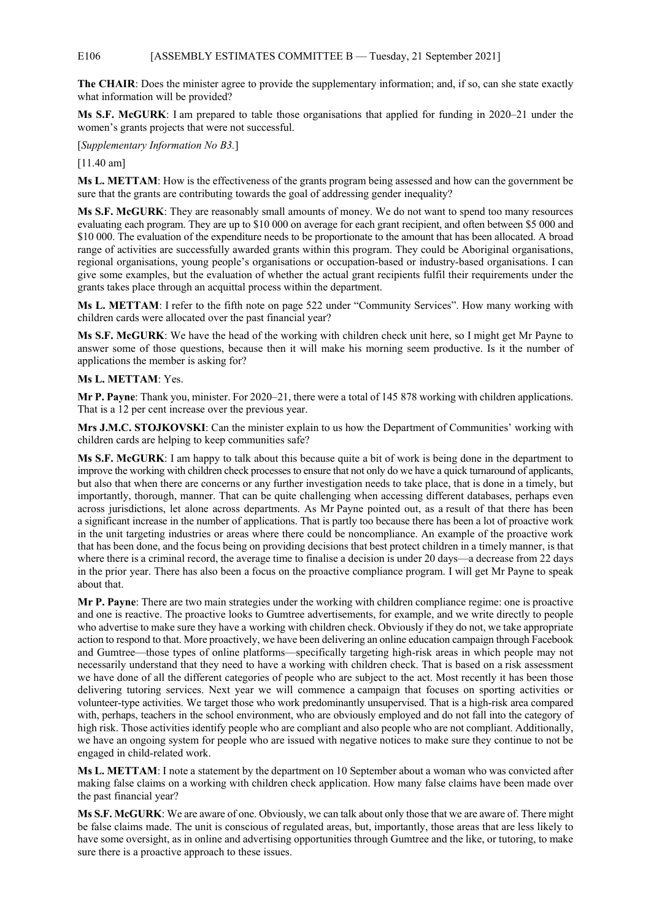#### E106 [ASSEMBLY ESTIMATES COMMITTEE B — Tuesday, 21 September 2021]

**The CHAIR**: Does the minister agree to provide the supplementary information; and, if so, can she state exactly what information will be provided?

**Ms S.F. McGURK**: I am prepared to table those organisations that applied for funding in 2020–21 under the women's grants projects that were not successful.

[*Supplementary Information No B3.*]

[11.40 am]

**Ms L. METTAM**: How is the effectiveness of the grants program being assessed and how can the government be sure that the grants are contributing towards the goal of addressing gender inequality?

**Ms S.F. McGURK**: They are reasonably small amounts of money. We do not want to spend too many resources evaluating each program. They are up to \$10 000 on average for each grant recipient, and often between \$5 000 and \$10 000. The evaluation of the expenditure needs to be proportionate to the amount that has been allocated. A broad range of activities are successfully awarded grants within this program. They could be Aboriginal organisations, regional organisations, young people's organisations or occupation-based or industry-based organisations. I can give some examples, but the evaluation of whether the actual grant recipients fulfil their requirements under the grants takes place through an acquittal process within the department.

**Ms L. METTAM**: I refer to the fifth note on page 522 under "Community Services". How many working with children cards were allocated over the past financial year?

**Ms S.F. McGURK**: We have the head of the working with children check unit here, so I might get Mr Payne to answer some of those questions, because then it will make his morning seem productive. Is it the number of applications the member is asking for?

#### **Ms L. METTAM**: Yes.

**Mr P. Payne**: Thank you, minister. For 2020–21, there were a total of 145 878 working with children applications. That is a 12 per cent increase over the previous year.

**Mrs J.M.C. STOJKOVSKI**: Can the minister explain to us how the Department of Communities' working with children cards are helping to keep communities safe?

**Ms S.F. McGURK**: I am happy to talk about this because quite a bit of work is being done in the department to improve the working with children check processes to ensure that not only do we have a quick turnaround of applicants, but also that when there are concerns or any further investigation needs to take place, that is done in a timely, but importantly, thorough, manner. That can be quite challenging when accessing different databases, perhaps even across jurisdictions, let alone across departments. As Mr Payne pointed out, as a result of that there has been a significant increase in the number of applications. That is partly too because there has been a lot of proactive work in the unit targeting industries or areas where there could be noncompliance. An example of the proactive work that has been done, and the focus being on providing decisions that best protect children in a timely manner, is that where there is a criminal record, the average time to finalise a decision is under 20 days—a decrease from 22 days in the prior year. There has also been a focus on the proactive compliance program. I will get Mr Payne to speak about that.

**Mr P. Payne**: There are two main strategies under the working with children compliance regime: one is proactive and one is reactive. The proactive looks to Gumtree advertisements, for example, and we write directly to people who advertise to make sure they have a working with children check. Obviously if they do not, we take appropriate action to respond to that. More proactively, we have been delivering an online education campaign through Facebook and Gumtree—those types of online platforms—specifically targeting high-risk areas in which people may not necessarily understand that they need to have a working with children check. That is based on a risk assessment we have done of all the different categories of people who are subject to the act. Most recently it has been those delivering tutoring services. Next year we will commence a campaign that focuses on sporting activities or volunteer-type activities. We target those who work predominantly unsupervised. That is a high-risk area compared with, perhaps, teachers in the school environment, who are obviously employed and do not fall into the category of high risk. Those activities identify people who are compliant and also people who are not compliant. Additionally, we have an ongoing system for people who are issued with negative notices to make sure they continue to not be engaged in child-related work.

**Ms L. METTAM**: I note a statement by the department on 10 September about a woman who was convicted after making false claims on a working with children check application. How many false claims have been made over the past financial year?

**Ms S.F. McGURK**: We are aware of one. Obviously, we can talk about only those that we are aware of. There might be false claims made. The unit is conscious of regulated areas, but, importantly, those areas that are less likely to have some oversight, as in online and advertising opportunities through Gumtree and the like, or tutoring, to make sure there is a proactive approach to these issues.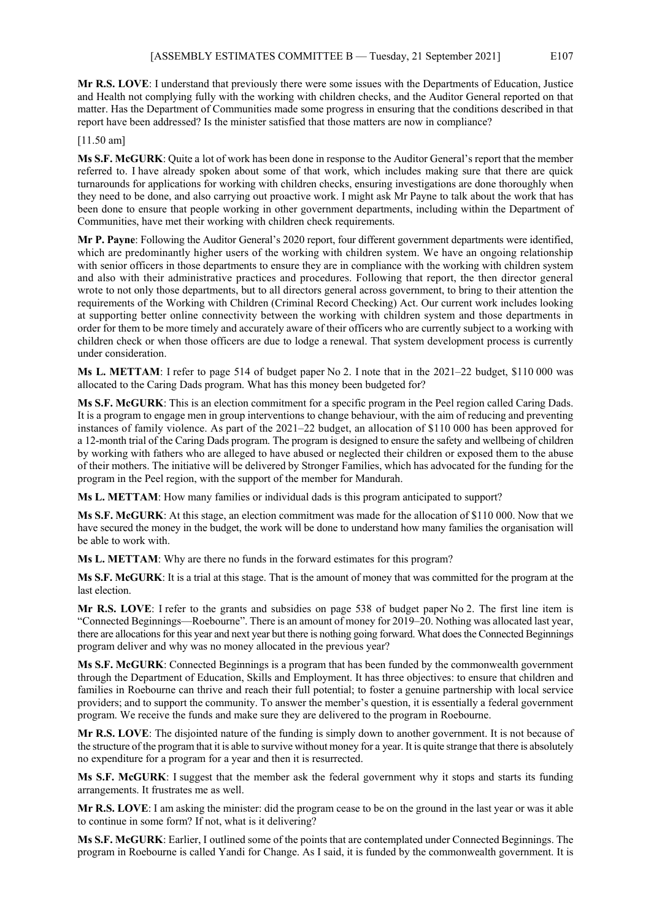**Mr R.S. LOVE**: I understand that previously there were some issues with the Departments of Education, Justice and Health not complying fully with the working with children checks, and the Auditor General reported on that matter. Has the Department of Communities made some progress in ensuring that the conditions described in that report have been addressed? Is the minister satisfied that those matters are now in compliance?

[11.50 am]

**Ms S.F. McGURK**: Quite a lot of work has been done in response to the Auditor General's report that the member referred to. I have already spoken about some of that work, which includes making sure that there are quick turnarounds for applications for working with children checks, ensuring investigations are done thoroughly when they need to be done, and also carrying out proactive work. I might ask Mr Payne to talk about the work that has been done to ensure that people working in other government departments, including within the Department of Communities, have met their working with children check requirements.

**Mr P. Payne**: Following the Auditor General's 2020 report, four different government departments were identified, which are predominantly higher users of the working with children system. We have an ongoing relationship with senior officers in those departments to ensure they are in compliance with the working with children system and also with their administrative practices and procedures. Following that report, the then director general wrote to not only those departments, but to all directors general across government, to bring to their attention the requirements of the Working with Children (Criminal Record Checking) Act. Our current work includes looking at supporting better online connectivity between the working with children system and those departments in order for them to be more timely and accurately aware of their officers who are currently subject to a working with children check or when those officers are due to lodge a renewal. That system development process is currently under consideration.

**Ms L. METTAM**: I refer to page 514 of budget paper No 2. I note that in the 2021–22 budget, \$110 000 was allocated to the Caring Dads program. What has this money been budgeted for?

**Ms S.F. McGURK**: This is an election commitment for a specific program in the Peel region called Caring Dads. It is a program to engage men in group interventions to change behaviour, with the aim of reducing and preventing instances of family violence. As part of the 2021–22 budget, an allocation of \$110 000 has been approved for a 12-month trial of the Caring Dads program. The program is designed to ensure the safety and wellbeing of children by working with fathers who are alleged to have abused or neglected their children or exposed them to the abuse of their mothers. The initiative will be delivered by Stronger Families, which has advocated for the funding for the program in the Peel region, with the support of the member for Mandurah.

**Ms L. METTAM**: How many families or individual dads is this program anticipated to support?

**Ms S.F. McGURK**: At this stage, an election commitment was made for the allocation of \$110 000. Now that we have secured the money in the budget, the work will be done to understand how many families the organisation will be able to work with.

**Ms L. METTAM**: Why are there no funds in the forward estimates for this program?

**Ms S.F. McGURK**: It is a trial at this stage. That is the amount of money that was committed for the program at the last election.

**Mr R.S. LOVE**: I refer to the grants and subsidies on page 538 of budget paper No 2. The first line item is "Connected Beginnings—Roebourne". There is an amount of money for 2019–20. Nothing was allocated last year, there are allocations for this year and next year but there is nothing going forward. What does the Connected Beginnings program deliver and why was no money allocated in the previous year?

**Ms S.F. McGURK**: Connected Beginnings is a program that has been funded by the commonwealth government through the Department of Education, Skills and Employment. It has three objectives: to ensure that children and families in Roebourne can thrive and reach their full potential; to foster a genuine partnership with local service providers; and to support the community. To answer the member's question, it is essentially a federal government program. We receive the funds and make sure they are delivered to the program in Roebourne.

**Mr R.S. LOVE**: The disjointed nature of the funding is simply down to another government. It is not because of the structure of the program that it is able to survive without money for a year. It is quite strange that there is absolutely no expenditure for a program for a year and then it is resurrected.

**Ms S.F. McGURK**: I suggest that the member ask the federal government why it stops and starts its funding arrangements. It frustrates me as well.

**Mr R.S. LOVE**: I am asking the minister: did the program cease to be on the ground in the last year or was it able to continue in some form? If not, what is it delivering?

**Ms S.F. McGURK**: Earlier, I outlined some of the points that are contemplated under Connected Beginnings. The program in Roebourne is called Yandi for Change. As I said, it is funded by the commonwealth government. It is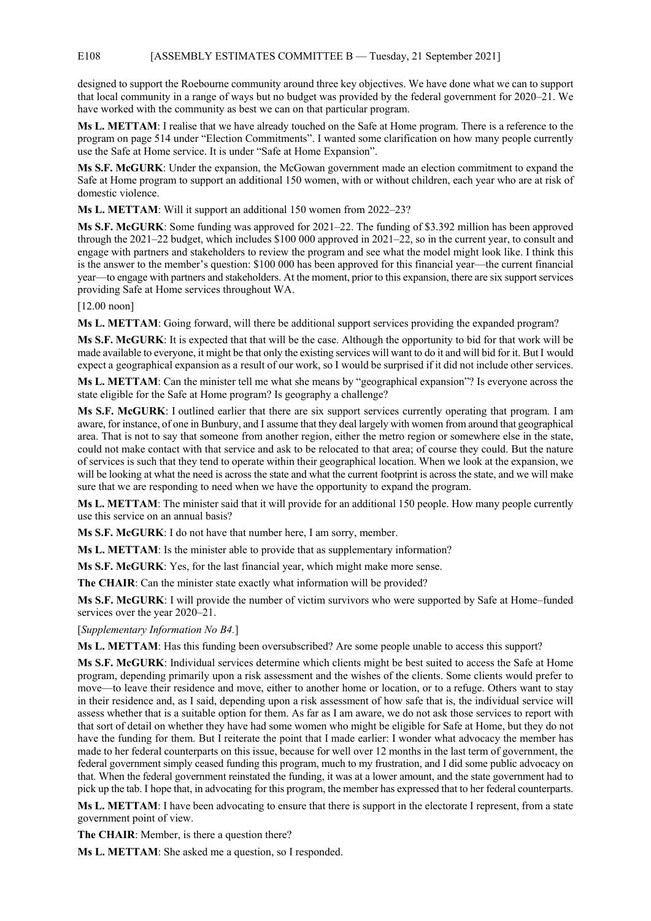#### E108 [ASSEMBLY ESTIMATES COMMITTEE B — Tuesday, 21 September 2021]

designed to support the Roebourne community around three key objectives. We have done what we can to support that local community in a range of ways but no budget was provided by the federal government for 2020–21. We have worked with the community as best we can on that particular program.

**Ms L. METTAM**: I realise that we have already touched on the Safe at Home program. There is a reference to the program on page 514 under "Election Commitments". I wanted some clarification on how many people currently use the Safe at Home service. It is under "Safe at Home Expansion".

**Ms S.F. McGURK**: Under the expansion, the McGowan government made an election commitment to expand the Safe at Home program to support an additional 150 women, with or without children, each year who are at risk of domestic violence.

**Ms L. METTAM**: Will it support an additional 150 women from 2022–23?

**Ms S.F. McGURK**: Some funding was approved for 2021–22. The funding of \$3.392 million has been approved through the 2021–22 budget, which includes \$100 000 approved in 2021–22, so in the current year, to consult and engage with partners and stakeholders to review the program and see what the model might look like. I think this is the answer to the member's question: \$100 000 has been approved for this financial year—the current financial year—to engage with partners and stakeholders. At the moment, prior to this expansion, there are six support services providing Safe at Home services throughout WA.

[12.00 noon]

**Ms L. METTAM**: Going forward, will there be additional support services providing the expanded program?

**Ms S.F. McGURK**: It is expected that that will be the case. Although the opportunity to bid for that work will be made available to everyone, it might be that only the existing services will want to do it and will bid for it. But I would expect a geographical expansion as a result of our work, so I would be surprised if it did not include other services.

**Ms L. METTAM**: Can the minister tell me what she means by "geographical expansion"? Is everyone across the state eligible for the Safe at Home program? Is geography a challenge?

**Ms S.F. McGURK**: I outlined earlier that there are six support services currently operating that program. I am aware, for instance, of one in Bunbury, and I assume that they deal largely with women from around that geographical area. That is not to say that someone from another region, either the metro region or somewhere else in the state, could not make contact with that service and ask to be relocated to that area; of course they could. But the nature of services is such that they tend to operate within their geographical location. When we look at the expansion, we will be looking at what the need is across the state and what the current footprint is across the state, and we will make sure that we are responding to need when we have the opportunity to expand the program.

**Ms L. METTAM**: The minister said that it will provide for an additional 150 people. How many people currently use this service on an annual basis?

**Ms S.F. McGURK**: I do not have that number here, I am sorry, member.

**Ms L. METTAM**: Is the minister able to provide that as supplementary information?

**Ms S.F. McGURK**: Yes, for the last financial year, which might make more sense.

**The CHAIR**: Can the minister state exactly what information will be provided?

**Ms S.F. McGURK**: I will provide the number of victim survivors who were supported by Safe at Home–funded services over the year 2020–21.

[*Supplementary Information No B4.*]

**Ms L. METTAM**: Has this funding been oversubscribed? Are some people unable to access this support?

**Ms S.F. McGURK**: Individual services determine which clients might be best suited to access the Safe at Home program, depending primarily upon a risk assessment and the wishes of the clients. Some clients would prefer to move—to leave their residence and move, either to another home or location, or to a refuge. Others want to stay in their residence and, as I said, depending upon a risk assessment of how safe that is, the individual service will assess whether that is a suitable option for them. As far as I am aware, we do not ask those services to report with that sort of detail on whether they have had some women who might be eligible for Safe at Home, but they do not have the funding for them. But I reiterate the point that I made earlier: I wonder what advocacy the member has made to her federal counterparts on this issue, because for well over 12 months in the last term of government, the federal government simply ceased funding this program, much to my frustration, and I did some public advocacy on that. When the federal government reinstated the funding, it was at a lower amount, and the state government had to pick up the tab. I hope that, in advocating for this program, the member has expressed that to her federal counterparts.

**Ms L. METTAM**: I have been advocating to ensure that there is support in the electorate I represent, from a state government point of view.

**The CHAIR**: Member, is there a question there?

**Ms L. METTAM**: She asked me a question, so I responded.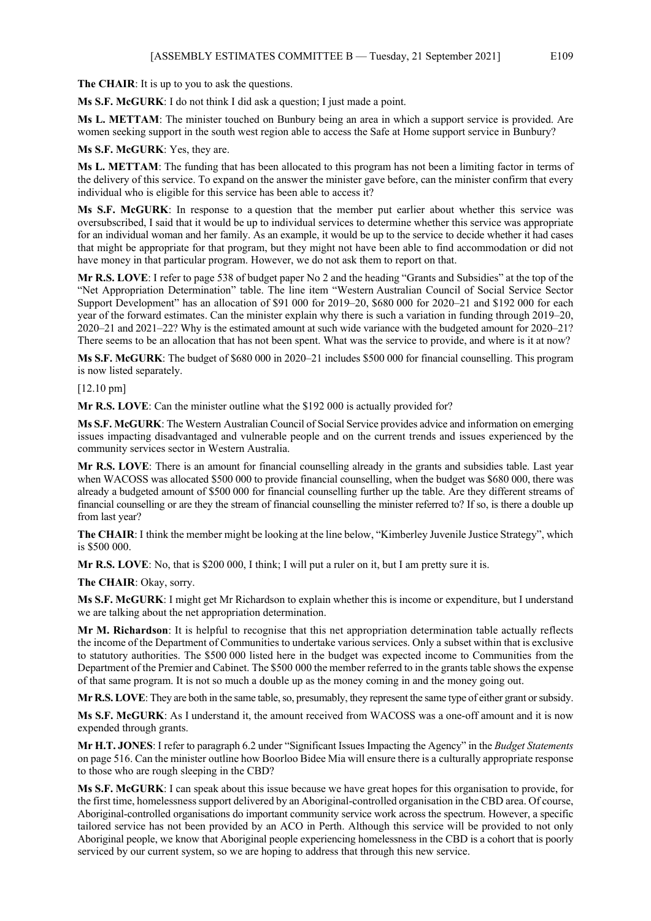**The CHAIR**: It is up to you to ask the questions.

**Ms S.F. McGURK**: I do not think I did ask a question; I just made a point.

**Ms L. METTAM**: The minister touched on Bunbury being an area in which a support service is provided. Are women seeking support in the south west region able to access the Safe at Home support service in Bunbury?

#### **Ms S.F. McGURK**: Yes, they are.

**Ms L. METTAM**: The funding that has been allocated to this program has not been a limiting factor in terms of the delivery of this service. To expand on the answer the minister gave before, can the minister confirm that every individual who is eligible for this service has been able to access it?

**Ms S.F. McGURK**: In response to a question that the member put earlier about whether this service was oversubscribed, I said that it would be up to individual services to determine whether this service was appropriate for an individual woman and her family. As an example, it would be up to the service to decide whether it had cases that might be appropriate for that program, but they might not have been able to find accommodation or did not have money in that particular program. However, we do not ask them to report on that.

**Mr R.S. LOVE**: I refer to page 538 of budget paper No 2 and the heading "Grants and Subsidies" at the top of the "Net Appropriation Determination" table. The line item "Western Australian Council of Social Service Sector Support Development" has an allocation of \$91 000 for 2019–20, \$680 000 for 2020–21 and \$192 000 for each year of the forward estimates. Can the minister explain why there is such a variation in funding through 2019–20, 2020–21 and 2021–22? Why is the estimated amount at such wide variance with the budgeted amount for 2020–21? There seems to be an allocation that has not been spent. What was the service to provide, and where is it at now?

**Ms S.F. McGURK**: The budget of \$680 000 in 2020–21 includes \$500 000 for financial counselling. This program is now listed separately.

[12.10 pm]

**Mr R.S. LOVE**: Can the minister outline what the \$192 000 is actually provided for?

**Ms S.F. McGURK**: The Western Australian Council of Social Service provides advice and information on emerging issues impacting disadvantaged and vulnerable people and on the current trends and issues experienced by the community services sector in Western Australia.

**Mr R.S. LOVE**: There is an amount for financial counselling already in the grants and subsidies table. Last year when WACOSS was allocated \$500 000 to provide financial counselling, when the budget was \$680 000, there was already a budgeted amount of \$500 000 for financial counselling further up the table. Are they different streams of financial counselling or are they the stream of financial counselling the minister referred to? If so, is there a double up from last year?

**The CHAIR**: I think the member might be looking at the line below, "Kimberley Juvenile Justice Strategy", which is \$500 000.

**Mr R.S. LOVE**: No, that is \$200 000, I think; I will put a ruler on it, but I am pretty sure it is.

**The CHAIR**: Okay, sorry.

**Ms S.F. McGURK**: I might get Mr Richardson to explain whether this is income or expenditure, but I understand we are talking about the net appropriation determination.

**Mr M. Richardson**: It is helpful to recognise that this net appropriation determination table actually reflects the income of the Department of Communities to undertake various services. Only a subset within that is exclusive to statutory authorities. The \$500 000 listed here in the budget was expected income to Communities from the Department of the Premier and Cabinet. The \$500 000 the member referred to in the grants table shows the expense of that same program. It is not so much a double up as the money coming in and the money going out.

**Mr R.S. LOVE**: They are both in the same table, so, presumably, they represent the same type of either grant or subsidy.

**Ms S.F. McGURK**: As I understand it, the amount received from WACOSS was a one-off amount and it is now expended through grants.

**Mr H.T. JONES**: I refer to paragraph 6.2 under "Significant Issues Impacting the Agency" in the *Budget Statements* on page 516. Can the minister outline how Boorloo Bidee Mia will ensure there is a culturally appropriate response to those who are rough sleeping in the CBD?

**Ms S.F. McGURK**: I can speak about this issue because we have great hopes for this organisation to provide, for the first time, homelessness support delivered by an Aboriginal-controlled organisation in the CBD area. Of course, Aboriginal-controlled organisations do important community service work across the spectrum. However, a specific tailored service has not been provided by an ACO in Perth. Although this service will be provided to not only Aboriginal people, we know that Aboriginal people experiencing homelessness in the CBD is a cohort that is poorly serviced by our current system, so we are hoping to address that through this new service.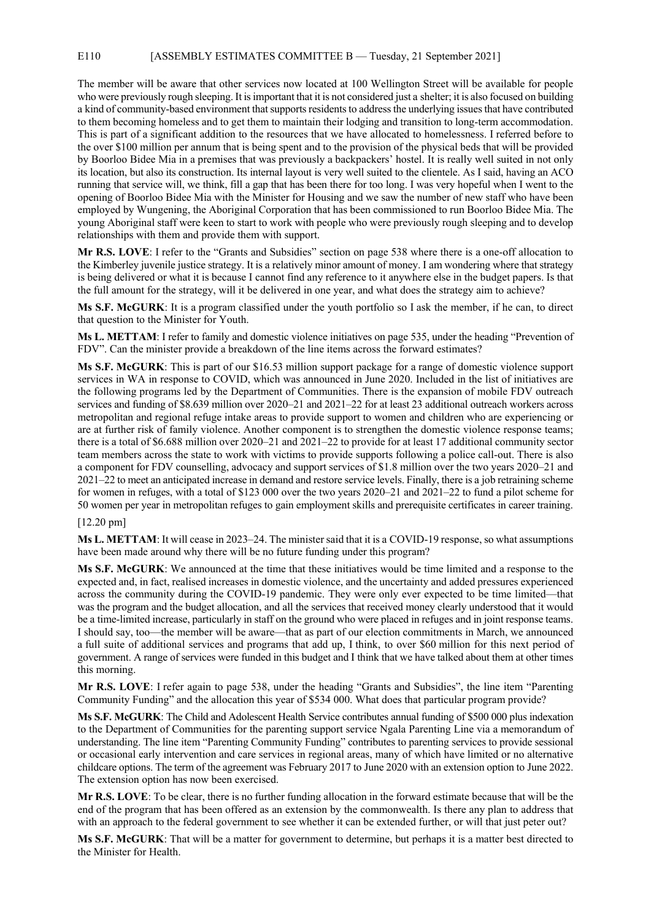#### E110 [ASSEMBLY ESTIMATES COMMITTEE B — Tuesday, 21 September 2021]

The member will be aware that other services now located at 100 Wellington Street will be available for people who were previously rough sleeping. It is important that it is not considered just a shelter; it is also focused on building a kind of community-based environment that supports residents to address the underlying issues that have contributed to them becoming homeless and to get them to maintain their lodging and transition to long-term accommodation. This is part of a significant addition to the resources that we have allocated to homelessness. I referred before to the over \$100 million per annum that is being spent and to the provision of the physical beds that will be provided by Boorloo Bidee Mia in a premises that was previously a backpackers' hostel. It is really well suited in not only its location, but also its construction. Its internal layout is very well suited to the clientele. As I said, having an ACO running that service will, we think, fill a gap that has been there for too long. I was very hopeful when I went to the opening of Boorloo Bidee Mia with the Minister for Housing and we saw the number of new staff who have been employed by Wungening, the Aboriginal Corporation that has been commissioned to run Boorloo Bidee Mia. The young Aboriginal staff were keen to start to work with people who were previously rough sleeping and to develop relationships with them and provide them with support.

**Mr R.S. LOVE**: I refer to the "Grants and Subsidies" section on page 538 where there is a one-off allocation to the Kimberley juvenile justice strategy. It is a relatively minor amount of money. I am wondering where that strategy is being delivered or what it is because I cannot find any reference to it anywhere else in the budget papers. Is that the full amount for the strategy, will it be delivered in one year, and what does the strategy aim to achieve?

**Ms S.F. McGURK**: It is a program classified under the youth portfolio so I ask the member, if he can, to direct that question to the Minister for Youth.

**Ms L. METTAM**: I refer to family and domestic violence initiatives on page 535, under the heading "Prevention of FDV". Can the minister provide a breakdown of the line items across the forward estimates?

**Ms S.F. McGURK**: This is part of our \$16.53 million support package for a range of domestic violence support services in WA in response to COVID, which was announced in June 2020. Included in the list of initiatives are the following programs led by the Department of Communities. There is the expansion of mobile FDV outreach services and funding of \$8.639 million over 2020–21 and 2021–22 for at least 23 additional outreach workers across metropolitan and regional refuge intake areas to provide support to women and children who are experiencing or are at further risk of family violence. Another component is to strengthen the domestic violence response teams; there is a total of \$6.688 million over 2020–21 and 2021–22 to provide for at least 17 additional community sector team members across the state to work with victims to provide supports following a police call-out. There is also a component for FDV counselling, advocacy and support services of \$1.8 million over the two years 2020–21 and 2021–22 to meet an anticipated increase in demand and restore service levels. Finally, there is a job retraining scheme for women in refuges, with a total of \$123 000 over the two years 2020–21 and 2021–22 to fund a pilot scheme for 50 women per year in metropolitan refuges to gain employment skills and prerequisite certificates in career training.

#### [12.20 pm]

**Ms L. METTAM**: It will cease in 2023–24. The minister said that it is a COVID-19 response, so what assumptions have been made around why there will be no future funding under this program?

**Ms S.F. McGURK**: We announced at the time that these initiatives would be time limited and a response to the expected and, in fact, realised increases in domestic violence, and the uncertainty and added pressures experienced across the community during the COVID-19 pandemic. They were only ever expected to be time limited—that was the program and the budget allocation, and all the services that received money clearly understood that it would be a time-limited increase, particularly in staff on the ground who were placed in refuges and in joint response teams. I should say, too—the member will be aware—that as part of our election commitments in March, we announced a full suite of additional services and programs that add up, I think, to over \$60 million for this next period of government. A range of services were funded in this budget and I think that we have talked about them at other times this morning.

**Mr R.S. LOVE**: I refer again to page 538, under the heading "Grants and Subsidies", the line item "Parenting Community Funding" and the allocation this year of \$534 000. What does that particular program provide?

**Ms S.F. McGURK**: The Child and Adolescent Health Service contributes annual funding of \$500 000 plus indexation to the Department of Communities for the parenting support service Ngala Parenting Line via a memorandum of understanding. The line item "Parenting Community Funding" contributes to parenting services to provide sessional or occasional early intervention and care services in regional areas, many of which have limited or no alternative childcare options. The term of the agreement was February 2017 to June 2020 with an extension option to June 2022. The extension option has now been exercised.

**Mr R.S. LOVE**: To be clear, there is no further funding allocation in the forward estimate because that will be the end of the program that has been offered as an extension by the commonwealth. Is there any plan to address that with an approach to the federal government to see whether it can be extended further, or will that just peter out?

**Ms S.F. McGURK**: That will be a matter for government to determine, but perhaps it is a matter best directed to the Minister for Health.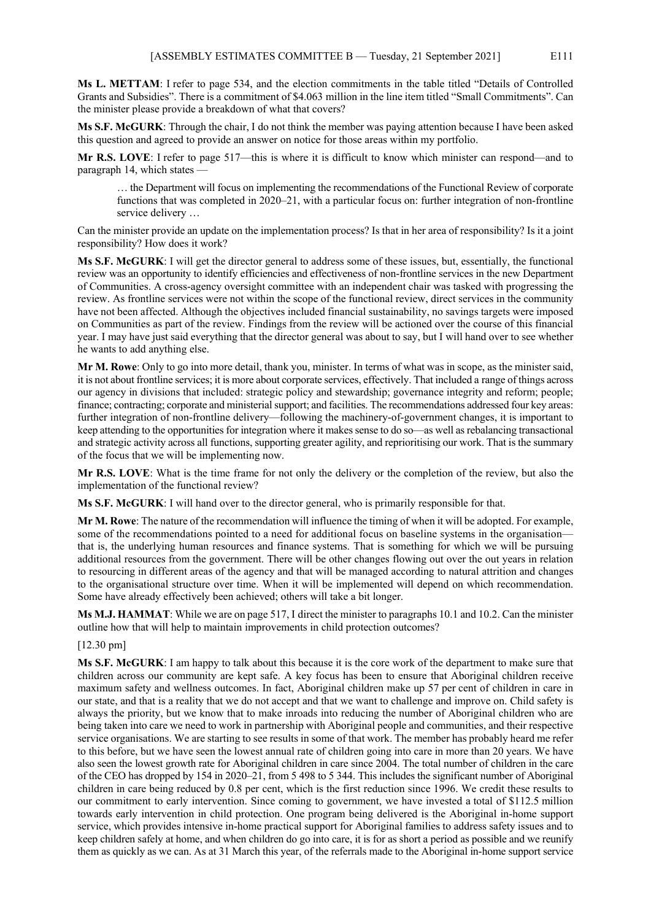**Ms L. METTAM**: I refer to page 534, and the election commitments in the table titled "Details of Controlled Grants and Subsidies". There is a commitment of \$4.063 million in the line item titled "Small Commitments". Can the minister please provide a breakdown of what that covers?

**Ms S.F. McGURK**: Through the chair, I do not think the member was paying attention because I have been asked this question and agreed to provide an answer on notice for those areas within my portfolio.

**Mr R.S. LOVE**: I refer to page 517—this is where it is difficult to know which minister can respond—and to paragraph 14, which states -

… the Department will focus on implementing the recommendations of the Functional Review of corporate functions that was completed in 2020–21, with a particular focus on: further integration of non-frontline service delivery …

Can the minister provide an update on the implementation process? Is that in her area of responsibility? Is it a joint responsibility? How does it work?

**Ms S.F. McGURK**: I will get the director general to address some of these issues, but, essentially, the functional review was an opportunity to identify efficiencies and effectiveness of non-frontline services in the new Department of Communities. A cross-agency oversight committee with an independent chair was tasked with progressing the review. As frontline services were not within the scope of the functional review, direct services in the community have not been affected. Although the objectives included financial sustainability, no savings targets were imposed on Communities as part of the review. Findings from the review will be actioned over the course of this financial year. I may have just said everything that the director general was about to say, but I will hand over to see whether he wants to add anything else.

**Mr M. Rowe**: Only to go into more detail, thank you, minister. In terms of what was in scope, as the minister said, it is not about frontline services; it is more about corporate services, effectively. That included a range of things across our agency in divisions that included: strategic policy and stewardship; governance integrity and reform; people; finance; contracting; corporate and ministerial support; and facilities. The recommendations addressed four key areas: further integration of non-frontline delivery—following the machinery-of-government changes, it is important to keep attending to the opportunities for integration where it makes sense to do so—as well as rebalancing transactional and strategic activity across all functions, supporting greater agility, and reprioritising our work. That is the summary of the focus that we will be implementing now.

**Mr R.S. LOVE**: What is the time frame for not only the delivery or the completion of the review, but also the implementation of the functional review?

**Ms S.F. McGURK**: I will hand over to the director general, who is primarily responsible for that.

**Mr M. Rowe**: The nature of the recommendation will influence the timing of when it will be adopted. For example, some of the recommendations pointed to a need for additional focus on baseline systems in the organisation that is, the underlying human resources and finance systems. That is something for which we will be pursuing additional resources from the government. There will be other changes flowing out over the out years in relation to resourcing in different areas of the agency and that will be managed according to natural attrition and changes to the organisational structure over time. When it will be implemented will depend on which recommendation. Some have already effectively been achieved; others will take a bit longer.

**Ms M.J. HAMMAT**: While we are on page 517, I direct the minister to paragraphs 10.1 and 10.2. Can the minister outline how that will help to maintain improvements in child protection outcomes?

#### [12.30 pm]

**Ms S.F. McGURK**: I am happy to talk about this because it is the core work of the department to make sure that children across our community are kept safe. A key focus has been to ensure that Aboriginal children receive maximum safety and wellness outcomes. In fact, Aboriginal children make up 57 per cent of children in care in our state, and that is a reality that we do not accept and that we want to challenge and improve on. Child safety is always the priority, but we know that to make inroads into reducing the number of Aboriginal children who are being taken into care we need to work in partnership with Aboriginal people and communities, and their respective service organisations. We are starting to see results in some of that work. The member has probably heard me refer to this before, but we have seen the lowest annual rate of children going into care in more than 20 years. We have also seen the lowest growth rate for Aboriginal children in care since 2004. The total number of children in the care of the CEO has dropped by 154 in 2020–21, from 5 498 to 5 344. This includes the significant number of Aboriginal children in care being reduced by 0.8 per cent, which is the first reduction since 1996. We credit these results to our commitment to early intervention. Since coming to government, we have invested a total of \$112.5 million towards early intervention in child protection. One program being delivered is the Aboriginal in-home support service, which provides intensive in-home practical support for Aboriginal families to address safety issues and to keep children safely at home, and when children do go into care, it is for as short a period as possible and we reunify them as quickly as we can. As at 31 March this year, of the referrals made to the Aboriginal in-home support service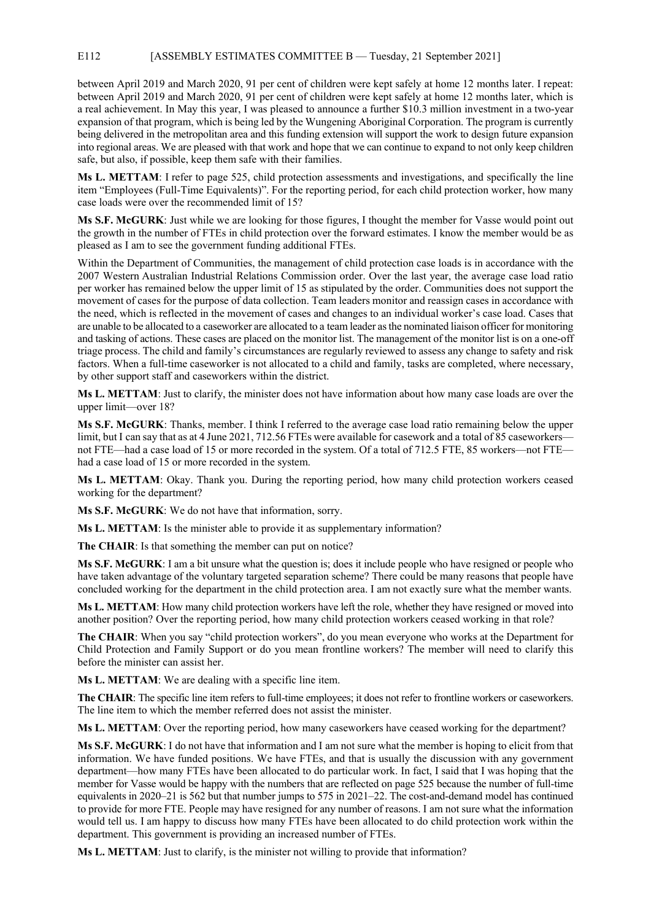#### E112 [ASSEMBLY ESTIMATES COMMITTEE B — Tuesday, 21 September 2021]

between April 2019 and March 2020, 91 per cent of children were kept safely at home 12 months later. I repeat: between April 2019 and March 2020, 91 per cent of children were kept safely at home 12 months later, which is a real achievement. In May this year, I was pleased to announce a further \$10.3 million investment in a two-year expansion of that program, which is being led by the Wungening Aboriginal Corporation. The program is currently being delivered in the metropolitan area and this funding extension will support the work to design future expansion into regional areas. We are pleased with that work and hope that we can continue to expand to not only keep children safe, but also, if possible, keep them safe with their families.

**Ms L. METTAM**: I refer to page 525, child protection assessments and investigations, and specifically the line item "Employees (Full-Time Equivalents)". For the reporting period, for each child protection worker, how many case loads were over the recommended limit of 15?

**Ms S.F. McGURK**: Just while we are looking for those figures, I thought the member for Vasse would point out the growth in the number of FTEs in child protection over the forward estimates. I know the member would be as pleased as I am to see the government funding additional FTEs.

Within the Department of Communities, the management of child protection case loads is in accordance with the 2007 Western Australian Industrial Relations Commission order. Over the last year, the average case load ratio per worker has remained below the upper limit of 15 as stipulated by the order. Communities does not support the movement of cases for the purpose of data collection. Team leaders monitor and reassign cases in accordance with the need, which is reflected in the movement of cases and changes to an individual worker's case load. Cases that are unable to be allocated to a caseworker are allocated to a team leader as the nominated liaison officer for monitoring and tasking of actions. These cases are placed on the monitor list. The management of the monitor list is on a one-off triage process. The child and family's circumstances are regularly reviewed to assess any change to safety and risk factors. When a full-time caseworker is not allocated to a child and family, tasks are completed, where necessary, by other support staff and caseworkers within the district.

**Ms L. METTAM**: Just to clarify, the minister does not have information about how many case loads are over the upper limit—over 18?

**Ms S.F. McGURK**: Thanks, member. I think I referred to the average case load ratio remaining below the upper limit, but I can say that as at 4 June 2021, 712.56 FTEs were available for casework and a total of 85 caseworkers not FTE—had a case load of 15 or more recorded in the system. Of a total of 712.5 FTE, 85 workers—not FTE had a case load of 15 or more recorded in the system.

**Ms L. METTAM**: Okay. Thank you. During the reporting period, how many child protection workers ceased working for the department?

**Ms S.F. McGURK**: We do not have that information, sorry.

**Ms L. METTAM**: Is the minister able to provide it as supplementary information?

**The CHAIR**: Is that something the member can put on notice?

**Ms S.F. McGURK**: I am a bit unsure what the question is; does it include people who have resigned or people who have taken advantage of the voluntary targeted separation scheme? There could be many reasons that people have concluded working for the department in the child protection area. I am not exactly sure what the member wants.

**Ms L. METTAM**: How many child protection workers have left the role, whether they have resigned or moved into another position? Over the reporting period, how many child protection workers ceased working in that role?

**The CHAIR**: When you say "child protection workers", do you mean everyone who works at the Department for Child Protection and Family Support or do you mean frontline workers? The member will need to clarify this before the minister can assist her.

**Ms L. METTAM**: We are dealing with a specific line item.

**The CHAIR**: The specific line item refers to full-time employees; it does not refer to frontline workers or caseworkers. The line item to which the member referred does not assist the minister.

**Ms L. METTAM**: Over the reporting period, how many caseworkers have ceased working for the department?

**Ms S.F. McGURK**: I do not have that information and I am not sure what the member is hoping to elicit from that information. We have funded positions. We have FTEs, and that is usually the discussion with any government department—how many FTEs have been allocated to do particular work. In fact, I said that I was hoping that the member for Vasse would be happy with the numbers that are reflected on page 525 because the number of full-time equivalents in 2020–21 is 562 but that number jumps to 575 in 2021–22. The cost-and-demand model has continued to provide for more FTE. People may have resigned for any number of reasons. I am not sure what the information would tell us. I am happy to discuss how many FTEs have been allocated to do child protection work within the department. This government is providing an increased number of FTEs.

**Ms L. METTAM**: Just to clarify, is the minister not willing to provide that information?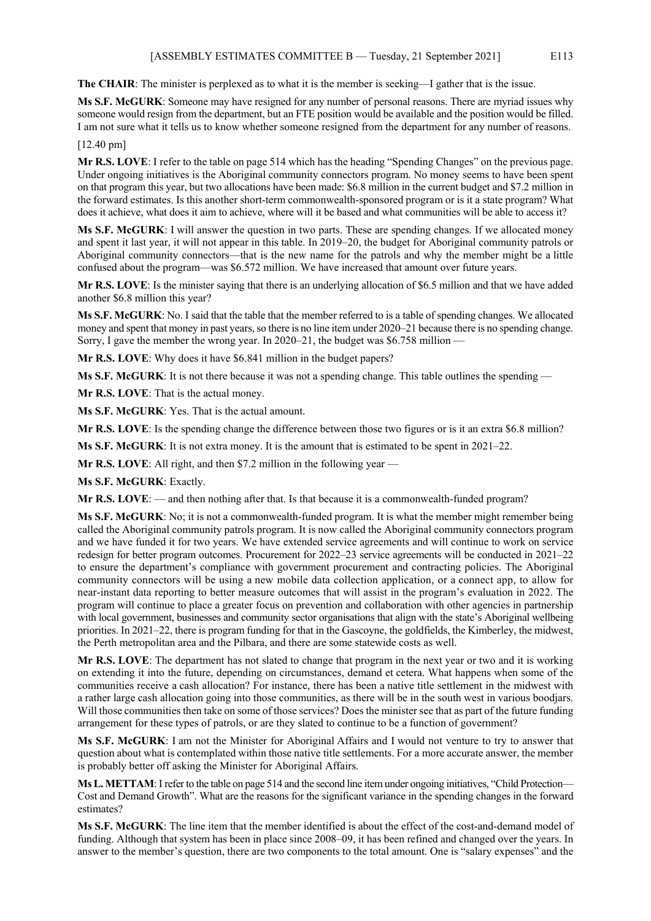**The CHAIR**: The minister is perplexed as to what it is the member is seeking—I gather that is the issue.

**Ms S.F. McGURK**: Someone may have resigned for any number of personal reasons. There are myriad issues why someone would resign from the department, but an FTE position would be available and the position would be filled. I am not sure what it tells us to know whether someone resigned from the department for any number of reasons.

#### [12.40 pm]

**Mr R.S. LOVE**: I refer to the table on page 514 which has the heading "Spending Changes" on the previous page. Under ongoing initiatives is the Aboriginal community connectors program. No money seems to have been spent on that program this year, but two allocations have been made: \$6.8 million in the current budget and \$7.2 million in the forward estimates. Is this another short-term commonwealth-sponsored program or is it a state program? What does it achieve, what does it aim to achieve, where will it be based and what communities will be able to access it?

**Ms S.F. McGURK**: I will answer the question in two parts. These are spending changes. If we allocated money and spent it last year, it will not appear in this table. In 2019–20, the budget for Aboriginal community patrols or Aboriginal community connectors—that is the new name for the patrols and why the member might be a little confused about the program—was \$6.572 million. We have increased that amount over future years.

**Mr R.S. LOVE**: Is the minister saying that there is an underlying allocation of \$6.5 million and that we have added another \$6.8 million this year?

**Ms S.F. McGURK**: No. I said that the table that the member referred to is a table of spending changes. We allocated money and spent that money in past years, so there is no line item under 2020–21 because there is no spending change. Sorry, I gave the member the wrong year. In 2020–21, the budget was \$6.758 million —

**Mr R.S. LOVE**: Why does it have \$6.841 million in the budget papers?

**Ms S.F. McGURK**: It is not there because it was not a spending change. This table outlines the spending —

**Mr R.S. LOVE**: That is the actual money.

**Ms S.F. McGURK**: Yes. That is the actual amount.

**Mr R.S. LOVE**: Is the spending change the difference between those two figures or is it an extra \$6.8 million?

**Ms S.F. McGURK**: It is not extra money. It is the amount that is estimated to be spent in 2021–22.

**Mr R.S. LOVE**: All right, and then \$7.2 million in the following year —

**Ms S.F. McGURK**: Exactly.

**Mr R.S. LOVE**: — and then nothing after that. Is that because it is a commonwealth-funded program?

**Ms S.F. McGURK**: No; it is not a commonwealth-funded program. It is what the member might remember being called the Aboriginal community patrols program. It is now called the Aboriginal community connectors program and we have funded it for two years. We have extended service agreements and will continue to work on service redesign for better program outcomes. Procurement for 2022–23 service agreements will be conducted in 2021–22 to ensure the department's compliance with government procurement and contracting policies. The Aboriginal community connectors will be using a new mobile data collection application, or a connect app, to allow for near-instant data reporting to better measure outcomes that will assist in the program's evaluation in 2022. The program will continue to place a greater focus on prevention and collaboration with other agencies in partnership with local government, businesses and community sector organisations that align with the state's Aboriginal wellbeing priorities. In 2021–22, there is program funding for that in the Gascoyne, the goldfields, the Kimberley, the midwest, the Perth metropolitan area and the Pilbara, and there are some statewide costs as well.

**Mr R.S. LOVE**: The department has not slated to change that program in the next year or two and it is working on extending it into the future, depending on circumstances, demand et cetera. What happens when some of the communities receive a cash allocation? For instance, there has been a native title settlement in the midwest with a rather large cash allocation going into those communities, as there will be in the south west in various boodjars. Will those communities then take on some of those services? Does the minister see that as part of the future funding arrangement for these types of patrols, or are they slated to continue to be a function of government?

**Ms S.F. McGURK**: I am not the Minister for Aboriginal Affairs and I would not venture to try to answer that question about what is contemplated within those native title settlements. For a more accurate answer, the member is probably better off asking the Minister for Aboriginal Affairs.

**Ms L. METTAM**: I refer to the table on page 514 and the second line item under ongoing initiatives, "Child Protection— Cost and Demand Growth". What are the reasons for the significant variance in the spending changes in the forward estimates?

**Ms S.F. McGURK**: The line item that the member identified is about the effect of the cost-and-demand model of funding. Although that system has been in place since 2008–09, it has been refined and changed over the years. In answer to the member's question, there are two components to the total amount. One is "salary expenses" and the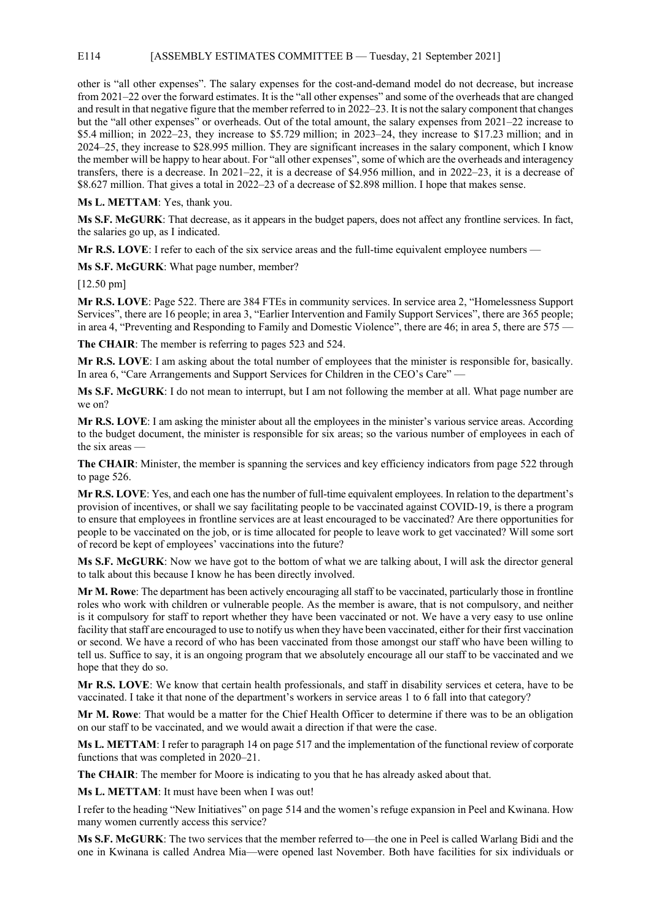#### E114 [ASSEMBLY ESTIMATES COMMITTEE B — Tuesday, 21 September 2021]

other is "all other expenses". The salary expenses for the cost-and-demand model do not decrease, but increase from 2021–22 over the forward estimates. It is the "all other expenses" and some of the overheads that are changed and result in that negative figure that the member referred to in 2022–23. It is not the salary component that changes but the "all other expenses" or overheads. Out of the total amount, the salary expenses from 2021–22 increase to \$5.4 million; in 2022–23, they increase to \$5.729 million; in 2023–24, they increase to \$17.23 million; and in 2024–25, they increase to \$28.995 million. They are significant increases in the salary component, which I know the member will be happy to hear about. For "all other expenses", some of which are the overheads and interagency transfers, there is a decrease. In 2021–22, it is a decrease of \$4.956 million, and in 2022–23, it is a decrease of \$8.627 million. That gives a total in 2022–23 of a decrease of \$2.898 million. I hope that makes sense.

**Ms L. METTAM**: Yes, thank you.

**Ms S.F. McGURK**: That decrease, as it appears in the budget papers, does not affect any frontline services. In fact, the salaries go up, as I indicated.

**Mr R.S. LOVE**: I refer to each of the six service areas and the full-time equivalent employee numbers —

**Ms S.F. McGURK**: What page number, member?

[12.50 pm]

**Mr R.S. LOVE**: Page 522. There are 384 FTEs in community services. In service area 2, "Homelessness Support Services", there are 16 people; in area 3, "Earlier Intervention and Family Support Services", there are 365 people; in area 4, "Preventing and Responding to Family and Domestic Violence", there are 46; in area 5, there are 575 —

**The CHAIR**: The member is referring to pages 523 and 524.

**Mr R.S. LOVE**: I am asking about the total number of employees that the minister is responsible for, basically. In area 6, "Care Arrangements and Support Services for Children in the CEO's Care" —

**Ms S.F. McGURK**: I do not mean to interrupt, but I am not following the member at all. What page number are we on?

**Mr R.S. LOVE**: I am asking the minister about all the employees in the minister's various service areas. According to the budget document, the minister is responsible for six areas; so the various number of employees in each of the six areas —

**The CHAIR**: Minister, the member is spanning the services and key efficiency indicators from page 522 through to page 526.

**Mr R.S. LOVE**: Yes, and each one has the number of full-time equivalent employees. In relation to the department's provision of incentives, or shall we say facilitating people to be vaccinated against COVID-19, is there a program to ensure that employees in frontline services are at least encouraged to be vaccinated? Are there opportunities for people to be vaccinated on the job, or is time allocated for people to leave work to get vaccinated? Will some sort of record be kept of employees' vaccinations into the future?

**Ms S.F. McGURK**: Now we have got to the bottom of what we are talking about, I will ask the director general to talk about this because I know he has been directly involved.

**Mr M. Rowe**: The department has been actively encouraging all staff to be vaccinated, particularly those in frontline roles who work with children or vulnerable people. As the member is aware, that is not compulsory, and neither is it compulsory for staff to report whether they have been vaccinated or not. We have a very easy to use online facility that staff are encouraged to use to notify us when they have been vaccinated, either for their first vaccination or second. We have a record of who has been vaccinated from those amongst our staff who have been willing to tell us. Suffice to say, it is an ongoing program that we absolutely encourage all our staff to be vaccinated and we hope that they do so.

**Mr R.S. LOVE**: We know that certain health professionals, and staff in disability services et cetera, have to be vaccinated. I take it that none of the department's workers in service areas 1 to 6 fall into that category?

**Mr M. Rowe**: That would be a matter for the Chief Health Officer to determine if there was to be an obligation on our staff to be vaccinated, and we would await a direction if that were the case.

**Ms L. METTAM**: I refer to paragraph 14 on page 517 and the implementation of the functional review of corporate functions that was completed in 2020–21.

**The CHAIR**: The member for Moore is indicating to you that he has already asked about that.

**Ms L. METTAM**: It must have been when I was out!

I refer to the heading "New Initiatives" on page 514 and the women's refuge expansion in Peel and Kwinana. How many women currently access this service?

**Ms S.F. McGURK**: The two services that the member referred to—the one in Peel is called Warlang Bidi and the one in Kwinana is called Andrea Mia—were opened last November. Both have facilities for six individuals or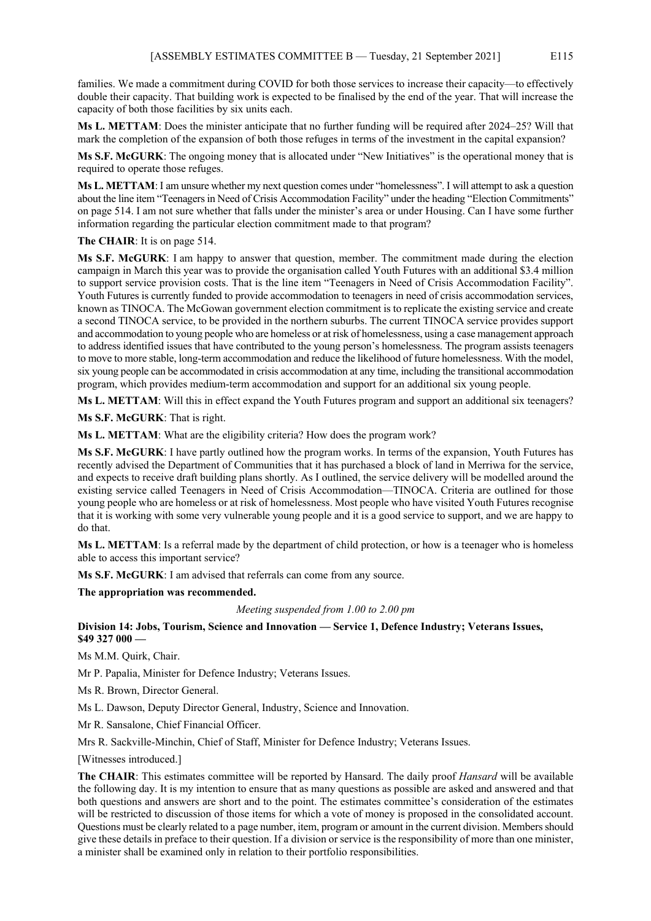families. We made a commitment during COVID for both those services to increase their capacity—to effectively double their capacity. That building work is expected to be finalised by the end of the year. That will increase the capacity of both those facilities by six units each.

**Ms L. METTAM**: Does the minister anticipate that no further funding will be required after 2024–25? Will that mark the completion of the expansion of both those refuges in terms of the investment in the capital expansion?

**Ms S.F. McGURK**: The ongoing money that is allocated under "New Initiatives" is the operational money that is required to operate those refuges.

**Ms L. METTAM**: I am unsure whether my next question comes under "homelessness". I will attempt to ask a question about the line item "Teenagers in Need of Crisis Accommodation Facility" under the heading "Election Commitments" on page 514. I am not sure whether that falls under the minister's area or under Housing. Can I have some further information regarding the particular election commitment made to that program?

#### **The CHAIR**: It is on page 514.

**Ms S.F. McGURK**: I am happy to answer that question, member. The commitment made during the election campaign in March this year was to provide the organisation called Youth Futures with an additional \$3.4 million to support service provision costs. That is the line item "Teenagers in Need of Crisis Accommodation Facility". Youth Futures is currently funded to provide accommodation to teenagers in need of crisis accommodation services, known as TINOCA. The McGowan government election commitment is to replicate the existing service and create a second TINOCA service, to be provided in the northern suburbs. The current TINOCA service provides support and accommodation to young people who are homeless or at risk of homelessness, using a case management approach to address identified issues that have contributed to the young person's homelessness. The program assists teenagers to move to more stable, long-term accommodation and reduce the likelihood of future homelessness. With the model, six young people can be accommodated in crisis accommodation at any time, including the transitional accommodation program, which provides medium-term accommodation and support for an additional six young people.

**Ms L. METTAM**: Will this in effect expand the Youth Futures program and support an additional six teenagers?

**Ms S.F. McGURK**: That is right.

**Ms L. METTAM**: What are the eligibility criteria? How does the program work?

**Ms S.F. McGURK**: I have partly outlined how the program works. In terms of the expansion, Youth Futures has recently advised the Department of Communities that it has purchased a block of land in Merriwa for the service, and expects to receive draft building plans shortly. As I outlined, the service delivery will be modelled around the existing service called Teenagers in Need of Crisis Accommodation—TINOCA. Criteria are outlined for those young people who are homeless or at risk of homelessness. Most people who have visited Youth Futures recognise that it is working with some very vulnerable young people and it is a good service to support, and we are happy to do that.

**Ms L. METTAM**: Is a referral made by the department of child protection, or how is a teenager who is homeless able to access this important service?

**Ms S.F. McGURK**: I am advised that referrals can come from any source.

**The appropriation was recommended.**

#### *Meeting suspended from 1.00 to 2.00 pm*

**Division 14: Jobs, Tourism, Science and Innovation — Service 1, Defence Industry; Veterans Issues, \$49 327 000 —**

Ms M.M. Quirk, Chair.

Mr P. Papalia, Minister for Defence Industry; Veterans Issues.

Ms R. Brown, Director General.

Ms L. Dawson, Deputy Director General, Industry, Science and Innovation.

Mr R. Sansalone, Chief Financial Officer.

Mrs R. Sackville-Minchin, Chief of Staff, Minister for Defence Industry; Veterans Issues.

[Witnesses introduced.]

**The CHAIR**: This estimates committee will be reported by Hansard. The daily proof *Hansard* will be available the following day. It is my intention to ensure that as many questions as possible are asked and answered and that both questions and answers are short and to the point. The estimates committee's consideration of the estimates will be restricted to discussion of those items for which a vote of money is proposed in the consolidated account. Questions must be clearly related to a page number, item, program or amount in the current division. Members should give these details in preface to their question. If a division or service is the responsibility of more than one minister, a minister shall be examined only in relation to their portfolio responsibilities.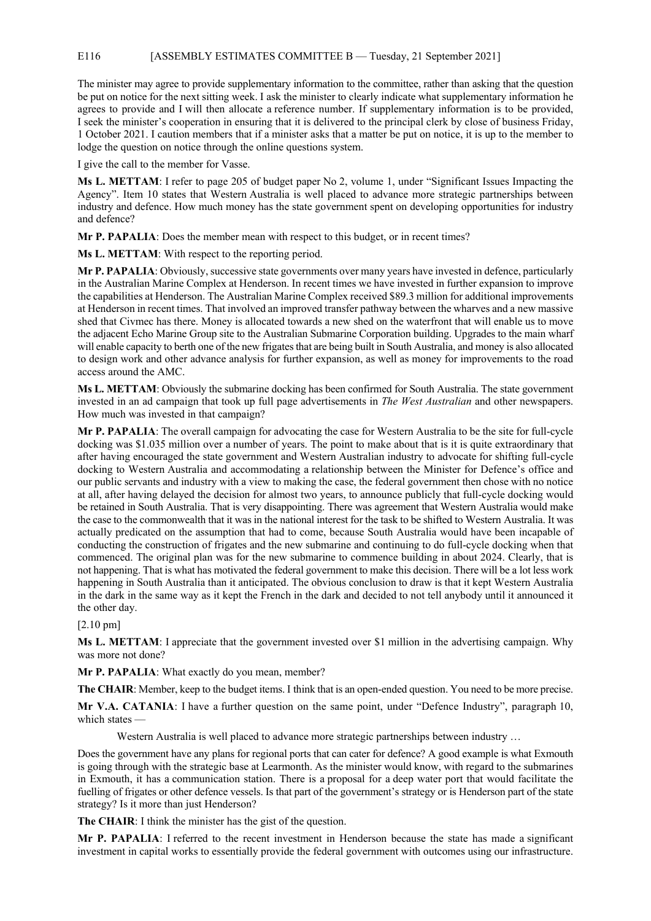#### E116 [ASSEMBLY ESTIMATES COMMITTEE B — Tuesday, 21 September 2021]

The minister may agree to provide supplementary information to the committee, rather than asking that the question be put on notice for the next sitting week. I ask the minister to clearly indicate what supplementary information he agrees to provide and I will then allocate a reference number. If supplementary information is to be provided, I seek the minister's cooperation in ensuring that it is delivered to the principal clerk by close of business Friday, 1 October 2021. I caution members that if a minister asks that a matter be put on notice, it is up to the member to lodge the question on notice through the online questions system.

I give the call to the member for Vasse.

**Ms L. METTAM**: I refer to page 205 of budget paper No 2, volume 1, under "Significant Issues Impacting the Agency". Item 10 states that Western Australia is well placed to advance more strategic partnerships between industry and defence. How much money has the state government spent on developing opportunities for industry and defence?

**Mr P. PAPALIA**: Does the member mean with respect to this budget, or in recent times?

**Ms L. METTAM**: With respect to the reporting period.

**Mr P. PAPALIA**: Obviously, successive state governments over many years have invested in defence, particularly in the Australian Marine Complex at Henderson. In recent times we have invested in further expansion to improve the capabilities at Henderson. The Australian Marine Complex received \$89.3 million for additional improvements at Henderson in recent times. That involved an improved transfer pathway between the wharves and a new massive shed that Civmec has there. Money is allocated towards a new shed on the waterfront that will enable us to move the adjacent Echo Marine Group site to the Australian Submarine Corporation building. Upgrades to the main wharf will enable capacity to berth one of the new frigates that are being built in South Australia, and money is also allocated to design work and other advance analysis for further expansion, as well as money for improvements to the road access around the AMC.

**Ms L. METTAM**: Obviously the submarine docking has been confirmed for South Australia. The state government invested in an ad campaign that took up full page advertisements in *The West Australian* and other newspapers. How much was invested in that campaign?

**Mr P. PAPALIA**: The overall campaign for advocating the case for Western Australia to be the site for full-cycle docking was \$1.035 million over a number of years. The point to make about that is it is quite extraordinary that after having encouraged the state government and Western Australian industry to advocate for shifting full-cycle docking to Western Australia and accommodating a relationship between the Minister for Defence's office and our public servants and industry with a view to making the case, the federal government then chose with no notice at all, after having delayed the decision for almost two years, to announce publicly that full-cycle docking would be retained in South Australia. That is very disappointing. There was agreement that Western Australia would make the case to the commonwealth that it was in the national interest for the task to be shifted to Western Australia. It was actually predicated on the assumption that had to come, because South Australia would have been incapable of conducting the construction of frigates and the new submarine and continuing to do full-cycle docking when that commenced. The original plan was for the new submarine to commence building in about 2024. Clearly, that is not happening. That is what has motivated the federal government to make this decision. There will be a lot less work happening in South Australia than it anticipated. The obvious conclusion to draw is that it kept Western Australia in the dark in the same way as it kept the French in the dark and decided to not tell anybody until it announced it the other day.

#### [2.10 pm]

**Ms L. METTAM**: I appreciate that the government invested over \$1 million in the advertising campaign. Why was more not done?

**Mr P. PAPALIA**: What exactly do you mean, member?

**The CHAIR**: Member, keep to the budget items. I think that is an open-ended question. You need to be more precise.

**Mr V.A. CATANIA**: I have a further question on the same point, under "Defence Industry", paragraph 10, which states —

Western Australia is well placed to advance more strategic partnerships between industry ...

Does the government have any plans for regional ports that can cater for defence? A good example is what Exmouth is going through with the strategic base at Learmonth. As the minister would know, with regard to the submarines in Exmouth, it has a communication station. There is a proposal for a deep water port that would facilitate the fuelling of frigates or other defence vessels. Is that part of the government's strategy or is Henderson part of the state strategy? Is it more than just Henderson?

**The CHAIR**: I think the minister has the gist of the question.

**Mr P. PAPALIA**: I referred to the recent investment in Henderson because the state has made a significant investment in capital works to essentially provide the federal government with outcomes using our infrastructure.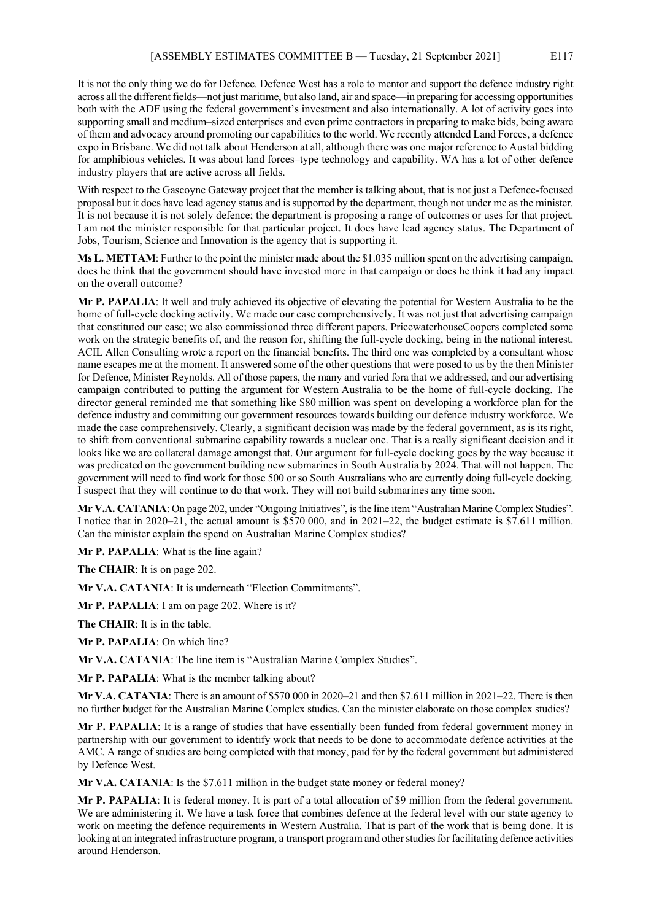It is not the only thing we do for Defence. Defence West has a role to mentor and support the defence industry right across all the different fields—not just maritime, but also land, air and space—in preparing for accessing opportunities both with the ADF using the federal government's investment and also internationally. A lot of activity goes into supporting small and medium–sized enterprises and even prime contractors in preparing to make bids, being aware of them and advocacy around promoting our capabilities to the world. We recently attended Land Forces, a defence expo in Brisbane. We did not talk about Henderson at all, although there was one major reference to Austal bidding for amphibious vehicles. It was about land forces–type technology and capability. WA has a lot of other defence industry players that are active across all fields.

With respect to the Gascoyne Gateway project that the member is talking about, that is not just a Defence-focused proposal but it does have lead agency status and is supported by the department, though not under me as the minister. It is not because it is not solely defence; the department is proposing a range of outcomes or uses for that project. I am not the minister responsible for that particular project. It does have lead agency status. The Department of Jobs, Tourism, Science and Innovation is the agency that is supporting it.

**Ms L. METTAM**: Further to the point the minister made about the \$1.035 million spent on the advertising campaign, does he think that the government should have invested more in that campaign or does he think it had any impact on the overall outcome?

**Mr P. PAPALIA**: It well and truly achieved its objective of elevating the potential for Western Australia to be the home of full-cycle docking activity. We made our case comprehensively. It was not just that advertising campaign that constituted our case; we also commissioned three different papers. PricewaterhouseCoopers completed some work on the strategic benefits of, and the reason for, shifting the full-cycle docking, being in the national interest. ACIL Allen Consulting wrote a report on the financial benefits. The third one was completed by a consultant whose name escapes me at the moment. It answered some of the other questions that were posed to us by the then Minister for Defence, Minister Reynolds. All of those papers, the many and varied fora that we addressed, and our advertising campaign contributed to putting the argument for Western Australia to be the home of full-cycle docking. The director general reminded me that something like \$80 million was spent on developing a workforce plan for the defence industry and committing our government resources towards building our defence industry workforce. We made the case comprehensively. Clearly, a significant decision was made by the federal government, as is its right, to shift from conventional submarine capability towards a nuclear one. That is a really significant decision and it looks like we are collateral damage amongst that. Our argument for full-cycle docking goes by the way because it was predicated on the government building new submarines in South Australia by 2024. That will not happen. The government will need to find work for those 500 or so South Australians who are currently doing full-cycle docking. I suspect that they will continue to do that work. They will not build submarines any time soon.

**Mr V.A. CATANIA**: On page 202, under "Ongoing Initiatives", is the line item "Australian Marine Complex Studies". I notice that in 2020–21, the actual amount is \$570 000, and in 2021–22, the budget estimate is \$7.611 million. Can the minister explain the spend on Australian Marine Complex studies?

**Mr P. PAPALIA**: What is the line again?

**The CHAIR**: It is on page 202.

**Mr V.A. CATANIA**: It is underneath "Election Commitments".

**Mr P. PAPALIA**: I am on page 202. Where is it?

**The CHAIR**: It is in the table.

**Mr P. PAPALIA**: On which line?

**Mr V.A. CATANIA**: The line item is "Australian Marine Complex Studies".

**Mr P. PAPALIA**: What is the member talking about?

**Mr V.A. CATANIA**: There is an amount of \$570 000 in 2020–21 and then \$7.611 million in 2021–22. There is then no further budget for the Australian Marine Complex studies. Can the minister elaborate on those complex studies?

**Mr P. PAPALIA**: It is a range of studies that have essentially been funded from federal government money in partnership with our government to identify work that needs to be done to accommodate defence activities at the AMC. A range of studies are being completed with that money, paid for by the federal government but administered by Defence West.

**Mr V.A. CATANIA**: Is the \$7.611 million in the budget state money or federal money?

**Mr P. PAPALIA**: It is federal money. It is part of a total allocation of \$9 million from the federal government. We are administering it. We have a task force that combines defence at the federal level with our state agency to work on meeting the defence requirements in Western Australia. That is part of the work that is being done. It is looking at an integrated infrastructure program, a transport program and other studies for facilitating defence activities around Henderson.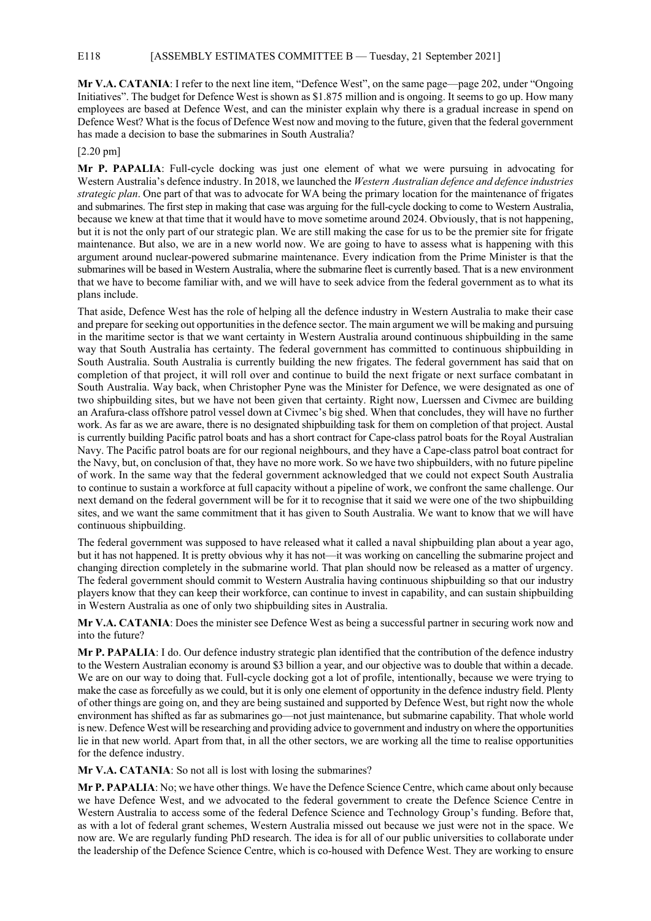#### E118 [ASSEMBLY ESTIMATES COMMITTEE B — Tuesday, 21 September 2021]

**Mr V.A. CATANIA**: I refer to the next line item, "Defence West", on the same page—page 202, under "Ongoing Initiatives". The budget for Defence West is shown as \$1.875 million and is ongoing. It seems to go up. How many employees are based at Defence West, and can the minister explain why there is a gradual increase in spend on Defence West? What is the focus of Defence West now and moving to the future, given that the federal government has made a decision to base the submarines in South Australia?

#### [2.20 pm]

**Mr P. PAPALIA**: Full-cycle docking was just one element of what we were pursuing in advocating for Western Australia's defence industry. In 2018, we launched the *Western Australian defence and defence industries strategic plan*. One part of that was to advocate for WA being the primary location for the maintenance of frigates and submarines. The first step in making that case was arguing for the full-cycle docking to come to Western Australia, because we knew at that time that it would have to move sometime around 2024. Obviously, that is not happening, but it is not the only part of our strategic plan. We are still making the case for us to be the premier site for frigate maintenance. But also, we are in a new world now. We are going to have to assess what is happening with this argument around nuclear-powered submarine maintenance. Every indication from the Prime Minister is that the submarines will be based in Western Australia, where the submarine fleet is currently based. That is a new environment that we have to become familiar with, and we will have to seek advice from the federal government as to what its plans include.

That aside, Defence West has the role of helping all the defence industry in Western Australia to make their case and prepare for seeking out opportunities in the defence sector. The main argument we will be making and pursuing in the maritime sector is that we want certainty in Western Australia around continuous shipbuilding in the same way that South Australia has certainty. The federal government has committed to continuous shipbuilding in South Australia. South Australia is currently building the new frigates. The federal government has said that on completion of that project, it will roll over and continue to build the next frigate or next surface combatant in South Australia. Way back, when Christopher Pyne was the Minister for Defence, we were designated as one of two shipbuilding sites, but we have not been given that certainty. Right now, Luerssen and Civmec are building an Arafura-class offshore patrol vessel down at Civmec's big shed. When that concludes, they will have no further work. As far as we are aware, there is no designated shipbuilding task for them on completion of that project. Austal is currently building Pacific patrol boats and has a short contract for Cape-class patrol boats for the Royal Australian Navy. The Pacific patrol boats are for our regional neighbours, and they have a Cape-class patrol boat contract for the Navy, but, on conclusion of that, they have no more work. So we have two shipbuilders, with no future pipeline of work. In the same way that the federal government acknowledged that we could not expect South Australia to continue to sustain a workforce at full capacity without a pipeline of work, we confront the same challenge. Our next demand on the federal government will be for it to recognise that it said we were one of the two shipbuilding sites, and we want the same commitment that it has given to South Australia. We want to know that we will have continuous shipbuilding.

The federal government was supposed to have released what it called a naval shipbuilding plan about a year ago, but it has not happened. It is pretty obvious why it has not—it was working on cancelling the submarine project and changing direction completely in the submarine world. That plan should now be released as a matter of urgency. The federal government should commit to Western Australia having continuous shipbuilding so that our industry players know that they can keep their workforce, can continue to invest in capability, and can sustain shipbuilding in Western Australia as one of only two shipbuilding sites in Australia.

**Mr V.A. CATANIA**: Does the minister see Defence West as being a successful partner in securing work now and into the future?

**Mr P. PAPALIA**: I do. Our defence industry strategic plan identified that the contribution of the defence industry to the Western Australian economy is around \$3 billion a year, and our objective was to double that within a decade. We are on our way to doing that. Full-cycle docking got a lot of profile, intentionally, because we were trying to make the case as forcefully as we could, but it is only one element of opportunity in the defence industry field. Plenty of other things are going on, and they are being sustained and supported by Defence West, but right now the whole environment has shifted as far as submarines go—not just maintenance, but submarine capability. That whole world is new. Defence West will be researching and providing advice to government and industry on where the opportunities lie in that new world. Apart from that, in all the other sectors, we are working all the time to realise opportunities for the defence industry.

**Mr V.A. CATANIA**: So not all is lost with losing the submarines?

**Mr P. PAPALIA**: No; we have other things. We have the Defence Science Centre, which came about only because we have Defence West, and we advocated to the federal government to create the Defence Science Centre in Western Australia to access some of the federal Defence Science and Technology Group's funding. Before that, as with a lot of federal grant schemes, Western Australia missed out because we just were not in the space. We now are. We are regularly funding PhD research. The idea is for all of our public universities to collaborate under the leadership of the Defence Science Centre, which is co-housed with Defence West. They are working to ensure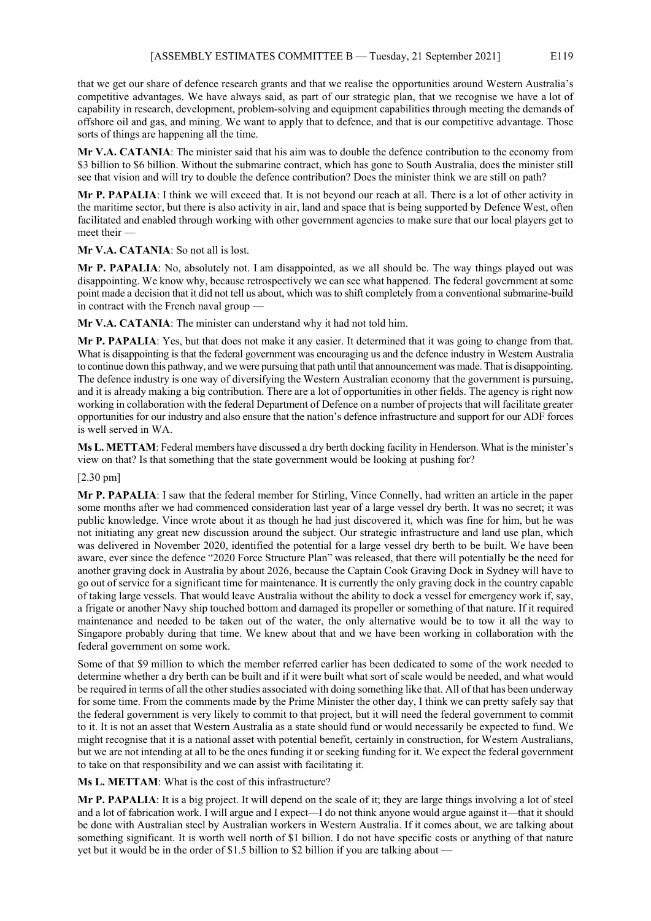that we get our share of defence research grants and that we realise the opportunities around Western Australia's competitive advantages. We have always said, as part of our strategic plan, that we recognise we have a lot of capability in research, development, problem-solving and equipment capabilities through meeting the demands of offshore oil and gas, and mining. We want to apply that to defence, and that is our competitive advantage. Those sorts of things are happening all the time.

**Mr V.A. CATANIA**: The minister said that his aim was to double the defence contribution to the economy from \$3 billion to \$6 billion. Without the submarine contract, which has gone to South Australia, does the minister still see that vision and will try to double the defence contribution? Does the minister think we are still on path?

**Mr P. PAPALIA**: I think we will exceed that. It is not beyond our reach at all. There is a lot of other activity in the maritime sector, but there is also activity in air, land and space that is being supported by Defence West, often facilitated and enabled through working with other government agencies to make sure that our local players get to meet their —

**Mr V.A. CATANIA**: So not all is lost.

**Mr P. PAPALIA**: No, absolutely not. I am disappointed, as we all should be. The way things played out was disappointing. We know why, because retrospectively we can see what happened. The federal government at some point made a decision that it did not tell us about, which was to shift completely from a conventional submarine-build in contract with the French naval group -

**Mr V.A. CATANIA**: The minister can understand why it had not told him.

**Mr P. PAPALIA**: Yes, but that does not make it any easier. It determined that it was going to change from that. What is disappointing is that the federal government was encouraging us and the defence industry in Western Australia to continue down this pathway, and we were pursuing that path until that announcement was made. That is disappointing. The defence industry is one way of diversifying the Western Australian economy that the government is pursuing, and it is already making a big contribution. There are a lot of opportunities in other fields. The agency is right now working in collaboration with the federal Department of Defence on a number of projects that will facilitate greater opportunities for our industry and also ensure that the nation's defence infrastructure and support for our ADF forces is well served in WA.

**Ms L. METTAM**: Federal members have discussed a dry berth docking facility in Henderson. What is the minister's view on that? Is that something that the state government would be looking at pushing for?

#### [2.30 pm]

**Mr P. PAPALIA**: I saw that the federal member for Stirling, Vince Connelly, had written an article in the paper some months after we had commenced consideration last year of a large vessel dry berth. It was no secret; it was public knowledge. Vince wrote about it as though he had just discovered it, which was fine for him, but he was not initiating any great new discussion around the subject. Our strategic infrastructure and land use plan, which was delivered in November 2020, identified the potential for a large vessel dry berth to be built. We have been aware, ever since the defence "2020 Force Structure Plan" was released, that there will potentially be the need for another graving dock in Australia by about 2026, because the Captain Cook Graving Dock in Sydney will have to go out of service for a significant time for maintenance. It is currently the only graving dock in the country capable of taking large vessels. That would leave Australia without the ability to dock a vessel for emergency work if, say, a frigate or another Navy ship touched bottom and damaged its propeller or something of that nature. If it required maintenance and needed to be taken out of the water, the only alternative would be to tow it all the way to Singapore probably during that time. We knew about that and we have been working in collaboration with the federal government on some work.

Some of that \$9 million to which the member referred earlier has been dedicated to some of the work needed to determine whether a dry berth can be built and if it were built what sort of scale would be needed, and what would be required in terms of all the other studies associated with doing something like that. All of that has been underway for some time. From the comments made by the Prime Minister the other day, I think we can pretty safely say that the federal government is very likely to commit to that project, but it will need the federal government to commit to it. It is not an asset that Western Australia as a state should fund or would necessarily be expected to fund. We might recognise that it is a national asset with potential benefit, certainly in construction, for Western Australians, but we are not intending at all to be the ones funding it or seeking funding for it. We expect the federal government to take on that responsibility and we can assist with facilitating it.

**Ms L. METTAM**: What is the cost of this infrastructure?

**Mr P. PAPALIA**: It is a big project. It will depend on the scale of it; they are large things involving a lot of steel and a lot of fabrication work. I will argue and I expect—I do not think anyone would argue against it—that it should be done with Australian steel by Australian workers in Western Australia. If it comes about, we are talking about something significant. It is worth well north of \$1 billion. I do not have specific costs or anything of that nature yet but it would be in the order of \$1.5 billion to \$2 billion if you are talking about —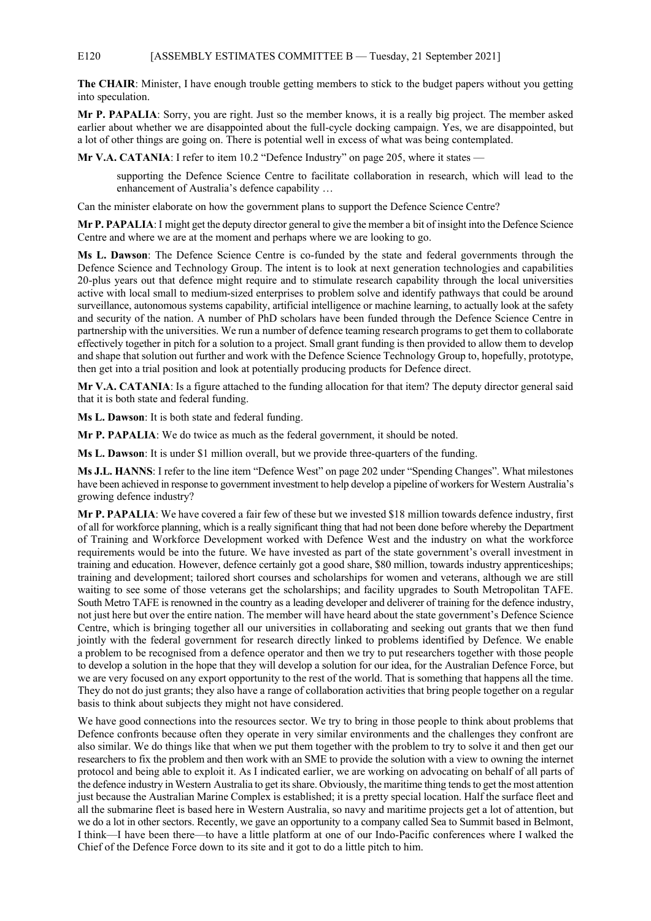#### E120 [ASSEMBLY ESTIMATES COMMITTEE B — Tuesday, 21 September 2021]

**The CHAIR**: Minister, I have enough trouble getting members to stick to the budget papers without you getting into speculation.

**Mr P. PAPALIA**: Sorry, you are right. Just so the member knows, it is a really big project. The member asked earlier about whether we are disappointed about the full-cycle docking campaign. Yes, we are disappointed, but a lot of other things are going on. There is potential well in excess of what was being contemplated.

**Mr V.A. CATANIA**: I refer to item 10.2 "Defence Industry" on page 205, where it states –

supporting the Defence Science Centre to facilitate collaboration in research, which will lead to the enhancement of Australia's defence capability …

Can the minister elaborate on how the government plans to support the Defence Science Centre?

**Mr P. PAPALIA**: I might get the deputy director general to give the member a bit of insight into the Defence Science Centre and where we are at the moment and perhaps where we are looking to go.

**Ms L. Dawson**: The Defence Science Centre is co-funded by the state and federal governments through the Defence Science and Technology Group. The intent is to look at next generation technologies and capabilities 20-plus years out that defence might require and to stimulate research capability through the local universities active with local small to medium-sized enterprises to problem solve and identify pathways that could be around surveillance, autonomous systems capability, artificial intelligence or machine learning, to actually look at the safety and security of the nation. A number of PhD scholars have been funded through the Defence Science Centre in partnership with the universities. We run a number of defence teaming research programs to get them to collaborate effectively together in pitch for a solution to a project. Small grant funding is then provided to allow them to develop and shape that solution out further and work with the Defence Science Technology Group to, hopefully, prototype, then get into a trial position and look at potentially producing products for Defence direct.

**Mr V.A. CATANIA**: Is a figure attached to the funding allocation for that item? The deputy director general said that it is both state and federal funding.

**Ms L. Dawson**: It is both state and federal funding.

**Mr P. PAPALIA**: We do twice as much as the federal government, it should be noted.

**Ms L. Dawson**: It is under \$1 million overall, but we provide three-quarters of the funding.

**Ms J.L. HANNS**: I refer to the line item "Defence West" on page 202 under "Spending Changes". What milestones have been achieved in response to government investment to help develop a pipeline of workers for Western Australia's growing defence industry?

**Mr P. PAPALIA**: We have covered a fair few of these but we invested \$18 million towards defence industry, first of all for workforce planning, which is a really significant thing that had not been done before whereby the Department of Training and Workforce Development worked with Defence West and the industry on what the workforce requirements would be into the future. We have invested as part of the state government's overall investment in training and education. However, defence certainly got a good share, \$80 million, towards industry apprenticeships; training and development; tailored short courses and scholarships for women and veterans, although we are still waiting to see some of those veterans get the scholarships; and facility upgrades to South Metropolitan TAFE. South Metro TAFE is renowned in the country as a leading developer and deliverer of training for the defence industry, not just here but over the entire nation. The member will have heard about the state government's Defence Science Centre, which is bringing together all our universities in collaborating and seeking out grants that we then fund jointly with the federal government for research directly linked to problems identified by Defence. We enable a problem to be recognised from a defence operator and then we try to put researchers together with those people to develop a solution in the hope that they will develop a solution for our idea, for the Australian Defence Force, but we are very focused on any export opportunity to the rest of the world. That is something that happens all the time. They do not do just grants; they also have a range of collaboration activities that bring people together on a regular basis to think about subjects they might not have considered.

We have good connections into the resources sector. We try to bring in those people to think about problems that Defence confronts because often they operate in very similar environments and the challenges they confront are also similar. We do things like that when we put them together with the problem to try to solve it and then get our researchers to fix the problem and then work with an SME to provide the solution with a view to owning the internet protocol and being able to exploit it. As I indicated earlier, we are working on advocating on behalf of all parts of the defence industry in Western Australia to get its share. Obviously, the maritime thing tends to get the most attention just because the Australian Marine Complex is established; it is a pretty special location. Half the surface fleet and all the submarine fleet is based here in Western Australia, so navy and maritime projects get a lot of attention, but we do a lot in other sectors. Recently, we gave an opportunity to a company called Sea to Summit based in Belmont, I think—I have been there—to have a little platform at one of our Indo-Pacific conferences where I walked the Chief of the Defence Force down to its site and it got to do a little pitch to him.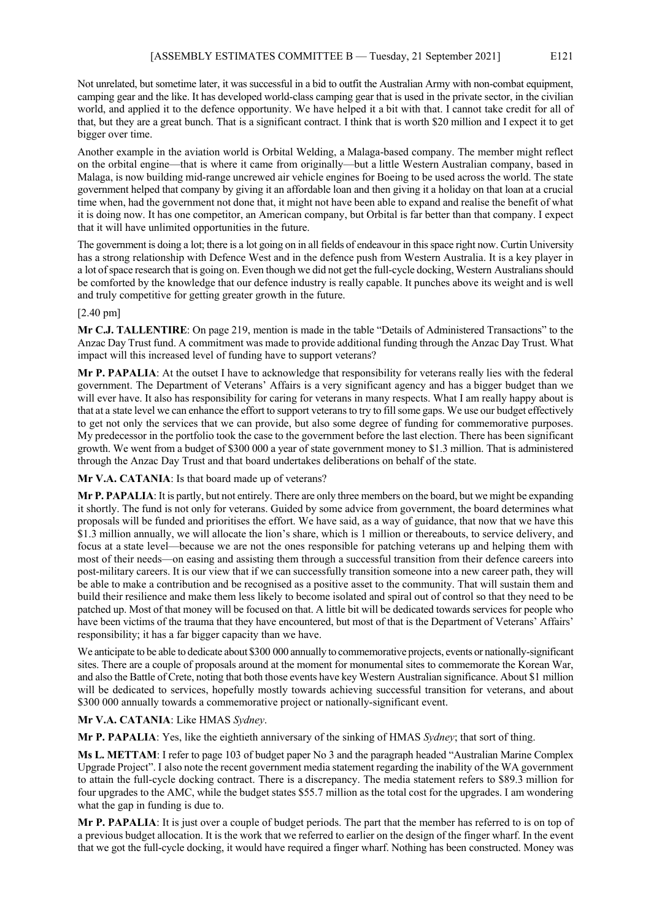Not unrelated, but sometime later, it was successful in a bid to outfit the Australian Army with non-combat equipment, camping gear and the like. It has developed world-class camping gear that is used in the private sector, in the civilian world, and applied it to the defence opportunity. We have helped it a bit with that. I cannot take credit for all of that, but they are a great bunch. That is a significant contract. I think that is worth \$20 million and I expect it to get bigger over time.

Another example in the aviation world is Orbital Welding, a Malaga-based company. The member might reflect on the orbital engine—that is where it came from originally—but a little Western Australian company, based in Malaga, is now building mid-range uncrewed air vehicle engines for Boeing to be used across the world. The state government helped that company by giving it an affordable loan and then giving it a holiday on that loan at a crucial time when, had the government not done that, it might not have been able to expand and realise the benefit of what it is doing now. It has one competitor, an American company, but Orbital is far better than that company. I expect that it will have unlimited opportunities in the future.

The government is doing a lot; there is a lot going on in all fields of endeavour in this space right now. Curtin University has a strong relationship with Defence West and in the defence push from Western Australia. It is a key player in a lot of space research that is going on. Even though we did not get the full-cycle docking, Western Australians should be comforted by the knowledge that our defence industry is really capable. It punches above its weight and is well and truly competitive for getting greater growth in the future.

#### [2.40 pm]

**Mr C.J. TALLENTIRE**: On page 219, mention is made in the table "Details of Administered Transactions" to the Anzac Day Trust fund. A commitment was made to provide additional funding through the Anzac Day Trust. What impact will this increased level of funding have to support veterans?

**Mr P. PAPALIA**: At the outset I have to acknowledge that responsibility for veterans really lies with the federal government. The Department of Veterans' Affairs is a very significant agency and has a bigger budget than we will ever have. It also has responsibility for caring for veterans in many respects. What I am really happy about is that at a state level we can enhance the effort to support veterans to try to fill some gaps. We use our budget effectively to get not only the services that we can provide, but also some degree of funding for commemorative purposes. My predecessor in the portfolio took the case to the government before the last election. There has been significant growth. We went from a budget of \$300 000 a year of state government money to \$1.3 million. That is administered through the Anzac Day Trust and that board undertakes deliberations on behalf of the state.

**Mr V.A. CATANIA**: Is that board made up of veterans?

**Mr P. PAPALIA**: It is partly, but not entirely. There are only three members on the board, but we might be expanding it shortly. The fund is not only for veterans. Guided by some advice from government, the board determines what proposals will be funded and prioritises the effort. We have said, as a way of guidance, that now that we have this \$1.3 million annually, we will allocate the lion's share, which is 1 million or thereabouts, to service delivery, and focus at a state level—because we are not the ones responsible for patching veterans up and helping them with most of their needs—on easing and assisting them through a successful transition from their defence careers into post-military careers. It is our view that if we can successfully transition someone into a new career path, they will be able to make a contribution and be recognised as a positive asset to the community. That will sustain them and build their resilience and make them less likely to become isolated and spiral out of control so that they need to be patched up. Most of that money will be focused on that. A little bit will be dedicated towards services for people who have been victims of the trauma that they have encountered, but most of that is the Department of Veterans' Affairs' responsibility; it has a far bigger capacity than we have.

We anticipate to be able to dedicate about \$300 000 annually to commemorative projects, events or nationally-significant sites. There are a couple of proposals around at the moment for monumental sites to commemorate the Korean War, and also the Battle of Crete, noting that both those events have key Western Australian significance. About \$1 million will be dedicated to services, hopefully mostly towards achieving successful transition for veterans, and about \$300 000 annually towards a commemorative project or nationally-significant event.

#### **Mr V.A. CATANIA**: Like HMAS *Sydney*.

**Mr P. PAPALIA**: Yes, like the eightieth anniversary of the sinking of HMAS *Sydney*; that sort of thing.

**Ms L. METTAM**: I refer to page 103 of budget paper No 3 and the paragraph headed "Australian Marine Complex Upgrade Project". I also note the recent government media statement regarding the inability of the WA government to attain the full-cycle docking contract. There is a discrepancy. The media statement refers to \$89.3 million for four upgrades to the AMC, while the budget states \$55.7 million as the total cost for the upgrades. I am wondering what the gap in funding is due to.

**Mr P. PAPALIA**: It is just over a couple of budget periods. The part that the member has referred to is on top of a previous budget allocation. It is the work that we referred to earlier on the design of the finger wharf. In the event that we got the full-cycle docking, it would have required a finger wharf. Nothing has been constructed. Money was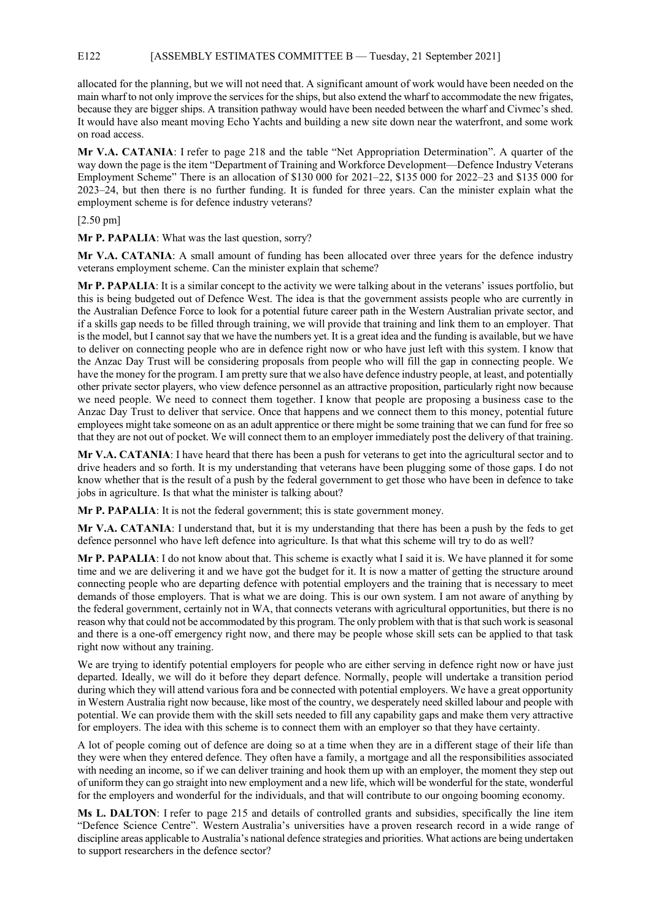#### E122 [ASSEMBLY ESTIMATES COMMITTEE B — Tuesday, 21 September 2021]

allocated for the planning, but we will not need that. A significant amount of work would have been needed on the main wharf to not only improve the services for the ships, but also extend the wharf to accommodate the new frigates, because they are bigger ships. A transition pathway would have been needed between the wharf and Civmec's shed. It would have also meant moving Echo Yachts and building a new site down near the waterfront, and some work on road access.

**Mr V.A. CATANIA**: I refer to page 218 and the table "Net Appropriation Determination". A quarter of the way down the page is the item "Department of Training and Workforce Development—Defence Industry Veterans Employment Scheme" There is an allocation of \$130 000 for 2021–22, \$135 000 for 2022–23 and \$135 000 for 2023–24, but then there is no further funding. It is funded for three years. Can the minister explain what the employment scheme is for defence industry veterans?

#### [2.50 pm]

**Mr P. PAPALIA**: What was the last question, sorry?

**Mr V.A. CATANIA**: A small amount of funding has been allocated over three years for the defence industry veterans employment scheme. Can the minister explain that scheme?

**Mr P. PAPALIA**: It is a similar concept to the activity we were talking about in the veterans' issues portfolio, but this is being budgeted out of Defence West. The idea is that the government assists people who are currently in the Australian Defence Force to look for a potential future career path in the Western Australian private sector, and if a skills gap needs to be filled through training, we will provide that training and link them to an employer. That is the model, but I cannot say that we have the numbers yet. It is a great idea and the funding is available, but we have to deliver on connecting people who are in defence right now or who have just left with this system. I know that the Anzac Day Trust will be considering proposals from people who will fill the gap in connecting people. We have the money for the program. I am pretty sure that we also have defence industry people, at least, and potentially other private sector players, who view defence personnel as an attractive proposition, particularly right now because we need people. We need to connect them together. I know that people are proposing a business case to the Anzac Day Trust to deliver that service. Once that happens and we connect them to this money, potential future employees might take someone on as an adult apprentice or there might be some training that we can fund for free so that they are not out of pocket. We will connect them to an employer immediately post the delivery of that training.

**Mr V.A. CATANIA**: I have heard that there has been a push for veterans to get into the agricultural sector and to drive headers and so forth. It is my understanding that veterans have been plugging some of those gaps. I do not know whether that is the result of a push by the federal government to get those who have been in defence to take jobs in agriculture. Is that what the minister is talking about?

**Mr P. PAPALIA**: It is not the federal government; this is state government money.

**Mr V.A. CATANIA**: I understand that, but it is my understanding that there has been a push by the feds to get defence personnel who have left defence into agriculture. Is that what this scheme will try to do as well?

**Mr P. PAPALIA**: I do not know about that. This scheme is exactly what I said it is. We have planned it for some time and we are delivering it and we have got the budget for it. It is now a matter of getting the structure around connecting people who are departing defence with potential employers and the training that is necessary to meet demands of those employers. That is what we are doing. This is our own system. I am not aware of anything by the federal government, certainly not in WA, that connects veterans with agricultural opportunities, but there is no reason why that could not be accommodated by this program. The only problem with that is that such work is seasonal and there is a one-off emergency right now, and there may be people whose skill sets can be applied to that task right now without any training.

We are trying to identify potential employers for people who are either serving in defence right now or have just departed. Ideally, we will do it before they depart defence. Normally, people will undertake a transition period during which they will attend various fora and be connected with potential employers. We have a great opportunity in Western Australia right now because, like most of the country, we desperately need skilled labour and people with potential. We can provide them with the skill sets needed to fill any capability gaps and make them very attractive for employers. The idea with this scheme is to connect them with an employer so that they have certainty.

A lot of people coming out of defence are doing so at a time when they are in a different stage of their life than they were when they entered defence. They often have a family, a mortgage and all the responsibilities associated with needing an income, so if we can deliver training and hook them up with an employer, the moment they step out of uniform they can go straight into new employment and a new life, which will be wonderful for the state, wonderful for the employers and wonderful for the individuals, and that will contribute to our ongoing booming economy.

**Ms L. DALTON**: I refer to page 215 and details of controlled grants and subsidies, specifically the line item "Defence Science Centre". Western Australia's universities have a proven research record in a wide range of discipline areas applicable to Australia's national defence strategies and priorities. What actions are being undertaken to support researchers in the defence sector?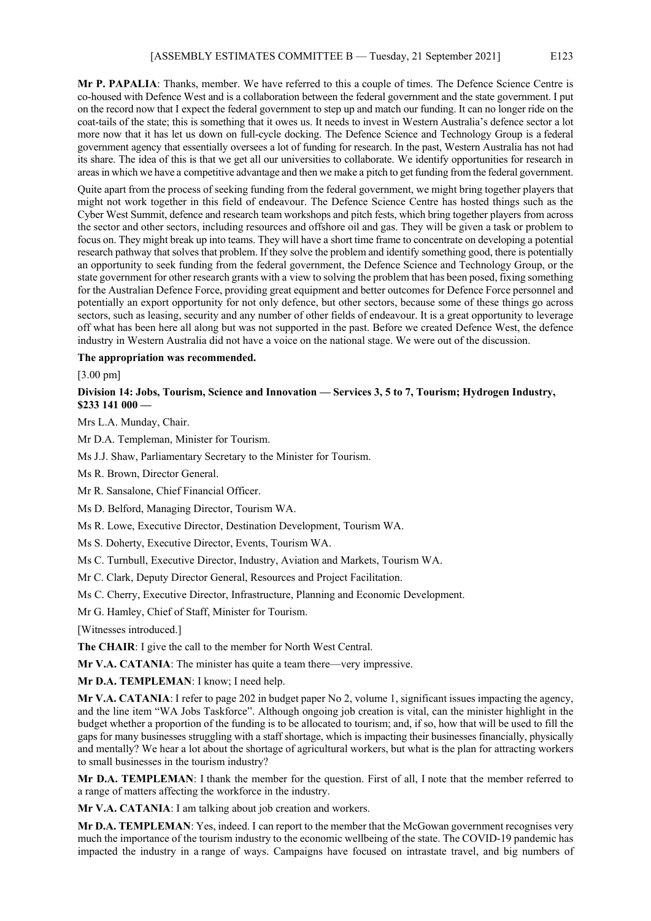**Mr P. PAPALIA**: Thanks, member. We have referred to this a couple of times. The Defence Science Centre is co-housed with Defence West and is a collaboration between the federal government and the state government. I put on the record now that I expect the federal government to step up and match our funding. It can no longer ride on the coat-tails of the state; this is something that it owes us. It needs to invest in Western Australia's defence sector a lot more now that it has let us down on full-cycle docking. The Defence Science and Technology Group is a federal government agency that essentially oversees a lot of funding for research. In the past, Western Australia has not had its share. The idea of this is that we get all our universities to collaborate. We identify opportunities for research in areas in which we have a competitive advantage and then we make a pitch to get funding from the federal government.

Quite apart from the process of seeking funding from the federal government, we might bring together players that might not work together in this field of endeavour. The Defence Science Centre has hosted things such as the Cyber West Summit, defence and research team workshops and pitch fests, which bring together players from across the sector and other sectors, including resources and offshore oil and gas. They will be given a task or problem to focus on. They might break up into teams. They will have a short time frame to concentrate on developing a potential research pathway that solves that problem. If they solve the problem and identify something good, there is potentially an opportunity to seek funding from the federal government, the Defence Science and Technology Group, or the state government for other research grants with a view to solving the problem that has been posed, fixing something for the Australian Defence Force, providing great equipment and better outcomes for Defence Force personnel and potentially an export opportunity for not only defence, but other sectors, because some of these things go across sectors, such as leasing, security and any number of other fields of endeavour. It is a great opportunity to leverage off what has been here all along but was not supported in the past. Before we created Defence West, the defence industry in Western Australia did not have a voice on the national stage. We were out of the discussion.

#### **The appropriation was recommended.**

[3.00 pm]

# **Division 14: Jobs, Tourism, Science and Innovation — Services 3, 5 to 7, Tourism; Hydrogen Industry, \$233 141 000 —**

Mrs L.A. Munday, Chair.

Mr D.A. Templeman, Minister for Tourism.

Ms J.J. Shaw, Parliamentary Secretary to the Minister for Tourism.

Ms R. Brown, Director General.

Mr R. Sansalone, Chief Financial Officer.

Ms D. Belford, Managing Director, Tourism WA.

Ms R. Lowe, Executive Director, Destination Development, Tourism WA.

Ms S. Doherty, Executive Director, Events, Tourism WA.

Ms C. Turnbull, Executive Director, Industry, Aviation and Markets, Tourism WA.

Mr C. Clark, Deputy Director General, Resources and Project Facilitation.

Ms C. Cherry, Executive Director, Infrastructure, Planning and Economic Development.

Mr G. Hamley, Chief of Staff, Minister for Tourism.

[Witnesses introduced.]

**The CHAIR**: I give the call to the member for North West Central.

**Mr V.A. CATANIA**: The minister has quite a team there—very impressive.

**Mr D.A. TEMPLEMAN**: I know; I need help.

**Mr V.A. CATANIA**: I refer to page 202 in budget paper No 2, volume 1, significant issues impacting the agency, and the line item "WA Jobs Taskforce". Although ongoing job creation is vital, can the minister highlight in the budget whether a proportion of the funding is to be allocated to tourism; and, if so, how that will be used to fill the gaps for many businesses struggling with a staff shortage, which is impacting their businesses financially, physically and mentally? We hear a lot about the shortage of agricultural workers, but what is the plan for attracting workers to small businesses in the tourism industry?

**Mr D.A. TEMPLEMAN**: I thank the member for the question. First of all, I note that the member referred to a range of matters affecting the workforce in the industry.

**Mr V.A. CATANIA**: I am talking about job creation and workers.

**Mr D.A. TEMPLEMAN**: Yes, indeed. I can report to the member that the McGowan government recognises very much the importance of the tourism industry to the economic wellbeing of the state. The COVID-19 pandemic has impacted the industry in a range of ways. Campaigns have focused on intrastate travel, and big numbers of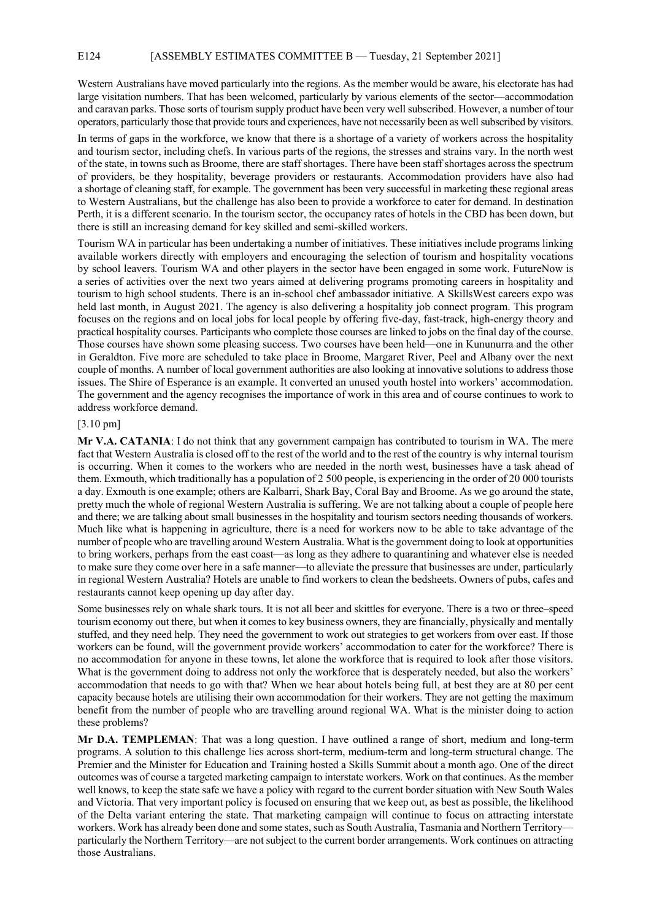Western Australians have moved particularly into the regions. As the member would be aware, his electorate has had large visitation numbers. That has been welcomed, particularly by various elements of the sector—accommodation and caravan parks. Those sorts of tourism supply product have been very well subscribed. However, a number of tour operators, particularly those that provide tours and experiences, have not necessarily been as well subscribed by visitors.

In terms of gaps in the workforce, we know that there is a shortage of a variety of workers across the hospitality and tourism sector, including chefs. In various parts of the regions, the stresses and strains vary. In the north west of the state, in towns such as Broome, there are staff shortages. There have been staff shortages across the spectrum of providers, be they hospitality, beverage providers or restaurants. Accommodation providers have also had a shortage of cleaning staff, for example. The government has been very successful in marketing these regional areas to Western Australians, but the challenge has also been to provide a workforce to cater for demand. In destination Perth, it is a different scenario. In the tourism sector, the occupancy rates of hotels in the CBD has been down, but there is still an increasing demand for key skilled and semi-skilled workers.

Tourism WA in particular has been undertaking a number of initiatives. These initiatives include programs linking available workers directly with employers and encouraging the selection of tourism and hospitality vocations by school leavers. Tourism WA and other players in the sector have been engaged in some work. FutureNow is a series of activities over the next two years aimed at delivering programs promoting careers in hospitality and tourism to high school students. There is an in-school chef ambassador initiative. A SkillsWest careers expo was held last month, in August 2021. The agency is also delivering a hospitality job connect program. This program focuses on the regions and on local jobs for local people by offering five-day, fast-track, high-energy theory and practical hospitality courses. Participants who complete those courses are linked to jobs on the final day of the course. Those courses have shown some pleasing success. Two courses have been held—one in Kununurra and the other in Geraldton. Five more are scheduled to take place in Broome, Margaret River, Peel and Albany over the next couple of months. A number of local government authorities are also looking at innovative solutions to address those issues. The Shire of Esperance is an example. It converted an unused youth hostel into workers' accommodation. The government and the agency recognises the importance of work in this area and of course continues to work to address workforce demand.

#### [3.10 pm]

**Mr V.A. CATANIA**: I do not think that any government campaign has contributed to tourism in WA. The mere fact that Western Australia is closed off to the rest of the world and to the rest of the country is why internal tourism is occurring. When it comes to the workers who are needed in the north west, businesses have a task ahead of them. Exmouth, which traditionally has a population of 2 500 people, is experiencing in the order of 20 000 tourists a day. Exmouth is one example; others are Kalbarri, Shark Bay, Coral Bay and Broome. As we go around the state, pretty much the whole of regional Western Australia is suffering. We are not talking about a couple of people here and there; we are talking about small businesses in the hospitality and tourism sectors needing thousands of workers. Much like what is happening in agriculture, there is a need for workers now to be able to take advantage of the number of people who are travelling around Western Australia. What is the government doing to look at opportunities to bring workers, perhaps from the east coast—as long as they adhere to quarantining and whatever else is needed to make sure they come over here in a safe manner—to alleviate the pressure that businesses are under, particularly in regional Western Australia? Hotels are unable to find workers to clean the bedsheets. Owners of pubs, cafes and restaurants cannot keep opening up day after day.

Some businesses rely on whale shark tours. It is not all beer and skittles for everyone. There is a two or three–speed tourism economy out there, but when it comes to key business owners, they are financially, physically and mentally stuffed, and they need help. They need the government to work out strategies to get workers from over east. If those workers can be found, will the government provide workers' accommodation to cater for the workforce? There is no accommodation for anyone in these towns, let alone the workforce that is required to look after those visitors. What is the government doing to address not only the workforce that is desperately needed, but also the workers' accommodation that needs to go with that? When we hear about hotels being full, at best they are at 80 per cent capacity because hotels are utilising their own accommodation for their workers. They are not getting the maximum benefit from the number of people who are travelling around regional WA. What is the minister doing to action these problems?

**Mr D.A. TEMPLEMAN**: That was a long question. I have outlined a range of short, medium and long-term programs. A solution to this challenge lies across short-term, medium-term and long-term structural change. The Premier and the Minister for Education and Training hosted a Skills Summit about a month ago. One of the direct outcomes was of course a targeted marketing campaign to interstate workers. Work on that continues. As the member well knows, to keep the state safe we have a policy with regard to the current border situation with New South Wales and Victoria. That very important policy is focused on ensuring that we keep out, as best as possible, the likelihood of the Delta variant entering the state. That marketing campaign will continue to focus on attracting interstate workers. Work has already been done and some states, such as South Australia, Tasmania and Northern Territory particularly the Northern Territory—are not subject to the current border arrangements. Work continues on attracting those Australians.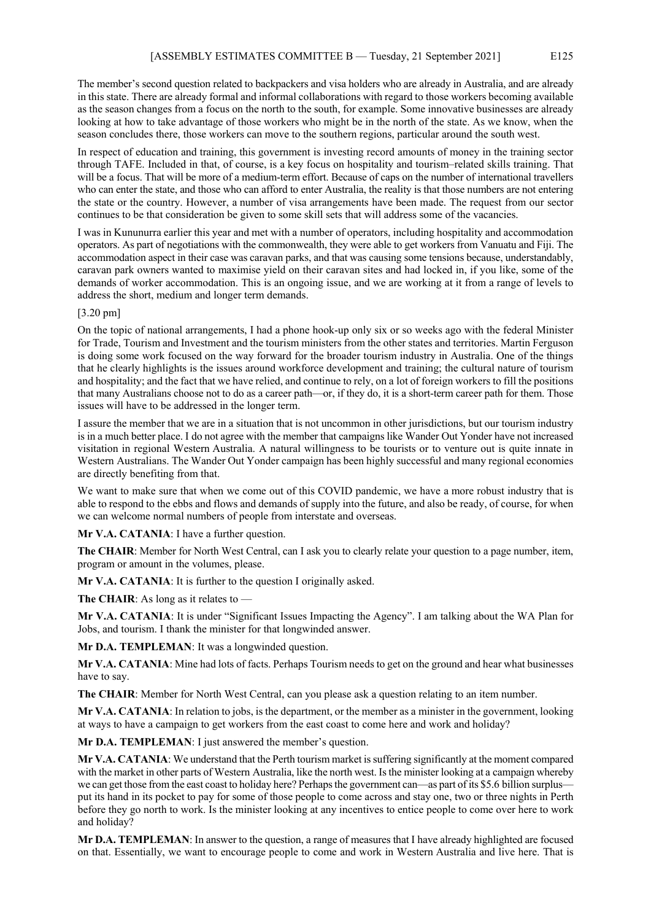The member's second question related to backpackers and visa holders who are already in Australia, and are already in this state. There are already formal and informal collaborations with regard to those workers becoming available as the season changes from a focus on the north to the south, for example. Some innovative businesses are already looking at how to take advantage of those workers who might be in the north of the state. As we know, when the season concludes there, those workers can move to the southern regions, particular around the south west.

In respect of education and training, this government is investing record amounts of money in the training sector through TAFE. Included in that, of course, is a key focus on hospitality and tourism–related skills training. That will be a focus. That will be more of a medium-term effort. Because of caps on the number of international travellers who can enter the state, and those who can afford to enter Australia, the reality is that those numbers are not entering the state or the country. However, a number of visa arrangements have been made. The request from our sector continues to be that consideration be given to some skill sets that will address some of the vacancies.

I was in Kununurra earlier this year and met with a number of operators, including hospitality and accommodation operators. As part of negotiations with the commonwealth, they were able to get workers from Vanuatu and Fiji. The accommodation aspect in their case was caravan parks, and that was causing some tensions because, understandably, caravan park owners wanted to maximise yield on their caravan sites and had locked in, if you like, some of the demands of worker accommodation. This is an ongoing issue, and we are working at it from a range of levels to address the short, medium and longer term demands.

#### [3.20 pm]

On the topic of national arrangements, I had a phone hook-up only six or so weeks ago with the federal Minister for Trade, Tourism and Investment and the tourism ministers from the other states and territories. Martin Ferguson is doing some work focused on the way forward for the broader tourism industry in Australia. One of the things that he clearly highlights is the issues around workforce development and training; the cultural nature of tourism and hospitality; and the fact that we have relied, and continue to rely, on a lot of foreign workers to fill the positions that many Australians choose not to do as a career path—or, if they do, it is a short-term career path for them. Those issues will have to be addressed in the longer term.

I assure the member that we are in a situation that is not uncommon in other jurisdictions, but our tourism industry is in a much better place. I do not agree with the member that campaigns like Wander Out Yonder have not increased visitation in regional Western Australia. A natural willingness to be tourists or to venture out is quite innate in Western Australians. The Wander Out Yonder campaign has been highly successful and many regional economies are directly benefiting from that.

We want to make sure that when we come out of this COVID pandemic, we have a more robust industry that is able to respond to the ebbs and flows and demands of supply into the future, and also be ready, of course, for when we can welcome normal numbers of people from interstate and overseas.

**Mr V.A. CATANIA:** I have a further question.

**The CHAIR**: Member for North West Central, can I ask you to clearly relate your question to a page number, item, program or amount in the volumes, please.

**Mr V.A. CATANIA**: It is further to the question I originally asked.

**The CHAIR**: As long as it relates to —

**Mr V.A. CATANIA**: It is under "Significant Issues Impacting the Agency". I am talking about the WA Plan for Jobs, and tourism. I thank the minister for that longwinded answer.

**Mr D.A. TEMPLEMAN**: It was a longwinded question.

**Mr V.A. CATANIA**: Mine had lots of facts. Perhaps Tourism needs to get on the ground and hear what businesses have to say.

**The CHAIR**: Member for North West Central, can you please ask a question relating to an item number.

**Mr V.A. CATANIA**: In relation to jobs, is the department, or the member as a minister in the government, looking at ways to have a campaign to get workers from the east coast to come here and work and holiday?

**Mr D.A. TEMPLEMAN**: I just answered the member's question.

**Mr V.A. CATANIA**: We understand that the Perth tourism market is suffering significantly at the moment compared with the market in other parts of Western Australia, like the north west. Is the minister looking at a campaign whereby we can get those from the east coast to holiday here? Perhaps the government can—as part of its \$5.6 billion surplus put its hand in its pocket to pay for some of those people to come across and stay one, two or three nights in Perth before they go north to work. Is the minister looking at any incentives to entice people to come over here to work and holiday?

**Mr D.A. TEMPLEMAN**: In answer to the question, a range of measures that I have already highlighted are focused on that. Essentially, we want to encourage people to come and work in Western Australia and live here. That is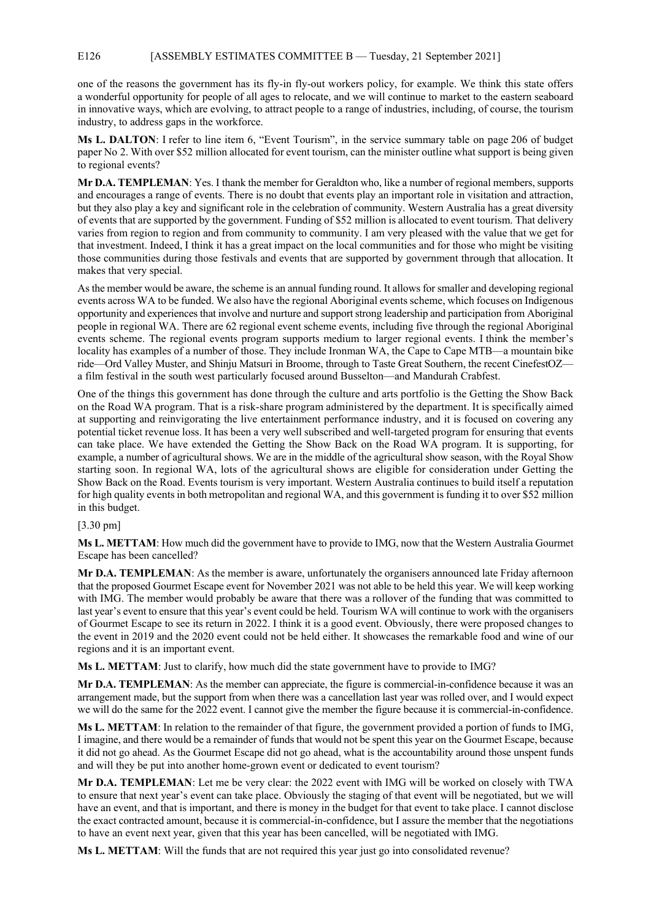## E126 [ASSEMBLY ESTIMATES COMMITTEE B — Tuesday, 21 September 2021]

one of the reasons the government has its fly-in fly-out workers policy, for example. We think this state offers a wonderful opportunity for people of all ages to relocate, and we will continue to market to the eastern seaboard in innovative ways, which are evolving, to attract people to a range of industries, including, of course, the tourism industry, to address gaps in the workforce.

**Ms L. DALTON**: I refer to line item 6, "Event Tourism", in the service summary table on page 206 of budget paper No 2. With over \$52 million allocated for event tourism, can the minister outline what support is being given to regional events?

**Mr D.A. TEMPLEMAN**: Yes. I thank the member for Geraldton who, like a number of regional members, supports and encourages a range of events. There is no doubt that events play an important role in visitation and attraction, but they also play a key and significant role in the celebration of community. Western Australia has a great diversity of events that are supported by the government. Funding of \$52 million is allocated to event tourism. That delivery varies from region to region and from community to community. I am very pleased with the value that we get for that investment. Indeed, I think it has a great impact on the local communities and for those who might be visiting those communities during those festivals and events that are supported by government through that allocation. It makes that very special.

As the member would be aware, the scheme is an annual funding round. It allows for smaller and developing regional events across WA to be funded. We also have the regional Aboriginal events scheme, which focuses on Indigenous opportunity and experiences that involve and nurture and support strong leadership and participation from Aboriginal people in regional WA. There are 62 regional event scheme events, including five through the regional Aboriginal events scheme. The regional events program supports medium to larger regional events. I think the member's locality has examples of a number of those. They include Ironman WA, the Cape to Cape MTB—a mountain bike ride—Ord Valley Muster, and Shinju Matsuri in Broome, through to Taste Great Southern, the recent CinefestOZ a film festival in the south west particularly focused around Busselton—and Mandurah Crabfest.

One of the things this government has done through the culture and arts portfolio is the Getting the Show Back on the Road WA program. That is a risk-share program administered by the department. It is specifically aimed at supporting and reinvigorating the live entertainment performance industry, and it is focused on covering any potential ticket revenue loss. It has been a very well subscribed and well-targeted program for ensuring that events can take place. We have extended the Getting the Show Back on the Road WA program. It is supporting, for example, a number of agricultural shows. We are in the middle of the agricultural show season, with the Royal Show starting soon. In regional WA, lots of the agricultural shows are eligible for consideration under Getting the Show Back on the Road. Events tourism is very important. Western Australia continues to build itself a reputation for high quality events in both metropolitan and regional WA, and this government is funding it to over \$52 million in this budget.

## [3.30 pm]

**Ms L. METTAM**: How much did the government have to provide to IMG, now that the Western Australia Gourmet Escape has been cancelled?

**Mr D.A. TEMPLEMAN**: As the member is aware, unfortunately the organisers announced late Friday afternoon that the proposed Gourmet Escape event for November 2021 was not able to be held this year. We will keep working with IMG. The member would probably be aware that there was a rollover of the funding that was committed to last year's event to ensure that this year's event could be held. Tourism WA will continue to work with the organisers of Gourmet Escape to see its return in 2022. I think it is a good event. Obviously, there were proposed changes to the event in 2019 and the 2020 event could not be held either. It showcases the remarkable food and wine of our regions and it is an important event.

**Ms L. METTAM**: Just to clarify, how much did the state government have to provide to IMG?

**Mr D.A. TEMPLEMAN**: As the member can appreciate, the figure is commercial-in-confidence because it was an arrangement made, but the support from when there was a cancellation last year was rolled over, and I would expect we will do the same for the 2022 event. I cannot give the member the figure because it is commercial-in-confidence.

**Ms L. METTAM**: In relation to the remainder of that figure, the government provided a portion of funds to IMG, I imagine, and there would be a remainder of funds that would not be spent this year on the Gourmet Escape, because it did not go ahead. As the Gourmet Escape did not go ahead, what is the accountability around those unspent funds and will they be put into another home-grown event or dedicated to event tourism?

**Mr D.A. TEMPLEMAN**: Let me be very clear: the 2022 event with IMG will be worked on closely with TWA to ensure that next year's event can take place. Obviously the staging of that event will be negotiated, but we will have an event, and that is important, and there is money in the budget for that event to take place. I cannot disclose the exact contracted amount, because it is commercial-in-confidence, but I assure the member that the negotiations to have an event next year, given that this year has been cancelled, will be negotiated with IMG.

**Ms L. METTAM**: Will the funds that are not required this year just go into consolidated revenue?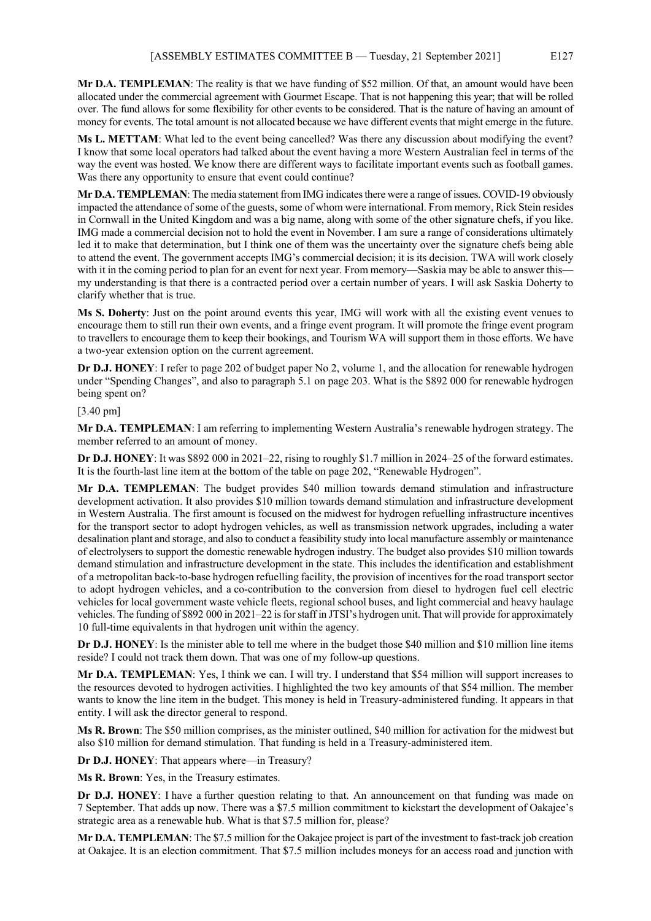**Mr D.A. TEMPLEMAN**: The reality is that we have funding of \$52 million. Of that, an amount would have been allocated under the commercial agreement with Gourmet Escape. That is not happening this year; that will be rolled over. The fund allows for some flexibility for other events to be considered. That is the nature of having an amount of money for events. The total amount is not allocated because we have different events that might emerge in the future.

**Ms L. METTAM**: What led to the event being cancelled? Was there any discussion about modifying the event? I know that some local operators had talked about the event having a more Western Australian feel in terms of the way the event was hosted. We know there are different ways to facilitate important events such as football games. Was there any opportunity to ensure that event could continue?

**Mr D.A. TEMPLEMAN**: The media statement from IMG indicates there were a range of issues. COVID-19 obviously impacted the attendance of some of the guests, some of whom were international. From memory, Rick Stein resides in Cornwall in the United Kingdom and was a big name, along with some of the other signature chefs, if you like. IMG made a commercial decision not to hold the event in November. I am sure a range of considerations ultimately led it to make that determination, but I think one of them was the uncertainty over the signature chefs being able to attend the event. The government accepts IMG's commercial decision; it is its decision. TWA will work closely with it in the coming period to plan for an event for next year. From memory—Saskia may be able to answer this my understanding is that there is a contracted period over a certain number of years. I will ask Saskia Doherty to clarify whether that is true.

**Ms S. Doherty**: Just on the point around events this year, IMG will work with all the existing event venues to encourage them to still run their own events, and a fringe event program. It will promote the fringe event program to travellers to encourage them to keep their bookings, and Tourism WA will support them in those efforts. We have a two-year extension option on the current agreement.

**Dr D.J. HONEY**: I refer to page 202 of budget paper No 2, volume 1, and the allocation for renewable hydrogen under "Spending Changes", and also to paragraph 5.1 on page 203. What is the \$892 000 for renewable hydrogen being spent on?

[3.40 pm]

**Mr D.A. TEMPLEMAN**: I am referring to implementing Western Australia's renewable hydrogen strategy. The member referred to an amount of money.

**Dr D.J. HONEY**: It was \$892 000 in 2021–22, rising to roughly \$1.7 million in 2024–25 of the forward estimates. It is the fourth-last line item at the bottom of the table on page 202, "Renewable Hydrogen".

**Mr D.A. TEMPLEMAN**: The budget provides \$40 million towards demand stimulation and infrastructure development activation. It also provides \$10 million towards demand stimulation and infrastructure development in Western Australia. The first amount is focused on the midwest for hydrogen refuelling infrastructure incentives for the transport sector to adopt hydrogen vehicles, as well as transmission network upgrades, including a water desalination plant and storage, and also to conduct a feasibility study into local manufacture assembly or maintenance of electrolysers to support the domestic renewable hydrogen industry. The budget also provides \$10 million towards demand stimulation and infrastructure development in the state. This includes the identification and establishment of a metropolitan back-to-base hydrogen refuelling facility, the provision of incentives for the road transport sector to adopt hydrogen vehicles, and a co-contribution to the conversion from diesel to hydrogen fuel cell electric vehicles for local government waste vehicle fleets, regional school buses, and light commercial and heavy haulage vehicles. The funding of \$892 000 in 2021–22 is for staff in JTSI's hydrogen unit. That will provide for approximately 10 full-time equivalents in that hydrogen unit within the agency.

**Dr D.J. HONEY**: Is the minister able to tell me where in the budget those \$40 million and \$10 million line items reside? I could not track them down. That was one of my follow-up questions.

**Mr D.A. TEMPLEMAN**: Yes, I think we can. I will try. I understand that \$54 million will support increases to the resources devoted to hydrogen activities. I highlighted the two key amounts of that \$54 million. The member wants to know the line item in the budget. This money is held in Treasury-administered funding. It appears in that entity. I will ask the director general to respond.

**Ms R. Brown**: The \$50 million comprises, as the minister outlined, \$40 million for activation for the midwest but also \$10 million for demand stimulation. That funding is held in a Treasury-administered item.

**Dr D.J. HONEY**: That appears where—in Treasury?

**Ms R. Brown**: Yes, in the Treasury estimates.

**Dr D.J. HONEY**: I have a further question relating to that. An announcement on that funding was made on 7 September. That adds up now. There was a \$7.5 million commitment to kickstart the development of Oakajee's strategic area as a renewable hub. What is that \$7.5 million for, please?

**Mr D.A. TEMPLEMAN**: The \$7.5 million for the Oakajee project is part of the investment to fast-track job creation at Oakajee. It is an election commitment. That \$7.5 million includes moneys for an access road and junction with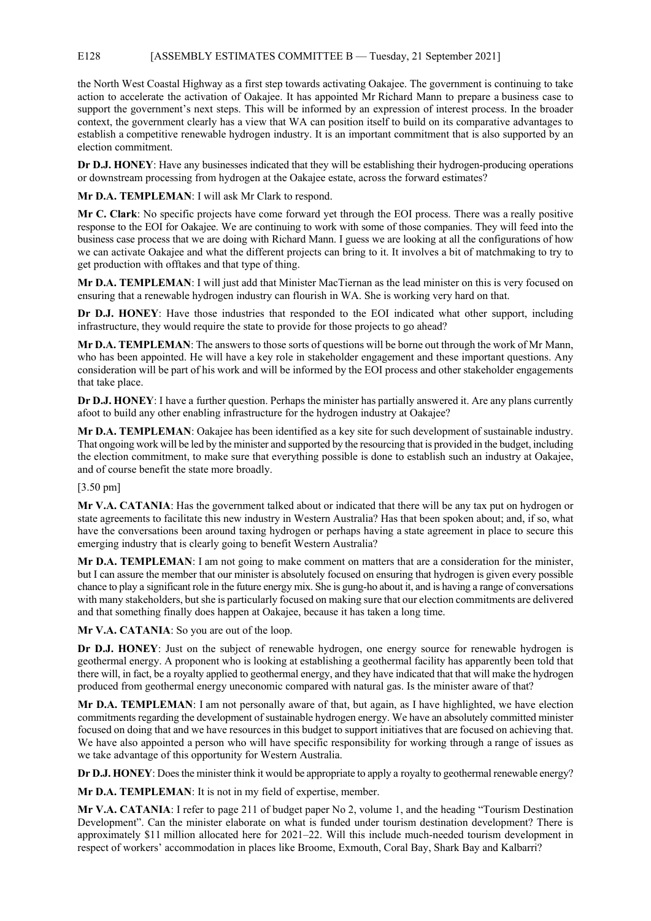# E128 [ASSEMBLY ESTIMATES COMMITTEE B — Tuesday, 21 September 2021]

the North West Coastal Highway as a first step towards activating Oakajee. The government is continuing to take action to accelerate the activation of Oakajee. It has appointed Mr Richard Mann to prepare a business case to support the government's next steps. This will be informed by an expression of interest process. In the broader context, the government clearly has a view that WA can position itself to build on its comparative advantages to establish a competitive renewable hydrogen industry. It is an important commitment that is also supported by an election commitment.

**Dr D.J. HONEY**: Have any businesses indicated that they will be establishing their hydrogen-producing operations or downstream processing from hydrogen at the Oakajee estate, across the forward estimates?

**Mr D.A. TEMPLEMAN**: I will ask Mr Clark to respond.

**Mr C. Clark**: No specific projects have come forward yet through the EOI process. There was a really positive response to the EOI for Oakajee. We are continuing to work with some of those companies. They will feed into the business case process that we are doing with Richard Mann. I guess we are looking at all the configurations of how we can activate Oakajee and what the different projects can bring to it. It involves a bit of matchmaking to try to get production with offtakes and that type of thing.

**Mr D.A. TEMPLEMAN**: I will just add that Minister MacTiernan as the lead minister on this is very focused on ensuring that a renewable hydrogen industry can flourish in WA. She is working very hard on that.

**Dr D.J. HONEY**: Have those industries that responded to the EOI indicated what other support, including infrastructure, they would require the state to provide for those projects to go ahead?

**Mr D.A. TEMPLEMAN**: The answers to those sorts of questions will be borne out through the work of Mr Mann, who has been appointed. He will have a key role in stakeholder engagement and these important questions. Any consideration will be part of his work and will be informed by the EOI process and other stakeholder engagements that take place.

**Dr D.J. HONEY**: I have a further question. Perhaps the minister has partially answered it. Are any plans currently afoot to build any other enabling infrastructure for the hydrogen industry at Oakajee?

**Mr D.A. TEMPLEMAN**: Oakajee has been identified as a key site for such development of sustainable industry. That ongoing work will be led by the minister and supported by the resourcing that is provided in the budget, including the election commitment, to make sure that everything possible is done to establish such an industry at Oakajee, and of course benefit the state more broadly.

## [3.50 pm]

**Mr V.A. CATANIA**: Has the government talked about or indicated that there will be any tax put on hydrogen or state agreements to facilitate this new industry in Western Australia? Has that been spoken about; and, if so, what have the conversations been around taxing hydrogen or perhaps having a state agreement in place to secure this emerging industry that is clearly going to benefit Western Australia?

**Mr D.A. TEMPLEMAN**: I am not going to make comment on matters that are a consideration for the minister, but I can assure the member that our minister is absolutely focused on ensuring that hydrogen is given every possible chance to play a significant role in the future energy mix. She is gung-ho about it, and is having a range of conversations with many stakeholders, but she is particularly focused on making sure that our election commitments are delivered and that something finally does happen at Oakajee, because it has taken a long time.

**Mr V.A. CATANIA**: So you are out of the loop.

**Dr D.J. HONEY**: Just on the subject of renewable hydrogen, one energy source for renewable hydrogen is geothermal energy. A proponent who is looking at establishing a geothermal facility has apparently been told that there will, in fact, be a royalty applied to geothermal energy, and they have indicated that that will make the hydrogen produced from geothermal energy uneconomic compared with natural gas. Is the minister aware of that?

**Mr D.A. TEMPLEMAN**: I am not personally aware of that, but again, as I have highlighted, we have election commitments regarding the development of sustainable hydrogen energy. We have an absolutely committed minister focused on doing that and we have resources in this budget to support initiatives that are focused on achieving that. We have also appointed a person who will have specific responsibility for working through a range of issues as we take advantage of this opportunity for Western Australia.

**Dr D.J. HONEY**: Does the minister think it would be appropriate to apply a royalty to geothermal renewable energy?

**Mr D.A. TEMPLEMAN**: It is not in my field of expertise, member.

**Mr V.A. CATANIA**: I refer to page 211 of budget paper No 2, volume 1, and the heading "Tourism Destination Development". Can the minister elaborate on what is funded under tourism destination development? There is approximately \$11 million allocated here for 2021–22. Will this include much-needed tourism development in respect of workers' accommodation in places like Broome, Exmouth, Coral Bay, Shark Bay and Kalbarri?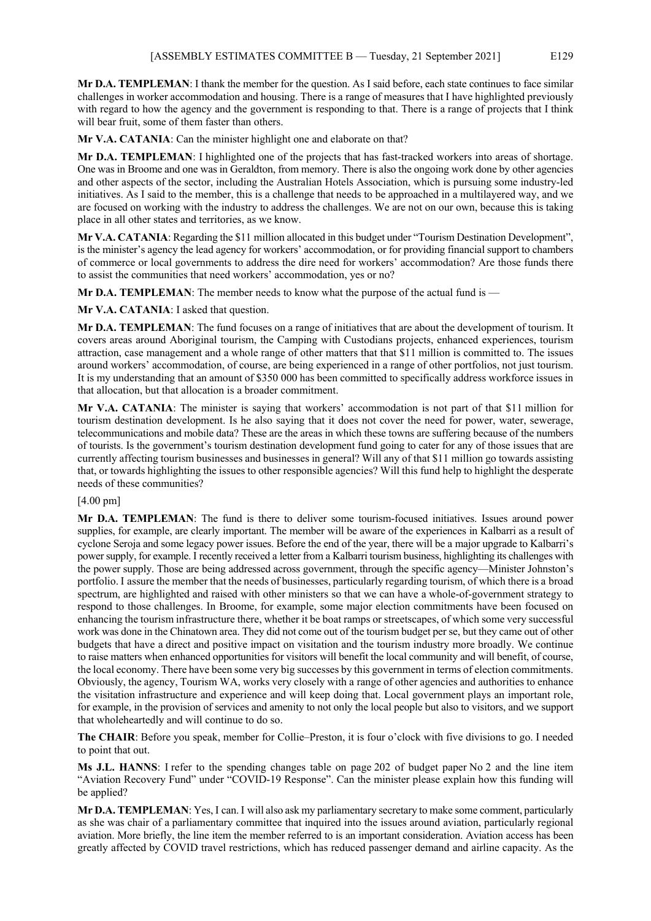**Mr D.A. TEMPLEMAN**: I thank the member for the question. As I said before, each state continues to face similar challenges in worker accommodation and housing. There is a range of measures that I have highlighted previously with regard to how the agency and the government is responding to that. There is a range of projects that I think will bear fruit, some of them faster than others.

**Mr V.A. CATANIA**: Can the minister highlight one and elaborate on that?

**Mr D.A. TEMPLEMAN**: I highlighted one of the projects that has fast-tracked workers into areas of shortage. One was in Broome and one was in Geraldton, from memory. There is also the ongoing work done by other agencies and other aspects of the sector, including the Australian Hotels Association, which is pursuing some industry-led initiatives. As I said to the member, this is a challenge that needs to be approached in a multilayered way, and we are focused on working with the industry to address the challenges. We are not on our own, because this is taking place in all other states and territories, as we know.

**Mr V.A. CATANIA**: Regarding the \$11 million allocated in this budget under "Tourism Destination Development", is the minister's agency the lead agency for workers' accommodation, or for providing financial support to chambers of commerce or local governments to address the dire need for workers' accommodation? Are those funds there to assist the communities that need workers' accommodation, yes or no?

**Mr D.A. TEMPLEMAN**: The member needs to know what the purpose of the actual fund is —

**Mr V.A. CATANIA**: I asked that question.

**Mr D.A. TEMPLEMAN**: The fund focuses on a range of initiatives that are about the development of tourism. It covers areas around Aboriginal tourism, the Camping with Custodians projects, enhanced experiences, tourism attraction, case management and a whole range of other matters that that \$11 million is committed to. The issues around workers' accommodation, of course, are being experienced in a range of other portfolios, not just tourism. It is my understanding that an amount of \$350 000 has been committed to specifically address workforce issues in that allocation, but that allocation is a broader commitment.

**Mr V.A. CATANIA**: The minister is saying that workers' accommodation is not part of that \$11 million for tourism destination development. Is he also saying that it does not cover the need for power, water, sewerage, telecommunications and mobile data? These are the areas in which these towns are suffering because of the numbers of tourists. Is the government's tourism destination development fund going to cater for any of those issues that are currently affecting tourism businesses and businesses in general? Will any of that \$11 million go towards assisting that, or towards highlighting the issues to other responsible agencies? Will this fund help to highlight the desperate needs of these communities?

## [4.00 pm]

**Mr D.A. TEMPLEMAN**: The fund is there to deliver some tourism-focused initiatives. Issues around power supplies, for example, are clearly important. The member will be aware of the experiences in Kalbarri as a result of cyclone Seroja and some legacy power issues. Before the end of the year, there will be a major upgrade to Kalbarri's power supply, for example. I recently received a letter from a Kalbarri tourism business, highlighting its challenges with the power supply. Those are being addressed across government, through the specific agency—Minister Johnston's portfolio. I assure the member that the needs of businesses, particularly regarding tourism, of which there is a broad spectrum, are highlighted and raised with other ministers so that we can have a whole-of-government strategy to respond to those challenges. In Broome, for example, some major election commitments have been focused on enhancing the tourism infrastructure there, whether it be boat ramps or streetscapes, of which some very successful work was done in the Chinatown area. They did not come out of the tourism budget per se, but they came out of other budgets that have a direct and positive impact on visitation and the tourism industry more broadly. We continue to raise matters when enhanced opportunities for visitors will benefit the local community and will benefit, of course, the local economy. There have been some very big successes by this government in terms of election commitments. Obviously, the agency, Tourism WA, works very closely with a range of other agencies and authorities to enhance the visitation infrastructure and experience and will keep doing that. Local government plays an important role, for example, in the provision of services and amenity to not only the local people but also to visitors, and we support that wholeheartedly and will continue to do so.

**The CHAIR**: Before you speak, member for Collie–Preston, it is four o'clock with five divisions to go. I needed to point that out.

**Ms J.L. HANNS**: I refer to the spending changes table on page 202 of budget paper No 2 and the line item "Aviation Recovery Fund" under "COVID-19 Response". Can the minister please explain how this funding will be applied?

**Mr D.A. TEMPLEMAN**: Yes, I can. I will also ask my parliamentary secretary to make some comment, particularly as she was chair of a parliamentary committee that inquired into the issues around aviation, particularly regional aviation. More briefly, the line item the member referred to is an important consideration. Aviation access has been greatly affected by COVID travel restrictions, which has reduced passenger demand and airline capacity. As the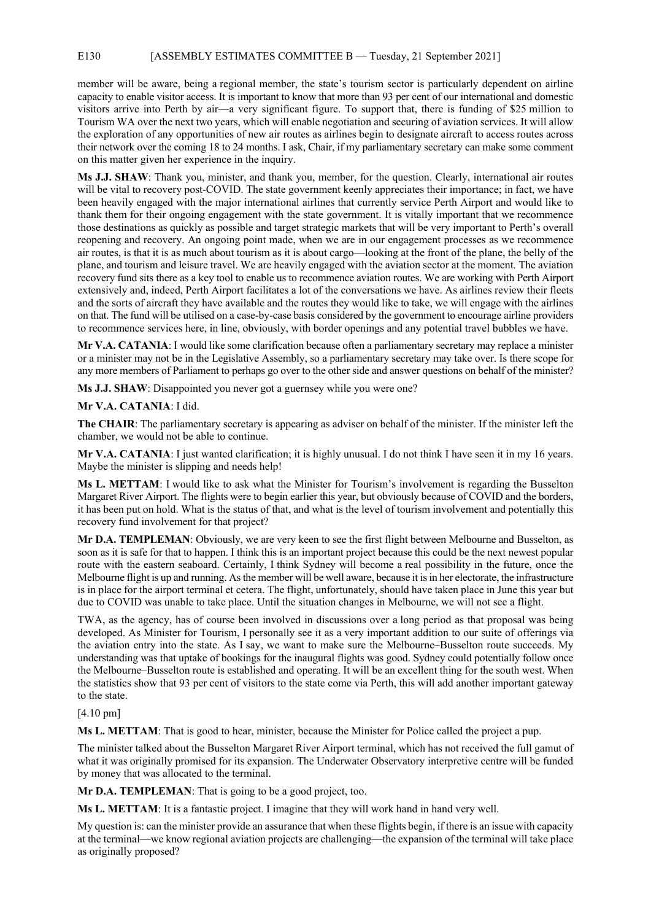## E130 [ASSEMBLY ESTIMATES COMMITTEE B — Tuesday, 21 September 2021]

member will be aware, being a regional member, the state's tourism sector is particularly dependent on airline capacity to enable visitor access. It is important to know that more than 93 per cent of our international and domestic visitors arrive into Perth by air—a very significant figure. To support that, there is funding of \$25 million to Tourism WA over the next two years, which will enable negotiation and securing of aviation services. It will allow the exploration of any opportunities of new air routes as airlines begin to designate aircraft to access routes across their network over the coming 18 to 24 months. I ask, Chair, if my parliamentary secretary can make some comment on this matter given her experience in the inquiry.

**Ms J.J. SHAW**: Thank you, minister, and thank you, member, for the question. Clearly, international air routes will be vital to recovery post-COVID. The state government keenly appreciates their importance; in fact, we have been heavily engaged with the major international airlines that currently service Perth Airport and would like to thank them for their ongoing engagement with the state government. It is vitally important that we recommence those destinations as quickly as possible and target strategic markets that will be very important to Perth's overall reopening and recovery. An ongoing point made, when we are in our engagement processes as we recommence air routes, is that it is as much about tourism as it is about cargo—looking at the front of the plane, the belly of the plane, and tourism and leisure travel. We are heavily engaged with the aviation sector at the moment. The aviation recovery fund sits there as a key tool to enable us to recommence aviation routes. We are working with Perth Airport extensively and, indeed, Perth Airport facilitates a lot of the conversations we have. As airlines review their fleets and the sorts of aircraft they have available and the routes they would like to take, we will engage with the airlines on that. The fund will be utilised on a case-by-case basis considered by the government to encourage airline providers to recommence services here, in line, obviously, with border openings and any potential travel bubbles we have.

**Mr V.A. CATANIA**: I would like some clarification because often a parliamentary secretary may replace a minister or a minister may not be in the Legislative Assembly, so a parliamentary secretary may take over. Is there scope for any more members of Parliament to perhaps go over to the other side and answer questions on behalf of the minister?

**Ms J.J. SHAW**: Disappointed you never got a guernsey while you were one?

# **Mr V.A. CATANIA**: I did.

**The CHAIR**: The parliamentary secretary is appearing as adviser on behalf of the minister. If the minister left the chamber, we would not be able to continue.

**Mr V.A. CATANIA**: I just wanted clarification; it is highly unusual. I do not think I have seen it in my 16 years. Maybe the minister is slipping and needs help!

**Ms L. METTAM**: I would like to ask what the Minister for Tourism's involvement is regarding the Busselton Margaret River Airport. The flights were to begin earlier this year, but obviously because of COVID and the borders, it has been put on hold. What is the status of that, and what is the level of tourism involvement and potentially this recovery fund involvement for that project?

**Mr D.A. TEMPLEMAN**: Obviously, we are very keen to see the first flight between Melbourne and Busselton, as soon as it is safe for that to happen. I think this is an important project because this could be the next newest popular route with the eastern seaboard. Certainly, I think Sydney will become a real possibility in the future, once the Melbourne flight is up and running. As the member will be well aware, because it is in her electorate, the infrastructure is in place for the airport terminal et cetera. The flight, unfortunately, should have taken place in June this year but due to COVID was unable to take place. Until the situation changes in Melbourne, we will not see a flight.

TWA, as the agency, has of course been involved in discussions over a long period as that proposal was being developed. As Minister for Tourism, I personally see it as a very important addition to our suite of offerings via the aviation entry into the state. As I say, we want to make sure the Melbourne–Busselton route succeeds. My understanding was that uptake of bookings for the inaugural flights was good. Sydney could potentially follow once the Melbourne–Busselton route is established and operating. It will be an excellent thing for the south west. When the statistics show that 93 per cent of visitors to the state come via Perth, this will add another important gateway to the state.

## [4.10 pm]

**Ms L. METTAM**: That is good to hear, minister, because the Minister for Police called the project a pup.

The minister talked about the Busselton Margaret River Airport terminal, which has not received the full gamut of what it was originally promised for its expansion. The Underwater Observatory interpretive centre will be funded by money that was allocated to the terminal.

**Mr D.A. TEMPLEMAN**: That is going to be a good project, too.

**Ms L. METTAM**: It is a fantastic project. I imagine that they will work hand in hand very well.

My question is: can the minister provide an assurance that when these flights begin, if there is an issue with capacity at the terminal—we know regional aviation projects are challenging—the expansion of the terminal will take place as originally proposed?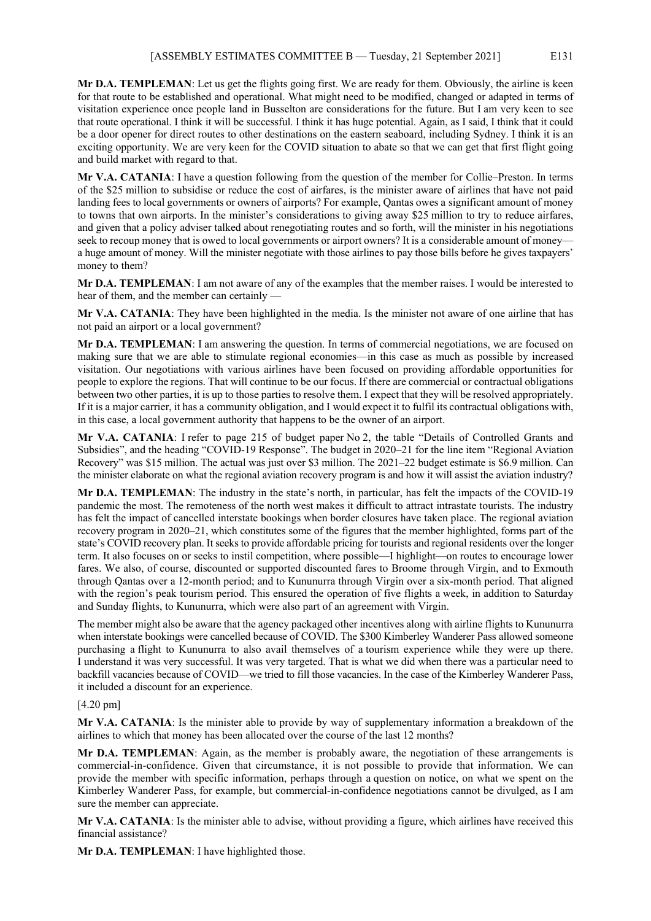**Mr D.A. TEMPLEMAN**: Let us get the flights going first. We are ready for them. Obviously, the airline is keen for that route to be established and operational. What might need to be modified, changed or adapted in terms of visitation experience once people land in Busselton are considerations for the future. But I am very keen to see that route operational. I think it will be successful. I think it has huge potential. Again, as I said, I think that it could be a door opener for direct routes to other destinations on the eastern seaboard, including Sydney. I think it is an exciting opportunity. We are very keen for the COVID situation to abate so that we can get that first flight going and build market with regard to that.

**Mr V.A. CATANIA**: I have a question following from the question of the member for Collie–Preston. In terms of the \$25 million to subsidise or reduce the cost of airfares, is the minister aware of airlines that have not paid landing fees to local governments or owners of airports? For example, Qantas owes a significant amount of money to towns that own airports. In the minister's considerations to giving away \$25 million to try to reduce airfares, and given that a policy adviser talked about renegotiating routes and so forth, will the minister in his negotiations seek to recoup money that is owed to local governments or airport owners? It is a considerable amount of money a huge amount of money. Will the minister negotiate with those airlines to pay those bills before he gives taxpayers' money to them?

**Mr D.A. TEMPLEMAN**: I am not aware of any of the examples that the member raises. I would be interested to hear of them, and the member can certainly -

**Mr V.A. CATANIA**: They have been highlighted in the media. Is the minister not aware of one airline that has not paid an airport or a local government?

**Mr D.A. TEMPLEMAN**: I am answering the question. In terms of commercial negotiations, we are focused on making sure that we are able to stimulate regional economies—in this case as much as possible by increased visitation. Our negotiations with various airlines have been focused on providing affordable opportunities for people to explore the regions. That will continue to be our focus. If there are commercial or contractual obligations between two other parties, it is up to those parties to resolve them. I expect that they will be resolved appropriately. If it is a major carrier, it has a community obligation, and I would expect it to fulfil its contractual obligations with, in this case, a local government authority that happens to be the owner of an airport.

**Mr V.A. CATANIA**: I refer to page 215 of budget paper No 2, the table "Details of Controlled Grants and Subsidies", and the heading "COVID-19 Response". The budget in 2020–21 for the line item "Regional Aviation Recovery" was \$15 million. The actual was just over \$3 million. The 2021–22 budget estimate is \$6.9 million. Can the minister elaborate on what the regional aviation recovery program is and how it will assist the aviation industry?

**Mr D.A. TEMPLEMAN**: The industry in the state's north, in particular, has felt the impacts of the COVID-19 pandemic the most. The remoteness of the north west makes it difficult to attract intrastate tourists. The industry has felt the impact of cancelled interstate bookings when border closures have taken place. The regional aviation recovery program in 2020–21, which constitutes some of the figures that the member highlighted, forms part of the state's COVID recovery plan. It seeks to provide affordable pricing for tourists and regional residents over the longer term. It also focuses on or seeks to instil competition, where possible—I highlight—on routes to encourage lower fares. We also, of course, discounted or supported discounted fares to Broome through Virgin, and to Exmouth through Qantas over a 12-month period; and to Kununurra through Virgin over a six-month period. That aligned with the region's peak tourism period. This ensured the operation of five flights a week, in addition to Saturday and Sunday flights, to Kununurra, which were also part of an agreement with Virgin.

The member might also be aware that the agency packaged other incentives along with airline flights to Kununurra when interstate bookings were cancelled because of COVID. The \$300 Kimberley Wanderer Pass allowed someone purchasing a flight to Kununurra to also avail themselves of a tourism experience while they were up there. I understand it was very successful. It was very targeted. That is what we did when there was a particular need to backfill vacancies because of COVID—we tried to fill those vacancies. In the case of the Kimberley Wanderer Pass, it included a discount for an experience.

## [4.20 pm]

**Mr V.A. CATANIA**: Is the minister able to provide by way of supplementary information a breakdown of the airlines to which that money has been allocated over the course of the last 12 months?

**Mr D.A. TEMPLEMAN**: Again, as the member is probably aware, the negotiation of these arrangements is commercial-in-confidence. Given that circumstance, it is not possible to provide that information. We can provide the member with specific information, perhaps through a question on notice, on what we spent on the Kimberley Wanderer Pass, for example, but commercial-in-confidence negotiations cannot be divulged, as I am sure the member can appreciate.

**Mr V.A. CATANIA**: Is the minister able to advise, without providing a figure, which airlines have received this financial assistance?

**Mr D.A. TEMPLEMAN**: I have highlighted those.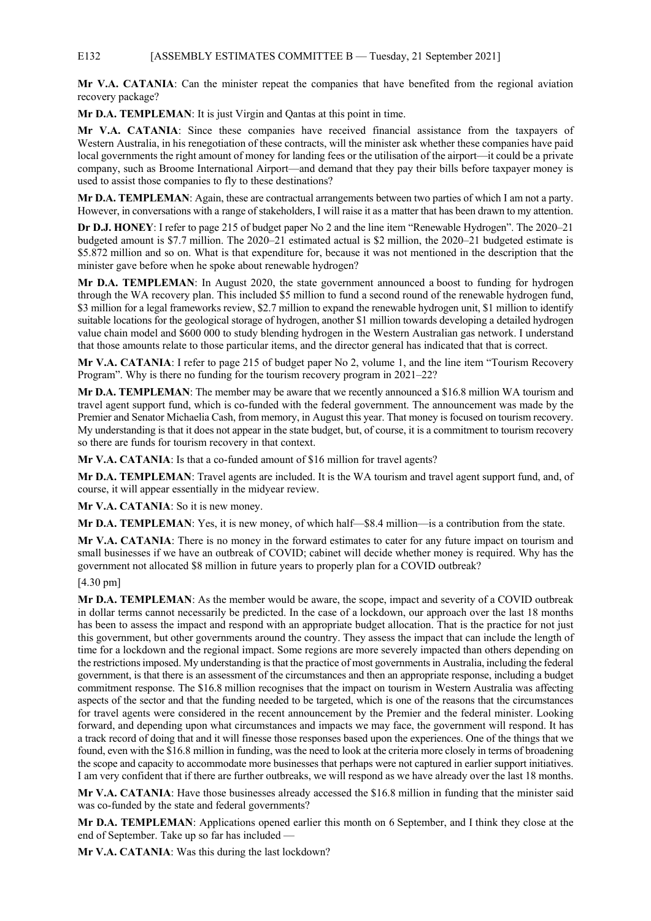#### E132 [ASSEMBLY ESTIMATES COMMITTEE B — Tuesday, 21 September 2021]

**Mr V.A. CATANIA**: Can the minister repeat the companies that have benefited from the regional aviation recovery package?

**Mr D.A. TEMPLEMAN**: It is just Virgin and Qantas at this point in time.

**Mr V.A. CATANIA**: Since these companies have received financial assistance from the taxpayers of Western Australia, in his renegotiation of these contracts, will the minister ask whether these companies have paid local governments the right amount of money for landing fees or the utilisation of the airport—it could be a private company, such as Broome International Airport—and demand that they pay their bills before taxpayer money is used to assist those companies to fly to these destinations?

**Mr D.A. TEMPLEMAN**: Again, these are contractual arrangements between two parties of which I am not a party. However, in conversations with a range of stakeholders, I will raise it as a matter that has been drawn to my attention.

**Dr D.J. HONEY**: I refer to page 215 of budget paper No 2 and the line item "Renewable Hydrogen". The 2020–21 budgeted amount is \$7.7 million. The 2020–21 estimated actual is \$2 million, the 2020–21 budgeted estimate is \$5.872 million and so on. What is that expenditure for, because it was not mentioned in the description that the minister gave before when he spoke about renewable hydrogen?

**Mr D.A. TEMPLEMAN**: In August 2020, the state government announced a boost to funding for hydrogen through the WA recovery plan. This included \$5 million to fund a second round of the renewable hydrogen fund, \$3 million for a legal frameworks review, \$2.7 million to expand the renewable hydrogen unit, \$1 million to identify suitable locations for the geological storage of hydrogen, another \$1 million towards developing a detailed hydrogen value chain model and \$600 000 to study blending hydrogen in the Western Australian gas network. I understand that those amounts relate to those particular items, and the director general has indicated that that is correct.

**Mr V.A. CATANIA**: I refer to page 215 of budget paper No 2, volume 1, and the line item "Tourism Recovery Program". Why is there no funding for the tourism recovery program in 2021–22?

**Mr D.A. TEMPLEMAN**: The member may be aware that we recently announced a \$16.8 million WA tourism and travel agent support fund, which is co-funded with the federal government. The announcement was made by the Premier and Senator Michaelia Cash, from memory, in August this year. That money is focused on tourism recovery. My understanding is that it does not appear in the state budget, but, of course, it is a commitment to tourism recovery so there are funds for tourism recovery in that context.

**Mr V.A. CATANIA**: Is that a co-funded amount of \$16 million for travel agents?

**Mr D.A. TEMPLEMAN**: Travel agents are included. It is the WA tourism and travel agent support fund, and, of course, it will appear essentially in the midyear review.

**Mr V.A. CATANIA**: So it is new money.

**Mr D.A. TEMPLEMAN**: Yes, it is new money, of which half—\$8.4 million—is a contribution from the state.

**Mr V.A. CATANIA**: There is no money in the forward estimates to cater for any future impact on tourism and small businesses if we have an outbreak of COVID; cabinet will decide whether money is required. Why has the government not allocated \$8 million in future years to properly plan for a COVID outbreak?

#### [4.30 pm]

**Mr D.A. TEMPLEMAN**: As the member would be aware, the scope, impact and severity of a COVID outbreak in dollar terms cannot necessarily be predicted. In the case of a lockdown, our approach over the last 18 months has been to assess the impact and respond with an appropriate budget allocation. That is the practice for not just this government, but other governments around the country. They assess the impact that can include the length of time for a lockdown and the regional impact. Some regions are more severely impacted than others depending on the restrictions imposed. My understanding is that the practice of most governments in Australia, including the federal government, is that there is an assessment of the circumstances and then an appropriate response, including a budget commitment response. The \$16.8 million recognises that the impact on tourism in Western Australia was affecting aspects of the sector and that the funding needed to be targeted, which is one of the reasons that the circumstances for travel agents were considered in the recent announcement by the Premier and the federal minister. Looking forward, and depending upon what circumstances and impacts we may face, the government will respond. It has a track record of doing that and it will finesse those responses based upon the experiences. One of the things that we found, even with the \$16.8 million in funding, was the need to look at the criteria more closely in terms of broadening the scope and capacity to accommodate more businesses that perhaps were not captured in earlier support initiatives. I am very confident that if there are further outbreaks, we will respond as we have already over the last 18 months.

**Mr V.A. CATANIA**: Have those businesses already accessed the \$16.8 million in funding that the minister said was co-funded by the state and federal governments?

**Mr D.A. TEMPLEMAN**: Applications opened earlier this month on 6 September, and I think they close at the end of September. Take up so far has included —

**Mr V.A. CATANIA**: Was this during the last lockdown?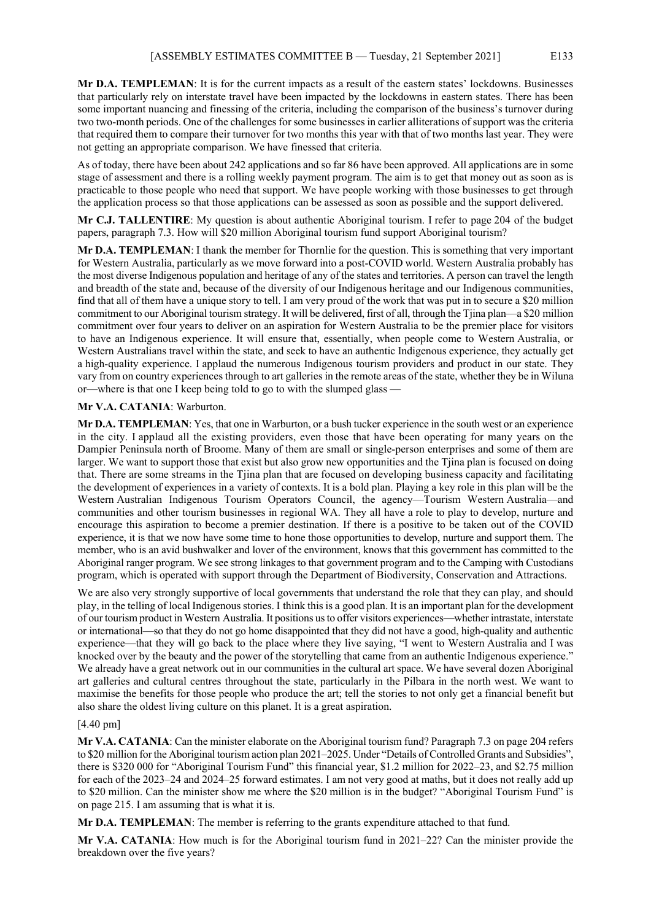**Mr D.A. TEMPLEMAN**: It is for the current impacts as a result of the eastern states' lockdowns. Businesses that particularly rely on interstate travel have been impacted by the lockdowns in eastern states. There has been some important nuancing and finessing of the criteria, including the comparison of the business's turnover during two two-month periods. One of the challenges for some businesses in earlier alliterations of support was the criteria that required them to compare their turnover for two months this year with that of two months last year. They were not getting an appropriate comparison. We have finessed that criteria.

As of today, there have been about 242 applications and so far 86 have been approved. All applications are in some stage of assessment and there is a rolling weekly payment program. The aim is to get that money out as soon as is practicable to those people who need that support. We have people working with those businesses to get through the application process so that those applications can be assessed as soon as possible and the support delivered.

**Mr C.J. TALLENTIRE**: My question is about authentic Aboriginal tourism. I refer to page 204 of the budget papers, paragraph 7.3. How will \$20 million Aboriginal tourism fund support Aboriginal tourism?

**Mr D.A. TEMPLEMAN**: I thank the member for Thornlie for the question. This is something that very important for Western Australia, particularly as we move forward into a post-COVID world. Western Australia probably has the most diverse Indigenous population and heritage of any of the states and territories. A person can travel the length and breadth of the state and, because of the diversity of our Indigenous heritage and our Indigenous communities, find that all of them have a unique story to tell. I am very proud of the work that was put in to secure a \$20 million commitment to our Aboriginal tourism strategy. It will be delivered, first of all, through the Tjina plan—a \$20 million commitment over four years to deliver on an aspiration for Western Australia to be the premier place for visitors to have an Indigenous experience. It will ensure that, essentially, when people come to Western Australia, or Western Australians travel within the state, and seek to have an authentic Indigenous experience, they actually get a high-quality experience. I applaud the numerous Indigenous tourism providers and product in our state. They vary from on country experiences through to art galleries in the remote areas of the state, whether they be in Wiluna or—where is that one I keep being told to go to with the slumped glass —

#### **Mr V.A. CATANIA**: Warburton.

**Mr D.A. TEMPLEMAN**: Yes, that one in Warburton, or a bush tucker experience in the south west or an experience in the city. I applaud all the existing providers, even those that have been operating for many years on the Dampier Peninsula north of Broome. Many of them are small or single-person enterprises and some of them are larger. We want to support those that exist but also grow new opportunities and the Tjina plan is focused on doing that. There are some streams in the Tjina plan that are focused on developing business capacity and facilitating the development of experiences in a variety of contexts. It is a bold plan. Playing a key role in this plan will be the Western Australian Indigenous Tourism Operators Council, the agency—Tourism Western Australia—and communities and other tourism businesses in regional WA. They all have a role to play to develop, nurture and encourage this aspiration to become a premier destination. If there is a positive to be taken out of the COVID experience, it is that we now have some time to hone those opportunities to develop, nurture and support them. The member, who is an avid bushwalker and lover of the environment, knows that this government has committed to the Aboriginal ranger program. We see strong linkages to that government program and to the Camping with Custodians program, which is operated with support through the Department of Biodiversity, Conservation and Attractions.

We are also very strongly supportive of local governments that understand the role that they can play, and should play, in the telling of local Indigenous stories. I think this is a good plan. It is an important plan for the development of our tourism product in Western Australia. It positions us to offer visitors experiences—whether intrastate, interstate or international—so that they do not go home disappointed that they did not have a good, high-quality and authentic experience—that they will go back to the place where they live saying, "I went to Western Australia and I was knocked over by the beauty and the power of the storytelling that came from an authentic Indigenous experience." We already have a great network out in our communities in the cultural art space. We have several dozen Aboriginal art galleries and cultural centres throughout the state, particularly in the Pilbara in the north west. We want to maximise the benefits for those people who produce the art; tell the stories to not only get a financial benefit but also share the oldest living culture on this planet. It is a great aspiration.

#### [4.40 pm]

**Mr V.A. CATANIA**: Can the minister elaborate on the Aboriginal tourism fund? Paragraph 7.3 on page 204 refers to \$20 million for the Aboriginal tourism action plan 2021–2025. Under "Details of Controlled Grants and Subsidies", there is \$320 000 for "Aboriginal Tourism Fund" this financial year, \$1.2 million for 2022–23, and \$2.75 million for each of the 2023–24 and 2024–25 forward estimates. I am not very good at maths, but it does not really add up to \$20 million. Can the minister show me where the \$20 million is in the budget? "Aboriginal Tourism Fund" is on page 215. I am assuming that is what it is.

**Mr D.A. TEMPLEMAN**: The member is referring to the grants expenditure attached to that fund.

**Mr V.A. CATANIA**: How much is for the Aboriginal tourism fund in 2021–22? Can the minister provide the breakdown over the five years?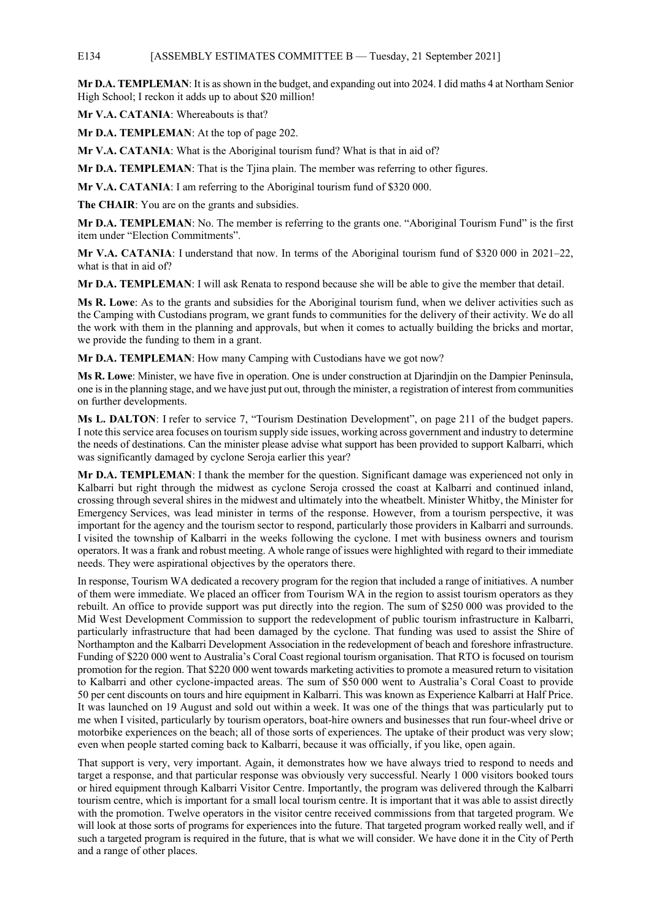#### E134 [ASSEMBLY ESTIMATES COMMITTEE B — Tuesday, 21 September 2021]

**Mr D.A. TEMPLEMAN**: It is as shown in the budget, and expanding out into 2024. I did maths 4 at Northam Senior High School; I reckon it adds up to about \$20 million!

**Mr V.A. CATANIA**: Whereabouts is that?

**Mr D.A. TEMPLEMAN**: At the top of page 202.

**Mr V.A. CATANIA**: What is the Aboriginal tourism fund? What is that in aid of?

**Mr D.A. TEMPLEMAN**: That is the Tjina plain. The member was referring to other figures.

**Mr V.A. CATANIA**: I am referring to the Aboriginal tourism fund of \$320 000.

**The CHAIR**: You are on the grants and subsidies.

**Mr D.A. TEMPLEMAN**: No. The member is referring to the grants one. "Aboriginal Tourism Fund" is the first item under "Election Commitments".

**Mr V.A. CATANIA**: I understand that now. In terms of the Aboriginal tourism fund of \$320 000 in 2021–22, what is that in aid of?

**Mr D.A. TEMPLEMAN**: I will ask Renata to respond because she will be able to give the member that detail.

**Ms R. Lowe**: As to the grants and subsidies for the Aboriginal tourism fund, when we deliver activities such as the Camping with Custodians program, we grant funds to communities for the delivery of their activity. We do all the work with them in the planning and approvals, but when it comes to actually building the bricks and mortar, we provide the funding to them in a grant.

**Mr D.A. TEMPLEMAN**: How many Camping with Custodians have we got now?

**Ms R. Lowe**: Minister, we have five in operation. One is under construction at Djarindjin on the Dampier Peninsula, one is in the planning stage, and we have just put out, through the minister, a registration of interest from communities on further developments.

**Ms L. DALTON**: I refer to service 7, "Tourism Destination Development", on page 211 of the budget papers. I note this service area focuses on tourism supply side issues, working across government and industry to determine the needs of destinations. Can the minister please advise what support has been provided to support Kalbarri, which was significantly damaged by cyclone Seroja earlier this year?

**Mr D.A. TEMPLEMAN**: I thank the member for the question. Significant damage was experienced not only in Kalbarri but right through the midwest as cyclone Seroja crossed the coast at Kalbarri and continued inland, crossing through several shires in the midwest and ultimately into the wheatbelt. Minister Whitby, the Minister for Emergency Services, was lead minister in terms of the response. However, from a tourism perspective, it was important for the agency and the tourism sector to respond, particularly those providers in Kalbarri and surrounds. I visited the township of Kalbarri in the weeks following the cyclone. I met with business owners and tourism operators. It was a frank and robust meeting. A whole range of issues were highlighted with regard to their immediate needs. They were aspirational objectives by the operators there.

In response, Tourism WA dedicated a recovery program for the region that included a range of initiatives. A number of them were immediate. We placed an officer from Tourism WA in the region to assist tourism operators as they rebuilt. An office to provide support was put directly into the region. The sum of \$250 000 was provided to the Mid West Development Commission to support the redevelopment of public tourism infrastructure in Kalbarri, particularly infrastructure that had been damaged by the cyclone. That funding was used to assist the Shire of Northampton and the Kalbarri Development Association in the redevelopment of beach and foreshore infrastructure. Funding of \$220 000 went to Australia's Coral Coast regional tourism organisation. That RTO is focused on tourism promotion for the region. That \$220 000 went towards marketing activities to promote a measured return to visitation to Kalbarri and other cyclone-impacted areas. The sum of \$50 000 went to Australia's Coral Coast to provide 50 per cent discounts on tours and hire equipment in Kalbarri. This was known as Experience Kalbarri at Half Price. It was launched on 19 August and sold out within a week. It was one of the things that was particularly put to me when I visited, particularly by tourism operators, boat-hire owners and businesses that run four-wheel drive or motorbike experiences on the beach; all of those sorts of experiences. The uptake of their product was very slow; even when people started coming back to Kalbarri, because it was officially, if you like, open again.

That support is very, very important. Again, it demonstrates how we have always tried to respond to needs and target a response, and that particular response was obviously very successful. Nearly 1 000 visitors booked tours or hired equipment through Kalbarri Visitor Centre. Importantly, the program was delivered through the Kalbarri tourism centre, which is important for a small local tourism centre. It is important that it was able to assist directly with the promotion. Twelve operators in the visitor centre received commissions from that targeted program. We will look at those sorts of programs for experiences into the future. That targeted program worked really well, and if such a targeted program is required in the future, that is what we will consider. We have done it in the City of Perth and a range of other places.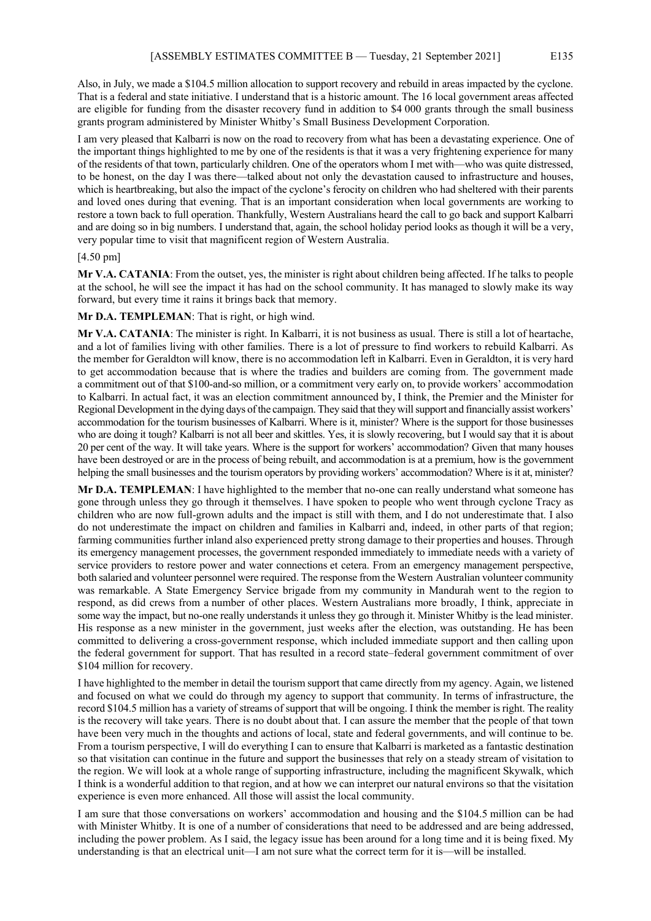Also, in July, we made a \$104.5 million allocation to support recovery and rebuild in areas impacted by the cyclone. That is a federal and state initiative. I understand that is a historic amount. The 16 local government areas affected are eligible for funding from the disaster recovery fund in addition to \$4 000 grants through the small business grants program administered by Minister Whitby's Small Business Development Corporation.

I am very pleased that Kalbarri is now on the road to recovery from what has been a devastating experience. One of the important things highlighted to me by one of the residents is that it was a very frightening experience for many of the residents of that town, particularly children. One of the operators whom I met with—who was quite distressed, to be honest, on the day I was there—talked about not only the devastation caused to infrastructure and houses, which is heartbreaking, but also the impact of the cyclone's ferocity on children who had sheltered with their parents and loved ones during that evening. That is an important consideration when local governments are working to restore a town back to full operation. Thankfully, Western Australians heard the call to go back and support Kalbarri and are doing so in big numbers. I understand that, again, the school holiday period looks as though it will be a very, very popular time to visit that magnificent region of Western Australia.

#### [4.50 pm]

**Mr V.A. CATANIA**: From the outset, yes, the minister is right about children being affected. If he talks to people at the school, he will see the impact it has had on the school community. It has managed to slowly make its way forward, but every time it rains it brings back that memory.

**Mr D.A. TEMPLEMAN**: That is right, or high wind.

**Mr V.A. CATANIA**: The minister is right. In Kalbarri, it is not business as usual. There is still a lot of heartache, and a lot of families living with other families. There is a lot of pressure to find workers to rebuild Kalbarri. As the member for Geraldton will know, there is no accommodation left in Kalbarri. Even in Geraldton, it is very hard to get accommodation because that is where the tradies and builders are coming from. The government made a commitment out of that \$100-and-so million, or a commitment very early on, to provide workers' accommodation to Kalbarri. In actual fact, it was an election commitment announced by, I think, the Premier and the Minister for Regional Development in the dying days of the campaign. They said that they will support and financially assist workers' accommodation for the tourism businesses of Kalbarri. Where is it, minister? Where is the support for those businesses who are doing it tough? Kalbarri is not all beer and skittles. Yes, it is slowly recovering, but I would say that it is about 20 per cent of the way. It will take years. Where is the support for workers' accommodation? Given that many houses have been destroyed or are in the process of being rebuilt, and accommodation is at a premium, how is the government helping the small businesses and the tourism operators by providing workers' accommodation? Where is it at, minister?

**Mr D.A. TEMPLEMAN**: I have highlighted to the member that no-one can really understand what someone has gone through unless they go through it themselves. I have spoken to people who went through cyclone Tracy as children who are now full-grown adults and the impact is still with them, and I do not underestimate that. I also do not underestimate the impact on children and families in Kalbarri and, indeed, in other parts of that region; farming communities further inland also experienced pretty strong damage to their properties and houses. Through its emergency management processes, the government responded immediately to immediate needs with a variety of service providers to restore power and water connections et cetera. From an emergency management perspective, both salaried and volunteer personnel were required. The response from the Western Australian volunteer community was remarkable. A State Emergency Service brigade from my community in Mandurah went to the region to respond, as did crews from a number of other places. Western Australians more broadly, I think, appreciate in some way the impact, but no-one really understands it unless they go through it. Minister Whitby is the lead minister. His response as a new minister in the government, just weeks after the election, was outstanding. He has been committed to delivering a cross-government response, which included immediate support and then calling upon the federal government for support. That has resulted in a record state–federal government commitment of over \$104 million for recovery.

I have highlighted to the member in detail the tourism support that came directly from my agency. Again, we listened and focused on what we could do through my agency to support that community. In terms of infrastructure, the record \$104.5 million has a variety of streams of support that will be ongoing. I think the member is right. The reality is the recovery will take years. There is no doubt about that. I can assure the member that the people of that town have been very much in the thoughts and actions of local, state and federal governments, and will continue to be. From a tourism perspective, I will do everything I can to ensure that Kalbarri is marketed as a fantastic destination so that visitation can continue in the future and support the businesses that rely on a steady stream of visitation to the region. We will look at a whole range of supporting infrastructure, including the magnificent Skywalk, which I think is a wonderful addition to that region, and at how we can interpret our natural environs so that the visitation experience is even more enhanced. All those will assist the local community.

I am sure that those conversations on workers' accommodation and housing and the \$104.5 million can be had with Minister Whitby. It is one of a number of considerations that need to be addressed and are being addressed, including the power problem. As I said, the legacy issue has been around for a long time and it is being fixed. My understanding is that an electrical unit—I am not sure what the correct term for it is—will be installed.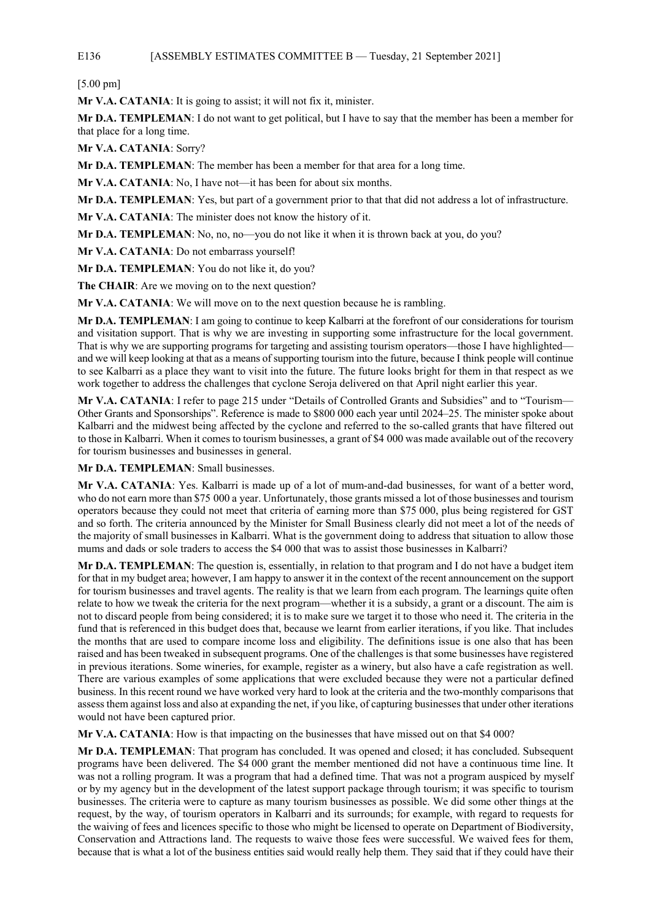# E136 [ASSEMBLY ESTIMATES COMMITTEE B — Tuesday, 21 September 2021]

[5.00 pm]

**Mr V.A. CATANIA**: It is going to assist; it will not fix it, minister.

**Mr D.A. TEMPLEMAN**: I do not want to get political, but I have to say that the member has been a member for that place for a long time.

**Mr V.A. CATANIA**: Sorry?

**Mr D.A. TEMPLEMAN**: The member has been a member for that area for a long time.

**Mr V.A. CATANIA**: No, I have not—it has been for about six months.

**Mr D.A. TEMPLEMAN**: Yes, but part of a government prior to that that did not address a lot of infrastructure.

**Mr V.A. CATANIA**: The minister does not know the history of it.

**Mr D.A. TEMPLEMAN**: No, no, no—you do not like it when it is thrown back at you, do you?

**Mr V.A. CATANIA**: Do not embarrass yourself!

**Mr D.A. TEMPLEMAN**: You do not like it, do you?

The CHAIR: Are we moving on to the next question?

**Mr V.A. CATANIA**: We will move on to the next question because he is rambling.

**Mr D.A. TEMPLEMAN**: I am going to continue to keep Kalbarri at the forefront of our considerations for tourism and visitation support. That is why we are investing in supporting some infrastructure for the local government. That is why we are supporting programs for targeting and assisting tourism operators—those I have highlighted and we will keep looking at that as a means of supporting tourism into the future, because I think people will continue to see Kalbarri as a place they want to visit into the future. The future looks bright for them in that respect as we work together to address the challenges that cyclone Seroja delivered on that April night earlier this year.

**Mr V.A. CATANIA**: I refer to page 215 under "Details of Controlled Grants and Subsidies" and to "Tourism— Other Grants and Sponsorships". Reference is made to \$800 000 each year until 2024–25. The minister spoke about Kalbarri and the midwest being affected by the cyclone and referred to the so-called grants that have filtered out to those in Kalbarri. When it comes to tourism businesses, a grant of \$4 000 was made available out of the recovery for tourism businesses and businesses in general.

**Mr D.A. TEMPLEMAN**: Small businesses.

**Mr V.A. CATANIA**: Yes. Kalbarri is made up of a lot of mum-and-dad businesses, for want of a better word, who do not earn more than \$75 000 a year. Unfortunately, those grants missed a lot of those businesses and tourism operators because they could not meet that criteria of earning more than \$75 000, plus being registered for GST and so forth. The criteria announced by the Minister for Small Business clearly did not meet a lot of the needs of the majority of small businesses in Kalbarri. What is the government doing to address that situation to allow those mums and dads or sole traders to access the \$4 000 that was to assist those businesses in Kalbarri?

**Mr D.A. TEMPLEMAN**: The question is, essentially, in relation to that program and I do not have a budget item for that in my budget area; however, I am happy to answer it in the context of the recent announcement on the support for tourism businesses and travel agents. The reality is that we learn from each program. The learnings quite often relate to how we tweak the criteria for the next program—whether it is a subsidy, a grant or a discount. The aim is not to discard people from being considered; it is to make sure we target it to those who need it. The criteria in the fund that is referenced in this budget does that, because we learnt from earlier iterations, if you like. That includes the months that are used to compare income loss and eligibility. The definitions issue is one also that has been raised and has been tweaked in subsequent programs. One of the challenges is that some businesses have registered in previous iterations. Some wineries, for example, register as a winery, but also have a cafe registration as well. There are various examples of some applications that were excluded because they were not a particular defined business. In this recent round we have worked very hard to look at the criteria and the two-monthly comparisons that assess them against loss and also at expanding the net, if you like, of capturing businesses that under other iterations would not have been captured prior.

**Mr V.A. CATANIA**: How is that impacting on the businesses that have missed out on that \$4 000?

**Mr D.A. TEMPLEMAN**: That program has concluded. It was opened and closed; it has concluded. Subsequent programs have been delivered. The \$4 000 grant the member mentioned did not have a continuous time line. It was not a rolling program. It was a program that had a defined time. That was not a program auspiced by myself or by my agency but in the development of the latest support package through tourism; it was specific to tourism businesses. The criteria were to capture as many tourism businesses as possible. We did some other things at the request, by the way, of tourism operators in Kalbarri and its surrounds; for example, with regard to requests for the waiving of fees and licences specific to those who might be licensed to operate on Department of Biodiversity, Conservation and Attractions land. The requests to waive those fees were successful. We waived fees for them, because that is what a lot of the business entities said would really help them. They said that if they could have their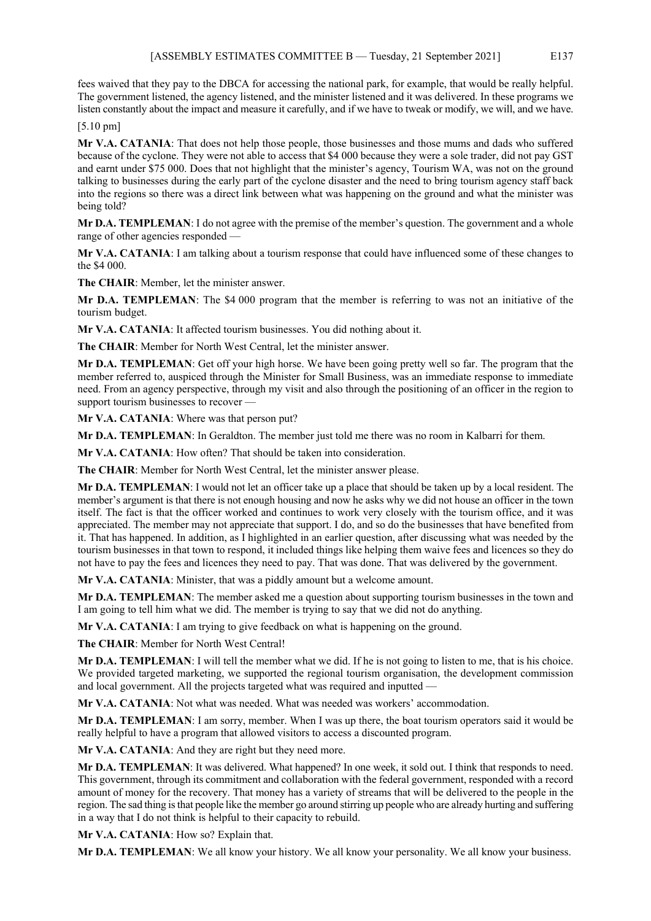fees waived that they pay to the DBCA for accessing the national park, for example, that would be really helpful. The government listened, the agency listened, and the minister listened and it was delivered. In these programs we listen constantly about the impact and measure it carefully, and if we have to tweak or modify, we will, and we have.

[5.10 pm]

**Mr V.A. CATANIA**: That does not help those people, those businesses and those mums and dads who suffered because of the cyclone. They were not able to access that \$4 000 because they were a sole trader, did not pay GST and earnt under \$75 000. Does that not highlight that the minister's agency, Tourism WA, was not on the ground talking to businesses during the early part of the cyclone disaster and the need to bring tourism agency staff back into the regions so there was a direct link between what was happening on the ground and what the minister was being told?

**Mr D.A. TEMPLEMAN:** I do not agree with the premise of the member's question. The government and a whole range of other agencies responded —

**Mr V.A. CATANIA**: I am talking about a tourism response that could have influenced some of these changes to the \$4 000.

**The CHAIR**: Member, let the minister answer.

**Mr D.A. TEMPLEMAN**: The \$4 000 program that the member is referring to was not an initiative of the tourism budget.

**Mr V.A. CATANIA**: It affected tourism businesses. You did nothing about it.

**The CHAIR**: Member for North West Central, let the minister answer.

**Mr D.A. TEMPLEMAN**: Get off your high horse. We have been going pretty well so far. The program that the member referred to, auspiced through the Minister for Small Business, was an immediate response to immediate need. From an agency perspective, through my visit and also through the positioning of an officer in the region to support tourism businesses to recover —

**Mr V.A. CATANIA**: Where was that person put?

**Mr D.A. TEMPLEMAN**: In Geraldton. The member just told me there was no room in Kalbarri for them.

**Mr V.A. CATANIA**: How often? That should be taken into consideration.

**The CHAIR**: Member for North West Central, let the minister answer please.

**Mr D.A. TEMPLEMAN**: I would not let an officer take up a place that should be taken up by a local resident. The member's argument is that there is not enough housing and now he asks why we did not house an officer in the town itself. The fact is that the officer worked and continues to work very closely with the tourism office, and it was appreciated. The member may not appreciate that support. I do, and so do the businesses that have benefited from it. That has happened. In addition, as I highlighted in an earlier question, after discussing what was needed by the tourism businesses in that town to respond, it included things like helping them waive fees and licences so they do not have to pay the fees and licences they need to pay. That was done. That was delivered by the government.

**Mr V.A. CATANIA**: Minister, that was a piddly amount but a welcome amount.

**Mr D.A. TEMPLEMAN**: The member asked me a question about supporting tourism businesses in the town and I am going to tell him what we did. The member is trying to say that we did not do anything.

**Mr V.A. CATANIA**: I am trying to give feedback on what is happening on the ground.

**The CHAIR**: Member for North West Central!

**Mr D.A. TEMPLEMAN**: I will tell the member what we did. If he is not going to listen to me, that is his choice. We provided targeted marketing, we supported the regional tourism organisation, the development commission and local government. All the projects targeted what was required and inputted -

**Mr V.A. CATANIA**: Not what was needed. What was needed was workers' accommodation.

**Mr D.A. TEMPLEMAN**: I am sorry, member. When I was up there, the boat tourism operators said it would be really helpful to have a program that allowed visitors to access a discounted program.

**Mr V.A. CATANIA**: And they are right but they need more.

**Mr D.A. TEMPLEMAN**: It was delivered. What happened? In one week, it sold out. I think that responds to need. This government, through its commitment and collaboration with the federal government, responded with a record amount of money for the recovery. That money has a variety of streams that will be delivered to the people in the region. The sad thing is that people like the member go around stirring up people who are already hurting and suffering in a way that I do not think is helpful to their capacity to rebuild.

**Mr V.A. CATANIA**: How so? Explain that.

**Mr D.A. TEMPLEMAN**: We all know your history. We all know your personality. We all know your business.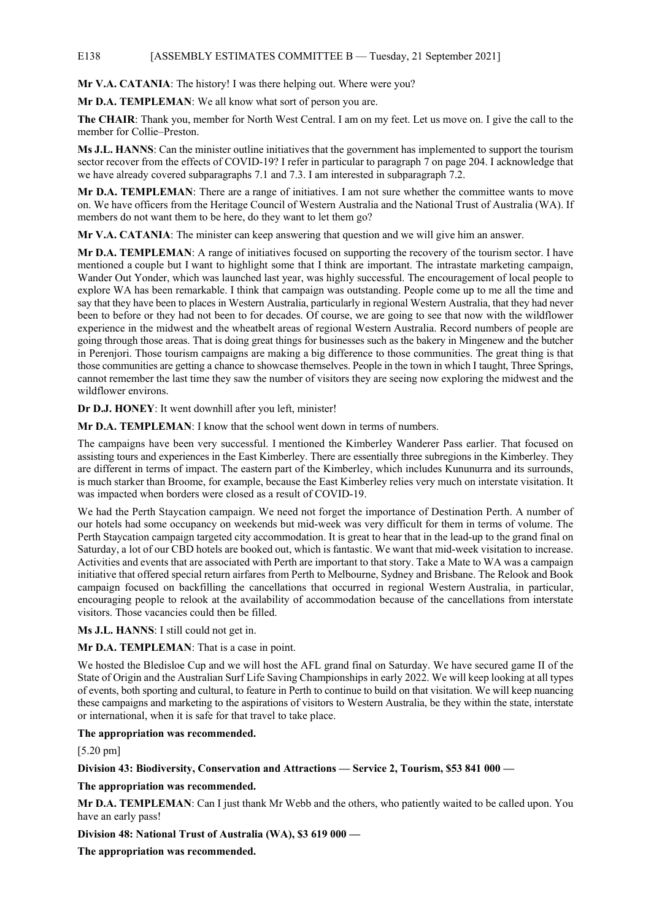### E138 [ASSEMBLY ESTIMATES COMMITTEE B — Tuesday, 21 September 2021]

**Mr V.A. CATANIA**: The history! I was there helping out. Where were you?

**Mr D.A. TEMPLEMAN**: We all know what sort of person you are.

**The CHAIR**: Thank you, member for North West Central. I am on my feet. Let us move on. I give the call to the member for Collie–Preston.

**Ms J.L. HANNS**: Can the minister outline initiatives that the government has implemented to support the tourism sector recover from the effects of COVID-19? I refer in particular to paragraph 7 on page 204. I acknowledge that we have already covered subparagraphs 7.1 and 7.3. I am interested in subparagraph 7.2.

**Mr D.A. TEMPLEMAN**: There are a range of initiatives. I am not sure whether the committee wants to move on. We have officers from the Heritage Council of Western Australia and the National Trust of Australia (WA). If members do not want them to be here, do they want to let them go?

**Mr V.A. CATANIA**: The minister can keep answering that question and we will give him an answer.

**Mr D.A. TEMPLEMAN**: A range of initiatives focused on supporting the recovery of the tourism sector. I have mentioned a couple but I want to highlight some that I think are important. The intrastate marketing campaign, Wander Out Yonder, which was launched last year, was highly successful. The encouragement of local people to explore WA has been remarkable. I think that campaign was outstanding. People come up to me all the time and say that they have been to places in Western Australia, particularly in regional Western Australia, that they had never been to before or they had not been to for decades. Of course, we are going to see that now with the wildflower experience in the midwest and the wheatbelt areas of regional Western Australia. Record numbers of people are going through those areas. That is doing great things for businesses such as the bakery in Mingenew and the butcher in Perenjori. Those tourism campaigns are making a big difference to those communities. The great thing is that those communities are getting a chance to showcase themselves. People in the town in which I taught, Three Springs, cannot remember the last time they saw the number of visitors they are seeing now exploring the midwest and the wildflower environs.

**Dr D.J. HONEY**: It went downhill after you left, minister!

**Mr D.A. TEMPLEMAN**: I know that the school went down in terms of numbers.

The campaigns have been very successful. I mentioned the Kimberley Wanderer Pass earlier. That focused on assisting tours and experiences in the East Kimberley. There are essentially three subregions in the Kimberley. They are different in terms of impact. The eastern part of the Kimberley, which includes Kununurra and its surrounds, is much starker than Broome, for example, because the East Kimberley relies very much on interstate visitation. It was impacted when borders were closed as a result of COVID-19.

We had the Perth Staycation campaign. We need not forget the importance of Destination Perth. A number of our hotels had some occupancy on weekends but mid-week was very difficult for them in terms of volume. The Perth Staycation campaign targeted city accommodation. It is great to hear that in the lead-up to the grand final on Saturday, a lot of our CBD hotels are booked out, which is fantastic. We want that mid-week visitation to increase. Activities and events that are associated with Perth are important to that story. Take a Mate to WA was a campaign initiative that offered special return airfares from Perth to Melbourne, Sydney and Brisbane. The Relook and Book campaign focused on backfilling the cancellations that occurred in regional Western Australia, in particular, encouraging people to relook at the availability of accommodation because of the cancellations from interstate visitors. Those vacancies could then be filled.

**Ms J.L. HANNS**: I still could not get in.

**Mr D.A. TEMPLEMAN**: That is a case in point.

We hosted the Bledisloe Cup and we will host the AFL grand final on Saturday. We have secured game II of the State of Origin and the Australian Surf Life Saving Championships in early 2022. We will keep looking at all types of events, both sporting and cultural, to feature in Perth to continue to build on that visitation. We will keep nuancing these campaigns and marketing to the aspirations of visitors to Western Australia, be they within the state, interstate or international, when it is safe for that travel to take place.

## **The appropriation was recommended.**

[5.20 pm]

#### **Division 43: Biodiversity, Conservation and Attractions — Service 2, Tourism, \$53 841 000 —**

**The appropriation was recommended.**

**Mr D.A. TEMPLEMAN**: Can I just thank Mr Webb and the others, who patiently waited to be called upon. You have an early pass!

**Division 48: National Trust of Australia (WA), \$3 619 000 —**

**The appropriation was recommended.**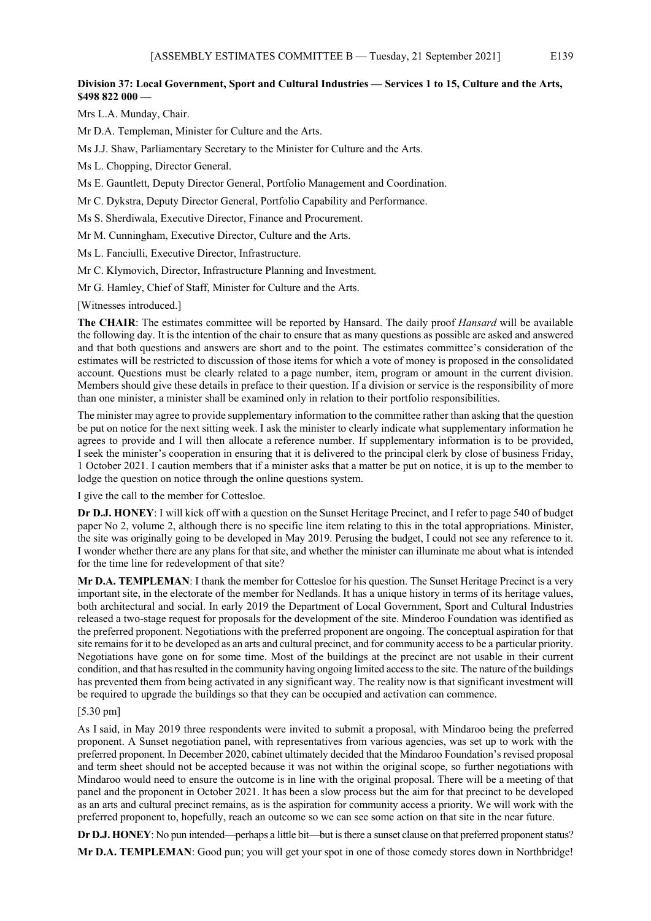# **Division 37: Local Government, Sport and Cultural Industries — Services 1 to 15, Culture and the Arts, \$498 822 000 —**

Mrs L.A. Munday, Chair.

Mr D.A. Templeman, Minister for Culture and the Arts.

Ms J.J. Shaw, Parliamentary Secretary to the Minister for Culture and the Arts.

Ms L. Chopping, Director General.

Ms E. Gauntlett, Deputy Director General, Portfolio Management and Coordination.

Mr C. Dykstra, Deputy Director General, Portfolio Capability and Performance.

Ms S. Sherdiwala, Executive Director, Finance and Procurement.

Mr M. Cunningham, Executive Director, Culture and the Arts.

Ms L. Fanciulli, Executive Director, Infrastructure.

Mr C. Klymovich, Director, Infrastructure Planning and Investment.

Mr G. Hamley, Chief of Staff, Minister for Culture and the Arts.

[Witnesses introduced.]

**The CHAIR**: The estimates committee will be reported by Hansard. The daily proof *Hansard* will be available the following day. It is the intention of the chair to ensure that as many questions as possible are asked and answered and that both questions and answers are short and to the point. The estimates committee's consideration of the estimates will be restricted to discussion of those items for which a vote of money is proposed in the consolidated account. Questions must be clearly related to a page number, item, program or amount in the current division. Members should give these details in preface to their question. If a division or service is the responsibility of more than one minister, a minister shall be examined only in relation to their portfolio responsibilities.

The minister may agree to provide supplementary information to the committee rather than asking that the question be put on notice for the next sitting week. I ask the minister to clearly indicate what supplementary information he agrees to provide and I will then allocate a reference number. If supplementary information is to be provided, I seek the minister's cooperation in ensuring that it is delivered to the principal clerk by close of business Friday, 1 October 2021. I caution members that if a minister asks that a matter be put on notice, it is up to the member to lodge the question on notice through the online questions system.

I give the call to the member for Cottesloe.

**Dr D.J. HONEY**: I will kick off with a question on the Sunset Heritage Precinct, and I refer to page 540 of budget paper No 2, volume 2, although there is no specific line item relating to this in the total appropriations. Minister, the site was originally going to be developed in May 2019. Perusing the budget, I could not see any reference to it. I wonder whether there are any plans for that site, and whether the minister can illuminate me about what is intended for the time line for redevelopment of that site?

**Mr D.A. TEMPLEMAN**: I thank the member for Cottesloe for his question. The Sunset Heritage Precinct is a very important site, in the electorate of the member for Nedlands. It has a unique history in terms of its heritage values, both architectural and social. In early 2019 the Department of Local Government, Sport and Cultural Industries released a two-stage request for proposals for the development of the site. Minderoo Foundation was identified as the preferred proponent. Negotiations with the preferred proponent are ongoing. The conceptual aspiration for that site remains for it to be developed as an arts and cultural precinct, and for community access to be a particular priority. Negotiations have gone on for some time. Most of the buildings at the precinct are not usable in their current condition, and that has resulted in the community having ongoing limited access to the site. The nature of the buildings has prevented them from being activated in any significant way. The reality now is that significant investment will be required to upgrade the buildings so that they can be occupied and activation can commence.

#### [5.30 pm]

As I said, in May 2019 three respondents were invited to submit a proposal, with Mindaroo being the preferred proponent. A Sunset negotiation panel, with representatives from various agencies, was set up to work with the preferred proponent. In December 2020, cabinet ultimately decided that the Mindaroo Foundation's revised proposal and term sheet should not be accepted because it was not within the original scope, so further negotiations with Mindaroo would need to ensure the outcome is in line with the original proposal. There will be a meeting of that panel and the proponent in October 2021. It has been a slow process but the aim for that precinct to be developed as an arts and cultural precinct remains, as is the aspiration for community access a priority. We will work with the preferred proponent to, hopefully, reach an outcome so we can see some action on that site in the near future.

**Dr D.J. HONEY:** No pun intended—perhaps a little bit—but is there a sunset clause on that preferred proponent status?

**Mr D.A. TEMPLEMAN**: Good pun; you will get your spot in one of those comedy stores down in Northbridge!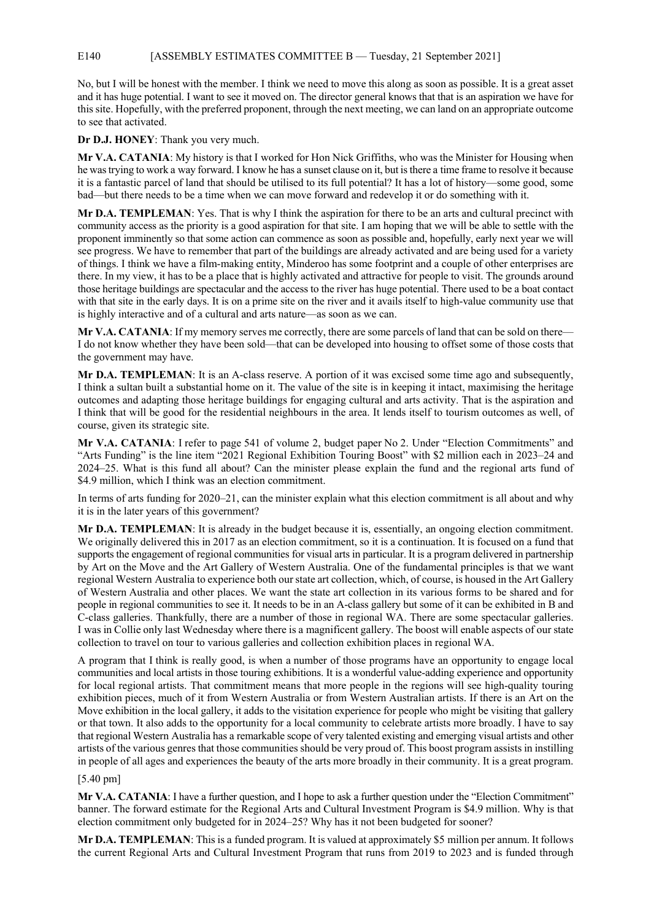## E140 [ASSEMBLY ESTIMATES COMMITTEE B — Tuesday, 21 September 2021]

No, but I will be honest with the member. I think we need to move this along as soon as possible. It is a great asset and it has huge potential. I want to see it moved on. The director general knows that that is an aspiration we have for this site. Hopefully, with the preferred proponent, through the next meeting, we can land on an appropriate outcome to see that activated.

**Dr D.J. HONEY**: Thank you very much.

**Mr V.A. CATANIA**: My history is that I worked for Hon Nick Griffiths, who was the Minister for Housing when he was trying to work a way forward. I know he has a sunset clause on it, but is there a time frame to resolve it because it is a fantastic parcel of land that should be utilised to its full potential? It has a lot of history—some good, some bad—but there needs to be a time when we can move forward and redevelop it or do something with it.

**Mr D.A. TEMPLEMAN**: Yes. That is why I think the aspiration for there to be an arts and cultural precinct with community access as the priority is a good aspiration for that site. I am hoping that we will be able to settle with the proponent imminently so that some action can commence as soon as possible and, hopefully, early next year we will see progress. We have to remember that part of the buildings are already activated and are being used for a variety of things. I think we have a film-making entity, Minderoo has some footprint and a couple of other enterprises are there. In my view, it has to be a place that is highly activated and attractive for people to visit. The grounds around those heritage buildings are spectacular and the access to the river has huge potential. There used to be a boat contact with that site in the early days. It is on a prime site on the river and it avails itself to high-value community use that is highly interactive and of a cultural and arts nature—as soon as we can.

**Mr V.A. CATANIA**: If my memory serves me correctly, there are some parcels of land that can be sold on there— I do not know whether they have been sold—that can be developed into housing to offset some of those costs that the government may have.

**Mr D.A. TEMPLEMAN**: It is an A-class reserve. A portion of it was excised some time ago and subsequently, I think a sultan built a substantial home on it. The value of the site is in keeping it intact, maximising the heritage outcomes and adapting those heritage buildings for engaging cultural and arts activity. That is the aspiration and I think that will be good for the residential neighbours in the area. It lends itself to tourism outcomes as well, of course, given its strategic site.

**Mr V.A. CATANIA**: I refer to page 541 of volume 2, budget paper No 2. Under "Election Commitments" and "Arts Funding" is the line item "2021 Regional Exhibition Touring Boost" with \$2 million each in 2023–24 and 2024–25. What is this fund all about? Can the minister please explain the fund and the regional arts fund of \$4.9 million, which I think was an election commitment.

In terms of arts funding for 2020–21, can the minister explain what this election commitment is all about and why it is in the later years of this government?

**Mr D.A. TEMPLEMAN**: It is already in the budget because it is, essentially, an ongoing election commitment. We originally delivered this in 2017 as an election commitment, so it is a continuation. It is focused on a fund that supports the engagement of regional communities for visual arts in particular. It is a program delivered in partnership by Art on the Move and the Art Gallery of Western Australia. One of the fundamental principles is that we want regional Western Australia to experience both our state art collection, which, of course, is housed in the Art Gallery of Western Australia and other places. We want the state art collection in its various forms to be shared and for people in regional communities to see it. It needs to be in an A-class gallery but some of it can be exhibited in B and C-class galleries. Thankfully, there are a number of those in regional WA. There are some spectacular galleries. I was in Collie only last Wednesday where there is a magnificent gallery. The boost will enable aspects of our state collection to travel on tour to various galleries and collection exhibition places in regional WA.

A program that I think is really good, is when a number of those programs have an opportunity to engage local communities and local artists in those touring exhibitions. It is a wonderful value-adding experience and opportunity for local regional artists. That commitment means that more people in the regions will see high-quality touring exhibition pieces, much of it from Western Australia or from Western Australian artists. If there is an Art on the Move exhibition in the local gallery, it adds to the visitation experience for people who might be visiting that gallery or that town. It also adds to the opportunity for a local community to celebrate artists more broadly. I have to say that regional Western Australia has a remarkable scope of very talented existing and emerging visual artists and other artists of the various genres that those communities should be very proud of. This boost program assists in instilling in people of all ages and experiences the beauty of the arts more broadly in their community. It is a great program.

## [5.40 pm]

**Mr V.A. CATANIA**: I have a further question, and I hope to ask a further question under the "Election Commitment" banner. The forward estimate for the Regional Arts and Cultural Investment Program is \$4.9 million. Why is that election commitment only budgeted for in 2024–25? Why has it not been budgeted for sooner?

**Mr D.A. TEMPLEMAN**: This is a funded program. It is valued at approximately \$5 million per annum. It follows the current Regional Arts and Cultural Investment Program that runs from 2019 to 2023 and is funded through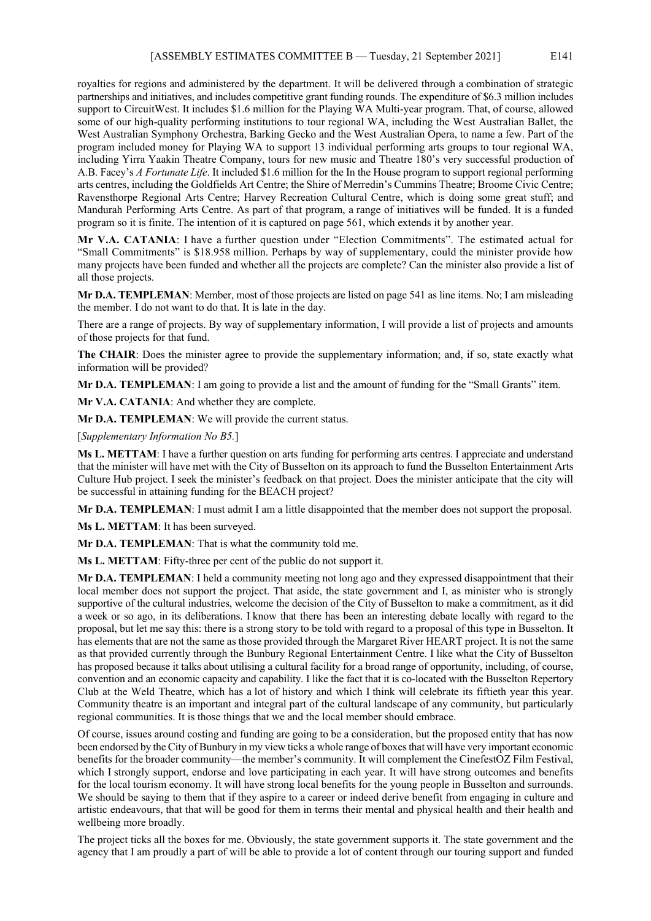royalties for regions and administered by the department. It will be delivered through a combination of strategic partnerships and initiatives, and includes competitive grant funding rounds. The expenditure of \$6.3 million includes support to CircuitWest. It includes \$1.6 million for the Playing WA Multi-year program. That, of course, allowed some of our high-quality performing institutions to tour regional WA, including the West Australian Ballet, the West Australian Symphony Orchestra, Barking Gecko and the West Australian Opera, to name a few. Part of the program included money for Playing WA to support 13 individual performing arts groups to tour regional WA, including Yirra Yaakin Theatre Company, tours for new music and Theatre 180's very successful production of A.B. Facey's *A Fortunate Life*. It included \$1.6 million for the In the House program to support regional performing arts centres, including the Goldfields Art Centre; the Shire of Merredin's Cummins Theatre; Broome Civic Centre; Ravensthorpe Regional Arts Centre; Harvey Recreation Cultural Centre, which is doing some great stuff; and Mandurah Performing Arts Centre. As part of that program, a range of initiatives will be funded. It is a funded program so it is finite. The intention of it is captured on page 561, which extends it by another year.

**Mr V.A. CATANIA**: I have a further question under "Election Commitments". The estimated actual for "Small Commitments" is \$18.958 million. Perhaps by way of supplementary, could the minister provide how many projects have been funded and whether all the projects are complete? Can the minister also provide a list of all those projects.

**Mr D.A. TEMPLEMAN**: Member, most of those projects are listed on page 541 as line items. No; I am misleading the member. I do not want to do that. It is late in the day.

There are a range of projects. By way of supplementary information, I will provide a list of projects and amounts of those projects for that fund.

**The CHAIR**: Does the minister agree to provide the supplementary information; and, if so, state exactly what information will be provided?

**Mr D.A. TEMPLEMAN**: I am going to provide a list and the amount of funding for the "Small Grants" item.

**Mr V.A. CATANIA**: And whether they are complete.

**Mr D.A. TEMPLEMAN**: We will provide the current status.

[*Supplementary Information No B5.*]

**Ms L. METTAM**: I have a further question on arts funding for performing arts centres. I appreciate and understand that the minister will have met with the City of Busselton on its approach to fund the Busselton Entertainment Arts Culture Hub project. I seek the minister's feedback on that project. Does the minister anticipate that the city will be successful in attaining funding for the BEACH project?

**Mr D.A. TEMPLEMAN**: I must admit I am a little disappointed that the member does not support the proposal.

**Ms L. METTAM**: It has been surveyed.

**Mr D.A. TEMPLEMAN**: That is what the community told me.

**Ms L. METTAM**: Fifty-three per cent of the public do not support it.

**Mr D.A. TEMPLEMAN**: I held a community meeting not long ago and they expressed disappointment that their local member does not support the project. That aside, the state government and I, as minister who is strongly supportive of the cultural industries, welcome the decision of the City of Busselton to make a commitment, as it did a week or so ago, in its deliberations. I know that there has been an interesting debate locally with regard to the proposal, but let me say this: there is a strong story to be told with regard to a proposal of this type in Busselton. It has elements that are not the same as those provided through the Margaret River HEART project. It is not the same as that provided currently through the Bunbury Regional Entertainment Centre. I like what the City of Busselton has proposed because it talks about utilising a cultural facility for a broad range of opportunity, including, of course, convention and an economic capacity and capability. I like the fact that it is co-located with the Busselton Repertory Club at the Weld Theatre, which has a lot of history and which I think will celebrate its fiftieth year this year. Community theatre is an important and integral part of the cultural landscape of any community, but particularly regional communities. It is those things that we and the local member should embrace.

Of course, issues around costing and funding are going to be a consideration, but the proposed entity that has now been endorsed by the City of Bunbury in my view ticks a whole range of boxes that will have very important economic benefits for the broader community—the member's community. It will complement the CinefestOZ Film Festival, which I strongly support, endorse and love participating in each year. It will have strong outcomes and benefits for the local tourism economy. It will have strong local benefits for the young people in Busselton and surrounds. We should be saying to them that if they aspire to a career or indeed derive benefit from engaging in culture and artistic endeavours, that that will be good for them in terms their mental and physical health and their health and wellbeing more broadly.

The project ticks all the boxes for me. Obviously, the state government supports it. The state government and the agency that I am proudly a part of will be able to provide a lot of content through our touring support and funded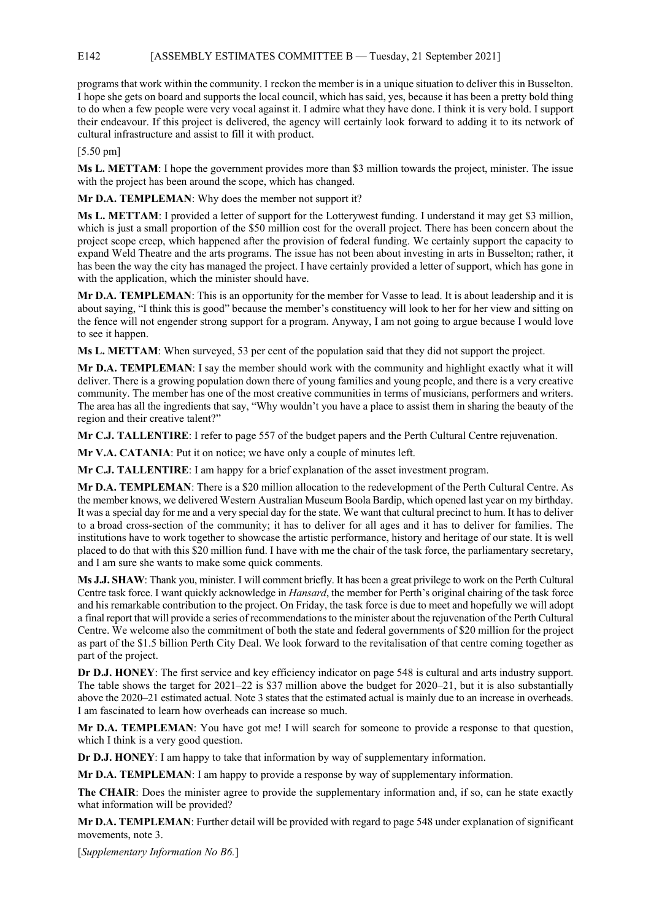# E142 [ASSEMBLY ESTIMATES COMMITTEE B — Tuesday, 21 September 2021]

programs that work within the community. I reckon the member is in a unique situation to deliver this in Busselton. I hope she gets on board and supports the local council, which has said, yes, because it has been a pretty bold thing to do when a few people were very vocal against it. I admire what they have done. I think it is very bold. I support their endeavour. If this project is delivered, the agency will certainly look forward to adding it to its network of cultural infrastructure and assist to fill it with product.

[5.50 pm]

**Ms L. METTAM**: I hope the government provides more than \$3 million towards the project, minister. The issue with the project has been around the scope, which has changed.

**Mr D.A. TEMPLEMAN**: Why does the member not support it?

**Ms L. METTAM**: I provided a letter of support for the Lotterywest funding. I understand it may get \$3 million, which is just a small proportion of the \$50 million cost for the overall project. There has been concern about the project scope creep, which happened after the provision of federal funding. We certainly support the capacity to expand Weld Theatre and the arts programs. The issue has not been about investing in arts in Busselton; rather, it has been the way the city has managed the project. I have certainly provided a letter of support, which has gone in with the application, which the minister should have.

**Mr D.A. TEMPLEMAN**: This is an opportunity for the member for Vasse to lead. It is about leadership and it is about saying, "I think this is good" because the member's constituency will look to her for her view and sitting on the fence will not engender strong support for a program. Anyway, I am not going to argue because I would love to see it happen.

**Ms L. METTAM**: When surveyed, 53 per cent of the population said that they did not support the project.

**Mr D.A. TEMPLEMAN**: I say the member should work with the community and highlight exactly what it will deliver. There is a growing population down there of young families and young people, and there is a very creative community. The member has one of the most creative communities in terms of musicians, performers and writers. The area has all the ingredients that say, "Why wouldn't you have a place to assist them in sharing the beauty of the region and their creative talent?"

**Mr C.J. TALLENTIRE**: I refer to page 557 of the budget papers and the Perth Cultural Centre rejuvenation.

**Mr V.A. CATANIA**: Put it on notice; we have only a couple of minutes left.

**Mr C.J. TALLENTIRE**: I am happy for a brief explanation of the asset investment program.

**Mr D.A. TEMPLEMAN**: There is a \$20 million allocation to the redevelopment of the Perth Cultural Centre. As the member knows, we delivered Western Australian Museum Boola Bardip, which opened last year on my birthday. It was a special day for me and a very special day for the state. We want that cultural precinct to hum. It has to deliver to a broad cross-section of the community; it has to deliver for all ages and it has to deliver for families. The institutions have to work together to showcase the artistic performance, history and heritage of our state. It is well placed to do that with this \$20 million fund. I have with me the chair of the task force, the parliamentary secretary, and I am sure she wants to make some quick comments.

**Ms J.J. SHAW**: Thank you, minister. I will comment briefly. It has been a great privilege to work on the Perth Cultural Centre task force. I want quickly acknowledge in *Hansard*, the member for Perth's original chairing of the task force and his remarkable contribution to the project. On Friday, the task force is due to meet and hopefully we will adopt a final report that will provide a series of recommendations to the minister about the rejuvenation of the Perth Cultural Centre. We welcome also the commitment of both the state and federal governments of \$20 million for the project as part of the \$1.5 billion Perth City Deal. We look forward to the revitalisation of that centre coming together as part of the project.

**Dr D.J. HONEY**: The first service and key efficiency indicator on page 548 is cultural and arts industry support. The table shows the target for 2021–22 is \$37 million above the budget for 2020–21, but it is also substantially above the 2020–21 estimated actual. Note 3 states that the estimated actual is mainly due to an increase in overheads. I am fascinated to learn how overheads can increase so much.

**Mr D.A. TEMPLEMAN**: You have got me! I will search for someone to provide a response to that question, which I think is a very good question.

**Dr D.J. HONEY**: I am happy to take that information by way of supplementary information.

**Mr D.A. TEMPLEMAN**: I am happy to provide a response by way of supplementary information.

**The CHAIR:** Does the minister agree to provide the supplementary information and, if so, can he state exactly what information will be provided?

**Mr D.A. TEMPLEMAN**: Further detail will be provided with regard to page 548 under explanation of significant movements, note 3.

[*Supplementary Information No B6.*]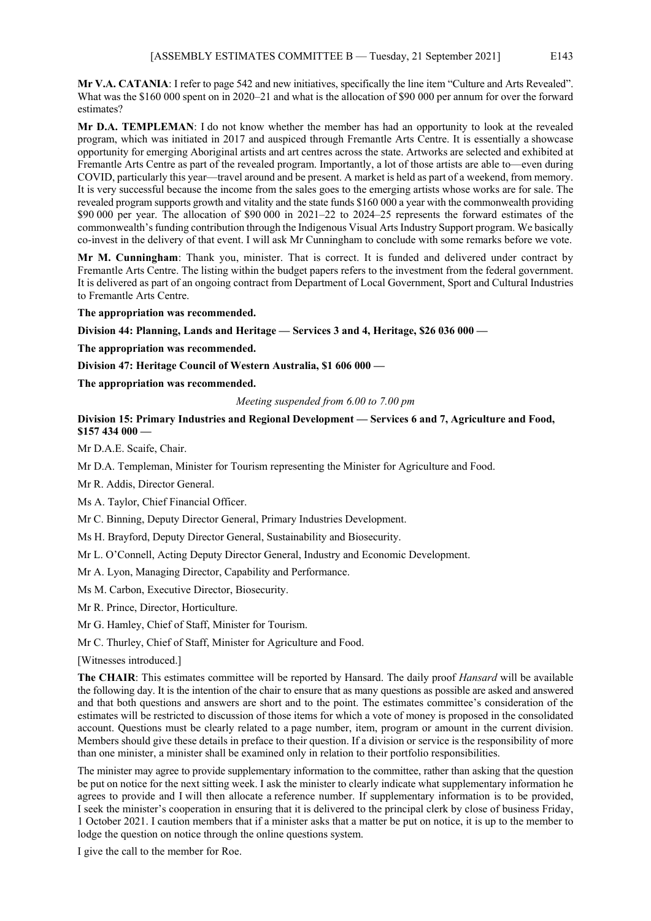**Mr V.A. CATANIA**: I refer to page 542 and new initiatives, specifically the line item "Culture and Arts Revealed". What was the \$160 000 spent on in 2020–21 and what is the allocation of \$90 000 per annum for over the forward estimates?

**Mr D.A. TEMPLEMAN**: I do not know whether the member has had an opportunity to look at the revealed program, which was initiated in 2017 and auspiced through Fremantle Arts Centre. It is essentially a showcase opportunity for emerging Aboriginal artists and art centres across the state. Artworks are selected and exhibited at Fremantle Arts Centre as part of the revealed program. Importantly, a lot of those artists are able to—even during COVID, particularly this year—travel around and be present. A market is held as part of a weekend, from memory. It is very successful because the income from the sales goes to the emerging artists whose works are for sale. The revealed program supports growth and vitality and the state funds \$160 000 a year with the commonwealth providing \$90 000 per year. The allocation of \$90 000 in 2021–22 to 2024–25 represents the forward estimates of the commonwealth's funding contribution through the Indigenous Visual Arts Industry Support program. We basically co-invest in the delivery of that event. I will ask Mr Cunningham to conclude with some remarks before we vote.

**Mr M. Cunningham**: Thank you, minister. That is correct. It is funded and delivered under contract by Fremantle Arts Centre. The listing within the budget papers refers to the investment from the federal government. It is delivered as part of an ongoing contract from Department of Local Government, Sport and Cultural Industries to Fremantle Arts Centre.

**The appropriation was recommended.**

**Division 44: Planning, Lands and Heritage — Services 3 and 4, Heritage, \$26 036 000 —**

**The appropriation was recommended.**

**Division 47: Heritage Council of Western Australia, \$1 606 000 —**

**The appropriation was recommended.**

*Meeting suspended from 6.00 to 7.00 pm*

## **Division 15: Primary Industries and Regional Development — Services 6 and 7, Agriculture and Food, \$157 434 000 —**

Mr D.A.E. Scaife, Chair.

Mr D.A. Templeman, Minister for Tourism representing the Minister for Agriculture and Food.

Mr R. Addis, Director General.

Ms A. Taylor, Chief Financial Officer.

Mr C. Binning, Deputy Director General, Primary Industries Development.

Ms H. Brayford, Deputy Director General, Sustainability and Biosecurity.

Mr L. O'Connell, Acting Deputy Director General, Industry and Economic Development.

Mr A. Lyon, Managing Director, Capability and Performance.

Ms M. Carbon, Executive Director, Biosecurity.

Mr R. Prince, Director, Horticulture.

Mr G. Hamley, Chief of Staff, Minister for Tourism.

Mr C. Thurley, Chief of Staff, Minister for Agriculture and Food.

[Witnesses introduced.]

**The CHAIR**: This estimates committee will be reported by Hansard. The daily proof *Hansard* will be available the following day. It is the intention of the chair to ensure that as many questions as possible are asked and answered and that both questions and answers are short and to the point. The estimates committee's consideration of the estimates will be restricted to discussion of those items for which a vote of money is proposed in the consolidated account. Questions must be clearly related to a page number, item, program or amount in the current division. Members should give these details in preface to their question. If a division or service is the responsibility of more than one minister, a minister shall be examined only in relation to their portfolio responsibilities.

The minister may agree to provide supplementary information to the committee, rather than asking that the question be put on notice for the next sitting week. I ask the minister to clearly indicate what supplementary information he agrees to provide and I will then allocate a reference number. If supplementary information is to be provided, I seek the minister's cooperation in ensuring that it is delivered to the principal clerk by close of business Friday, 1 October 2021. I caution members that if a minister asks that a matter be put on notice, it is up to the member to lodge the question on notice through the online questions system.

I give the call to the member for Roe.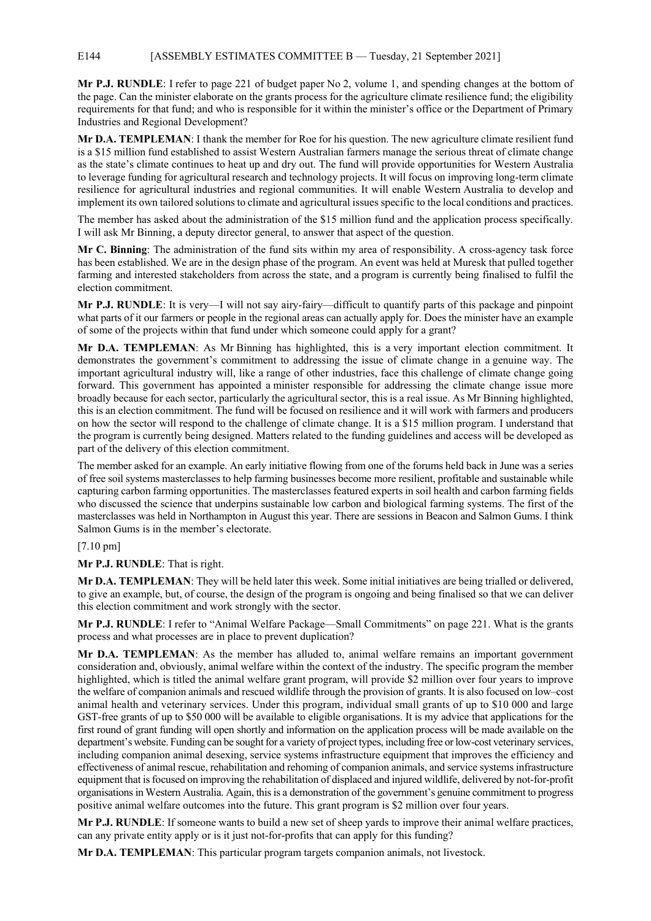## E144 [ASSEMBLY ESTIMATES COMMITTEE B — Tuesday, 21 September 2021]

**Mr P.J. RUNDLE**: I refer to page 221 of budget paper No 2, volume 1, and spending changes at the bottom of the page. Can the minister elaborate on the grants process for the agriculture climate resilience fund; the eligibility requirements for that fund; and who is responsible for it within the minister's office or the Department of Primary Industries and Regional Development?

**Mr D.A. TEMPLEMAN**: I thank the member for Roe for his question. The new agriculture climate resilient fund is a \$15 million fund established to assist Western Australian farmers manage the serious threat of climate change as the state's climate continues to heat up and dry out. The fund will provide opportunities for Western Australia to leverage funding for agricultural research and technology projects. It will focus on improving long-term climate resilience for agricultural industries and regional communities. It will enable Western Australia to develop and implement its own tailored solutions to climate and agricultural issues specific to the local conditions and practices.

The member has asked about the administration of the \$15 million fund and the application process specifically. I will ask Mr Binning, a deputy director general, to answer that aspect of the question.

**Mr C. Binning**: The administration of the fund sits within my area of responsibility. A cross-agency task force has been established. We are in the design phase of the program. An event was held at Muresk that pulled together farming and interested stakeholders from across the state, and a program is currently being finalised to fulfil the election commitment.

**Mr P.J. RUNDLE**: It is very—I will not say airy-fairy—difficult to quantify parts of this package and pinpoint what parts of it our farmers or people in the regional areas can actually apply for. Does the minister have an example of some of the projects within that fund under which someone could apply for a grant?

**Mr D.A. TEMPLEMAN**: As Mr Binning has highlighted, this is a very important election commitment. It demonstrates the government's commitment to addressing the issue of climate change in a genuine way. The important agricultural industry will, like a range of other industries, face this challenge of climate change going forward. This government has appointed a minister responsible for addressing the climate change issue more broadly because for each sector, particularly the agricultural sector, this is a real issue. As Mr Binning highlighted, this is an election commitment. The fund will be focused on resilience and it will work with farmers and producers on how the sector will respond to the challenge of climate change. It is a \$15 million program. I understand that the program is currently being designed. Matters related to the funding guidelines and access will be developed as part of the delivery of this election commitment.

The member asked for an example. An early initiative flowing from one of the forums held back in June was a series of free soil systems masterclasses to help farming businesses become more resilient, profitable and sustainable while capturing carbon farming opportunities. The masterclasses featured experts in soil health and carbon farming fields who discussed the science that underpins sustainable low carbon and biological farming systems. The first of the masterclasses was held in Northampton in August this year. There are sessions in Beacon and Salmon Gums. I think Salmon Gums is in the member's electorate.

## [7.10 pm]

**Mr P.J. RUNDLE**: That is right.

**Mr D.A. TEMPLEMAN**: They will be held later this week. Some initial initiatives are being trialled or delivered, to give an example, but, of course, the design of the program is ongoing and being finalised so that we can deliver this election commitment and work strongly with the sector.

**Mr P.J. RUNDLE**: I refer to "Animal Welfare Package—Small Commitments" on page 221. What is the grants process and what processes are in place to prevent duplication?

**Mr D.A. TEMPLEMAN**: As the member has alluded to, animal welfare remains an important government consideration and, obviously, animal welfare within the context of the industry. The specific program the member highlighted, which is titled the animal welfare grant program, will provide \$2 million over four years to improve the welfare of companion animals and rescued wildlife through the provision of grants. It is also focused on low–cost animal health and veterinary services. Under this program, individual small grants of up to \$10 000 and large GST-free grants of up to \$50 000 will be available to eligible organisations. It is my advice that applications for the first round of grant funding will open shortly and information on the application process will be made available on the department's website. Funding can be sought for a variety of project types, including free or low-cost veterinary services, including companion animal desexing, service systems infrastructure equipment that improves the efficiency and effectiveness of animal rescue, rehabilitation and rehoming of companion animals, and service systems infrastructure equipment that is focused on improving the rehabilitation of displaced and injured wildlife, delivered by not-for-profit organisationsin Western Australia. Again, this is a demonstration of the government's genuine commitment to progress positive animal welfare outcomes into the future. This grant program is \$2 million over four years.

**Mr P.J. RUNDLE**: If someone wants to build a new set of sheep yards to improve their animal welfare practices, can any private entity apply or is it just not-for-profits that can apply for this funding?

**Mr D.A. TEMPLEMAN**: This particular program targets companion animals, not livestock.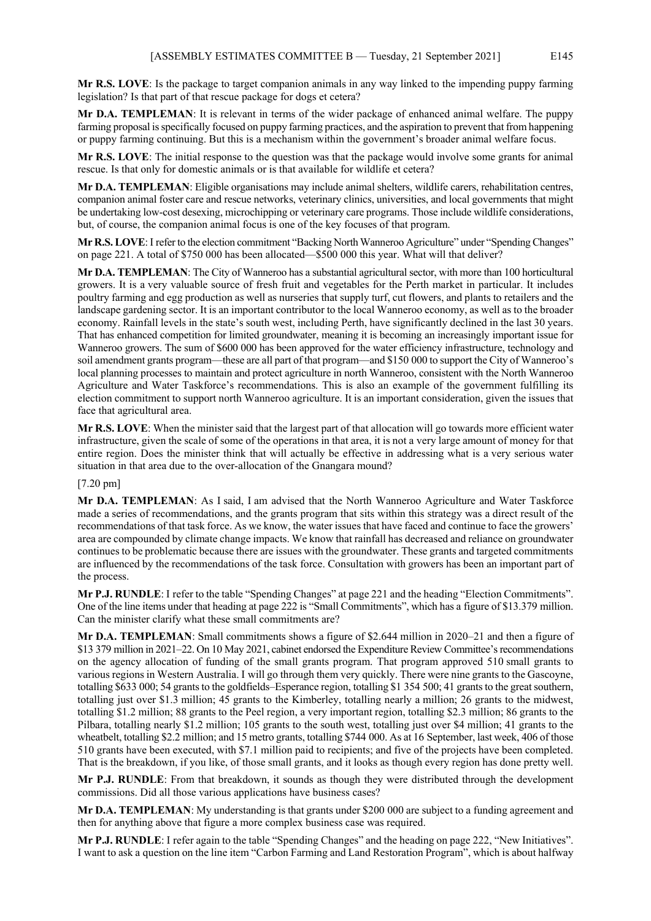**Mr R.S. LOVE**: Is the package to target companion animals in any way linked to the impending puppy farming legislation? Is that part of that rescue package for dogs et cetera?

**Mr D.A. TEMPLEMAN**: It is relevant in terms of the wider package of enhanced animal welfare. The puppy farming proposal is specifically focused on puppy farming practices, and the aspiration to prevent that from happening or puppy farming continuing. But this is a mechanism within the government's broader animal welfare focus.

**Mr R.S. LOVE**: The initial response to the question was that the package would involve some grants for animal rescue. Is that only for domestic animals or is that available for wildlife et cetera?

**Mr D.A. TEMPLEMAN**: Eligible organisations may include animal shelters, wildlife carers, rehabilitation centres, companion animal foster care and rescue networks, veterinary clinics, universities, and local governments that might be undertaking low-cost desexing, microchipping or veterinary care programs. Those include wildlife considerations, but, of course, the companion animal focus is one of the key focuses of that program.

**Mr R.S. LOVE**: I refer to the election commitment "Backing North Wanneroo Agriculture" under "Spending Changes" on page 221. A total of \$750 000 has been allocated—\$500 000 this year. What will that deliver?

**Mr D.A. TEMPLEMAN**: The City of Wanneroo has a substantial agricultural sector, with more than 100 horticultural growers. It is a very valuable source of fresh fruit and vegetables for the Perth market in particular. It includes poultry farming and egg production as well as nurseries that supply turf, cut flowers, and plants to retailers and the landscape gardening sector. It is an important contributor to the local Wanneroo economy, as well as to the broader economy. Rainfall levels in the state's south west, including Perth, have significantly declined in the last 30 years. That has enhanced competition for limited groundwater, meaning it is becoming an increasingly important issue for Wanneroo growers. The sum of \$600 000 has been approved for the water efficiency infrastructure, technology and soil amendment grants program—these are all part of that program—and \$150 000 to support the City of Wanneroo's local planning processes to maintain and protect agriculture in north Wanneroo, consistent with the North Wanneroo Agriculture and Water Taskforce's recommendations. This is also an example of the government fulfilling its election commitment to support north Wanneroo agriculture. It is an important consideration, given the issues that face that agricultural area.

**Mr R.S. LOVE**: When the minister said that the largest part of that allocation will go towards more efficient water infrastructure, given the scale of some of the operations in that area, it is not a very large amount of money for that entire region. Does the minister think that will actually be effective in addressing what is a very serious water situation in that area due to the over-allocation of the Gnangara mound?

#### [7.20 pm]

**Mr D.A. TEMPLEMAN**: As I said, I am advised that the North Wanneroo Agriculture and Water Taskforce made a series of recommendations, and the grants program that sits within this strategy was a direct result of the recommendations of that task force. As we know, the water issues that have faced and continue to face the growers' area are compounded by climate change impacts. We know that rainfall has decreased and reliance on groundwater continues to be problematic because there are issues with the groundwater. These grants and targeted commitments are influenced by the recommendations of the task force. Consultation with growers has been an important part of the process.

**Mr P.J. RUNDLE**: I refer to the table "Spending Changes" at page 221 and the heading "Election Commitments". One of the line items under that heading at page 222 is "Small Commitments", which has a figure of \$13.379 million. Can the minister clarify what these small commitments are?

**Mr D.A. TEMPLEMAN**: Small commitments shows a figure of \$2.644 million in 2020–21 and then a figure of \$13 379 million in 2021–22. On 10 May 2021, cabinet endorsed the Expenditure Review Committee's recommendations on the agency allocation of funding of the small grants program. That program approved 510 small grants to various regions in Western Australia. I will go through them very quickly. There were nine grants to the Gascoyne, totalling \$633 000; 54 grants to the goldfields–Esperance region, totalling \$1 354 500; 41 grants to the great southern, totalling just over \$1.3 million; 45 grants to the Kimberley, totalling nearly a million; 26 grants to the midwest, totalling \$1.2 million; 88 grants to the Peel region, a very important region, totalling \$2.3 million; 86 grants to the Pilbara, totalling nearly \$1.2 million; 105 grants to the south west, totalling just over \$4 million; 41 grants to the wheatbelt, totalling \$2.2 million; and 15 metro grants, totalling \$744 000. As at 16 September, last week, 406 of those 510 grants have been executed, with \$7.1 million paid to recipients; and five of the projects have been completed. That is the breakdown, if you like, of those small grants, and it looks as though every region has done pretty well.

**Mr P.J. RUNDLE**: From that breakdown, it sounds as though they were distributed through the development commissions. Did all those various applications have business cases?

**Mr D.A. TEMPLEMAN**: My understanding is that grants under \$200 000 are subject to a funding agreement and then for anything above that figure a more complex business case was required.

**Mr P.J. RUNDLE**: I refer again to the table "Spending Changes" and the heading on page 222, "New Initiatives". I want to ask a question on the line item "Carbon Farming and Land Restoration Program", which is about halfway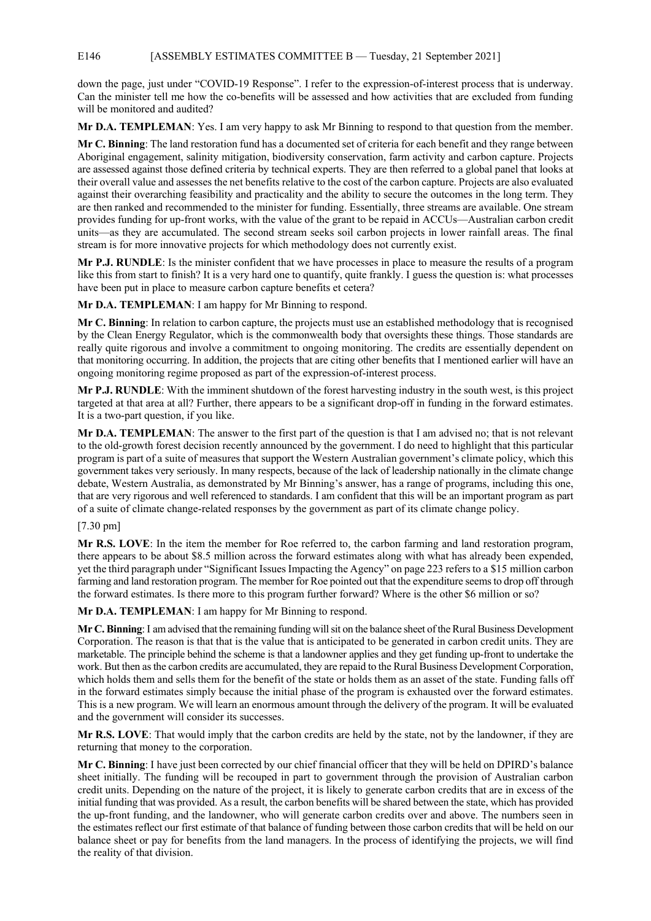# E146 [ASSEMBLY ESTIMATES COMMITTEE B — Tuesday, 21 September 2021]

down the page, just under "COVID-19 Response". I refer to the expression-of-interest process that is underway. Can the minister tell me how the co-benefits will be assessed and how activities that are excluded from funding will be monitored and audited?

**Mr D.A. TEMPLEMAN**: Yes. I am very happy to ask Mr Binning to respond to that question from the member.

**Mr C. Binning**: The land restoration fund has a documented set of criteria for each benefit and they range between Aboriginal engagement, salinity mitigation, biodiversity conservation, farm activity and carbon capture. Projects are assessed against those defined criteria by technical experts. They are then referred to a global panel that looks at their overall value and assesses the net benefits relative to the cost of the carbon capture. Projects are also evaluated against their overarching feasibility and practicality and the ability to secure the outcomes in the long term. They are then ranked and recommended to the minister for funding. Essentially, three streams are available. One stream provides funding for up-front works, with the value of the grant to be repaid in ACCUs—Australian carbon credit units—as they are accumulated. The second stream seeks soil carbon projects in lower rainfall areas. The final stream is for more innovative projects for which methodology does not currently exist.

**Mr P.J. RUNDLE**: Is the minister confident that we have processes in place to measure the results of a program like this from start to finish? It is a very hard one to quantify, quite frankly. I guess the question is: what processes have been put in place to measure carbon capture benefits et cetera?

**Mr D.A. TEMPLEMAN**: I am happy for Mr Binning to respond.

**Mr C. Binning**: In relation to carbon capture, the projects must use an established methodology that is recognised by the Clean Energy Regulator, which is the commonwealth body that oversights these things. Those standards are really quite rigorous and involve a commitment to ongoing monitoring. The credits are essentially dependent on that monitoring occurring. In addition, the projects that are citing other benefits that I mentioned earlier will have an ongoing monitoring regime proposed as part of the expression-of-interest process.

**Mr P.J. RUNDLE**: With the imminent shutdown of the forest harvesting industry in the south west, is this project targeted at that area at all? Further, there appears to be a significant drop-off in funding in the forward estimates. It is a two-part question, if you like.

**Mr D.A. TEMPLEMAN**: The answer to the first part of the question is that I am advised no; that is not relevant to the old-growth forest decision recently announced by the government. I do need to highlight that this particular program is part of a suite of measures that support the Western Australian government's climate policy, which this government takes very seriously. In many respects, because of the lack of leadership nationally in the climate change debate, Western Australia, as demonstrated by Mr Binning's answer, has a range of programs, including this one, that are very rigorous and well referenced to standards. I am confident that this will be an important program as part of a suite of climate change-related responses by the government as part of its climate change policy.

## [7.30 pm]

**Mr R.S. LOVE**: In the item the member for Roe referred to, the carbon farming and land restoration program, there appears to be about \$8.5 million across the forward estimates along with what has already been expended, yet the third paragraph under "Significant Issues Impacting the Agency" on page 223 refers to a \$15 million carbon farming and land restoration program. The member for Roe pointed out that the expenditure seems to drop off through the forward estimates. Is there more to this program further forward? Where is the other \$6 million or so?

**Mr D.A. TEMPLEMAN**: I am happy for Mr Binning to respond.

**Mr C. Binning**: I am advised that the remaining funding will sit on the balance sheet of the Rural Business Development Corporation. The reason is that that is the value that is anticipated to be generated in carbon credit units. They are marketable. The principle behind the scheme is that a landowner applies and they get funding up-front to undertake the work. But then as the carbon credits are accumulated, they are repaid to the Rural Business Development Corporation, which holds them and sells them for the benefit of the state or holds them as an asset of the state. Funding falls off in the forward estimates simply because the initial phase of the program is exhausted over the forward estimates. This is a new program. We will learn an enormous amount through the delivery of the program. It will be evaluated and the government will consider its successes.

**Mr R.S. LOVE**: That would imply that the carbon credits are held by the state, not by the landowner, if they are returning that money to the corporation.

**Mr C. Binning**: I have just been corrected by our chief financial officer that they will be held on DPIRD's balance sheet initially. The funding will be recouped in part to government through the provision of Australian carbon credit units. Depending on the nature of the project, it is likely to generate carbon credits that are in excess of the initial funding that was provided. As a result, the carbon benefits will be shared between the state, which has provided the up-front funding, and the landowner, who will generate carbon credits over and above. The numbers seen in the estimates reflect our first estimate of that balance of funding between those carbon credits that will be held on our balance sheet or pay for benefits from the land managers. In the process of identifying the projects, we will find the reality of that division.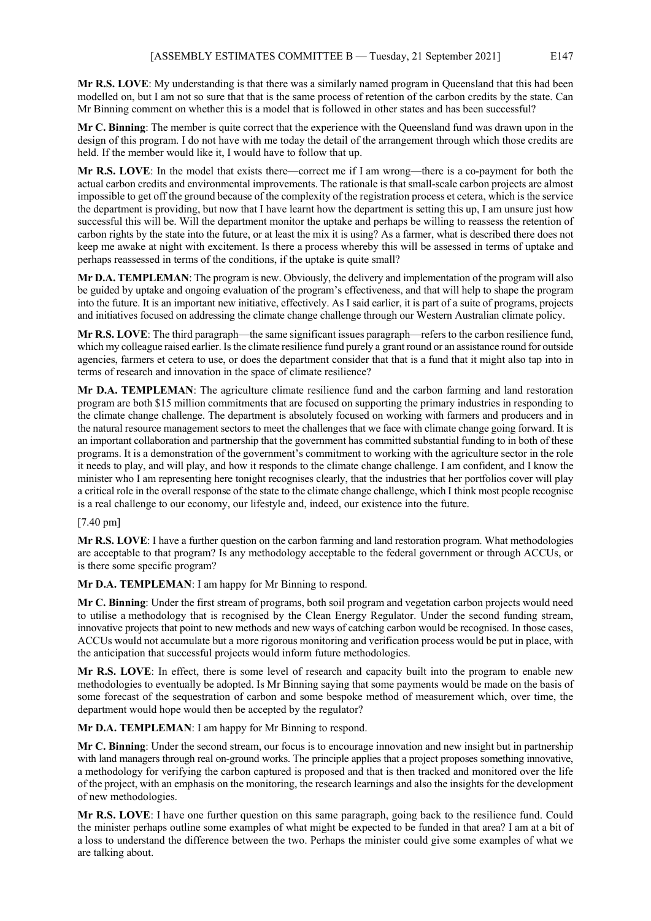**Mr R.S. LOVE**: My understanding is that there was a similarly named program in Queensland that this had been modelled on, but I am not so sure that that is the same process of retention of the carbon credits by the state. Can Mr Binning comment on whether this is a model that is followed in other states and has been successful?

**Mr C. Binning**: The member is quite correct that the experience with the Queensland fund was drawn upon in the design of this program. I do not have with me today the detail of the arrangement through which those credits are held. If the member would like it, I would have to follow that up.

**Mr R.S. LOVE**: In the model that exists there—correct me if I am wrong—there is a co-payment for both the actual carbon credits and environmental improvements. The rationale is that small-scale carbon projects are almost impossible to get off the ground because of the complexity of the registration process et cetera, which is the service the department is providing, but now that I have learnt how the department is setting this up, I am unsure just how successful this will be. Will the department monitor the uptake and perhaps be willing to reassess the retention of carbon rights by the state into the future, or at least the mix it is using? As a farmer, what is described there does not keep me awake at night with excitement. Is there a process whereby this will be assessed in terms of uptake and perhaps reassessed in terms of the conditions, if the uptake is quite small?

**Mr D.A. TEMPLEMAN**: The program is new. Obviously, the delivery and implementation of the program will also be guided by uptake and ongoing evaluation of the program's effectiveness, and that will help to shape the program into the future. It is an important new initiative, effectively. As I said earlier, it is part of a suite of programs, projects and initiatives focused on addressing the climate change challenge through our Western Australian climate policy.

**Mr R.S. LOVE**: The third paragraph—the same significant issues paragraph—refers to the carbon resilience fund, which my colleague raised earlier. Is the climate resilience fund purely a grant round or an assistance round for outside agencies, farmers et cetera to use, or does the department consider that that is a fund that it might also tap into in terms of research and innovation in the space of climate resilience?

**Mr D.A. TEMPLEMAN**: The agriculture climate resilience fund and the carbon farming and land restoration program are both \$15 million commitments that are focused on supporting the primary industries in responding to the climate change challenge. The department is absolutely focused on working with farmers and producers and in the natural resource management sectors to meet the challenges that we face with climate change going forward. It is an important collaboration and partnership that the government has committed substantial funding to in both of these programs. It is a demonstration of the government's commitment to working with the agriculture sector in the role it needs to play, and will play, and how it responds to the climate change challenge. I am confident, and I know the minister who I am representing here tonight recognises clearly, that the industries that her portfolios cover will play a critical role in the overall response of the state to the climate change challenge, which I think most people recognise is a real challenge to our economy, our lifestyle and, indeed, our existence into the future.

# [7.40 pm]

**Mr R.S. LOVE**: I have a further question on the carbon farming and land restoration program. What methodologies are acceptable to that program? Is any methodology acceptable to the federal government or through ACCUs, or is there some specific program?

**Mr D.A. TEMPLEMAN**: I am happy for Mr Binning to respond.

**Mr C. Binning**: Under the first stream of programs, both soil program and vegetation carbon projects would need to utilise a methodology that is recognised by the Clean Energy Regulator. Under the second funding stream, innovative projects that point to new methods and new ways of catching carbon would be recognised. In those cases, ACCUs would not accumulate but a more rigorous monitoring and verification process would be put in place, with the anticipation that successful projects would inform future methodologies.

**Mr R.S. LOVE**: In effect, there is some level of research and capacity built into the program to enable new methodologies to eventually be adopted. Is Mr Binning saying that some payments would be made on the basis of some forecast of the sequestration of carbon and some bespoke method of measurement which, over time, the department would hope would then be accepted by the regulator?

**Mr D.A. TEMPLEMAN**: I am happy for Mr Binning to respond.

**Mr C. Binning**: Under the second stream, our focus is to encourage innovation and new insight but in partnership with land managers through real on-ground works. The principle applies that a project proposes something innovative, a methodology for verifying the carbon captured is proposed and that is then tracked and monitored over the life of the project, with an emphasis on the monitoring, the research learnings and also the insights for the development of new methodologies.

**Mr R.S. LOVE**: I have one further question on this same paragraph, going back to the resilience fund. Could the minister perhaps outline some examples of what might be expected to be funded in that area? I am at a bit of a loss to understand the difference between the two. Perhaps the minister could give some examples of what we are talking about.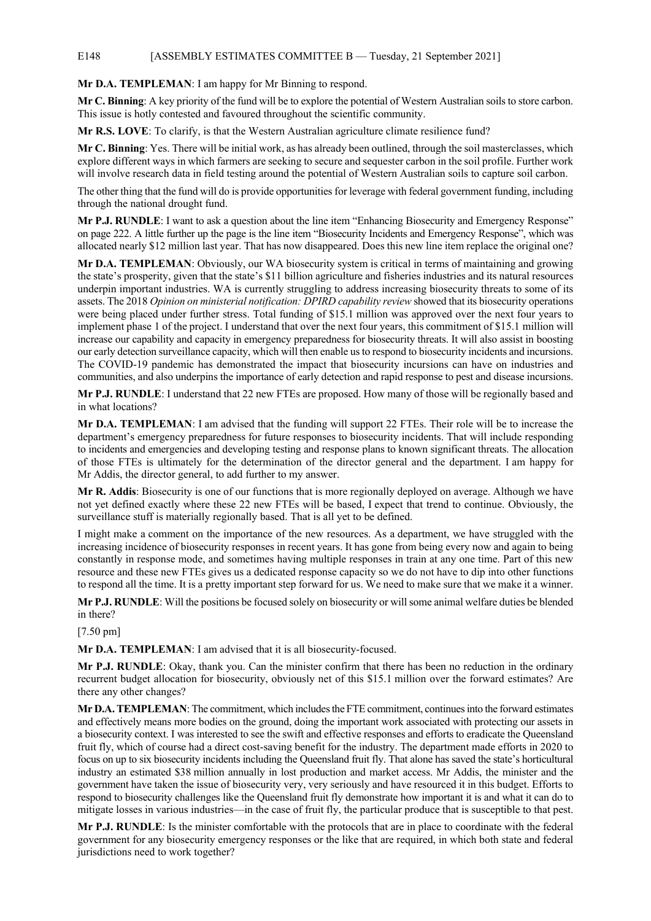#### E148 [ASSEMBLY ESTIMATES COMMITTEE B — Tuesday, 21 September 2021]

#### **Mr D.A. TEMPLEMAN**: I am happy for Mr Binning to respond.

**Mr C. Binning**: A key priority of the fund will be to explore the potential of Western Australian soils to store carbon. This issue is hotly contested and favoured throughout the scientific community.

**Mr R.S. LOVE**: To clarify, is that the Western Australian agriculture climate resilience fund?

**Mr C. Binning**: Yes. There will be initial work, as has already been outlined, through the soil masterclasses, which explore different ways in which farmers are seeking to secure and sequester carbon in the soil profile. Further work will involve research data in field testing around the potential of Western Australian soils to capture soil carbon.

The other thing that the fund will do is provide opportunities for leverage with federal government funding, including through the national drought fund.

**Mr P.J. RUNDLE**: I want to ask a question about the line item "Enhancing Biosecurity and Emergency Response" on page 222. A little further up the page is the line item "Biosecurity Incidents and Emergency Response", which was allocated nearly \$12 million last year. That has now disappeared. Does this new line item replace the original one?

**Mr D.A. TEMPLEMAN**: Obviously, our WA biosecurity system is critical in terms of maintaining and growing the state's prosperity, given that the state's \$11 billion agriculture and fisheries industries and its natural resources underpin important industries. WA is currently struggling to address increasing biosecurity threats to some of its assets. The 2018 *Opinion on ministerial notification: DPIRD capability review* showed that its biosecurity operations were being placed under further stress. Total funding of \$15.1 million was approved over the next four years to implement phase 1 of the project. I understand that over the next four years, this commitment of \$15.1 million will increase our capability and capacity in emergency preparedness for biosecurity threats. It will also assist in boosting our early detection surveillance capacity, which will then enable us to respond to biosecurity incidents and incursions. The COVID-19 pandemic has demonstrated the impact that biosecurity incursions can have on industries and communities, and also underpins the importance of early detection and rapid response to pest and disease incursions.

**Mr P.J. RUNDLE**: I understand that 22 new FTEs are proposed. How many of those will be regionally based and in what locations?

**Mr D.A. TEMPLEMAN**: I am advised that the funding will support 22 FTEs. Their role will be to increase the department's emergency preparedness for future responses to biosecurity incidents. That will include responding to incidents and emergencies and developing testing and response plans to known significant threats. The allocation of those FTEs is ultimately for the determination of the director general and the department. I am happy for Mr Addis, the director general, to add further to my answer.

**Mr R. Addis**: Biosecurity is one of our functions that is more regionally deployed on average. Although we have not yet defined exactly where these 22 new FTEs will be based, I expect that trend to continue. Obviously, the surveillance stuff is materially regionally based. That is all yet to be defined.

I might make a comment on the importance of the new resources. As a department, we have struggled with the increasing incidence of biosecurity responses in recent years. It has gone from being every now and again to being constantly in response mode, and sometimes having multiple responses in train at any one time. Part of this new resource and these new FTEs gives us a dedicated response capacity so we do not have to dip into other functions to respond all the time. It is a pretty important step forward for us. We need to make sure that we make it a winner.

**Mr P.J. RUNDLE**: Will the positions be focused solely on biosecurity or will some animal welfare duties be blended in there?

[7.50 pm]

**Mr D.A. TEMPLEMAN**: I am advised that it is all biosecurity-focused.

**Mr P.J. RUNDLE**: Okay, thank you. Can the minister confirm that there has been no reduction in the ordinary recurrent budget allocation for biosecurity, obviously net of this \$15.1 million over the forward estimates? Are there any other changes?

**Mr D.A. TEMPLEMAN**: The commitment, which includes the FTE commitment, continues into the forward estimates and effectively means more bodies on the ground, doing the important work associated with protecting our assets in a biosecurity context. I was interested to see the swift and effective responses and efforts to eradicate the Queensland fruit fly, which of course had a direct cost-saving benefit for the industry. The department made efforts in 2020 to focus on up to six biosecurity incidents including the Queensland fruit fly. That alone has saved the state's horticultural industry an estimated \$38 million annually in lost production and market access. Mr Addis, the minister and the government have taken the issue of biosecurity very, very seriously and have resourced it in this budget. Efforts to respond to biosecurity challenges like the Queensland fruit fly demonstrate how important it is and what it can do to mitigate losses in various industries—in the case of fruit fly, the particular produce that is susceptible to that pest.

**Mr P.J. RUNDLE**: Is the minister comfortable with the protocols that are in place to coordinate with the federal government for any biosecurity emergency responses or the like that are required, in which both state and federal jurisdictions need to work together?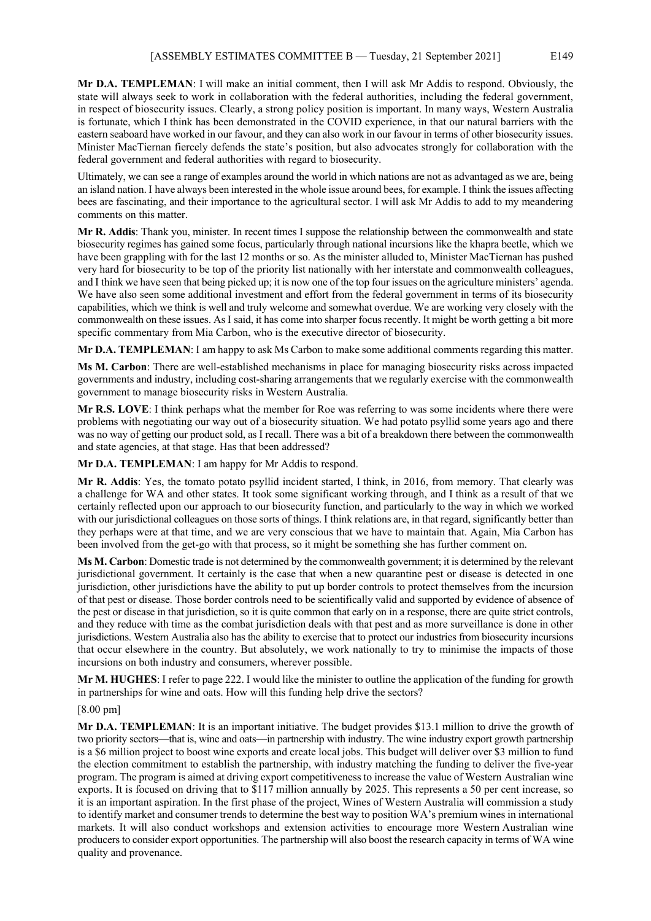**Mr D.A. TEMPLEMAN**: I will make an initial comment, then I will ask Mr Addis to respond. Obviously, the state will always seek to work in collaboration with the federal authorities, including the federal government, in respect of biosecurity issues. Clearly, a strong policy position is important. In many ways, Western Australia is fortunate, which I think has been demonstrated in the COVID experience, in that our natural barriers with the eastern seaboard have worked in our favour, and they can also work in our favour in terms of other biosecurity issues. Minister MacTiernan fiercely defends the state's position, but also advocates strongly for collaboration with the federal government and federal authorities with regard to biosecurity.

Ultimately, we can see a range of examples around the world in which nations are not as advantaged as we are, being an island nation. I have always been interested in the whole issue around bees, for example. I think the issues affecting bees are fascinating, and their importance to the agricultural sector. I will ask Mr Addis to add to my meandering comments on this matter.

**Mr R. Addis**: Thank you, minister. In recent times I suppose the relationship between the commonwealth and state biosecurity regimes has gained some focus, particularly through national incursions like the khapra beetle, which we have been grappling with for the last 12 months or so. As the minister alluded to, Minister MacTiernan has pushed very hard for biosecurity to be top of the priority list nationally with her interstate and commonwealth colleagues, and I think we have seen that being picked up; it is now one of the top four issues on the agriculture ministers' agenda. We have also seen some additional investment and effort from the federal government in terms of its biosecurity capabilities, which we think is well and truly welcome and somewhat overdue. We are working very closely with the commonwealth on these issues. As I said, it has come into sharper focus recently. It might be worth getting a bit more specific commentary from Mia Carbon, who is the executive director of biosecurity.

**Mr D.A. TEMPLEMAN**: I am happy to ask Ms Carbon to make some additional comments regarding this matter.

**Ms M. Carbon**: There are well-established mechanisms in place for managing biosecurity risks across impacted governments and industry, including cost-sharing arrangements that we regularly exercise with the commonwealth government to manage biosecurity risks in Western Australia.

**Mr R.S. LOVE**: I think perhaps what the member for Roe was referring to was some incidents where there were problems with negotiating our way out of a biosecurity situation. We had potato psyllid some years ago and there was no way of getting our product sold, as I recall. There was a bit of a breakdown there between the commonwealth and state agencies, at that stage. Has that been addressed?

**Mr D.A. TEMPLEMAN**: I am happy for Mr Addis to respond.

**Mr R. Addis**: Yes, the tomato potato psyllid incident started, I think, in 2016, from memory. That clearly was a challenge for WA and other states. It took some significant working through, and I think as a result of that we certainly reflected upon our approach to our biosecurity function, and particularly to the way in which we worked with our jurisdictional colleagues on those sorts of things. I think relations are, in that regard, significantly better than they perhaps were at that time, and we are very conscious that we have to maintain that. Again, Mia Carbon has been involved from the get-go with that process, so it might be something she has further comment on.

**Ms M. Carbon**: Domestic trade is not determined by the commonwealth government; it is determined by the relevant jurisdictional government. It certainly is the case that when a new quarantine pest or disease is detected in one jurisdiction, other jurisdictions have the ability to put up border controls to protect themselves from the incursion of that pest or disease. Those border controls need to be scientifically valid and supported by evidence of absence of the pest or disease in that jurisdiction, so it is quite common that early on in a response, there are quite strict controls, and they reduce with time as the combat jurisdiction deals with that pest and as more surveillance is done in other jurisdictions. Western Australia also has the ability to exercise that to protect our industries from biosecurity incursions that occur elsewhere in the country. But absolutely, we work nationally to try to minimise the impacts of those incursions on both industry and consumers, wherever possible.

**Mr M. HUGHES**: I refer to page 222. I would like the minister to outline the application of the funding for growth in partnerships for wine and oats. How will this funding help drive the sectors?

[8.00 pm]

**Mr D.A. TEMPLEMAN**: It is an important initiative. The budget provides \$13.1 million to drive the growth of two priority sectors—that is, wine and oats—in partnership with industry. The wine industry export growth partnership is a \$6 million project to boost wine exports and create local jobs. This budget will deliver over \$3 million to fund the election commitment to establish the partnership, with industry matching the funding to deliver the five-year program. The program is aimed at driving export competitiveness to increase the value of Western Australian wine exports. It is focused on driving that to \$117 million annually by 2025. This represents a 50 per cent increase, so it is an important aspiration. In the first phase of the project, Wines of Western Australia will commission a study to identify market and consumer trends to determine the best way to position WA's premium wines in international markets. It will also conduct workshops and extension activities to encourage more Western Australian wine producers to consider export opportunities. The partnership will also boost the research capacity in terms of WA wine quality and provenance.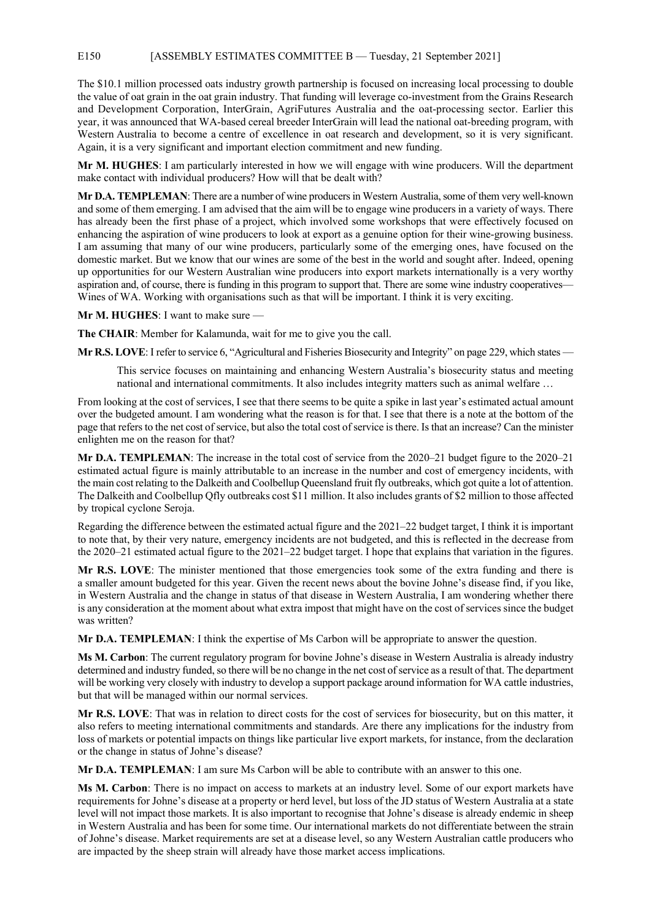#### E150 [ASSEMBLY ESTIMATES COMMITTEE B — Tuesday, 21 September 2021]

The \$10.1 million processed oats industry growth partnership is focused on increasing local processing to double the value of oat grain in the oat grain industry. That funding will leverage co-investment from the Grains Research and Development Corporation, InterGrain, AgriFutures Australia and the oat-processing sector. Earlier this year, it was announced that WA-based cereal breeder InterGrain will lead the national oat-breeding program, with Western Australia to become a centre of excellence in oat research and development, so it is very significant. Again, it is a very significant and important election commitment and new funding.

**Mr M. HUGHES**: I am particularly interested in how we will engage with wine producers. Will the department make contact with individual producers? How will that be dealt with?

**Mr D.A. TEMPLEMAN**: There are a number of wine producers in Western Australia, some of them very well-known and some of them emerging. I am advised that the aim will be to engage wine producers in a variety of ways. There has already been the first phase of a project, which involved some workshops that were effectively focused on enhancing the aspiration of wine producers to look at export as a genuine option for their wine-growing business. I am assuming that many of our wine producers, particularly some of the emerging ones, have focused on the domestic market. But we know that our wines are some of the best in the world and sought after. Indeed, opening up opportunities for our Western Australian wine producers into export markets internationally is a very worthy aspiration and, of course, there is funding in this program to support that. There are some wine industry cooperatives— Wines of WA. Working with organisations such as that will be important. I think it is very exciting.

**Mr M. HUGHES**: I want to make sure —

**The CHAIR**: Member for Kalamunda, wait for me to give you the call.

**Mr R.S. LOVE**: I refer to service 6, "Agricultural and Fisheries Biosecurity and Integrity" on page 229, which states —

This service focuses on maintaining and enhancing Western Australia's biosecurity status and meeting national and international commitments. It also includes integrity matters such as animal welfare …

From looking at the cost of services, I see that there seems to be quite a spike in last year's estimated actual amount over the budgeted amount. I am wondering what the reason is for that. I see that there is a note at the bottom of the page that refers to the net cost of service, but also the total cost of service is there. Is that an increase? Can the minister enlighten me on the reason for that?

**Mr D.A. TEMPLEMAN**: The increase in the total cost of service from the 2020–21 budget figure to the 2020–21 estimated actual figure is mainly attributable to an increase in the number and cost of emergency incidents, with the main cost relating to the Dalkeith and Coolbellup Queensland fruit fly outbreaks, which got quite a lot of attention. The Dalkeith and Coolbellup Qfly outbreaks cost \$11 million. It also includes grants of \$2 million to those affected by tropical cyclone Seroja.

Regarding the difference between the estimated actual figure and the 2021–22 budget target, I think it is important to note that, by their very nature, emergency incidents are not budgeted, and this is reflected in the decrease from the 2020–21 estimated actual figure to the 2021–22 budget target. I hope that explains that variation in the figures.

**Mr R.S. LOVE**: The minister mentioned that those emergencies took some of the extra funding and there is a smaller amount budgeted for this year. Given the recent news about the bovine Johne's disease find, if you like, in Western Australia and the change in status of that disease in Western Australia, I am wondering whether there is any consideration at the moment about what extra impost that might have on the cost of services since the budget was written?

**Mr D.A. TEMPLEMAN**: I think the expertise of Ms Carbon will be appropriate to answer the question.

**Ms M. Carbon**: The current regulatory program for bovine Johne's disease in Western Australia is already industry determined and industry funded, so there will be no change in the net cost of service as a result of that. The department will be working very closely with industry to develop a support package around information for WA cattle industries, but that will be managed within our normal services.

**Mr R.S. LOVE**: That was in relation to direct costs for the cost of services for biosecurity, but on this matter, it also refers to meeting international commitments and standards. Are there any implications for the industry from loss of markets or potential impacts on things like particular live export markets, for instance, from the declaration or the change in status of Johne's disease?

**Mr D.A. TEMPLEMAN**: I am sure Ms Carbon will be able to contribute with an answer to this one.

**Ms M. Carbon**: There is no impact on access to markets at an industry level. Some of our export markets have requirements for Johne's disease at a property or herd level, but loss of the JD status of Western Australia at a state level will not impact those markets. It is also important to recognise that Johne's disease is already endemic in sheep in Western Australia and has been for some time. Our international markets do not differentiate between the strain of Johne's disease. Market requirements are set at a disease level, so any Western Australian cattle producers who are impacted by the sheep strain will already have those market access implications.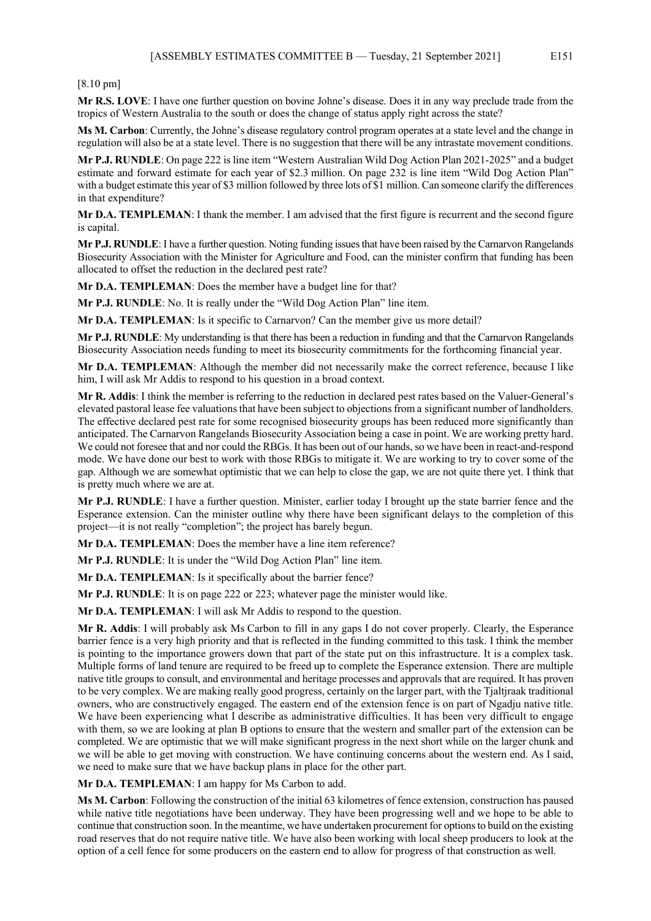[8.10 pm]

**Mr R.S. LOVE**: I have one further question on bovine Johne's disease. Does it in any way preclude trade from the tropics of Western Australia to the south or does the change of status apply right across the state?

**Ms M. Carbon**: Currently, the Johne's disease regulatory control program operates at a state level and the change in regulation will also be at a state level. There is no suggestion that there will be any intrastate movement conditions.

**Mr P.J. RUNDLE**: On page 222 is line item "Western Australian Wild Dog Action Plan 2021-2025" and a budget estimate and forward estimate for each year of \$2.3 million. On page 232 is line item "Wild Dog Action Plan" with a budget estimate this year of \$3 million followed by three lots of \$1 million. Can someone clarify the differences in that expenditure?

**Mr D.A. TEMPLEMAN**: I thank the member. I am advised that the first figure is recurrent and the second figure is capital.

**Mr P.J. RUNDLE**: I have a further question. Noting funding issues that have been raised by the Carnarvon Rangelands Biosecurity Association with the Minister for Agriculture and Food, can the minister confirm that funding has been allocated to offset the reduction in the declared pest rate?

**Mr D.A. TEMPLEMAN**: Does the member have a budget line for that?

**Mr P.J. RUNDLE**: No. It is really under the "Wild Dog Action Plan" line item.

**Mr D.A. TEMPLEMAN**: Is it specific to Carnarvon? Can the member give us more detail?

**Mr P.J. RUNDLE**: My understanding is that there has been a reduction in funding and that the Carnarvon Rangelands Biosecurity Association needs funding to meet its biosecurity commitments for the forthcoming financial year.

**Mr D.A. TEMPLEMAN**: Although the member did not necessarily make the correct reference, because I like him, I will ask Mr Addis to respond to his question in a broad context.

**Mr R. Addis**: I think the member is referring to the reduction in declared pest rates based on the Valuer-General's elevated pastoral lease fee valuations that have been subject to objections from a significant number of landholders. The effective declared pest rate for some recognised biosecurity groups has been reduced more significantly than anticipated. The Carnarvon Rangelands Biosecurity Association being a case in point. We are working pretty hard. We could not foresee that and nor could the RBGs. It has been out of our hands, so we have been in react-and-respond mode. We have done our best to work with those RBGs to mitigate it. We are working to try to cover some of the gap. Although we are somewhat optimistic that we can help to close the gap, we are not quite there yet. I think that is pretty much where we are at.

**Mr P.J. RUNDLE**: I have a further question. Minister, earlier today I brought up the state barrier fence and the Esperance extension. Can the minister outline why there have been significant delays to the completion of this project—it is not really "completion"; the project has barely begun.

**Mr D.A. TEMPLEMAN**: Does the member have a line item reference?

**Mr P.J. RUNDLE**: It is under the "Wild Dog Action Plan" line item.

**Mr D.A. TEMPLEMAN:** Is it specifically about the barrier fence?

**Mr P.J. RUNDLE**: It is on page 222 or 223; whatever page the minister would like.

**Mr D.A. TEMPLEMAN**: I will ask Mr Addis to respond to the question.

**Mr R. Addis**: I will probably ask Ms Carbon to fill in any gaps I do not cover properly. Clearly, the Esperance barrier fence is a very high priority and that is reflected in the funding committed to this task. I think the member is pointing to the importance growers down that part of the state put on this infrastructure. It is a complex task. Multiple forms of land tenure are required to be freed up to complete the Esperance extension. There are multiple native title groups to consult, and environmental and heritage processes and approvals that are required. It has proven to be very complex. We are making really good progress, certainly on the larger part, with the Tjaltjraak traditional owners, who are constructively engaged. The eastern end of the extension fence is on part of Ngadju native title. We have been experiencing what I describe as administrative difficulties. It has been very difficult to engage with them, so we are looking at plan B options to ensure that the western and smaller part of the extension can be completed. We are optimistic that we will make significant progress in the next short while on the larger chunk and we will be able to get moving with construction. We have continuing concerns about the western end. As I said, we need to make sure that we have backup plans in place for the other part.

**Mr D.A. TEMPLEMAN**: I am happy for Ms Carbon to add.

**Ms M. Carbon**: Following the construction of the initial 63 kilometres of fence extension, construction has paused while native title negotiations have been underway. They have been progressing well and we hope to be able to continue that construction soon. In the meantime, we have undertaken procurement for options to build on the existing road reserves that do not require native title. We have also been working with local sheep producers to look at the option of a cell fence for some producers on the eastern end to allow for progress of that construction as well.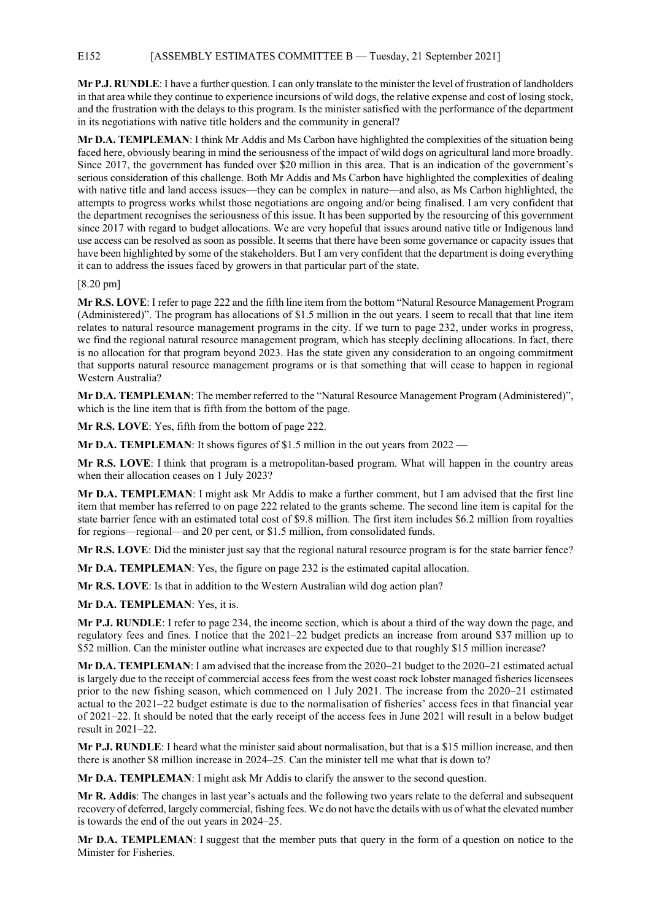## E152 [ASSEMBLY ESTIMATES COMMITTEE B — Tuesday, 21 September 2021]

**Mr P.J. RUNDLE**: I have a further question. I can only translate to the minister the level of frustration of landholders in that area while they continue to experience incursions of wild dogs, the relative expense and cost of losing stock, and the frustration with the delays to this program. Is the minister satisfied with the performance of the department in its negotiations with native title holders and the community in general?

**Mr D.A. TEMPLEMAN**: I think Mr Addis and Ms Carbon have highlighted the complexities of the situation being faced here, obviously bearing in mind the seriousness of the impact of wild dogs on agricultural land more broadly. Since 2017, the government has funded over \$20 million in this area. That is an indication of the government's serious consideration of this challenge. Both Mr Addis and Ms Carbon have highlighted the complexities of dealing with native title and land access issues—they can be complex in nature—and also, as Ms Carbon highlighted, the attempts to progress works whilst those negotiations are ongoing and/or being finalised. I am very confident that the department recognises the seriousness of this issue. It has been supported by the resourcing of this government since 2017 with regard to budget allocations. We are very hopeful that issues around native title or Indigenous land use access can be resolved as soon as possible. It seems that there have been some governance or capacity issues that have been highlighted by some of the stakeholders. But I am very confident that the department is doing everything it can to address the issues faced by growers in that particular part of the state.

## [8.20 pm]

**Mr R.S. LOVE**: I refer to page 222 and the fifth line item from the bottom "Natural Resource Management Program (Administered)". The program has allocations of \$1.5 million in the out years. I seem to recall that that line item relates to natural resource management programs in the city. If we turn to page 232, under works in progress, we find the regional natural resource management program, which has steeply declining allocations. In fact, there is no allocation for that program beyond 2023. Has the state given any consideration to an ongoing commitment that supports natural resource management programs or is that something that will cease to happen in regional Western Australia?

**Mr D.A. TEMPLEMAN**: The member referred to the "Natural Resource Management Program (Administered)", which is the line item that is fifth from the bottom of the page.

**Mr R.S. LOVE**: Yes, fifth from the bottom of page 222.

**Mr D.A. TEMPLEMAN:** It shows figures of \$1.5 million in the out years from 2022 —

**Mr R.S. LOVE**: I think that program is a metropolitan-based program. What will happen in the country areas when their allocation ceases on 1 July 2023?

**Mr D.A. TEMPLEMAN**: I might ask Mr Addis to make a further comment, but I am advised that the first line item that member has referred to on page 222 related to the grants scheme. The second line item is capital for the state barrier fence with an estimated total cost of \$9.8 million. The first item includes \$6.2 million from royalties for regions—regional—and 20 per cent, or \$1.5 million, from consolidated funds.

**Mr R.S. LOVE**: Did the minister just say that the regional natural resource program is for the state barrier fence?

**Mr D.A. TEMPLEMAN**: Yes, the figure on page 232 is the estimated capital allocation.

**Mr R.S. LOVE**: Is that in addition to the Western Australian wild dog action plan?

**Mr D.A. TEMPLEMAN**: Yes, it is.

**Mr P.J. RUNDLE**: I refer to page 234, the income section, which is about a third of the way down the page, and regulatory fees and fines. I notice that the 2021–22 budget predicts an increase from around \$37 million up to \$52 million. Can the minister outline what increases are expected due to that roughly \$15 million increase?

**Mr D.A. TEMPLEMAN**: I am advised that the increase from the 2020–21 budget to the 2020–21 estimated actual is largely due to the receipt of commercial access fees from the west coast rock lobster managed fisheries licensees prior to the new fishing season, which commenced on 1 July 2021. The increase from the 2020–21 estimated actual to the 2021–22 budget estimate is due to the normalisation of fisheries' access fees in that financial year of 2021–22. It should be noted that the early receipt of the access fees in June 2021 will result in a below budget result in 2021–22.

**Mr P.J. RUNDLE**: I heard what the minister said about normalisation, but that is a \$15 million increase, and then there is another \$8 million increase in 2024–25. Can the minister tell me what that is down to?

**Mr D.A. TEMPLEMAN**: I might ask Mr Addis to clarify the answer to the second question.

**Mr R. Addis**: The changes in last year's actuals and the following two years relate to the deferral and subsequent recovery of deferred, largely commercial, fishing fees. We do not have the details with us of what the elevated number is towards the end of the out years in 2024–25.

**Mr D.A. TEMPLEMAN**: I suggest that the member puts that query in the form of a question on notice to the Minister for Fisheries.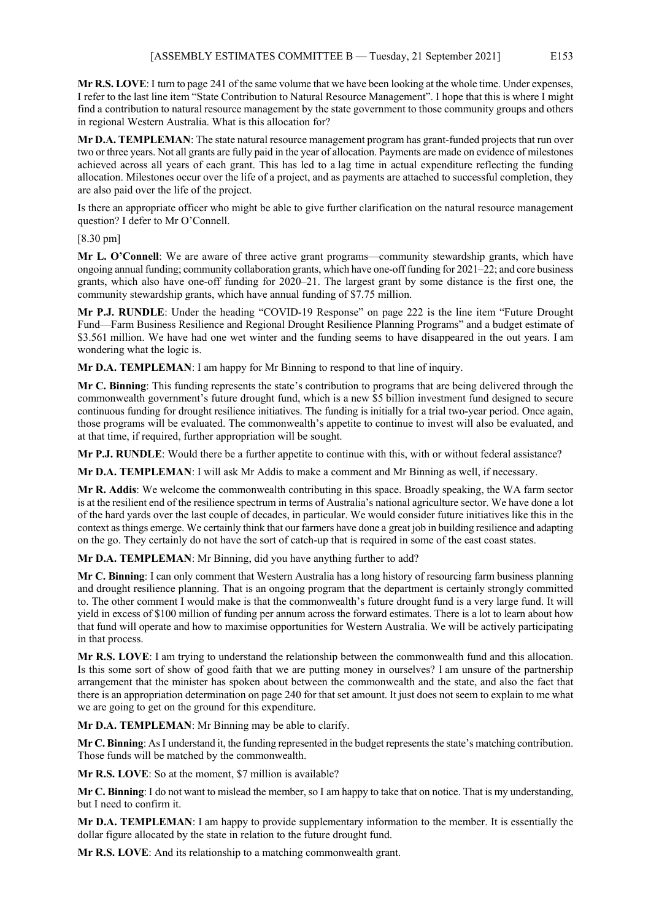**Mr R.S. LOVE**: I turn to page 241 of the same volume that we have been looking at the whole time. Under expenses, I refer to the last line item "State Contribution to Natural Resource Management". I hope that this is where I might find a contribution to natural resource management by the state government to those community groups and others in regional Western Australia. What is this allocation for?

**Mr D.A. TEMPLEMAN**: The state natural resource management program has grant-funded projects that run over two or three years. Not all grants are fully paid in the year of allocation. Payments are made on evidence of milestones achieved across all years of each grant. This has led to a lag time in actual expenditure reflecting the funding allocation. Milestones occur over the life of a project, and as payments are attached to successful completion, they are also paid over the life of the project.

Is there an appropriate officer who might be able to give further clarification on the natural resource management question? I defer to Mr O'Connell.

[8.30 pm]

**Mr L. O'Connell**: We are aware of three active grant programs—community stewardship grants, which have ongoing annual funding; community collaboration grants, which have one-off funding for 2021–22; and core business grants, which also have one-off funding for 2020–21. The largest grant by some distance is the first one, the community stewardship grants, which have annual funding of \$7.75 million.

**Mr P.J. RUNDLE**: Under the heading "COVID-19 Response" on page 222 is the line item "Future Drought Fund—Farm Business Resilience and Regional Drought Resilience Planning Programs" and a budget estimate of \$3.561 million. We have had one wet winter and the funding seems to have disappeared in the out years. I am wondering what the logic is.

**Mr D.A. TEMPLEMAN**: I am happy for Mr Binning to respond to that line of inquiry.

**Mr C. Binning**: This funding represents the state's contribution to programs that are being delivered through the commonwealth government's future drought fund, which is a new \$5 billion investment fund designed to secure continuous funding for drought resilience initiatives. The funding is initially for a trial two-year period. Once again, those programs will be evaluated. The commonwealth's appetite to continue to invest will also be evaluated, and at that time, if required, further appropriation will be sought.

**Mr P.J. RUNDLE**: Would there be a further appetite to continue with this, with or without federal assistance?

**Mr D.A. TEMPLEMAN**: I will ask Mr Addis to make a comment and Mr Binning as well, if necessary.

**Mr R. Addis**: We welcome the commonwealth contributing in this space. Broadly speaking, the WA farm sector is at the resilient end of the resilience spectrum in terms of Australia's national agriculture sector. We have done a lot of the hard yards over the last couple of decades, in particular. We would consider future initiatives like this in the context as things emerge. We certainly think that our farmers have done a great job in building resilience and adapting on the go. They certainly do not have the sort of catch-up that is required in some of the east coast states.

**Mr D.A. TEMPLEMAN**: Mr Binning, did you have anything further to add?

**Mr C. Binning**: I can only comment that Western Australia has a long history of resourcing farm business planning and drought resilience planning. That is an ongoing program that the department is certainly strongly committed to. The other comment I would make is that the commonwealth's future drought fund is a very large fund. It will yield in excess of \$100 million of funding per annum across the forward estimates. There is a lot to learn about how that fund will operate and how to maximise opportunities for Western Australia. We will be actively participating in that process.

**Mr R.S. LOVE**: I am trying to understand the relationship between the commonwealth fund and this allocation. Is this some sort of show of good faith that we are putting money in ourselves? I am unsure of the partnership arrangement that the minister has spoken about between the commonwealth and the state, and also the fact that there is an appropriation determination on page 240 for that set amount. It just does not seem to explain to me what we are going to get on the ground for this expenditure.

**Mr D.A. TEMPLEMAN**: Mr Binning may be able to clarify.

**Mr C. Binning**: AsI understand it, the funding represented in the budget represents the state's matching contribution. Those funds will be matched by the commonwealth.

**Mr R.S. LOVE**: So at the moment, \$7 million is available?

**Mr C. Binning**: I do not want to mislead the member, so I am happy to take that on notice. That is my understanding, but I need to confirm it.

**Mr D.A. TEMPLEMAN**: I am happy to provide supplementary information to the member. It is essentially the dollar figure allocated by the state in relation to the future drought fund.

**Mr R.S. LOVE**: And its relationship to a matching commonwealth grant.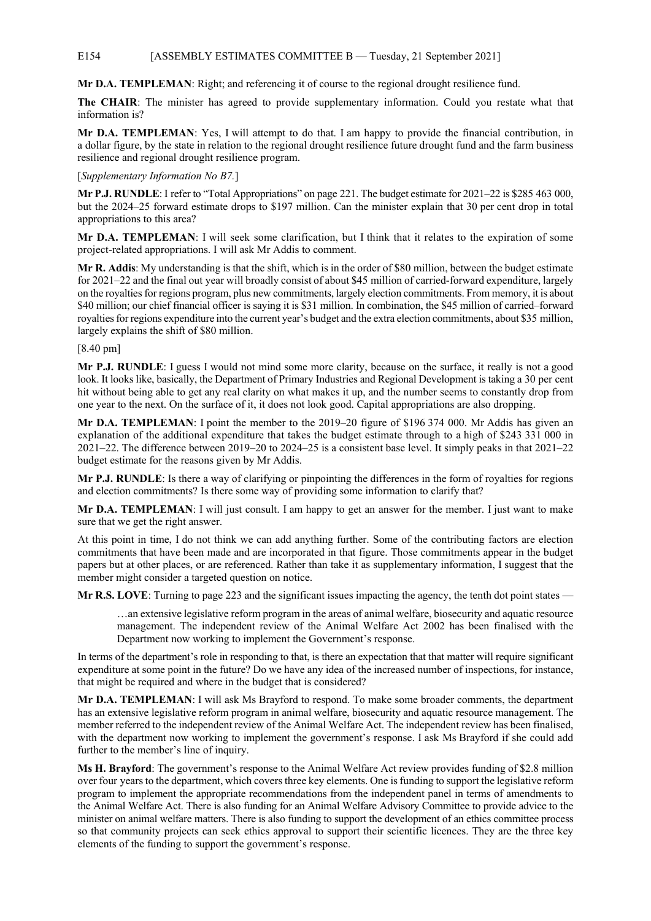## E154 [ASSEMBLY ESTIMATES COMMITTEE B — Tuesday, 21 September 2021]

**Mr D.A. TEMPLEMAN**: Right; and referencing it of course to the regional drought resilience fund.

**The CHAIR**: The minister has agreed to provide supplementary information. Could you restate what that information is?

**Mr D.A. TEMPLEMAN**: Yes, I will attempt to do that. I am happy to provide the financial contribution, in a dollar figure, by the state in relation to the regional drought resilience future drought fund and the farm business resilience and regional drought resilience program.

[*Supplementary Information No B7.*]

**Mr P.J. RUNDLE**: I refer to "Total Appropriations" on page 221. The budget estimate for 2021–22 is \$285 463 000, but the 2024–25 forward estimate drops to \$197 million. Can the minister explain that 30 per cent drop in total appropriations to this area?

**Mr D.A. TEMPLEMAN**: I will seek some clarification, but I think that it relates to the expiration of some project-related appropriations. I will ask Mr Addis to comment.

**Mr R. Addis**: My understanding is that the shift, which is in the order of \$80 million, between the budget estimate for 2021–22 and the final out year will broadly consist of about \$45 million of carried-forward expenditure, largely on the royalties for regions program, plus new commitments, largely election commitments. From memory, it is about \$40 million; our chief financial officer is saying it is \$31 million. In combination, the \$45 million of carried–forward royalties for regions expenditure into the current year's budget and the extra election commitments, about \$35 million, largely explains the shift of \$80 million.

## [8.40 pm]

**Mr P.J. RUNDLE**: I guess I would not mind some more clarity, because on the surface, it really is not a good look. It looks like, basically, the Department of Primary Industries and Regional Development is taking a 30 per cent hit without being able to get any real clarity on what makes it up, and the number seems to constantly drop from one year to the next. On the surface of it, it does not look good. Capital appropriations are also dropping.

**Mr D.A. TEMPLEMAN**: I point the member to the 2019–20 figure of \$196 374 000. Mr Addis has given an explanation of the additional expenditure that takes the budget estimate through to a high of \$243 331 000 in 2021–22. The difference between 2019–20 to 2024–25 is a consistent base level. It simply peaks in that 2021–22 budget estimate for the reasons given by Mr Addis.

**Mr P.J. RUNDLE**: Is there a way of clarifying or pinpointing the differences in the form of royalties for regions and election commitments? Is there some way of providing some information to clarify that?

**Mr D.A. TEMPLEMAN**: I will just consult. I am happy to get an answer for the member. I just want to make sure that we get the right answer.

At this point in time, I do not think we can add anything further. Some of the contributing factors are election commitments that have been made and are incorporated in that figure. Those commitments appear in the budget papers but at other places, or are referenced. Rather than take it as supplementary information, I suggest that the member might consider a targeted question on notice.

**Mr R.S. LOVE**: Turning to page 223 and the significant issues impacting the agency, the tenth dot point states —

…an extensive legislative reform program in the areas of animal welfare, biosecurity and aquatic resource management. The independent review of the Animal Welfare Act 2002 has been finalised with the Department now working to implement the Government's response.

In terms of the department's role in responding to that, is there an expectation that that matter will require significant expenditure at some point in the future? Do we have any idea of the increased number of inspections, for instance, that might be required and where in the budget that is considered?

**Mr D.A. TEMPLEMAN**: I will ask Ms Brayford to respond. To make some broader comments, the department has an extensive legislative reform program in animal welfare, biosecurity and aquatic resource management. The member referred to the independent review of the Animal Welfare Act. The independent review has been finalised, with the department now working to implement the government's response. I ask Ms Brayford if she could add further to the member's line of inquiry.

**Ms H. Brayford**: The government's response to the Animal Welfare Act review provides funding of \$2.8 million over four years to the department, which covers three key elements. One is funding to support the legislative reform program to implement the appropriate recommendations from the independent panel in terms of amendments to the Animal Welfare Act. There is also funding for an Animal Welfare Advisory Committee to provide advice to the minister on animal welfare matters. There is also funding to support the development of an ethics committee process so that community projects can seek ethics approval to support their scientific licences. They are the three key elements of the funding to support the government's response.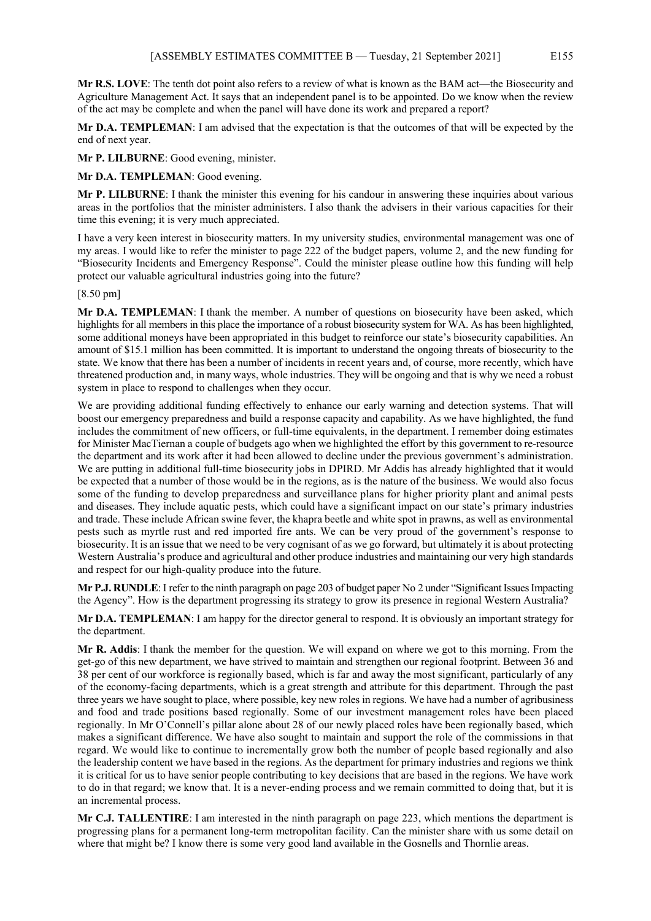**Mr R.S. LOVE**: The tenth dot point also refers to a review of what is known as the BAM act—the Biosecurity and Agriculture Management Act. It says that an independent panel is to be appointed. Do we know when the review of the act may be complete and when the panel will have done its work and prepared a report?

**Mr D.A. TEMPLEMAN**: I am advised that the expectation is that the outcomes of that will be expected by the end of next year.

**Mr P. LILBURNE**: Good evening, minister.

**Mr D.A. TEMPLEMAN**: Good evening.

**Mr P. LILBURNE**: I thank the minister this evening for his candour in answering these inquiries about various areas in the portfolios that the minister administers. I also thank the advisers in their various capacities for their time this evening; it is very much appreciated.

I have a very keen interest in biosecurity matters. In my university studies, environmental management was one of my areas. I would like to refer the minister to page 222 of the budget papers, volume 2, and the new funding for "Biosecurity Incidents and Emergency Response". Could the minister please outline how this funding will help protect our valuable agricultural industries going into the future?

[8.50 pm]

**Mr D.A. TEMPLEMAN**: I thank the member. A number of questions on biosecurity have been asked, which highlights for all members in this place the importance of a robust biosecurity system for WA. As has been highlighted, some additional moneys have been appropriated in this budget to reinforce our state's biosecurity capabilities. An amount of \$15.1 million has been committed. It is important to understand the ongoing threats of biosecurity to the state. We know that there has been a number of incidents in recent years and, of course, more recently, which have threatened production and, in many ways, whole industries. They will be ongoing and that is why we need a robust system in place to respond to challenges when they occur.

We are providing additional funding effectively to enhance our early warning and detection systems. That will boost our emergency preparedness and build a response capacity and capability. As we have highlighted, the fund includes the commitment of new officers, or full-time equivalents, in the department. I remember doing estimates for Minister MacTiernan a couple of budgets ago when we highlighted the effort by this government to re-resource the department and its work after it had been allowed to decline under the previous government's administration. We are putting in additional full-time biosecurity jobs in DPIRD. Mr Addis has already highlighted that it would be expected that a number of those would be in the regions, as is the nature of the business. We would also focus some of the funding to develop preparedness and surveillance plans for higher priority plant and animal pests and diseases. They include aquatic pests, which could have a significant impact on our state's primary industries and trade. These include African swine fever, the khapra beetle and white spot in prawns, as well as environmental pests such as myrtle rust and red imported fire ants. We can be very proud of the government's response to biosecurity. It is an issue that we need to be very cognisant of as we go forward, but ultimately it is about protecting Western Australia's produce and agricultural and other produce industries and maintaining our very high standards and respect for our high-quality produce into the future.

**Mr P.J. RUNDLE**: I refer to the ninth paragraph on page 203 of budget paper No 2 under "Significant Issues Impacting the Agency". How is the department progressing its strategy to grow its presence in regional Western Australia?

**Mr D.A. TEMPLEMAN**: I am happy for the director general to respond. It is obviously an important strategy for the department.

**Mr R. Addis**: I thank the member for the question. We will expand on where we got to this morning. From the get-go of this new department, we have strived to maintain and strengthen our regional footprint. Between 36 and 38 per cent of our workforce is regionally based, which is far and away the most significant, particularly of any of the economy-facing departments, which is a great strength and attribute for this department. Through the past three years we have sought to place, where possible, key new roles in regions. We have had a number of agribusiness and food and trade positions based regionally. Some of our investment management roles have been placed regionally. In Mr O'Connell's pillar alone about 28 of our newly placed roles have been regionally based, which makes a significant difference. We have also sought to maintain and support the role of the commissions in that regard. We would like to continue to incrementally grow both the number of people based regionally and also the leadership content we have based in the regions. As the department for primary industries and regions we think it is critical for us to have senior people contributing to key decisions that are based in the regions. We have work to do in that regard; we know that. It is a never-ending process and we remain committed to doing that, but it is an incremental process.

**Mr C.J. TALLENTIRE**: I am interested in the ninth paragraph on page 223, which mentions the department is progressing plans for a permanent long-term metropolitan facility. Can the minister share with us some detail on where that might be? I know there is some very good land available in the Gosnells and Thornlie areas.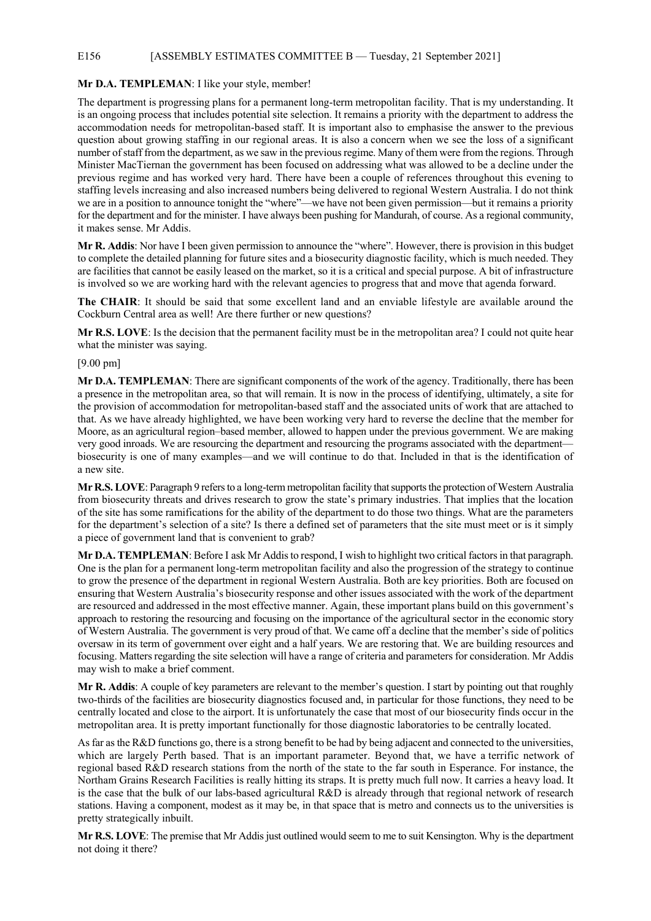### E156 [ASSEMBLY ESTIMATES COMMITTEE B — Tuesday, 21 September 2021]

#### **Mr D.A. TEMPLEMAN**: I like your style, member!

The department is progressing plans for a permanent long-term metropolitan facility. That is my understanding. It is an ongoing process that includes potential site selection. It remains a priority with the department to address the accommodation needs for metropolitan-based staff. It is important also to emphasise the answer to the previous question about growing staffing in our regional areas. It is also a concern when we see the loss of a significant number of staff from the department, as we saw in the previous regime. Many of them were from the regions. Through Minister MacTiernan the government has been focused on addressing what was allowed to be a decline under the previous regime and has worked very hard. There have been a couple of references throughout this evening to staffing levels increasing and also increased numbers being delivered to regional Western Australia. I do not think we are in a position to announce tonight the "where"—we have not been given permission—but it remains a priority for the department and for the minister. I have always been pushing for Mandurah, of course. As a regional community, it makes sense. Mr Addis.

**Mr R. Addis**: Nor have I been given permission to announce the "where". However, there is provision in this budget to complete the detailed planning for future sites and a biosecurity diagnostic facility, which is much needed. They are facilities that cannot be easily leased on the market, so it is a critical and special purpose. A bit of infrastructure is involved so we are working hard with the relevant agencies to progress that and move that agenda forward.

**The CHAIR**: It should be said that some excellent land and an enviable lifestyle are available around the Cockburn Central area as well! Are there further or new questions?

**Mr R.S. LOVE**: Is the decision that the permanent facility must be in the metropolitan area? I could not quite hear what the minister was saying.

[9.00 pm]

**Mr D.A. TEMPLEMAN**: There are significant components of the work of the agency. Traditionally, there has been a presence in the metropolitan area, so that will remain. It is now in the process of identifying, ultimately, a site for the provision of accommodation for metropolitan-based staff and the associated units of work that are attached to that. As we have already highlighted, we have been working very hard to reverse the decline that the member for Moore, as an agricultural region–based member, allowed to happen under the previous government. We are making very good inroads. We are resourcing the department and resourcing the programs associated with the department biosecurity is one of many examples—and we will continue to do that. Included in that is the identification of a new site.

**Mr R.S. LOVE**: Paragraph 9 refers to a long-term metropolitan facility that supports the protection of Western Australia from biosecurity threats and drives research to grow the state's primary industries. That implies that the location of the site has some ramifications for the ability of the department to do those two things. What are the parameters for the department's selection of a site? Is there a defined set of parameters that the site must meet or is it simply a piece of government land that is convenient to grab?

**Mr D.A. TEMPLEMAN**: Before I ask Mr Addis to respond, I wish to highlight two critical factors in that paragraph. One is the plan for a permanent long-term metropolitan facility and also the progression of the strategy to continue to grow the presence of the department in regional Western Australia. Both are key priorities. Both are focused on ensuring that Western Australia's biosecurity response and other issues associated with the work of the department are resourced and addressed in the most effective manner. Again, these important plans build on this government's approach to restoring the resourcing and focusing on the importance of the agricultural sector in the economic story of Western Australia. The government is very proud of that. We came off a decline that the member's side of politics oversaw in its term of government over eight and a half years. We are restoring that. We are building resources and focusing. Matters regarding the site selection will have a range of criteria and parameters for consideration. Mr Addis may wish to make a brief comment.

**Mr R. Addis**: A couple of key parameters are relevant to the member's question. I start by pointing out that roughly two-thirds of the facilities are biosecurity diagnostics focused and, in particular for those functions, they need to be centrally located and close to the airport. It is unfortunately the case that most of our biosecurity finds occur in the metropolitan area. It is pretty important functionally for those diagnostic laboratories to be centrally located.

As far as the R&D functions go, there is a strong benefit to be had by being adjacent and connected to the universities, which are largely Perth based. That is an important parameter. Beyond that, we have a terrific network of regional based R&D research stations from the north of the state to the far south in Esperance. For instance, the Northam Grains Research Facilities is really hitting its straps. It is pretty much full now. It carries a heavy load. It is the case that the bulk of our labs-based agricultural R&D is already through that regional network of research stations. Having a component, modest as it may be, in that space that is metro and connects us to the universities is pretty strategically inbuilt.

**Mr R.S. LOVE**: The premise that Mr Addis just outlined would seem to me to suit Kensington. Why is the department not doing it there?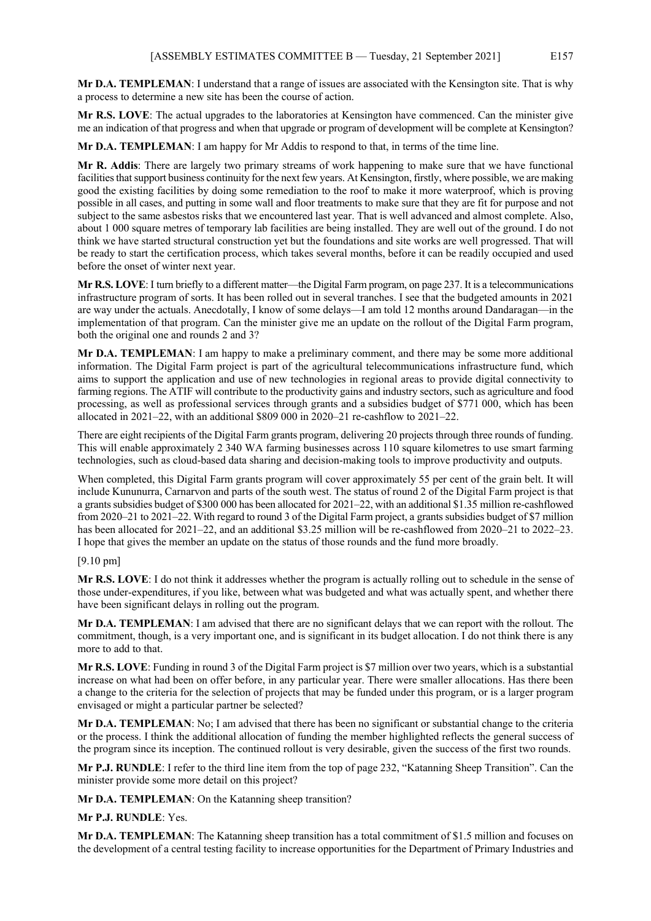**Mr D.A. TEMPLEMAN**: I understand that a range of issues are associated with the Kensington site. That is why a process to determine a new site has been the course of action.

**Mr R.S. LOVE**: The actual upgrades to the laboratories at Kensington have commenced. Can the minister give me an indication of that progress and when that upgrade or program of development will be complete at Kensington?

**Mr D.A. TEMPLEMAN**: I am happy for Mr Addis to respond to that, in terms of the time line.

**Mr R. Addis**: There are largely two primary streams of work happening to make sure that we have functional facilities that support business continuity for the next few years. At Kensington, firstly, where possible, we are making good the existing facilities by doing some remediation to the roof to make it more waterproof, which is proving possible in all cases, and putting in some wall and floor treatments to make sure that they are fit for purpose and not subject to the same asbestos risks that we encountered last year. That is well advanced and almost complete. Also, about 1 000 square metres of temporary lab facilities are being installed. They are well out of the ground. I do not think we have started structural construction yet but the foundations and site works are well progressed. That will be ready to start the certification process, which takes several months, before it can be readily occupied and used before the onset of winter next year.

**Mr R.S. LOVE**: I turn briefly to a different matter—the Digital Farm program, on page 237. It is a telecommunications infrastructure program of sorts. It has been rolled out in several tranches. I see that the budgeted amounts in 2021 are way under the actuals. Anecdotally, I know of some delays—I am told 12 months around Dandaragan—in the implementation of that program. Can the minister give me an update on the rollout of the Digital Farm program, both the original one and rounds 2 and 3?

**Mr D.A. TEMPLEMAN**: I am happy to make a preliminary comment, and there may be some more additional information. The Digital Farm project is part of the agricultural telecommunications infrastructure fund, which aims to support the application and use of new technologies in regional areas to provide digital connectivity to farming regions. The ATIF will contribute to the productivity gains and industry sectors, such as agriculture and food processing, as well as professional services through grants and a subsidies budget of \$771 000, which has been allocated in 2021–22, with an additional \$809 000 in 2020–21 re-cashflow to 2021–22.

There are eight recipients of the Digital Farm grants program, delivering 20 projects through three rounds of funding. This will enable approximately 2 340 WA farming businesses across 110 square kilometres to use smart farming technologies, such as cloud-based data sharing and decision-making tools to improve productivity and outputs.

When completed, this Digital Farm grants program will cover approximately 55 per cent of the grain belt. It will include Kununurra, Carnarvon and parts of the south west. The status of round 2 of the Digital Farm project is that a grants subsidies budget of \$300 000 has been allocated for 2021–22, with an additional \$1.35 million re-cashflowed from 2020–21 to 2021–22. With regard to round 3 of the Digital Farm project, a grants subsidies budget of \$7 million has been allocated for 2021–22, and an additional \$3.25 million will be re-cashflowed from 2020–21 to 2022–23. I hope that gives the member an update on the status of those rounds and the fund more broadly.

## [9.10 pm]

**Mr R.S. LOVE**: I do not think it addresses whether the program is actually rolling out to schedule in the sense of those under-expenditures, if you like, between what was budgeted and what was actually spent, and whether there have been significant delays in rolling out the program.

**Mr D.A. TEMPLEMAN**: I am advised that there are no significant delays that we can report with the rollout. The commitment, though, is a very important one, and is significant in its budget allocation. I do not think there is any more to add to that.

**Mr R.S. LOVE**: Funding in round 3 of the Digital Farm project is \$7 million over two years, which is a substantial increase on what had been on offer before, in any particular year. There were smaller allocations. Has there been a change to the criteria for the selection of projects that may be funded under this program, or is a larger program envisaged or might a particular partner be selected?

**Mr D.A. TEMPLEMAN**: No; I am advised that there has been no significant or substantial change to the criteria or the process. I think the additional allocation of funding the member highlighted reflects the general success of the program since its inception. The continued rollout is very desirable, given the success of the first two rounds.

**Mr P.J. RUNDLE**: I refer to the third line item from the top of page 232, "Katanning Sheep Transition". Can the minister provide some more detail on this project?

**Mr D.A. TEMPLEMAN**: On the Katanning sheep transition?

**Mr P.J. RUNDLE**: Yes.

**Mr D.A. TEMPLEMAN**: The Katanning sheep transition has a total commitment of \$1.5 million and focuses on the development of a central testing facility to increase opportunities for the Department of Primary Industries and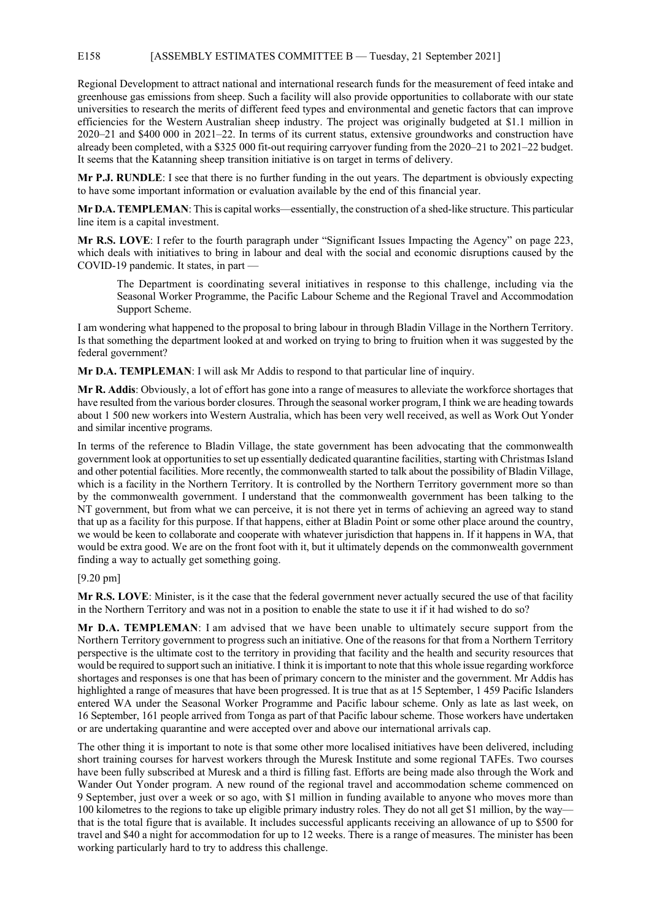## E158 [ASSEMBLY ESTIMATES COMMITTEE B — Tuesday, 21 September 2021]

Regional Development to attract national and international research funds for the measurement of feed intake and greenhouse gas emissions from sheep. Such a facility will also provide opportunities to collaborate with our state universities to research the merits of different feed types and environmental and genetic factors that can improve efficiencies for the Western Australian sheep industry. The project was originally budgeted at \$1.1 million in 2020–21 and \$400 000 in 2021–22. In terms of its current status, extensive groundworks and construction have already been completed, with a \$325 000 fit-out requiring carryover funding from the 2020–21 to 2021–22 budget. It seems that the Katanning sheep transition initiative is on target in terms of delivery.

**Mr P.J. RUNDLE**: I see that there is no further funding in the out years. The department is obviously expecting to have some important information or evaluation available by the end of this financial year.

**Mr D.A. TEMPLEMAN**: This is capital works—essentially, the construction of a shed-like structure. This particular line item is a capital investment.

**Mr R.S. LOVE**: I refer to the fourth paragraph under "Significant Issues Impacting the Agency" on page 223, which deals with initiatives to bring in labour and deal with the social and economic disruptions caused by the COVID-19 pandemic. It states, in part —

The Department is coordinating several initiatives in response to this challenge, including via the Seasonal Worker Programme, the Pacific Labour Scheme and the Regional Travel and Accommodation Support Scheme.

I am wondering what happened to the proposal to bring labour in through Bladin Village in the Northern Territory. Is that something the department looked at and worked on trying to bring to fruition when it was suggested by the federal government?

**Mr D.A. TEMPLEMAN**: I will ask Mr Addis to respond to that particular line of inquiry.

**Mr R. Addis**: Obviously, a lot of effort has gone into a range of measures to alleviate the workforce shortages that have resulted from the various border closures. Through the seasonal worker program, I think we are heading towards about 1 500 new workers into Western Australia, which has been very well received, as well as Work Out Yonder and similar incentive programs.

In terms of the reference to Bladin Village, the state government has been advocating that the commonwealth government look at opportunities to set up essentially dedicated quarantine facilities, starting with Christmas Island and other potential facilities. More recently, the commonwealth started to talk about the possibility of Bladin Village, which is a facility in the Northern Territory. It is controlled by the Northern Territory government more so than by the commonwealth government. I understand that the commonwealth government has been talking to the NT government, but from what we can perceive, it is not there yet in terms of achieving an agreed way to stand that up as a facility for this purpose. If that happens, either at Bladin Point or some other place around the country, we would be keen to collaborate and cooperate with whatever jurisdiction that happens in. If it happens in WA, that would be extra good. We are on the front foot with it, but it ultimately depends on the commonwealth government finding a way to actually get something going.

## [9.20 pm]

**Mr R.S. LOVE**: Minister, is it the case that the federal government never actually secured the use of that facility in the Northern Territory and was not in a position to enable the state to use it if it had wished to do so?

**Mr D.A. TEMPLEMAN**: I am advised that we have been unable to ultimately secure support from the Northern Territory government to progress such an initiative. One of the reasons for that from a Northern Territory perspective is the ultimate cost to the territory in providing that facility and the health and security resources that would be required to support such an initiative. I think it is important to note that this whole issue regarding workforce shortages and responses is one that has been of primary concern to the minister and the government. Mr Addis has highlighted a range of measures that have been progressed. It is true that as at 15 September, 1 459 Pacific Islanders entered WA under the Seasonal Worker Programme and Pacific labour scheme. Only as late as last week, on 16 September, 161 people arrived from Tonga as part of that Pacific labour scheme. Those workers have undertaken or are undertaking quarantine and were accepted over and above our international arrivals cap.

The other thing it is important to note is that some other more localised initiatives have been delivered, including short training courses for harvest workers through the Muresk Institute and some regional TAFEs. Two courses have been fully subscribed at Muresk and a third is filling fast. Efforts are being made also through the Work and Wander Out Yonder program. A new round of the regional travel and accommodation scheme commenced on 9 September, just over a week or so ago, with \$1 million in funding available to anyone who moves more than 100 kilometres to the regions to take up eligible primary industry roles. They do not all get \$1 million, by the way that is the total figure that is available. It includes successful applicants receiving an allowance of up to \$500 for travel and \$40 a night for accommodation for up to 12 weeks. There is a range of measures. The minister has been working particularly hard to try to address this challenge.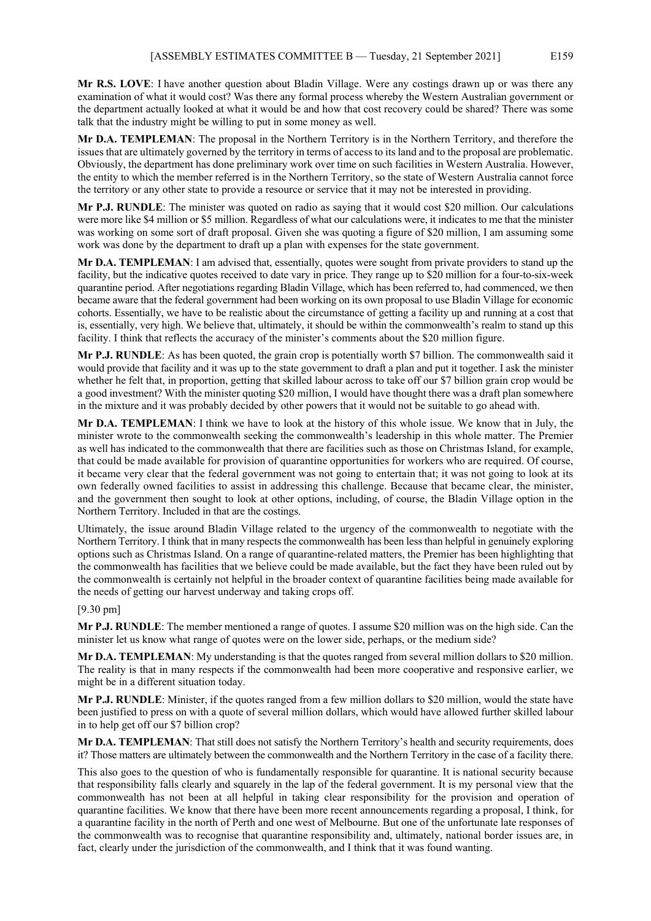**Mr R.S. LOVE**: I have another question about Bladin Village. Were any costings drawn up or was there any examination of what it would cost? Was there any formal process whereby the Western Australian government or the department actually looked at what it would be and how that cost recovery could be shared? There was some talk that the industry might be willing to put in some money as well.

**Mr D.A. TEMPLEMAN**: The proposal in the Northern Territory is in the Northern Territory, and therefore the issues that are ultimately governed by the territory in terms of access to its land and to the proposal are problematic. Obviously, the department has done preliminary work over time on such facilities in Western Australia. However, the entity to which the member referred is in the Northern Territory, so the state of Western Australia cannot force the territory or any other state to provide a resource or service that it may not be interested in providing.

**Mr P.J. RUNDLE**: The minister was quoted on radio as saying that it would cost \$20 million. Our calculations were more like \$4 million or \$5 million. Regardless of what our calculations were, it indicates to me that the minister was working on some sort of draft proposal. Given she was quoting a figure of \$20 million, I am assuming some work was done by the department to draft up a plan with expenses for the state government.

**Mr D.A. TEMPLEMAN**: I am advised that, essentially, quotes were sought from private providers to stand up the facility, but the indicative quotes received to date vary in price. They range up to \$20 million for a four-to-six-week quarantine period. After negotiations regarding Bladin Village, which has been referred to, had commenced, we then became aware that the federal government had been working on its own proposal to use Bladin Village for economic cohorts. Essentially, we have to be realistic about the circumstance of getting a facility up and running at a cost that is, essentially, very high. We believe that, ultimately, it should be within the commonwealth's realm to stand up this facility. I think that reflects the accuracy of the minister's comments about the \$20 million figure.

**Mr P.J. RUNDLE**: As has been quoted, the grain crop is potentially worth \$7 billion. The commonwealth said it would provide that facility and it was up to the state government to draft a plan and put it together. I ask the minister whether he felt that, in proportion, getting that skilled labour across to take off our \$7 billion grain crop would be a good investment? With the minister quoting \$20 million, I would have thought there was a draft plan somewhere in the mixture and it was probably decided by other powers that it would not be suitable to go ahead with.

**Mr D.A. TEMPLEMAN**: I think we have to look at the history of this whole issue. We know that in July, the minister wrote to the commonwealth seeking the commonwealth's leadership in this whole matter. The Premier as well has indicated to the commonwealth that there are facilities such as those on Christmas Island, for example, that could be made available for provision of quarantine opportunities for workers who are required. Of course, it became very clear that the federal government was not going to entertain that; it was not going to look at its own federally owned facilities to assist in addressing this challenge. Because that became clear, the minister, and the government then sought to look at other options, including, of course, the Bladin Village option in the Northern Territory. Included in that are the costings.

Ultimately, the issue around Bladin Village related to the urgency of the commonwealth to negotiate with the Northern Territory. I think that in many respects the commonwealth has been less than helpful in genuinely exploring options such as Christmas Island. On a range of quarantine-related matters, the Premier has been highlighting that the commonwealth has facilities that we believe could be made available, but the fact they have been ruled out by the commonwealth is certainly not helpful in the broader context of quarantine facilities being made available for the needs of getting our harvest underway and taking crops off.

# [9.30 pm]

**Mr P.J. RUNDLE**: The member mentioned a range of quotes. I assume \$20 million was on the high side. Can the minister let us know what range of quotes were on the lower side, perhaps, or the medium side?

**Mr D.A. TEMPLEMAN**: My understanding is that the quotes ranged from several million dollars to \$20 million. The reality is that in many respects if the commonwealth had been more cooperative and responsive earlier, we might be in a different situation today.

**Mr P.J. RUNDLE**: Minister, if the quotes ranged from a few million dollars to \$20 million, would the state have been justified to press on with a quote of several million dollars, which would have allowed further skilled labour in to help get off our \$7 billion crop?

**Mr D.A. TEMPLEMAN:** That still does not satisfy the Northern Territory's health and security requirements, does it? Those matters are ultimately between the commonwealth and the Northern Territory in the case of a facility there.

This also goes to the question of who is fundamentally responsible for quarantine. It is national security because that responsibility falls clearly and squarely in the lap of the federal government. It is my personal view that the commonwealth has not been at all helpful in taking clear responsibility for the provision and operation of quarantine facilities. We know that there have been more recent announcements regarding a proposal, I think, for a quarantine facility in the north of Perth and one west of Melbourne. But one of the unfortunate late responses of the commonwealth was to recognise that quarantine responsibility and, ultimately, national border issues are, in fact, clearly under the jurisdiction of the commonwealth, and I think that it was found wanting.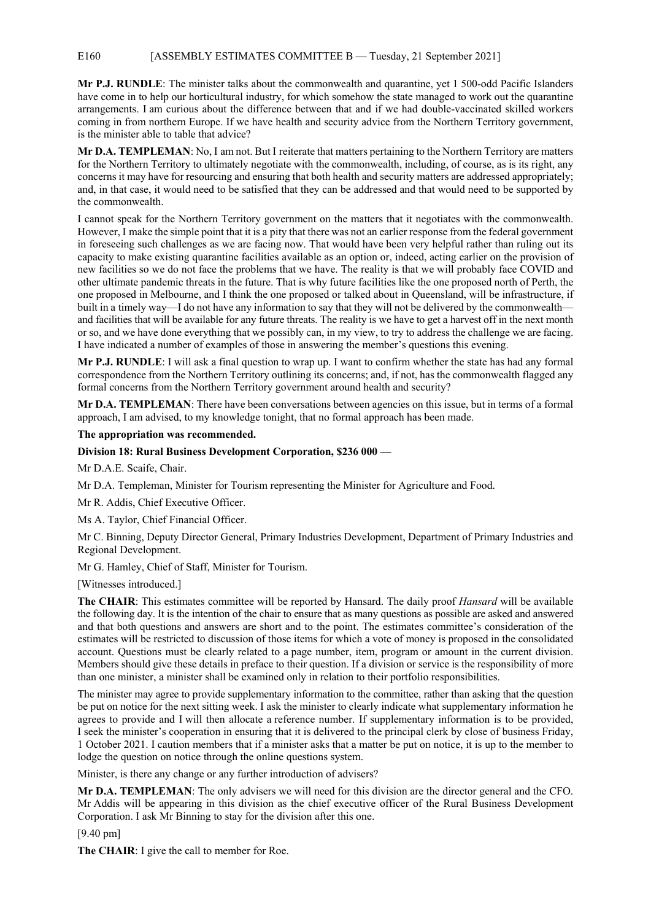# E160 [ASSEMBLY ESTIMATES COMMITTEE B — Tuesday, 21 September 2021]

**Mr P.J. RUNDLE**: The minister talks about the commonwealth and quarantine, yet 1 500-odd Pacific Islanders have come in to help our horticultural industry, for which somehow the state managed to work out the quarantine arrangements. I am curious about the difference between that and if we had double-vaccinated skilled workers coming in from northern Europe. If we have health and security advice from the Northern Territory government, is the minister able to table that advice?

**Mr D.A. TEMPLEMAN**: No, I am not. But I reiterate that matters pertaining to the Northern Territory are matters for the Northern Territory to ultimately negotiate with the commonwealth, including, of course, as is its right, any concerns it may have for resourcing and ensuring that both health and security matters are addressed appropriately; and, in that case, it would need to be satisfied that they can be addressed and that would need to be supported by the commonwealth.

I cannot speak for the Northern Territory government on the matters that it negotiates with the commonwealth. However, I make the simple point that it is a pity that there was not an earlier response from the federal government in foreseeing such challenges as we are facing now. That would have been very helpful rather than ruling out its capacity to make existing quarantine facilities available as an option or, indeed, acting earlier on the provision of new facilities so we do not face the problems that we have. The reality is that we will probably face COVID and other ultimate pandemic threats in the future. That is why future facilities like the one proposed north of Perth, the one proposed in Melbourne, and I think the one proposed or talked about in Queensland, will be infrastructure, if built in a timely way—I do not have any information to say that they will not be delivered by the commonwealth and facilities that will be available for any future threats. The reality is we have to get a harvest off in the next month or so, and we have done everything that we possibly can, in my view, to try to address the challenge we are facing. I have indicated a number of examples of those in answering the member's questions this evening.

**Mr P.J. RUNDLE**: I will ask a final question to wrap up. I want to confirm whether the state has had any formal correspondence from the Northern Territory outlining its concerns; and, if not, has the commonwealth flagged any formal concerns from the Northern Territory government around health and security?

**Mr D.A. TEMPLEMAN**: There have been conversations between agencies on this issue, but in terms of a formal approach, I am advised, to my knowledge tonight, that no formal approach has been made.

## **The appropriation was recommended.**

## **Division 18: Rural Business Development Corporation, \$236 000 —**

Mr D.A.E. Scaife, Chair.

Mr D.A. Templeman, Minister for Tourism representing the Minister for Agriculture and Food.

Mr R. Addis, Chief Executive Officer.

Ms A. Taylor, Chief Financial Officer.

Mr C. Binning, Deputy Director General, Primary Industries Development, Department of Primary Industries and Regional Development.

Mr G. Hamley, Chief of Staff, Minister for Tourism.

[Witnesses introduced.]

**The CHAIR**: This estimates committee will be reported by Hansard. The daily proof *Hansard* will be available the following day. It is the intention of the chair to ensure that as many questions as possible are asked and answered and that both questions and answers are short and to the point. The estimates committee's consideration of the estimates will be restricted to discussion of those items for which a vote of money is proposed in the consolidated account. Questions must be clearly related to a page number, item, program or amount in the current division. Members should give these details in preface to their question. If a division or service is the responsibility of more than one minister, a minister shall be examined only in relation to their portfolio responsibilities.

The minister may agree to provide supplementary information to the committee, rather than asking that the question be put on notice for the next sitting week. I ask the minister to clearly indicate what supplementary information he agrees to provide and I will then allocate a reference number. If supplementary information is to be provided, I seek the minister's cooperation in ensuring that it is delivered to the principal clerk by close of business Friday, 1 October 2021. I caution members that if a minister asks that a matter be put on notice, it is up to the member to lodge the question on notice through the online questions system.

Minister, is there any change or any further introduction of advisers?

**Mr D.A. TEMPLEMAN**: The only advisers we will need for this division are the director general and the CFO. Mr Addis will be appearing in this division as the chief executive officer of the Rural Business Development Corporation. I ask Mr Binning to stay for the division after this one.

[9.40 pm]

**The CHAIR**: I give the call to member for Roe.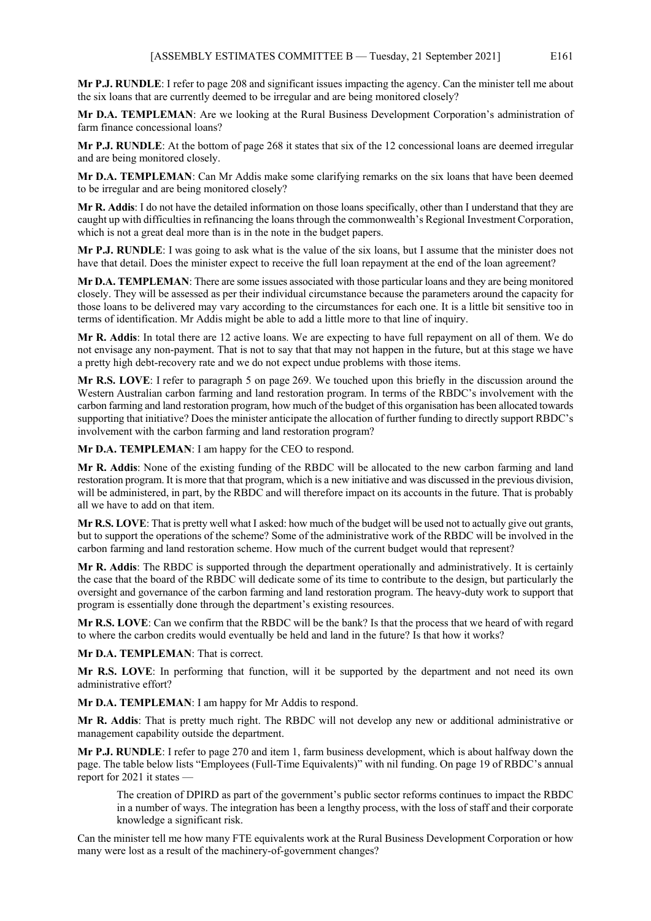**Mr P.J. RUNDLE**: I refer to page 208 and significant issues impacting the agency. Can the minister tell me about the six loans that are currently deemed to be irregular and are being monitored closely?

**Mr D.A. TEMPLEMAN**: Are we looking at the Rural Business Development Corporation's administration of farm finance concessional loans?

**Mr P.J. RUNDLE**: At the bottom of page 268 it states that six of the 12 concessional loans are deemed irregular and are being monitored closely.

**Mr D.A. TEMPLEMAN**: Can Mr Addis make some clarifying remarks on the six loans that have been deemed to be irregular and are being monitored closely?

**Mr R. Addis**: I do not have the detailed information on those loans specifically, other than I understand that they are caught up with difficulties in refinancing the loans through the commonwealth's Regional Investment Corporation, which is not a great deal more than is in the note in the budget papers.

**Mr P.J. RUNDLE**: I was going to ask what is the value of the six loans, but I assume that the minister does not have that detail. Does the minister expect to receive the full loan repayment at the end of the loan agreement?

**Mr D.A. TEMPLEMAN**: There are some issues associated with those particular loans and they are being monitored closely. They will be assessed as per their individual circumstance because the parameters around the capacity for those loans to be delivered may vary according to the circumstances for each one. It is a little bit sensitive too in terms of identification. Mr Addis might be able to add a little more to that line of inquiry.

**Mr R. Addis**: In total there are 12 active loans. We are expecting to have full repayment on all of them. We do not envisage any non-payment. That is not to say that that may not happen in the future, but at this stage we have a pretty high debt-recovery rate and we do not expect undue problems with those items.

**Mr R.S. LOVE**: I refer to paragraph 5 on page 269. We touched upon this briefly in the discussion around the Western Australian carbon farming and land restoration program. In terms of the RBDC's involvement with the carbon farming and land restoration program, how much of the budget of this organisation has been allocated towards supporting that initiative? Does the minister anticipate the allocation of further funding to directly support RBDC's involvement with the carbon farming and land restoration program?

**Mr D.A. TEMPLEMAN**: I am happy for the CEO to respond.

**Mr R. Addis**: None of the existing funding of the RBDC will be allocated to the new carbon farming and land restoration program. It is more that that program, which is a new initiative and was discussed in the previous division, will be administered, in part, by the RBDC and will therefore impact on its accounts in the future. That is probably all we have to add on that item.

**Mr R.S. LOVE**: That is pretty well what I asked: how much of the budget will be used not to actually give out grants, but to support the operations of the scheme? Some of the administrative work of the RBDC will be involved in the carbon farming and land restoration scheme. How much of the current budget would that represent?

**Mr R. Addis**: The RBDC is supported through the department operationally and administratively. It is certainly the case that the board of the RBDC will dedicate some of its time to contribute to the design, but particularly the oversight and governance of the carbon farming and land restoration program. The heavy-duty work to support that program is essentially done through the department's existing resources.

**Mr R.S. LOVE**: Can we confirm that the RBDC will be the bank? Is that the process that we heard of with regard to where the carbon credits would eventually be held and land in the future? Is that how it works?

**Mr D.A. TEMPLEMAN**: That is correct.

**Mr R.S. LOVE**: In performing that function, will it be supported by the department and not need its own administrative effort?

**Mr D.A. TEMPLEMAN**: I am happy for Mr Addis to respond.

**Mr R. Addis**: That is pretty much right. The RBDC will not develop any new or additional administrative or management capability outside the department.

**Mr P.J. RUNDLE**: I refer to page 270 and item 1, farm business development, which is about halfway down the page. The table below lists "Employees (Full-Time Equivalents)" with nil funding. On page 19 of RBDC's annual report for 2021 it states —

The creation of DPIRD as part of the government's public sector reforms continues to impact the RBDC in a number of ways. The integration has been a lengthy process, with the loss of staff and their corporate knowledge a significant risk.

Can the minister tell me how many FTE equivalents work at the Rural Business Development Corporation or how many were lost as a result of the machinery-of-government changes?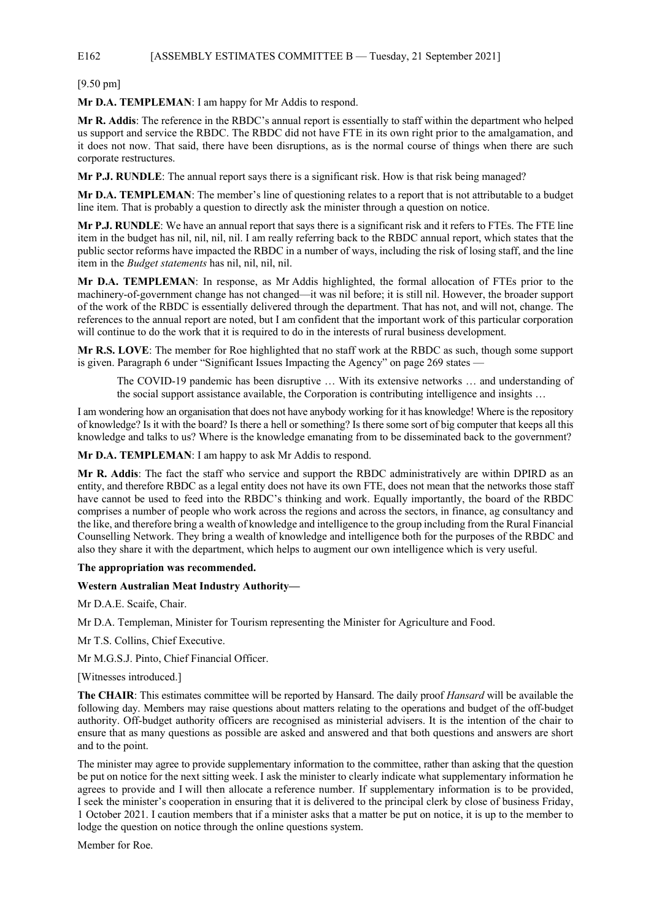# E162 [ASSEMBLY ESTIMATES COMMITTEE B — Tuesday, 21 September 2021]

[9.50 pm]

**Mr D.A. TEMPLEMAN**: I am happy for Mr Addis to respond.

**Mr R. Addis**: The reference in the RBDC's annual report is essentially to staff within the department who helped us support and service the RBDC. The RBDC did not have FTE in its own right prior to the amalgamation, and it does not now. That said, there have been disruptions, as is the normal course of things when there are such corporate restructures.

**Mr P.J. RUNDLE**: The annual report says there is a significant risk. How is that risk being managed?

**Mr D.A. TEMPLEMAN**: The member's line of questioning relates to a report that is not attributable to a budget line item. That is probably a question to directly ask the minister through a question on notice.

**Mr P.J. RUNDLE**: We have an annual report that says there is a significant risk and it refers to FTEs. The FTE line item in the budget has nil, nil, nil, nil. I am really referring back to the RBDC annual report, which states that the public sector reforms have impacted the RBDC in a number of ways, including the risk of losing staff, and the line item in the *Budget statements* has nil, nil, nil, nil.

**Mr D.A. TEMPLEMAN**: In response, as Mr Addis highlighted, the formal allocation of FTEs prior to the machinery-of-government change has not changed—it was nil before; it is still nil. However, the broader support of the work of the RBDC is essentially delivered through the department. That has not, and will not, change. The references to the annual report are noted, but I am confident that the important work of this particular corporation will continue to do the work that it is required to do in the interests of rural business development.

**Mr R.S. LOVE**: The member for Roe highlighted that no staff work at the RBDC as such, though some support is given. Paragraph 6 under "Significant Issues Impacting the Agency" on page 269 states —

The COVID-19 pandemic has been disruptive … With its extensive networks … and understanding of the social support assistance available, the Corporation is contributing intelligence and insights …

I am wondering how an organisation that does not have anybody working for it has knowledge! Where is the repository of knowledge? Is it with the board? Is there a hell or something? Is there some sort of big computer that keeps all this knowledge and talks to us? Where is the knowledge emanating from to be disseminated back to the government?

**Mr D.A. TEMPLEMAN**: I am happy to ask Mr Addis to respond.

**Mr R. Addis**: The fact the staff who service and support the RBDC administratively are within DPIRD as an entity, and therefore RBDC as a legal entity does not have its own FTE, does not mean that the networks those staff have cannot be used to feed into the RBDC's thinking and work. Equally importantly, the board of the RBDC comprises a number of people who work across the regions and across the sectors, in finance, ag consultancy and the like, and therefore bring a wealth of knowledge and intelligence to the group including from the Rural Financial Counselling Network. They bring a wealth of knowledge and intelligence both for the purposes of the RBDC and also they share it with the department, which helps to augment our own intelligence which is very useful.

#### **The appropriation was recommended.**

#### **Western Australian Meat Industry Authority—**

Mr D.A.E. Scaife, Chair.

Mr D.A. Templeman, Minister for Tourism representing the Minister for Agriculture and Food.

Mr T.S. Collins, Chief Executive.

Mr M.G.S.J. Pinto, Chief Financial Officer.

[Witnesses introduced.]

**The CHAIR**: This estimates committee will be reported by Hansard. The daily proof *Hansard* will be available the following day. Members may raise questions about matters relating to the operations and budget of the off-budget authority. Off-budget authority officers are recognised as ministerial advisers. It is the intention of the chair to ensure that as many questions as possible are asked and answered and that both questions and answers are short and to the point.

The minister may agree to provide supplementary information to the committee, rather than asking that the question be put on notice for the next sitting week. I ask the minister to clearly indicate what supplementary information he agrees to provide and I will then allocate a reference number. If supplementary information is to be provided, I seek the minister's cooperation in ensuring that it is delivered to the principal clerk by close of business Friday, 1 October 2021. I caution members that if a minister asks that a matter be put on notice, it is up to the member to lodge the question on notice through the online questions system.

Member for Roe.